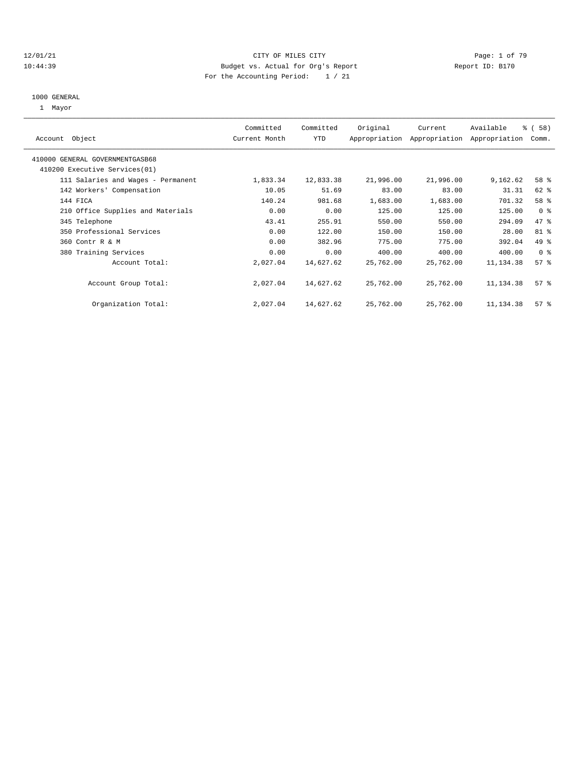#### 12/01/21 CITY OF MILES CITY Page: 1 of 79 10:44:39 Budget vs. Actual for Org's Report Report ID: B170 For the Accounting Period: 1 / 21

# 1000 GENERAL

1 Mayor

| Object<br>Account                  | Committed<br>Current Month | Committed<br><b>YTD</b> | Original  | Current<br>Appropriation Appropriation | Available<br>Appropriation | % (58)<br>Comm. |
|------------------------------------|----------------------------|-------------------------|-----------|----------------------------------------|----------------------------|-----------------|
| 410000 GENERAL GOVERNMENTGASB68    |                            |                         |           |                                        |                            |                 |
| 410200 Executive Services(01)      |                            |                         |           |                                        |                            |                 |
| 111 Salaries and Wages - Permanent | 1,833.34                   | 12,833.38               | 21,996.00 | 21,996.00                              | 9,162.62                   | 58 %            |
| 142 Workers' Compensation          | 10.05                      | 51.69                   | 83.00     | 83.00                                  | 31.31                      | 62 %            |
| 144 FICA                           | 140.24                     | 981.68                  | 1,683.00  | 1,683.00                               | 701.32                     | 58 %            |
| 210 Office Supplies and Materials  | 0.00                       | 0.00                    | 125.00    | 125.00                                 | 125.00                     | 0 <sup>8</sup>  |
| 345 Telephone                      | 43.41                      | 255.91                  | 550.00    | 550.00                                 | 294.09                     | 47 %            |
| 350 Professional Services          | 0.00                       | 122.00                  | 150.00    | 150.00                                 | 28.00                      | $81$ %          |
| 360 Contr R & M                    | 0.00                       | 382.96                  | 775.00    | 775.00                                 | 392.04                     | 49 %            |
| 380 Training Services              | 0.00                       | 0.00                    | 400.00    | 400.00                                 | 400.00                     | 0 <sup>8</sup>  |
| Account Total:                     | 2,027.04                   | 14,627.62               | 25,762.00 | 25,762.00                              | 11,134.38                  | 57%             |
| Account Group Total:               | 2,027.04                   | 14,627.62               | 25,762.00 | 25,762.00                              | 11, 134.38                 | 57%             |
| Organization Total:                | 2,027.04                   | 14,627.62               | 25,762.00 | 25,762.00                              | 11,134.38                  | 57%             |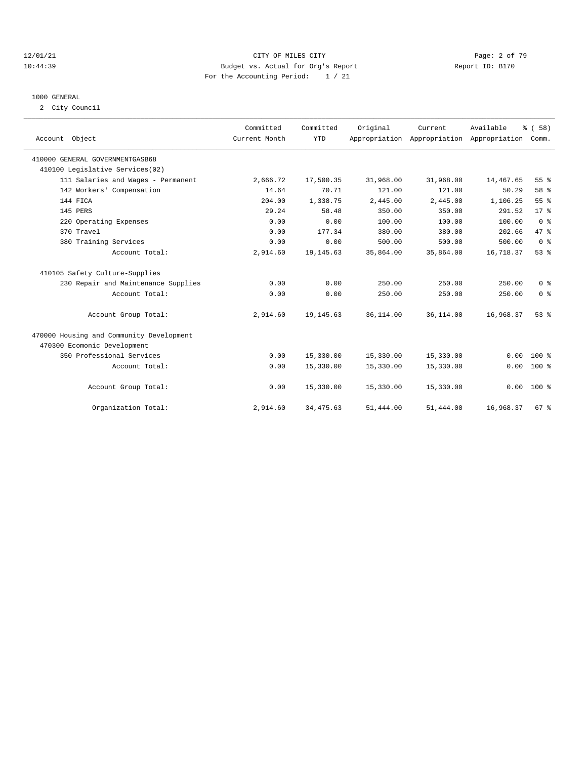#### 12/01/21 CITY OF MILES CITY Page: 2 of 79 10:44:39 Budget vs. Actual for Org's Report Report ID: B170 For the Accounting Period: 1 / 21

# 1000 GENERAL

2 City Council

| Account Object                           | Committed<br>Current Month | Committed<br><b>YTD</b> | Original   | Current<br>Appropriation Appropriation Appropriation Comm. | Available | % ( 58 )       |
|------------------------------------------|----------------------------|-------------------------|------------|------------------------------------------------------------|-----------|----------------|
| 410000 GENERAL GOVERNMENTGASB68          |                            |                         |            |                                                            |           |                |
| 410100 Legislative Services(02)          |                            |                         |            |                                                            |           |                |
| 111 Salaries and Wages - Permanent       | 2,666.72                   | 17,500.35               | 31,968.00  | 31,968.00                                                  | 14,467.65 | 55%            |
| 142 Workers' Compensation                | 14.64                      | 70.71                   | 121.00     | 121.00                                                     | 50.29     | 58 %           |
| 144 FICA                                 | 204.00                     | 1,338.75                | 2,445.00   | 2.445.00                                                   | 1,106.25  | 55%            |
| 145 PERS                                 | 29.24                      | 58.48                   | 350.00     | 350.00                                                     | 291.52    | $17*$          |
| 220 Operating Expenses                   | 0.00                       | 0.00                    | 100.00     | 100.00                                                     | 100.00    | 0 <sup>8</sup> |
| 370 Travel                               | 0.00                       | 177.34                  | 380.00     | 380.00                                                     | 202.66    | 47.8           |
| 380 Training Services                    | 0.00                       | 0.00                    | 500.00     | 500.00                                                     | 500.00    | 0 <sup>8</sup> |
| Account Total:                           | 2,914.60                   | 19, 145.63              | 35,864.00  | 35,864.00                                                  | 16,718.37 | 53%            |
| 410105 Safety Culture-Supplies           |                            |                         |            |                                                            |           |                |
| 230 Repair and Maintenance Supplies      | 0.00                       | 0.00                    | 250.00     | 250.00                                                     | 250.00    | 0 <sup>8</sup> |
| Account Total:                           | 0.00                       | 0.00                    | 250.00     | 250.00                                                     | 250.00    | 0 <sup>8</sup> |
| Account Group Total:                     | 2,914.60                   | 19, 145.63              | 36, 114.00 | 36, 114.00                                                 | 16,968.37 | 53%            |
| 470000 Housing and Community Development |                            |                         |            |                                                            |           |                |
| 470300 Ecomonic Development              |                            |                         |            |                                                            |           |                |
| 350 Professional Services                | 0.00                       | 15,330.00               | 15,330.00  | 15,330.00                                                  | 0.00      | $100*$         |
| Account Total:                           | 0.00                       | 15,330.00               | 15,330.00  | 15,330.00                                                  | 0.00      | $100*$         |
| Account Group Total:                     | 0.00                       | 15,330.00               | 15,330.00  | 15,330.00                                                  |           | $0.00 100$ %   |
| Organization Total:                      | 2,914.60                   | 34, 475.63              | 51,444.00  | 51,444.00                                                  | 16,968.37 | 67%            |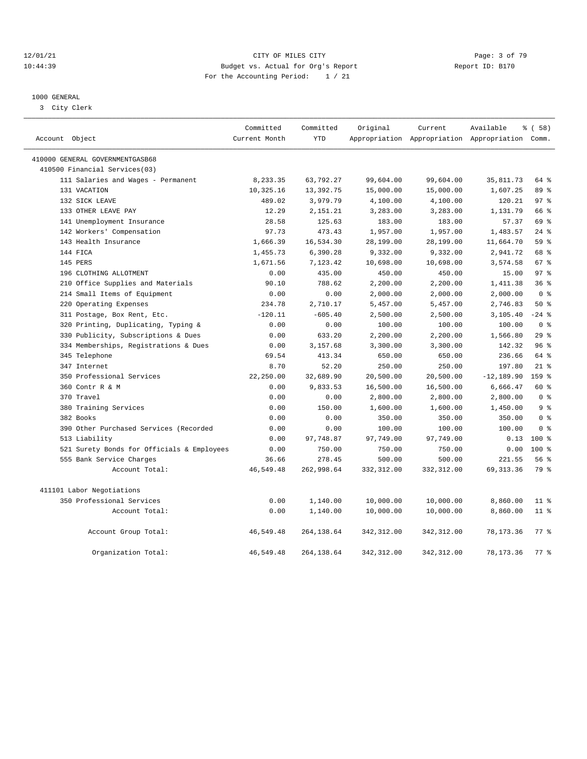#### 12/01/21 CITY OF MILES CITY Page: 3 of 79 10:44:39 Budget vs. Actual for Org's Report Report ID: B170 For the Accounting Period: 1 / 21

#### 1000 GENERAL

3 City Clerk

|                                            | Committed     | Committed   | Original    | Current     | Available                                       | 8 ( 58)         |
|--------------------------------------------|---------------|-------------|-------------|-------------|-------------------------------------------------|-----------------|
| Account Object                             | Current Month | <b>YTD</b>  |             |             | Appropriation Appropriation Appropriation Comm. |                 |
| 410000 GENERAL GOVERNMENTGASB68            |               |             |             |             |                                                 |                 |
| 410500 Financial Services(03)              |               |             |             |             |                                                 |                 |
| 111 Salaries and Wages - Permanent         | 8,233.35      | 63,792.27   | 99,604.00   | 99,604.00   | 35,811.73                                       | 64 %            |
| 131 VACATION                               | 10,325.16     | 13,392.75   | 15,000.00   | 15,000.00   | 1,607.25                                        | 89 %            |
| 132 SICK LEAVE                             | 489.02        | 3,979.79    | 4,100.00    | 4,100.00    | 120.21                                          | 97 <sub>8</sub> |
| 133 OTHER LEAVE PAY                        | 12.29         | 2,151.21    | 3,283.00    | 3,283.00    | 1,131.79                                        | 66 %            |
| 141 Unemployment Insurance                 | 28.58         | 125.63      | 183.00      | 183.00      | 57.37                                           | 69 %            |
| 142 Workers' Compensation                  | 97.73         | 473.43      | 1,957.00    | 1,957.00    | 1,483.57                                        | $24$ %          |
| 143 Health Insurance                       | 1,666.39      | 16,534.30   | 28,199.00   | 28,199.00   | 11,664.70                                       | 59 %            |
| 144 FICA                                   | 1,455.73      | 6,390.28    | 9,332.00    | 9,332.00    | 2,941.72                                        | 68 %            |
| 145 PERS                                   | 1,671.56      | 7,123.42    | 10,698.00   | 10,698.00   | 3,574.58                                        | 67 %            |
| 196 CLOTHING ALLOTMENT                     | 0.00          | 435.00      | 450.00      | 450.00      | 15.00                                           | 97%             |
| 210 Office Supplies and Materials          | 90.10         | 788.62      | 2,200.00    | 2,200.00    | 1,411.38                                        | 36%             |
| 214 Small Items of Equipment               | 0.00          | 0.00        | 2,000.00    | 2,000.00    | 2,000.00                                        | 0 <sup>8</sup>  |
| 220 Operating Expenses                     | 234.78        | 2,710.17    | 5,457.00    | 5,457.00    | 2,746.83                                        | 50%             |
| 311 Postage, Box Rent, Etc.                | $-120.11$     | $-605.40$   | 2,500.00    | 2,500.00    | 3,105.40                                        | $-24$ %         |
| 320 Printing, Duplicating, Typing &        | 0.00          | 0.00        | 100.00      | 100.00      | 100.00                                          | 0 <sup>8</sup>  |
| 330 Publicity, Subscriptions & Dues        | 0.00          | 633.20      | 2,200.00    | 2,200.00    | 1,566.80                                        | 29%             |
| 334 Memberships, Registrations & Dues      | 0.00          | 3,157.68    | 3,300.00    | 3,300.00    | 142.32                                          | 96%             |
| 345 Telephone                              | 69.54         | 413.34      | 650.00      | 650.00      | 236.66                                          | 64 %            |
| 347 Internet                               | 8.70          | 52.20       | 250.00      | 250.00      | 197.80                                          | $21$ %          |
| 350 Professional Services                  | 22,250.00     | 32,689.90   | 20,500.00   | 20,500.00   | $-12, 189.90$                                   | 159 %           |
| 360 Contr R & M                            | 0.00          | 9,833.53    | 16,500.00   | 16,500.00   | 6,666.47                                        | $60*$           |
| 370 Travel                                 | 0.00          | 0.00        | 2,800.00    | 2,800.00    | 2,800.00                                        | 0 <sup>8</sup>  |
| 380 Training Services                      | 0.00          | 150.00      | 1,600.00    | 1,600.00    | 1,450.00                                        | 9 <sup>8</sup>  |
| 382 Books                                  | 0.00          | 0.00        | 350.00      | 350.00      | 350.00                                          | 0 <sup>8</sup>  |
| 390 Other Purchased Services (Recorded     | 0.00          | 0.00        | 100.00      | 100.00      | 100.00                                          | 0 <sup>8</sup>  |
| 513 Liability                              | 0.00          | 97,748.87   | 97,749.00   | 97,749.00   | 0.13                                            | $100*$          |
| 521 Surety Bonds for Officials & Employees | 0.00          | 750.00      | 750.00      | 750.00      | 0.00                                            | $100*$          |
| 555 Bank Service Charges                   | 36.66         | 278.45      | 500.00      | 500.00      | 221.55                                          | 56%             |
| Account Total:                             | 46,549.48     | 262,998.64  | 332, 312.00 | 332, 312.00 | 69, 313.36                                      | 79 %            |
| 411101 Labor Negotiations                  |               |             |             |             |                                                 |                 |
| 350 Professional Services                  | 0.00          | 1,140.00    | 10,000.00   | 10,000.00   | 8,860.00                                        | 11 <sup>8</sup> |
| Account Total:                             | 0.00          | 1,140.00    | 10,000.00   | 10,000.00   | 8,860.00                                        | 11 %            |
| Account Group Total:                       | 46,549.48     | 264, 138.64 | 342, 312.00 | 342, 312.00 | 78,173.36                                       | 77.8            |
| Organization Total:                        | 46,549.48     | 264, 138.64 | 342, 312.00 | 342, 312.00 | 78, 173.36                                      | 77.8            |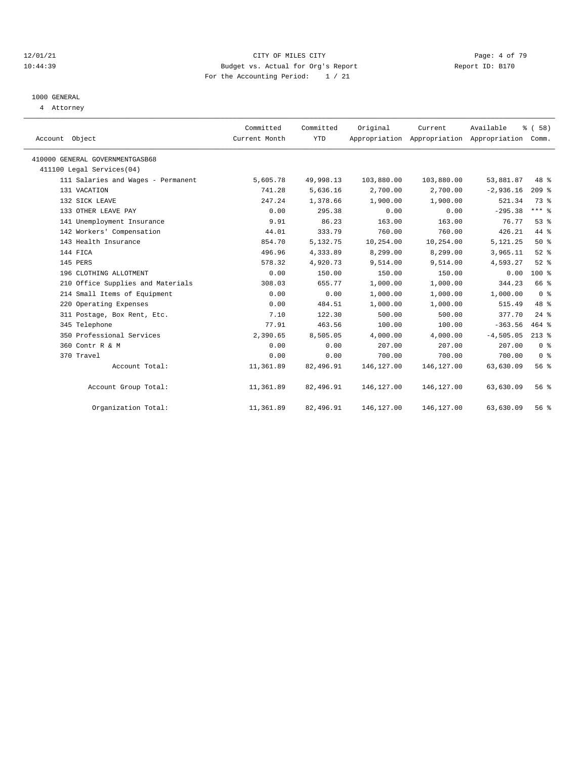#### 12/01/21 CITY OF MILES CITY Page: 4 of 79 10:44:39 Budget vs. Actual for Org's Report Report ID: B170 For the Accounting Period: 1 / 21

# 1000 GENERAL

4 Attorney

| Account Object                     | Committed<br>Current Month | Committed<br><b>YTD</b> | Original   | Current    | Available<br>Appropriation Appropriation Appropriation Comm. | 8 ( 58 )       |
|------------------------------------|----------------------------|-------------------------|------------|------------|--------------------------------------------------------------|----------------|
| 410000 GENERAL GOVERNMENTGASB68    |                            |                         |            |            |                                                              |                |
| 411100 Legal Services (04)         |                            |                         |            |            |                                                              |                |
| 111 Salaries and Wages - Permanent | 5,605.78                   | 49,998.13               | 103,880.00 | 103,880.00 | 53,881.87                                                    | 48 %           |
| 131 VACATION                       | 741.28                     | 5,636.16                | 2,700.00   | 2,700.00   | $-2,936.16$                                                  | $209$ %        |
| 132 SICK LEAVE                     | 247.24                     | 1,378.66                | 1,900.00   | 1,900.00   | 521.34                                                       | 73.8           |
| 133 OTHER LEAVE PAY                | 0.00                       | 295.38                  | 0.00       | 0.00       | $-295.38$                                                    | $***$ 8        |
| 141 Unemployment Insurance         | 9.91                       | 86.23                   | 163.00     | 163.00     | 76.77                                                        | 53%            |
| 142 Workers' Compensation          | 44.01                      | 333.79                  | 760.00     | 760.00     | 426.21                                                       | 44.8           |
| 143 Health Insurance               | 854.70                     | 5,132.75                | 10,254.00  | 10,254.00  | 5, 121. 25                                                   | 50%            |
| 144 FICA                           | 496.96                     | 4,333.89                | 8,299.00   | 8,299.00   | 3,965.11                                                     | $52$ $%$       |
| 145 PERS                           | 578.32                     | 4,920.73                | 9,514.00   | 9,514.00   | 4,593.27                                                     | $52$ $%$       |
| 196 CLOTHING ALLOTMENT             | 0.00                       | 150.00                  | 150.00     | 150.00     | 0.00                                                         | $100*$         |
| 210 Office Supplies and Materials  | 308.03                     | 655.77                  | 1,000.00   | 1,000.00   | 344.23                                                       | 66 %           |
| 214 Small Items of Equipment       | 0.00                       | 0.00                    | 1,000.00   | 1,000.00   | 1,000.00                                                     | 0 <sup>8</sup> |
| 220 Operating Expenses             | 0.00                       | 484.51                  | 1,000.00   | 1,000.00   | 515.49                                                       | 48 %           |
| 311 Postage, Box Rent, Etc.        | 7.10                       | 122.30                  | 500.00     | 500.00     | 377.70                                                       | $24$ %         |
| 345 Telephone                      | 77.91                      | 463.56                  | 100.00     | 100.00     | $-363.56$                                                    | $464$ %        |
| 350 Professional Services          | 2,390.65                   | 8,505.05                | 4,000.00   | 4,000.00   | $-4,505.05$                                                  | $213$ %        |
| 360 Contr R & M                    | 0.00                       | 0.00                    | 207.00     | 207.00     | 207.00                                                       | 0 <sup>8</sup> |
| 370 Travel                         | 0.00                       | 0.00                    | 700.00     | 700.00     | 700.00                                                       | 0 <sup>8</sup> |
| Account Total:                     | 11,361.89                  | 82,496.91               | 146,127.00 | 146,127.00 | 63,630.09                                                    | 56%            |
| Account Group Total:               | 11,361.89                  | 82,496.91               | 146,127.00 | 146,127.00 | 63,630.09                                                    | 56%            |
| Organization Total:                | 11,361.89                  | 82,496.91               | 146,127.00 | 146,127.00 | 63,630.09                                                    | 56%            |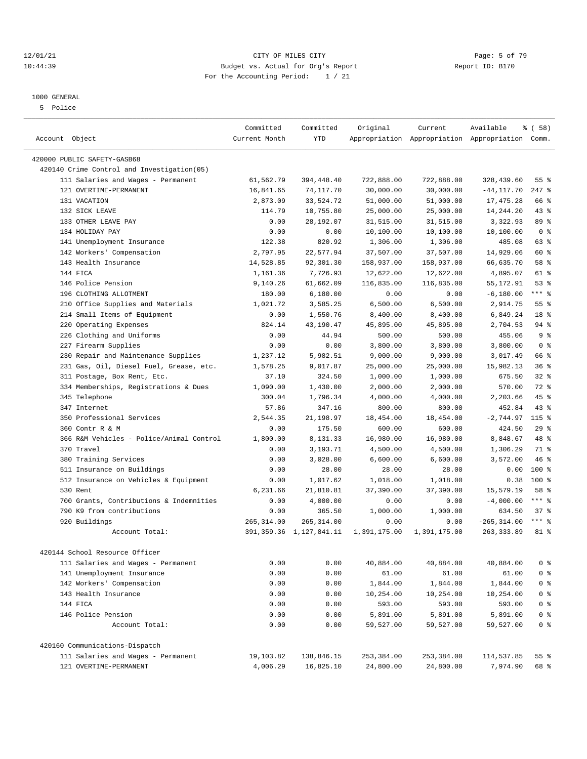#### 12/01/21 Page: 5 of 79<br>10:44:39 Budget vs. Actual for Org's Report Page: 5 of 79<br>10:44:39 Budget vs. Actual for Org's Report Physics Report ID: B170 10:44:39 Budget vs. Actual for Org's Report For the Accounting Period: 1 / 21

————————————————————————————————————————————————————————————————————————————————————————————————————————————————————————————————————

## 1000 GENERAL

5 Police

|                                                                           | Committed     | Committed                  | Original              | Current               | Available                                       | % ( 58 )                         |
|---------------------------------------------------------------------------|---------------|----------------------------|-----------------------|-----------------------|-------------------------------------------------|----------------------------------|
| Account Object                                                            | Current Month | <b>YTD</b>                 |                       |                       | Appropriation Appropriation Appropriation Comm. |                                  |
|                                                                           |               |                            |                       |                       |                                                 |                                  |
| 420000 PUBLIC SAFETY-GASB68<br>420140 Crime Control and Investigation(05) |               |                            |                       |                       |                                                 |                                  |
| 111 Salaries and Wages - Permanent                                        | 61,562.79     | 394,448.40                 | 722,888.00            | 722,888.00            | 328,439.60                                      | 55%                              |
| 121 OVERTIME-PERMANENT                                                    | 16,841.65     | 74,117.70                  | 30,000.00             | 30,000.00             | $-44, 117.70$                                   | $247$ %                          |
|                                                                           |               |                            |                       |                       |                                                 | 66 %                             |
| 131 VACATION                                                              | 2,873.09      | 33,524.72                  | 51,000.00             | 51,000.00             | 17, 475.28                                      |                                  |
| 132 SICK LEAVE<br>133 OTHER LEAVE PAY                                     | 114.79        | 10,755.80<br>28,192.07     | 25,000.00             | 25,000.00             | 14,244.20                                       | $43$ %<br>89 %                   |
|                                                                           | 0.00          |                            | 31,515.00             | 31,515.00             | 3,322.93                                        | 0 <sup>8</sup>                   |
| 134 HOLIDAY PAY                                                           | 0.00          | 0.00                       | 10,100.00             | 10,100.00             | 10,100.00                                       |                                  |
| 141 Unemployment Insurance                                                | 122.38        | 820.92                     | 1,306.00              | 1,306.00              | 485.08                                          | 63 %                             |
| 142 Workers' Compensation                                                 | 2,797.95      | 22,577.94                  | 37,507.00             | 37,507.00             | 14,929.06                                       | 60 %                             |
| 143 Health Insurance                                                      | 14,528.85     | 92,301.30                  | 158,937.00            | 158,937.00            | 66,635.70                                       | 58 %                             |
| 144 FICA                                                                  | 1,161.36      | 7,726.93                   | 12,622.00             | 12,622.00             | 4,895.07                                        | 61 %                             |
| 146 Police Pension                                                        | 9,140.26      | 61,662.09                  | 116,835.00            | 116,835.00            | 55, 172.91                                      | 53%                              |
| 196 CLOTHING ALLOTMENT                                                    | 180.00        | 6,180.00                   | 0.00                  | 0.00                  | $-6, 180.00$                                    | $***$ $-$                        |
| 210 Office Supplies and Materials                                         | 1,021.72      | 3,585.25                   | 6,500.00              | 6,500.00              | 2,914.75                                        | 55%                              |
| 214 Small Items of Equipment                                              | 0.00          | 1,550.76                   | 8,400.00              | 8,400.00              | 6,849.24                                        | 18 %                             |
| 220 Operating Expenses                                                    | 824.14        | 43,190.47                  | 45,895.00             | 45,895.00             | 2,704.53                                        | 94%                              |
| 226 Clothing and Uniforms                                                 | 0.00          | 44.94                      | 500.00                | 500.00                | 455.06                                          | 9 <sup>8</sup>                   |
| 227 Firearm Supplies                                                      | 0.00          | 0.00                       | 3,800.00              | 3,800.00              | 3,800.00                                        | 0 <sup>8</sup>                   |
| 230 Repair and Maintenance Supplies                                       | 1,237.12      | 5,982.51                   | 9,000.00              | 9,000.00              | 3,017.49                                        | 66 %                             |
| 231 Gas, Oil, Diesel Fuel, Grease, etc.                                   | 1,578.25      | 9,017.87                   | 25,000.00             | 25,000.00             | 15,982.13                                       | 36%                              |
| 311 Postage, Box Rent, Etc.                                               | 37.10         | 324.50                     | 1,000.00              | 1,000.00              | 675.50                                          | $32$ $%$                         |
| 334 Memberships, Registrations & Dues                                     | 1,090.00      | 1,430.00                   | 2,000.00              | 2,000.00              | 570.00                                          | 72 %                             |
| 345 Telephone                                                             | 300.04        | 1,796.34                   | 4,000.00              | 4,000.00              | 2,203.66                                        | $45$ %                           |
| 347 Internet                                                              | 57.86         | 347.16                     | 800.00                | 800.00                | 452.84                                          | $43$ %                           |
| 350 Professional Services                                                 | 2,544.35      | 21,198.97                  | 18,454.00             | 18,454.00             | $-2,744.97$                                     | $115$ %                          |
| 360 Contr R & M                                                           | 0.00          | 175.50                     | 600.00                | 600.00                | 424.50                                          | 29%                              |
| 366 R&M Vehicles - Police/Animal Control                                  | 1,800.00      | 8,131.33                   | 16,980.00             | 16,980.00             | 8,848.67                                        | 48 %                             |
| 370 Travel                                                                | 0.00          | 3,193.71                   | 4,500.00              | 4,500.00              | 1,306.29                                        | 71 %                             |
| 380 Training Services                                                     | 0.00          | 3,028.00                   | 6,600.00              | 6,600.00              | 3,572.00                                        | 46 %                             |
| 511 Insurance on Buildings                                                | 0.00          | 28.00                      | 28.00                 | 28.00                 | 0.00                                            | $100$ %                          |
| 512 Insurance on Vehicles & Equipment                                     | 0.00          | 1,017.62                   | 1,018.00              | 1,018.00              | 0.38                                            | $100*$                           |
| 530 Rent                                                                  | 6,231.66      | 21,810.81                  | 37,390.00             | 37,390.00             | 15,579.19                                       | 58 %                             |
| 700 Grants, Contributions & Indemnities                                   | 0.00          | 4,000.00                   | 0.00                  | 0.00                  | $-4,000.00$                                     | $***$ $-$                        |
| 790 K9 from contributions                                                 | 0.00          | 365.50                     | 1,000.00              | 1,000.00              | 634.50                                          | 37%                              |
| 920 Buildings                                                             | 265, 314.00   | 265, 314.00                | 0.00                  | 0.00                  | $-265, 314.00$                                  | $***$ 2                          |
| Account Total:                                                            |               | 391, 359.36 1, 127, 841.11 | 1,391,175.00          | 1,391,175.00          | 263, 333.89                                     | 81 %                             |
| 420144 School Resource Officer                                            |               |                            |                       |                       |                                                 |                                  |
| 111 Salaries and Wages - Permanent                                        | 0.00          | 0.00                       | 40,884.00             | 40,884.00             | 40,884.00                                       | 0 <sup>8</sup>                   |
| 141 Unemployment Insurance                                                | 0.00          | 0.00                       | 61.00                 | 61.00                 | 61.00                                           | 0 <sup>8</sup>                   |
| 142 Workers' Compensation                                                 | 0.00          | 0.00                       | 1,844.00              | 1,844.00              | 1,844.00                                        | 0 <sup>8</sup>                   |
| 143 Health Insurance                                                      | 0.00          |                            |                       |                       |                                                 |                                  |
| 144 FICA                                                                  | 0.00          | 0.00<br>0.00               | 10,254.00<br>593.00   | 10,254.00<br>593.00   | 10,254.00<br>593.00                             | 0 <sup>8</sup><br>0 <sup>8</sup> |
|                                                                           |               |                            |                       |                       |                                                 |                                  |
| 146 Police Pension<br>Account Total:                                      | 0.00<br>0.00  | 0.00<br>0.00               | 5,891.00<br>59,527.00 | 5,891.00<br>59,527.00 | 5,891.00<br>59,527.00                           | 0 <sup>8</sup><br>0 <sup>8</sup> |
|                                                                           |               |                            |                       |                       |                                                 |                                  |
| 420160 Communications-Dispatch                                            |               |                            |                       |                       |                                                 |                                  |
| 111 Salaries and Wages - Permanent                                        | 19,103.82     | 138,846.15                 | 253,384.00            | 253,384.00            | 114,537.85                                      | 55%                              |
| 121 OVERTIME-PERMANENT                                                    | 4,006.29      | 16,825.10                  | 24,800.00             | 24,800.00             | 7,974.90                                        | 68 %                             |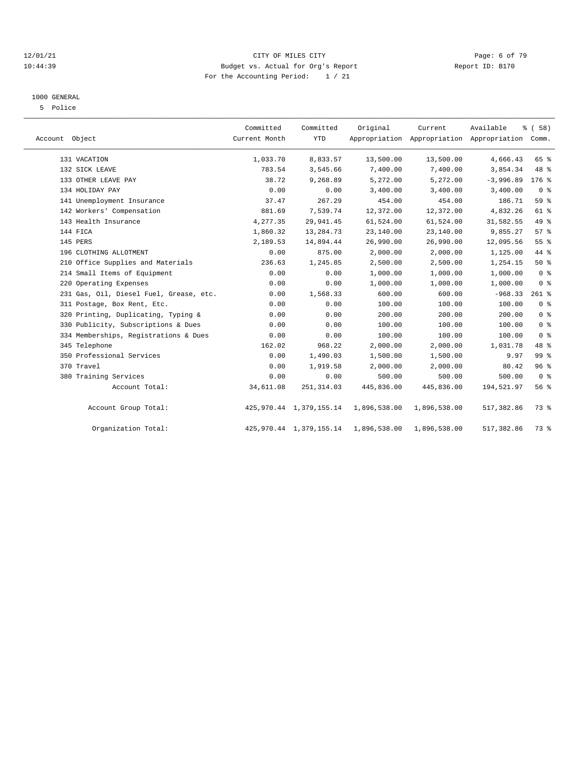#### 12/01/21 CITY OF MILES CITY Page: 6 of 79 10:44:39 Budget vs. Actual for Org's Report Report ID: B170 For the Accounting Period: 1 / 21

#### 1000 GENERAL

5 Police

| Account Object                          | Committed<br>Current Month | Committed<br><b>YTD</b>    | Original     | Current      | Available<br>Appropriation Appropriation Appropriation Comm. | % (58)          |  |
|-----------------------------------------|----------------------------|----------------------------|--------------|--------------|--------------------------------------------------------------|-----------------|--|
| 131 VACATION                            | 1,033.70                   | 8,833.57                   | 13,500.00    | 13,500.00    | 4,666.43                                                     | 65 %            |  |
| 132 SICK LEAVE                          | 783.54                     | 3,545.66                   | 7,400.00     | 7,400.00     | 3,854.34                                                     | 48 %            |  |
| 133 OTHER LEAVE PAY                     | 38.72                      | 9,268.89                   | 5,272.00     | 5,272.00     | $-3,996.89$                                                  | $176$ %         |  |
| 134 HOLIDAY PAY                         | 0.00                       | 0.00                       | 3,400.00     | 3,400.00     | 3,400.00                                                     | 0 <sup>8</sup>  |  |
| 141 Unemployment Insurance              | 37.47                      | 267.29                     | 454.00       | 454.00       | 186.71                                                       | 59 %            |  |
| 142 Workers' Compensation               | 881.69                     | 7,539.74                   | 12,372.00    | 12,372.00    | 4,832.26                                                     | 61 %            |  |
| 143 Health Insurance                    | 4,277.35                   | 29,941.45                  | 61,524.00    | 61,524.00    | 31,582.55                                                    | 49 %            |  |
| 144 FICA                                | 1,860.32                   | 13,284.73                  | 23,140.00    | 23,140.00    | 9,855.27                                                     | 57%             |  |
| 145 PERS                                | 2,189.53                   | 14,894.44                  | 26,990.00    | 26,990.00    | 12,095.56                                                    | 55 %            |  |
| 196 CLOTHING ALLOTMENT                  | 0.00                       | 875.00                     | 2,000.00     | 2,000.00     | 1,125.00                                                     | 44 %            |  |
| 210 Office Supplies and Materials       | 236.63                     | 1,245.85                   | 2,500.00     | 2,500.00     | 1,254.15                                                     | 50%             |  |
| 214 Small Items of Equipment            | 0.00                       | 0.00                       | 1,000.00     | 1,000.00     | 1,000.00                                                     | 0 <sup>8</sup>  |  |
| 220 Operating Expenses                  | 0.00                       | 0.00                       | 1,000.00     | 1,000.00     | 1,000.00                                                     | 0 <sup>8</sup>  |  |
| 231 Gas, Oil, Diesel Fuel, Grease, etc. | 0.00                       | 1,568.33                   | 600.00       | 600.00       | $-968.33$                                                    | $261$ %         |  |
| 311 Postage, Box Rent, Etc.             | 0.00                       | 0.00                       | 100.00       | 100.00       | 100.00                                                       | 0 <sup>8</sup>  |  |
| 320 Printing, Duplicating, Typing &     | 0.00                       | 0.00                       | 200.00       | 200.00       | 200.00                                                       | 0 <sup>8</sup>  |  |
| 330 Publicity, Subscriptions & Dues     | 0.00                       | 0.00                       | 100.00       | 100.00       | 100.00                                                       | 0 <sup>8</sup>  |  |
| 334 Memberships, Registrations & Dues   | 0.00                       | 0.00                       | 100.00       | 100.00       | 100.00                                                       | 0 <sup>8</sup>  |  |
| 345 Telephone                           | 162.02                     | 968.22                     | 2,000.00     | 2,000.00     | 1,031.78                                                     | 48 %            |  |
| 350 Professional Services               | 0.00                       | 1,490.03                   | 1,500.00     | 1,500.00     | 9.97                                                         | 99 <sup>8</sup> |  |
| 370 Travel                              | 0.00                       | 1,919.58                   | 2,000.00     | 2,000.00     | 80.42                                                        | 96%             |  |
| 380 Training Services                   | 0.00                       | 0.00                       | 500.00       | 500.00       | 500.00                                                       | 0 <sup>8</sup>  |  |
| Account Total:                          | 34,611.08                  | 251, 314.03                | 445,836.00   | 445,836.00   | 194,521.97                                                   | 56%             |  |
| Account Group Total:                    |                            | 425, 970.44 1, 379, 155.14 | 1,896,538.00 | 1,896,538.00 | 517,382.86                                                   | 73 %            |  |
| Organization Total:                     |                            | 425, 970.44 1, 379, 155.14 | 1,896,538.00 | 1,896,538.00 | 517,382.86                                                   | 73 %            |  |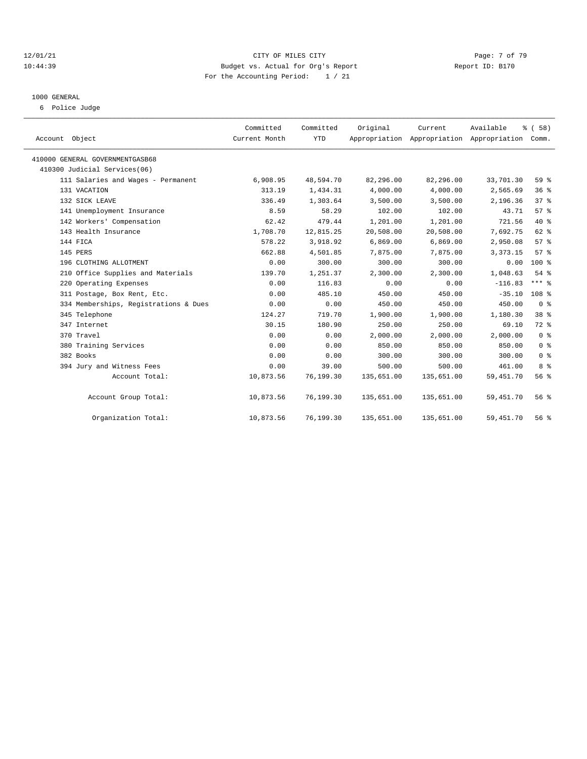#### 12/01/21 CITY OF MILES CITY Page: 7 of 79 10:44:39 Budget vs. Actual for Org's Report Report ID: B170 For the Accounting Period: 1 / 21

# 1000 GENERAL

6 Police Judge

| Account Object                        | Committed<br>Current Month | Committed<br><b>YTD</b> | Original   | Current    | Available<br>Appropriation Appropriation Appropriation Comm. | % (58)           |
|---------------------------------------|----------------------------|-------------------------|------------|------------|--------------------------------------------------------------|------------------|
| 410000 GENERAL GOVERNMENTGASB68       |                            |                         |            |            |                                                              |                  |
| 410300 Judicial Services(06)          |                            |                         |            |            |                                                              |                  |
| 111 Salaries and Wages - Permanent    | 6,908.95                   | 48,594.70               | 82,296.00  | 82,296.00  | 33,701.30                                                    | 59 %             |
| 131 VACATION                          | 313.19                     | 1,434.31                | 4,000.00   | 4,000.00   | 2,565.69                                                     | 36%              |
| 132 SICK LEAVE                        | 336.49                     | 1,303.64                | 3,500.00   | 3,500.00   | 2,196.36                                                     | 37 <sup>8</sup>  |
| 141 Unemployment Insurance            | 8.59                       | 58.29                   | 102.00     | 102.00     | 43.71                                                        | 57%              |
| 142 Workers' Compensation             | 62.42                      | 479.44                  | 1,201.00   | 1,201.00   | 721.56                                                       | $40*$            |
| 143 Health Insurance                  | 1,708.70                   | 12,815.25               | 20,508.00  | 20,508.00  | 7,692.75                                                     | 62 %             |
| 144 FICA                              | 578.22                     | 3,918.92                | 6,869.00   | 6,869.00   | 2,950.08                                                     | 57 <sup>8</sup>  |
| 145 PERS                              | 662.88                     | 4,501.85                | 7,875.00   | 7,875.00   | 3, 373. 15                                                   | 57%              |
| 196 CLOTHING ALLOTMENT                | 0.00                       | 300.00                  | 300.00     | 300.00     | 0.00                                                         | 100 %            |
| 210 Office Supplies and Materials     | 139.70                     | 1,251.37                | 2,300.00   | 2,300.00   | 1,048.63                                                     | 54%              |
| 220 Operating Expenses                | 0.00                       | 116.83                  | 0.00       | 0.00       | $-116.83$                                                    | $***$ $%$        |
| 311 Postage, Box Rent, Etc.           | 0.00                       | 485.10                  | 450.00     | 450.00     | $-35.10$                                                     | 108 <sup>8</sup> |
| 334 Memberships, Registrations & Dues | 0.00                       | 0.00                    | 450.00     | 450.00     | 450.00                                                       | 0 <sup>8</sup>   |
| 345 Telephone                         | 124.27                     | 719.70                  | 1,900.00   | 1,900.00   | 1,180.30                                                     | 38 %             |
| 347 Internet                          | 30.15                      | 180.90                  | 250.00     | 250.00     | 69.10                                                        | $72$ $%$         |
| 370 Travel                            | 0.00                       | 0.00                    | 2,000.00   | 2,000.00   | 2,000.00                                                     | 0 <sup>8</sup>   |
| 380 Training Services                 | 0.00                       | 0.00                    | 850.00     | 850.00     | 850.00                                                       | 0 <sup>8</sup>   |
| 382 Books                             | 0.00                       | 0.00                    | 300.00     | 300.00     | 300.00                                                       | 0 <sup>8</sup>   |
| 394 Jury and Witness Fees             | 0.00                       | 39.00                   | 500.00     | 500.00     | 461.00                                                       | 8 %              |
| Account Total:                        | 10,873.56                  | 76,199.30               | 135,651.00 | 135,651.00 | 59, 451.70                                                   | 56 %             |
| Account Group Total:                  | 10,873.56                  | 76,199.30               | 135,651.00 | 135,651.00 | 59, 451.70                                                   | 56%              |
| Organization Total:                   | 10,873.56                  | 76,199.30               | 135,651.00 | 135,651.00 | 59, 451.70                                                   | 56%              |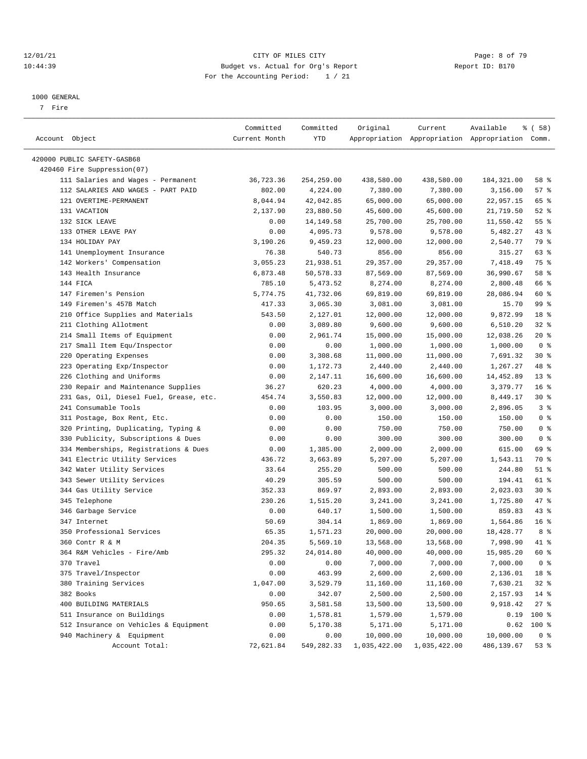#### 12/01/21 CITY OF MILES CITY Page: 8 of 79 10:44:39 Budget vs. Actual for Org's Report Report ID: B170 For the Accounting Period: 1 / 21

————————————————————————————————————————————————————————————————————————————————————————————————————————————————————————————————————

#### 1000 GENERAL

7 Fire

|                                         | Committed     | Committed  | Original     | Current      | Available                                       | 8 ( 58 )        |
|-----------------------------------------|---------------|------------|--------------|--------------|-------------------------------------------------|-----------------|
| Account Object                          | Current Month | YTD        |              |              | Appropriation Appropriation Appropriation Comm. |                 |
|                                         |               |            |              |              |                                                 |                 |
| 420000 PUBLIC SAFETY-GASB68             |               |            |              |              |                                                 |                 |
| 420460 Fire Suppression(07)             |               |            |              |              |                                                 |                 |
| 111 Salaries and Wages - Permanent      | 36,723.36     | 254,259.00 | 438,580.00   | 438,580.00   | 184,321.00                                      | 58 %            |
| 112 SALARIES AND WAGES - PART PAID      | 802.00        | 4,224.00   | 7,380.00     | 7,380.00     | 3,156.00                                        | 57%             |
| 121 OVERTIME-PERMANENT                  | 8,044.94      | 42,042.85  | 65,000.00    | 65,000.00    | 22,957.15                                       | 65 %            |
| 131 VACATION                            | 2,137.90      | 23,880.50  | 45,600.00    | 45,600.00    | 21,719.50                                       | $52$ $%$        |
| 132 SICK LEAVE                          | 0.00          | 14,149.58  | 25,700.00    | 25,700.00    | 11,550.42                                       | 55 %            |
| 133 OTHER LEAVE PAY                     | 0.00          | 4,095.73   | 9,578.00     | 9,578.00     | 5,482.27                                        | 43%             |
| 134 HOLIDAY PAY                         | 3,190.26      | 9,459.23   | 12,000.00    | 12,000.00    | 2,540.77                                        | 79 %            |
| 141 Unemployment Insurance              | 76.38         | 540.73     | 856.00       | 856.00       | 315.27                                          | 63%             |
| 142 Workers' Compensation               | 3,055.23      | 21,938.51  | 29,357.00    | 29,357.00    | 7,418.49                                        | 75 %            |
| 143 Health Insurance                    | 6,873.48      | 50,578.33  | 87,569.00    | 87,569.00    | 36,990.67                                       | 58 %            |
| 144 FICA                                | 785.10        | 5,473.52   | 8,274.00     | 8,274.00     | 2,800.48                                        | 66 %            |
| 147 Firemen's Pension                   | 5,774.75      | 41,732.06  | 69,819.00    | 69,819.00    | 28,086.94                                       | 60 %            |
| 149 Firemen's 457B Match                | 417.33        | 3,065.30   | 3,081.00     | 3,081.00     | 15.70                                           | 99 %            |
| 210 Office Supplies and Materials       | 543.50        | 2,127.01   | 12,000.00    | 12,000.00    | 9,872.99                                        | 18 %            |
| 211 Clothing Allotment                  | 0.00          | 3,089.80   | 9,600.00     | 9,600.00     | 6,510.20                                        | 328             |
| 214 Small Items of Equipment            | 0.00          | 2,961.74   | 15,000.00    | 15,000.00    | 12,038.26                                       | $20*$           |
| 217 Small Item Equ/Inspector            | 0.00          | 0.00       | 1,000.00     | 1,000.00     | 1,000.00                                        | 0 <sup>8</sup>  |
| 220 Operating Expenses                  | 0.00          | 3,308.68   | 11,000.00    | 11,000.00    | 7,691.32                                        | $30*$           |
| 223 Operating Exp/Inspector             | 0.00          | 1,172.73   | 2,440.00     | 2,440.00     | 1,267.27                                        | 48 %            |
| 226 Clothing and Uniforms               | 0.00          | 2,147.11   | 16,600.00    | 16,600.00    | 14,452.89                                       | $13*$           |
| 230 Repair and Maintenance Supplies     | 36.27         | 620.23     | 4,000.00     | 4,000.00     | 3,379.77                                        | 16 <sup>°</sup> |
| 231 Gas, Oil, Diesel Fuel, Grease, etc. | 454.74        | 3,550.83   | 12,000.00    | 12,000.00    | 8,449.17                                        | $30*$           |
| 241 Consumable Tools                    | 0.00          | 103.95     | 3,000.00     | 3,000.00     | 2,896.05                                        | 3%              |
| 311 Postage, Box Rent, Etc.             | 0.00          | 0.00       | 150.00       | 150.00       | 150.00                                          | 0 <sup>8</sup>  |
| 320 Printing, Duplicating, Typing &     | 0.00          | 0.00       | 750.00       | 750.00       | 750.00                                          | 0 <sup>8</sup>  |
| 330 Publicity, Subscriptions & Dues     | 0.00          | 0.00       | 300.00       | 300.00       | 300.00                                          | 0 <sup>8</sup>  |
| 334 Memberships, Registrations & Dues   | 0.00          | 1,385.00   | 2,000.00     | 2,000.00     | 615.00                                          | 69 %            |
| 341 Electric Utility Services           | 436.72        | 3,663.89   | 5,207.00     | 5,207.00     | 1,543.11                                        | 70 %            |
| 342 Water Utility Services              | 33.64         | 255.20     | 500.00       | 500.00       | 244.80                                          | 51 %            |
| 343 Sewer Utility Services              | 40.29         | 305.59     | 500.00       | 500.00       | 194.41                                          | 61 %            |
| 344 Gas Utility Service                 | 352.33        | 869.97     | 2,893.00     | 2,893.00     | 2,023.03                                        | $30*$           |
| 345 Telephone                           | 230.26        | 1,515.20   | 3,241.00     | 3,241.00     | 1,725.80                                        | 47 %            |
|                                         |               | 640.17     |              |              | 859.83                                          | 43%             |
| 346 Garbage Service                     | 0.00          |            | 1,500.00     | 1,500.00     |                                                 |                 |
| 347 Internet                            | 50.69         | 304.14     | 1,869.00     | 1,869.00     | 1,564.86                                        | 16 <sup>8</sup> |
| 350 Professional Services               | 65.35         | 1,571.23   | 20,000.00    | 20,000.00    | 18,428.77                                       | 8 %             |
| 360 Contr R & M                         | 204.35        | 5,569.10   | 13,568.00    | 13,568.00    | 7,998.90                                        | 41 %            |
| 364 R&M Vehicles - Fire/Amb             | 295.32        | 24,014.80  | 40,000.00    | 40,000.00    | 15,985.20                                       | 60%             |
| 370 Travel                              | 0.00          | 0.00       | 7,000.00     | 7,000.00     | 7,000.00                                        | 0 <sup>8</sup>  |
| 375 Travel/Inspector                    | 0.00          | 463.99     | 2,600.00     | 2,600.00     | 2,136.01                                        | 18 %            |
| 380 Training Services                   | 1,047.00      | 3,529.79   | 11,160.00    | 11,160.00    | 7,630.21                                        | 32%             |
| 382 Books                               | 0.00          | 342.07     | 2,500.00     | 2,500.00     | 2,157.93                                        | 14 %            |
| 400 BUILDING MATERIALS                  | 950.65        | 3,581.58   | 13,500.00    | 13,500.00    | 9,918.42                                        | 27%             |
| 511 Insurance on Buildings              | 0.00          | 1,578.81   | 1,579.00     | 1,579.00     | 0.19                                            | 100 %           |
| 512 Insurance on Vehicles & Equipment   | 0.00          | 5,170.38   | 5,171.00     | 5,171.00     | 0.62                                            | 100 %           |
| 940 Machinery & Equipment               | 0.00          | 0.00       | 10,000.00    | 10,000.00    | 10,000.00                                       | 0 <sup>8</sup>  |
| Account Total:                          | 72,621.84     | 549,282.33 | 1,035,422.00 | 1,035,422.00 | 486,139.67                                      | 53%             |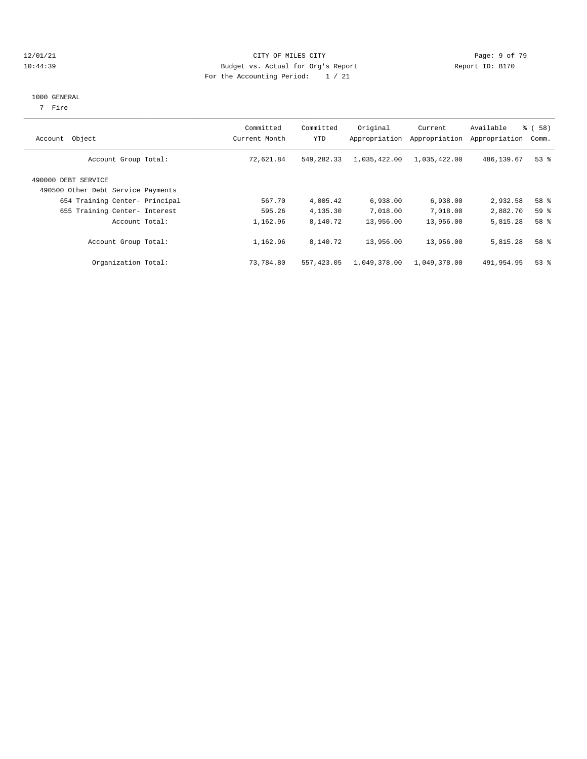#### 12/01/21 CITY OF MILES CITY Page: 9 of 79 10:44:39 Budget vs. Actual for Org's Report Report ID: B170 For the Accounting Period: 1 / 21

## 1000 GENERAL

7 Fire

| Object<br>Account                                         | Committed<br>Current Month | Committed<br>YTD | Original<br>Appropriation | Current<br>Appropriation | Available<br>Appropriation | 8 ( 58 )<br>Comm. |
|-----------------------------------------------------------|----------------------------|------------------|---------------------------|--------------------------|----------------------------|-------------------|
| Account Group Total:                                      | 72,621.84                  | 549,282.33       | 1,035,422.00              | 1,035,422.00             | 486,139.67                 | $53$ $%$          |
| 490000 DEBT SERVICE<br>490500 Other Debt Service Payments |                            |                  |                           |                          |                            |                   |
| 654 Training Center- Principal                            | 567.70                     | 4,005.42         | 6,938.00                  | 6,938.00                 | 2,932.58                   | 58 %              |
| 655 Training Center- Interest                             | 595.26                     | 4,135.30         | 7,018.00                  | 7,018.00                 | 2,882.70                   | 59 %              |
| Account Total:                                            | 1,162.96                   | 8,140.72         | 13,956.00                 | 13,956.00                | 5,815.28                   | 58 %              |
| Account Group Total:                                      | 1,162.96                   | 8,140.72         | 13,956.00                 | 13,956.00                | 5,815.28                   | 58 %              |
| Organization Total:                                       | 73,784.80                  | 557, 423, 05     | 1,049,378.00              | 1,049,378.00             | 491,954.95                 | 53%               |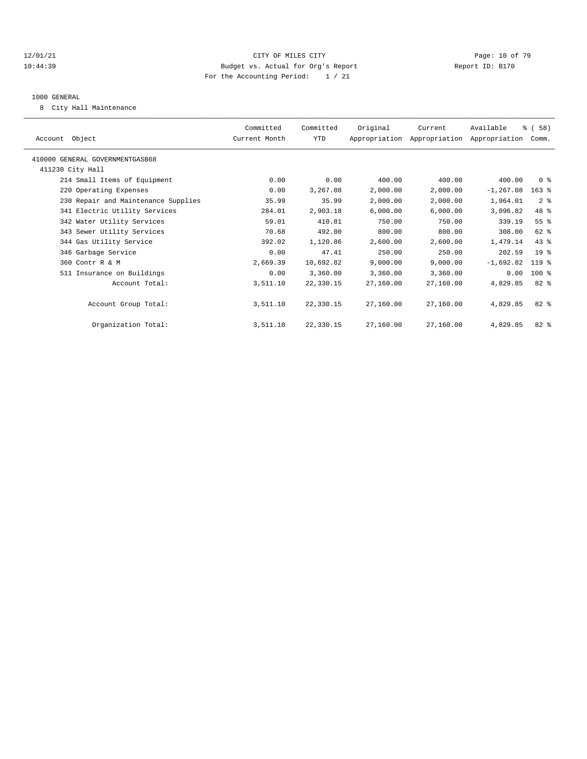#### 12/01/21 **Page: 10 of 79** CITY OF MILES CITY **CITY** Page: 10 of 79 10:44:39 Budget vs. Actual for Org's Report Report ID: B170 For the Accounting Period: 1 / 21

#### 1000 GENERAL

8 City Hall Maintenance

|                                     | Committed     | Committed  | Original  | Current                                   | Available    | % (58)          |  |
|-------------------------------------|---------------|------------|-----------|-------------------------------------------|--------------|-----------------|--|
| Account Object                      | Current Month | <b>YTD</b> |           | Appropriation Appropriation Appropriation |              | Comm.           |  |
|                                     |               |            |           |                                           |              |                 |  |
| 410000 GENERAL GOVERNMENTGASB68     |               |            |           |                                           |              |                 |  |
| 411230 City Hall                    |               |            |           |                                           |              |                 |  |
| 214 Small Items of Equipment        | 0.00          | 0.00       | 400.00    | 400.00                                    | 400.00       | 0 <sup>8</sup>  |  |
| 220 Operating Expenses              | 0.00          | 3,267.08   | 2,000.00  | 2,000.00                                  | $-1, 267.08$ | $163$ $%$       |  |
| 230 Repair and Maintenance Supplies | 35.99         | 35.99      | 2,000.00  | 2,000.00                                  | 1,964.01     | 2 <sup>8</sup>  |  |
| 341 Electric Utility Services       | 284.01        | 2,903.18   | 6,000.00  | 6,000.00                                  | 3,096.82     | 48 %            |  |
| 342 Water Utility Services          | 59.01         | 410.81     | 750.00    | 750.00                                    | 339.19       | 55%             |  |
| 343 Sewer Utility Services          | 70.68         | 492.00     | 800.00    | 800.00                                    | 308.00       | 62 %            |  |
| 344 Gas Utility Service             | 392.02        | 1,120.86   | 2,600.00  | 2,600.00                                  | 1,479.14     | 43%             |  |
| 346 Garbage Service                 | 0.00          | 47.41      | 250.00    | 250.00                                    | 202.59       | 19 <sup>°</sup> |  |
| 360 Contr R & M                     | 2,669.39      | 10,692.82  | 9,000.00  | 9,000.00                                  | $-1,692.82$  | $119*$          |  |
| 511 Insurance on Buildings          | 0.00          | 3,360.00   | 3,360.00  | 3,360.00                                  | 0.00         | 100 %           |  |
| Account Total:                      | 3,511.10      | 22,330.15  | 27,160.00 | 27,160.00                                 | 4,829.85     | 82 %            |  |
|                                     |               |            |           |                                           |              |                 |  |
| Account Group Total:                | 3,511.10      | 22,330.15  | 27,160.00 | 27,160.00                                 | 4,829.85     | $82*$           |  |
|                                     |               |            |           |                                           |              |                 |  |
| Organization Total:                 | 3,511.10      | 22,330.15  | 27,160.00 | 27,160.00                                 | 4,829.85     | $82*$           |  |
|                                     |               |            |           |                                           |              |                 |  |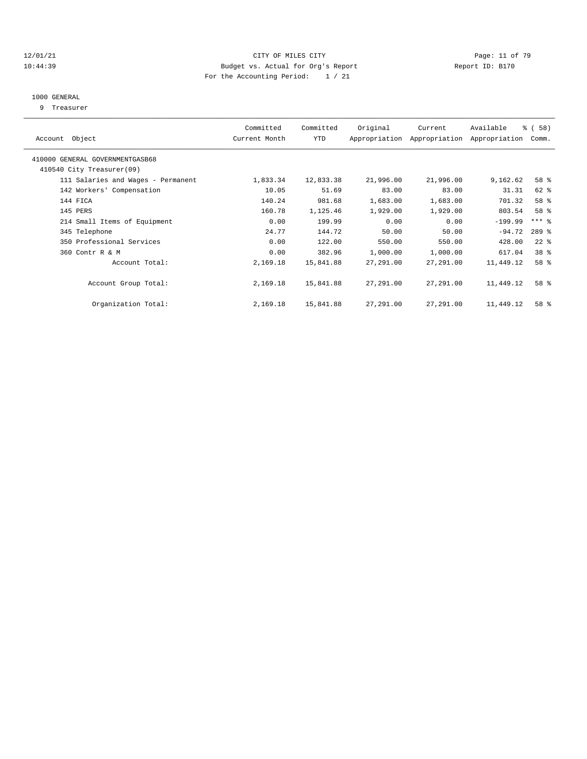#### 12/01/21 **Page: 11 of 79** CITY OF MILES CITY **CITY** Page: 11 of 79 10:44:39 Budget vs. Actual for Org's Report Report ID: B170 For the Accounting Period: 1 / 21

#### 1000 GENERAL

9 Treasurer

| Object<br>Account                  | Committed<br>Current Month | Committed<br><b>YTD</b> | Original  | Current<br>Appropriation Appropriation | Available<br>Appropriation | % (58)<br>Comm.     |  |
|------------------------------------|----------------------------|-------------------------|-----------|----------------------------------------|----------------------------|---------------------|--|
| 410000 GENERAL GOVERNMENTGASB68    |                            |                         |           |                                        |                            |                     |  |
| 410540 City Treasurer(09)          |                            |                         |           |                                        |                            |                     |  |
| 111 Salaries and Wages - Permanent | 1,833.34                   | 12,833.38               | 21,996.00 | 21,996.00                              | 9,162.62                   | 58 %                |  |
| 142 Workers' Compensation          | 10.05                      | 51.69                   | 83.00     | 83.00                                  | 31.31                      | 62 %                |  |
| 144 FICA                           | 140.24                     | 981.68                  | 1,683.00  | 1,683.00                               | 701.32                     | 58 %                |  |
| 145 PERS                           | 160.78                     | 1,125.46                | 1,929.00  | 1,929.00                               | 803.54                     | 58 %                |  |
| 214 Small Items of Equipment       | 0.00                       | 199.99                  | 0.00      | 0.00                                   | $-199.99$                  | $***$ $\frac{6}{5}$ |  |
| 345 Telephone                      | 24.77                      | 144.72                  | 50.00     | 50.00                                  | $-94.72$                   | 289 %               |  |
| 350 Professional Services          | 0.00                       | 122.00                  | 550.00    | 550.00                                 | 428.00                     | $22$ $%$            |  |
| 360 Contr R & M                    | 0.00                       | 382.96                  | 1,000.00  | 1,000.00                               | 617.04                     | 38 <sup>8</sup>     |  |
| Account Total:                     | 2,169.18                   | 15,841.88               | 27,291.00 | 27,291.00                              | 11,449.12                  | 58 %                |  |
| Account Group Total:               | 2,169.18                   | 15,841.88               | 27,291.00 | 27,291.00                              | 11,449.12                  | 58 %                |  |
| Organization Total:                | 2,169.18                   | 15,841.88               | 27,291.00 | 27,291.00                              | 11,449.12                  | 58 %                |  |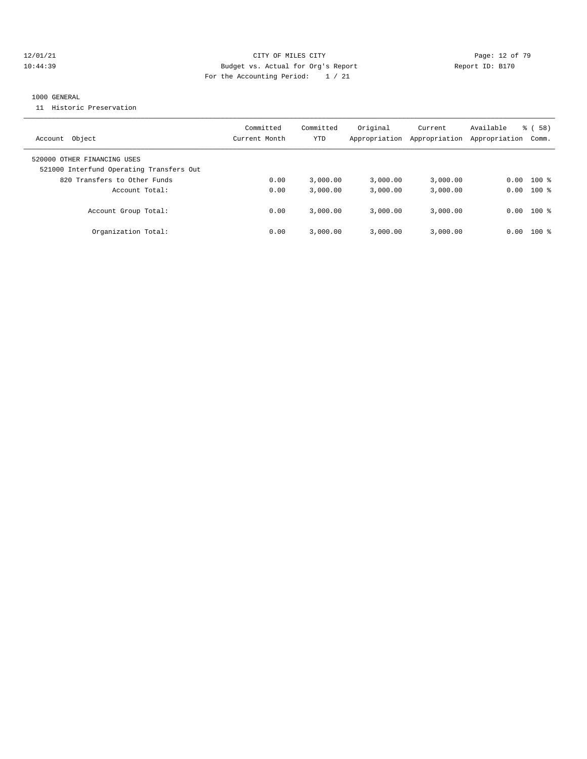#### 12/01/21 **Page: 12 of 79** CITY OF MILES CITY **CITY** Page: 12 of 79 10:44:39 Budget vs. Actual for Org's Report Changer Report ID: B170 For the Accounting Period: 1 / 21

#### 1000 GENERAL

11 Historic Preservation

| Account Object                                                          | Committed<br>Current Month | Committed<br>YTD | Original<br>Appropriation | Current<br>Appropriation | Available<br>Appropriation | 58)<br>ී (<br>Comm. |
|-------------------------------------------------------------------------|----------------------------|------------------|---------------------------|--------------------------|----------------------------|---------------------|
| 520000 OTHER FINANCING USES<br>521000 Interfund Operating Transfers Out |                            |                  |                           |                          |                            |                     |
| 820 Transfers to Other Funds                                            | 0.00                       | 3.000.00         | 3.000.00                  | 3,000.00                 | 0.00                       | $100*$              |
| Account Total:                                                          | 0.00                       | 3.000.00         | 3,000.00                  | 3,000.00                 |                            | $0.00$ 100 %        |
| Account Group Total:                                                    | 0.00                       | 3,000.00         | 3,000.00                  | 3,000.00                 | 0.00                       | $100$ %             |
| Organization Total:                                                     | 0.00                       | 3.000.00         | 3.000.00                  | 3,000.00                 | 0.00                       | $100$ %             |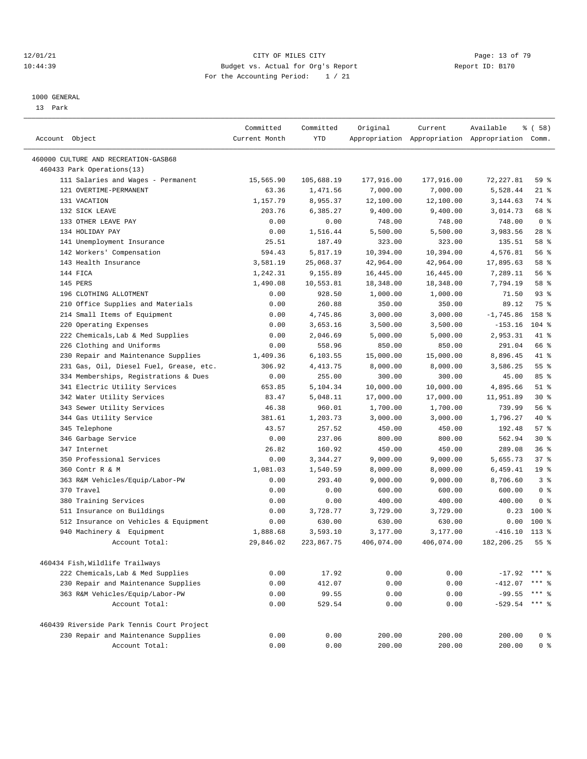#### 12/01/21 **Page: 13 of 79** CITY OF MILES CITY **CITY Page: 13 of 79** 10:44:39 Budget vs. Actual for Org's Report Report ID: B170 For the Accounting Period: 1 / 21

————————————————————————————————————————————————————————————————————————————————————————————————————————————————————————————————————

#### 1000 GENERAL

13 Park

|                                                                                  | Committed          | Committed            | Original             | Current              | Available                                       | % ( 58 )                 |
|----------------------------------------------------------------------------------|--------------------|----------------------|----------------------|----------------------|-------------------------------------------------|--------------------------|
| Account Object                                                                   | Current Month      | <b>YTD</b>           |                      |                      | Appropriation Appropriation Appropriation Comm. |                          |
|                                                                                  |                    |                      |                      |                      |                                                 |                          |
| 460000 CULTURE AND RECREATION-GASB68                                             |                    |                      |                      |                      |                                                 |                          |
| 460433 Park Operations(13)                                                       |                    | 105,688.19           |                      |                      | 72, 227.81                                      |                          |
| 111 Salaries and Wages - Permanent<br>121 OVERTIME-PERMANENT                     | 15,565.90<br>63.36 |                      | 177,916.00           | 177,916.00           |                                                 | 59 %<br>$21$ %           |
| 131 VACATION                                                                     |                    | 1,471.56             | 7,000.00             | 7,000.00             | 5,528.44                                        | 74 %                     |
| 132 SICK LEAVE                                                                   | 1,157.79           | 8,955.37             | 12,100.00            | 12,100.00            | 3,144.63                                        | 68 %                     |
| 133 OTHER LEAVE PAY                                                              | 203.76<br>0.00     | 6,385.27<br>0.00     | 9,400.00<br>748.00   | 9,400.00<br>748.00   | 3,014.73<br>748.00                              | 0 <sup>8</sup>           |
| 134 HOLIDAY PAY                                                                  | 0.00               | 1,516.44             | 5,500.00             | 5,500.00             | 3,983.56                                        | $28$ %                   |
| 141 Unemployment Insurance                                                       | 25.51              | 187.49               | 323.00               | 323.00               | 135.51                                          | 58 %                     |
| 142 Workers' Compensation                                                        | 594.43             | 5,817.19             | 10,394.00            | 10,394.00            | 4,576.81                                        | 56 %                     |
| 143 Health Insurance                                                             | 3,581.19           | 25,068.37            | 42,964.00            | 42,964.00            | 17,895.63                                       | 58 %                     |
| 144 FICA                                                                         | 1,242.31           | 9,155.89             | 16,445.00            | 16,445.00            | 7,289.11                                        | 56%                      |
| 145 PERS                                                                         | 1,490.08           | 10,553.81            | 18,348.00            | 18,348.00            | 7,794.19                                        | 58 %                     |
| 196 CLOTHING ALLOTMENT                                                           | 0.00               | 928.50               | 1,000.00             | 1,000.00             | 71.50                                           | $93$ $%$                 |
| 210 Office Supplies and Materials                                                |                    | 260.88               | 350.00               | 350.00               | 89.12                                           | 75 %                     |
|                                                                                  | 0.00               |                      |                      |                      | $-1,745.86$                                     | 158 %                    |
| 214 Small Items of Equipment<br>220 Operating Expenses                           | 0.00<br>0.00       | 4,745.86<br>3,653.16 | 3,000.00<br>3,500.00 | 3,000.00<br>3,500.00 | $-153.16$                                       | $104$ %                  |
| 222 Chemicals, Lab & Med Supplies                                                | 0.00               | 2,046.69             |                      |                      | 2,953.31                                        | 41 %                     |
| 226 Clothing and Uniforms                                                        |                    | 558.96               | 5,000.00             | 5,000.00<br>850.00   | 291.04                                          | 66 %                     |
|                                                                                  | 0.00               | 6,103.55             | 850.00               |                      |                                                 | 41 %                     |
| 230 Repair and Maintenance Supplies                                              | 1,409.36<br>306.92 |                      | 15,000.00            | 15,000.00            | 8,896.45                                        | 55%                      |
| 231 Gas, Oil, Diesel Fuel, Grease, etc.<br>334 Memberships, Registrations & Dues | 0.00               | 4, 413.75<br>255.00  | 8,000.00<br>300.00   | 8,000.00<br>300.00   | 3,586.25<br>45.00                               | 85%                      |
|                                                                                  | 653.85             | 5,104.34             | 10,000.00            | 10,000.00            | 4,895.66                                        | $51$ %                   |
| 341 Electric Utility Services<br>342 Water Utility Services                      | 83.47              |                      | 17,000.00            |                      | 11,951.89                                       | $30*$                    |
|                                                                                  |                    | 5,048.11             |                      | 17,000.00            |                                                 | 56 %                     |
| 343 Sewer Utility Services                                                       | 46.38              | 960.01               | 1,700.00             | 1,700.00             | 739.99                                          | $40*$                    |
| 344 Gas Utility Service<br>345 Telephone                                         | 381.61<br>43.57    | 1,203.73<br>257.52   | 3,000.00<br>450.00   | 3,000.00<br>450.00   | 1,796.27<br>192.48                              | 57%                      |
| 346 Garbage Service                                                              | 0.00               | 237.06               | 800.00               | 800.00               | 562.94                                          | $30*$                    |
| 347 Internet                                                                     |                    | 160.92               |                      |                      | 289.08                                          | 36%                      |
|                                                                                  | 26.82              |                      | 450.00               | 450.00               |                                                 |                          |
| 350 Professional Services                                                        | 0.00               | 3,344.27             | 9,000.00             | 9,000.00             | 5,655.73                                        | 37%                      |
| 360 Contr R & M                                                                  | 1,081.03           | 1,540.59             | 8,000.00             | 8,000.00             | 6,459.41                                        | 19 <sup>°</sup><br>3%    |
| 363 R&M Vehicles/Equip/Labor-PW                                                  | 0.00               | 293.40               | 9,000.00             | 9,000.00             | 8,706.60                                        |                          |
| 370 Travel<br>380 Training Services                                              | 0.00               | 0.00                 | 600.00               | 600.00               | 600.00                                          | 0 <sup>8</sup>           |
|                                                                                  | 0.00               | 0.00                 | 400.00               | 400.00               | 400.00                                          | 0 <sup>8</sup><br>$100*$ |
| 511 Insurance on Buildings                                                       | 0.00               | 3,728.77             | 3,729.00             | 3,729.00             | 0.23                                            | $100*$                   |
| 512 Insurance on Vehicles & Equipment<br>940 Machinery & Equipment               | 0.00<br>1,888.68   | 630.00<br>3,593.10   | 630.00<br>3,177.00   | 630.00<br>3,177.00   | 0.00<br>$-416.10$                               | $113*$                   |
| Account Total:                                                                   |                    |                      |                      |                      | 182, 206.25                                     | 55%                      |
|                                                                                  | 29,846.02          | 223,867.75           | 406,074.00           | 406,074.00           |                                                 |                          |
| 460434 Fish, Wildlife Trailways                                                  |                    |                      |                      |                      |                                                 |                          |
| 222 Chemicals, Lab & Med Supplies                                                | 0.00               | 17.92                | 0.00                 | 0.00                 | $-17.92$                                        | $***$ 2                  |
| 230 Repair and Maintenance Supplies                                              | 0.00               | 412.07               | 0.00                 | 0.00                 | $-412.07$                                       | *** 응                    |
| 363 R&M Vehicles/Equip/Labor-PW                                                  | 0.00               | 99.55                | 0.00                 | 0.00                 | $-99.55$                                        | *** 응                    |
| Account Total:                                                                   | 0.00               | 529.54               | 0.00                 | 0.00                 | $-529.54$                                       | $***$ $\frac{6}{6}$      |
|                                                                                  |                    |                      |                      |                      |                                                 |                          |
| 460439 Riverside Park Tennis Court Project                                       |                    |                      |                      |                      |                                                 |                          |
| 230 Repair and Maintenance Supplies                                              | 0.00               | 0.00                 | 200.00               | 200.00               | 200.00                                          | 0 <sup>8</sup>           |
| Account Total:                                                                   | 0.00               | 0.00                 | 200.00               | 200.00               | 200.00                                          | 0 <sup>8</sup>           |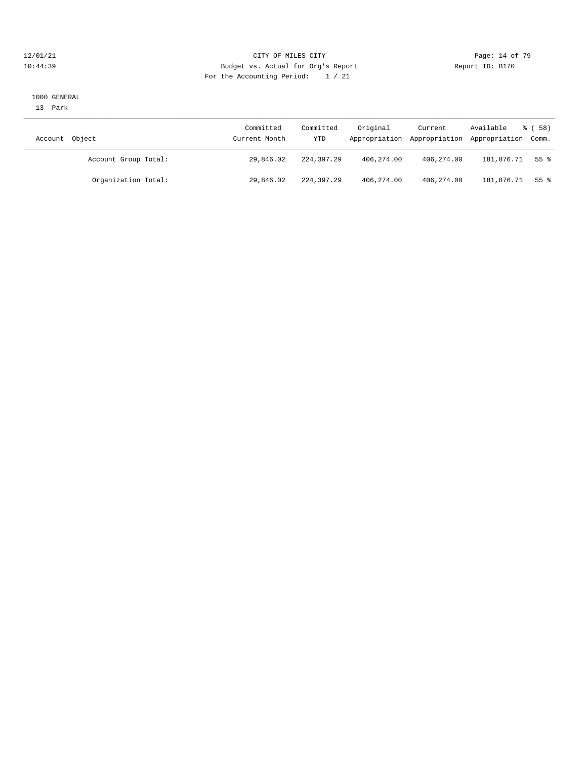#### 12/01/21 **Page: 14 of 79** CITY OF MILES CITY **CITY** Page: 14 of 79 10:44:39 Budget vs. Actual for Org's Report Report ID: B170 For the Accounting Period: 1 / 21

#### 1000 GENERAL

13 Park

| Account Object       | Committed<br>Current Month | Committed<br>YTD | Original   | Current    | Available<br>Appropriation Appropriation Appropriation Comm. | 8 ( 58 ) |
|----------------------|----------------------------|------------------|------------|------------|--------------------------------------------------------------|----------|
| Account Group Total: | 29,846.02                  | 224,397.29       | 406,274.00 | 406,274.00 | 181,876.71                                                   | 55 %     |
| Organization Total:  | 29,846.02                  | 224,397.29       | 406,274.00 | 406,274.00 | 181,876.71                                                   | 55 %     |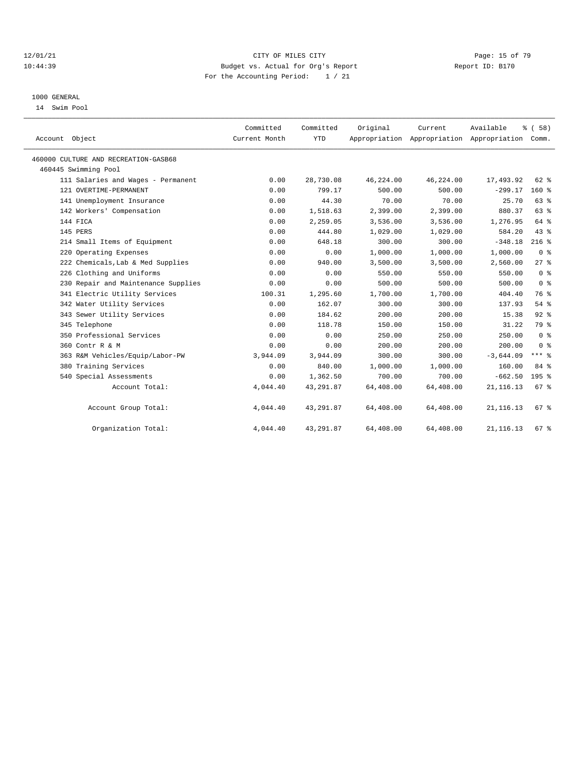#### 12/01/21 **Page: 15 of 79** CITY OF MILES CITY **CITY** Page: 15 of 79 10:44:39 Budget vs. Actual for Org's Report Report ID: B170 For the Accounting Period: 1 / 21

### 1000 GENERAL

14 Swim Pool

| Account Object                       | Committed<br>Current Month | Committed<br><b>YTD</b> | Original  | Current   | Available<br>Appropriation Appropriation Appropriation Comm. | % (58)         |
|--------------------------------------|----------------------------|-------------------------|-----------|-----------|--------------------------------------------------------------|----------------|
| 460000 CULTURE AND RECREATION-GASB68 |                            |                         |           |           |                                                              |                |
| 460445 Swimming Pool                 |                            |                         |           |           |                                                              |                |
| 111 Salaries and Wages - Permanent   | 0.00                       | 28,730.08               | 46,224.00 | 46,224.00 | 17,493.92                                                    | 62 %           |
| 121 OVERTIME-PERMANENT               | 0.00                       | 799.17                  | 500.00    | 500.00    | $-299.17$                                                    | $160*$         |
| 141 Unemployment Insurance           | 0.00                       | 44.30                   | 70.00     | 70.00     | 25.70                                                        | 63 %           |
| 142 Workers' Compensation            | 0.00                       | 1,518.63                | 2,399.00  | 2,399.00  | 880.37                                                       | 63%            |
| 144 FICA                             | 0.00                       | 2,259.05                | 3,536.00  | 3,536.00  | 1,276.95                                                     | 64 %           |
| 145 PERS                             | 0.00                       | 444.80                  | 1,029.00  | 1,029.00  | 584.20                                                       | 43%            |
| 214 Small Items of Equipment         | 0.00                       | 648.18                  | 300.00    | 300.00    | $-348.18$                                                    | $216$ %        |
| 220 Operating Expenses               | 0.00                       | 0.00                    | 1,000.00  | 1,000.00  | 1,000.00                                                     | 0 <sup>8</sup> |
| 222 Chemicals, Lab & Med Supplies    | 0.00                       | 940.00                  | 3,500.00  | 3,500.00  | 2,560.00                                                     | $27$ $%$       |
| 226 Clothing and Uniforms            | 0.00                       | 0.00                    | 550.00    | 550.00    | 550.00                                                       | 0 <sup>8</sup> |
| 230 Repair and Maintenance Supplies  | 0.00                       | 0.00                    | 500.00    | 500.00    | 500.00                                                       | 0 <sup>8</sup> |
| 341 Electric Utility Services        | 100.31                     | 1,295.60                | 1,700.00  | 1,700.00  | 404.40                                                       | 76 %           |
| 342 Water Utility Services           | 0.00                       | 162.07                  | 300.00    | 300.00    | 137.93                                                       | 54%            |
| 343 Sewer Utility Services           | 0.00                       | 184.62                  | 200.00    | 200.00    | 15.38                                                        | 92%            |
| 345 Telephone                        | 0.00                       | 118.78                  | 150.00    | 150.00    | 31.22                                                        | 79 %           |
| 350 Professional Services            | 0.00                       | 0.00                    | 250.00    | 250.00    | 250.00                                                       | 0 <sup>8</sup> |
| 360 Contr R & M                      | 0.00                       | 0.00                    | 200.00    | 200.00    | 200.00                                                       | 0 <sup>8</sup> |
| 363 R&M Vehicles/Equip/Labor-PW      | 3,944.09                   | 3,944.09                | 300.00    | 300.00    | $-3,644.09$                                                  | $***$ $%$      |
| 380 Training Services                | 0.00                       | 840.00                  | 1,000.00  | 1,000.00  | 160.00                                                       | 84 %           |
| 540 Special Assessments              | 0.00                       | 1,362.50                | 700.00    | 700.00    | $-662.50$                                                    | 195 %          |
| Account Total:                       | 4,044.40                   | 43,291.87               | 64,408.00 | 64,408.00 | 21, 116.13                                                   | 67 %           |
| Account Group Total:                 | 4,044.40                   | 43,291.87               | 64,408.00 | 64,408.00 | 21, 116.13                                                   | 67%            |
| Organization Total:                  | 4,044.40                   | 43, 291.87              | 64,408.00 | 64,408.00 | 21, 116.13                                                   | 67%            |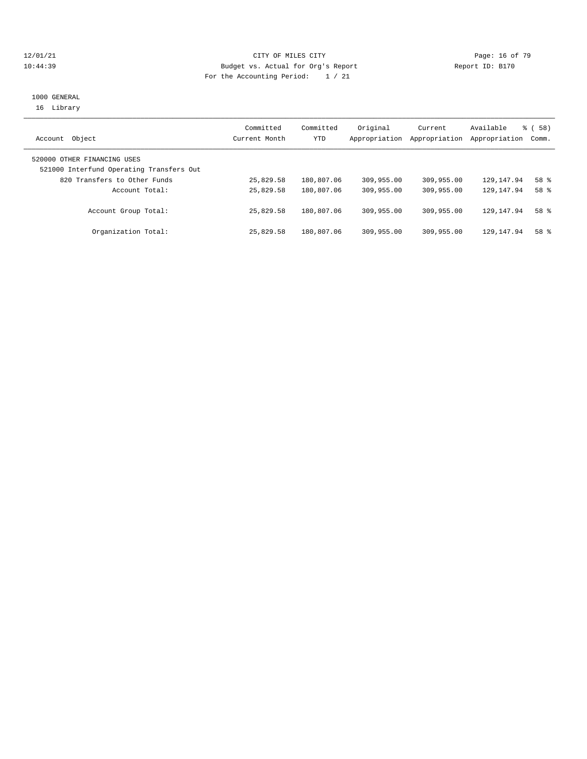#### 12/01/21 **Page: 16 of 79** CITY OF MILES CITY **CITY** Page: 16 of 79 10:44:39 Budget vs. Actual for Org's Report Report ID: B170 For the Accounting Period: 1 / 21

## 1000 GENERAL 16 Library

| Object<br>Account                                                       | Committed<br>Current Month | Committed<br>YTD | Original<br>Appropriation | Current<br>Appropriation | Available<br>Appropriation Comm. | 8 ( 58 )        |
|-------------------------------------------------------------------------|----------------------------|------------------|---------------------------|--------------------------|----------------------------------|-----------------|
| 520000 OTHER FINANCING USES<br>521000 Interfund Operating Transfers Out |                            |                  |                           |                          |                                  |                 |
| 820 Transfers to Other Funds                                            | 25,829.58                  | 180,807.06       | 309,955.00                | 309,955.00               | 129,147.94                       | 58 %            |
| Account Total:                                                          | 25,829.58                  | 180,807.06       | 309,955.00                | 309,955.00               | 129, 147.94                      | 58 %            |
| Account Group Total:                                                    | 25,829.58                  | 180,807.06       | 309,955.00                | 309,955.00               | 129, 147.94                      | 58 %            |
| Organization Total:                                                     | 25,829.58                  | 180,807.06       | 309,955.00                | 309,955.00               | 129, 147.94                      | 58 <sup>8</sup> |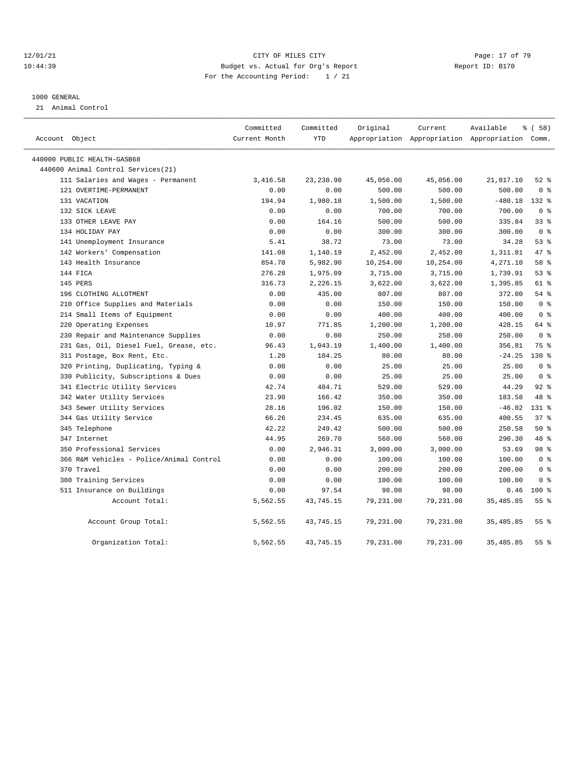#### 12/01/21 **Page: 17 of 79** CITY OF MILES CITY **CITY Page: 17 of 79** 10:44:39 Budget vs. Actual for Org's Report Report ID: B170 For the Accounting Period: 1 / 21

### 1000 GENERAL

21 Animal Control

|                |                                          | Committed     | Committed  | Original  | Current   | Available                                       | <sub>ර</sub> ි (58) |
|----------------|------------------------------------------|---------------|------------|-----------|-----------|-------------------------------------------------|---------------------|
| Account Object |                                          | Current Month | YTD        |           |           | Appropriation Appropriation Appropriation Comm. |                     |
|                | 440000 PUBLIC HEALTH-GASB68              |               |            |           |           |                                                 |                     |
|                | 440600 Animal Control Services (21)      |               |            |           |           |                                                 |                     |
|                | 111 Salaries and Wages - Permanent       | 3,416.58      | 23, 238.90 | 45,056.00 | 45,056.00 | 21,817.10                                       | $52$ $%$            |
|                | 121 OVERTIME-PERMANENT                   | 0.00          | 0.00       | 500.00    | 500.00    | 500.00                                          | 0 <sup>8</sup>      |
|                | 131 VACATION                             | 194.94        | 1,980.18   | 1,500.00  | 1,500.00  | $-480.18$                                       | 132 %               |
|                | 132 SICK LEAVE                           | 0.00          | 0.00       | 700.00    | 700.00    | 700.00                                          | 0 <sup>8</sup>      |
|                | 133 OTHER LEAVE PAY                      | 0.00          | 164.16     | 500.00    | 500.00    | 335.84                                          | 338                 |
|                | 134 HOLIDAY PAY                          | 0.00          | 0.00       | 300.00    | 300.00    | 300.00                                          | 0 <sup>8</sup>      |
|                | 141 Unemployment Insurance               | 5.41          | 38.72      | 73.00     | 73.00     | 34.28                                           | 53%                 |
|                | 142 Workers' Compensation                | 141.08        | 1,140.19   | 2,452.00  | 2,452.00  | 1,311.81                                        | 47.8                |
|                | 143 Health Insurance                     | 854.70        | 5,982.90   | 10,254.00 | 10,254.00 | 4,271.10                                        | 58 %                |
|                | 144 FICA                                 | 276.28        | 1,975.09   | 3,715.00  | 3,715.00  | 1,739.91                                        | 53%                 |
|                | 145 PERS                                 | 316.73        | 2,226.15   | 3,622.00  | 3,622.00  | 1,395.85                                        | 61 %                |
|                | 196 CLOTHING ALLOTMENT                   | 0.00          | 435.00     | 807.00    | 807.00    | 372.00                                          | 54%                 |
|                | 210 Office Supplies and Materials        | 0.00          | 0.00       | 150.00    | 150.00    | 150.00                                          | 0 <sup>8</sup>      |
|                | 214 Small Items of Equipment             | 0.00          | 0.00       | 400.00    | 400.00    | 400.00                                          | 0 <sup>8</sup>      |
|                | 220 Operating Expenses                   | 10.97         | 771.85     | 1,200.00  | 1,200.00  | 428.15                                          | 64 %                |
|                | 230 Repair and Maintenance Supplies      | 0.00          | 0.00       | 250.00    | 250.00    | 250.00                                          | 0 <sup>8</sup>      |
|                | 231 Gas, Oil, Diesel Fuel, Grease, etc.  | 96.43         | 1,043.19   | 1,400.00  | 1,400.00  | 356.81                                          | 75 %                |
|                | 311 Postage, Box Rent, Etc.              | 1.20          | 104.25     | 80.00     | 80.00     | $-24.25$                                        | $130*$              |
|                | 320 Printing, Duplicating, Typing &      | 0.00          | 0.00       | 25.00     | 25.00     | 25.00                                           | 0 <sup>8</sup>      |
|                | 330 Publicity, Subscriptions & Dues      | 0.00          | 0.00       | 25.00     | 25.00     | 25.00                                           | 0 <sup>8</sup>      |
|                | 341 Electric Utility Services            | 42.74         | 484.71     | 529.00    | 529.00    | 44.29                                           | $92$ $%$            |
|                | 342 Water Utility Services               | 23.90         | 166.42     | 350.00    | 350.00    | 183.58                                          | 48 %                |
|                | 343 Sewer Utility Services               | 28.16         | 196.02     | 150.00    | 150.00    | $-46.02$                                        | $131*$              |
|                | 344 Gas Utility Service                  | 66.26         | 234.45     | 635.00    | 635.00    | 400.55                                          | 37%                 |
|                | 345 Telephone                            | 42.22         | 249.42     | 500.00    | 500.00    | 250.58                                          | 50%                 |
|                | 347 Internet                             | 44.95         | 269.70     | 560.00    | 560.00    | 290.30                                          | 48 %                |
|                | 350 Professional Services                | 0.00          | 2,946.31   | 3,000.00  | 3,000.00  | 53.69                                           | 98 %                |
|                | 366 R&M Vehicles - Police/Animal Control | 0.00          | 0.00       | 100.00    | 100.00    | 100.00                                          | 0 <sup>8</sup>      |
|                | 370 Travel                               | 0.00          | 0.00       | 200.00    | 200.00    | 200.00                                          | 0 <sup>8</sup>      |
|                | 380 Training Services                    | 0.00          | 0.00       | 100.00    | 100.00    | 100.00                                          | 0 <sup>8</sup>      |
|                | 511 Insurance on Buildings               | 0.00          | 97.54      | 98.00     | 98.00     | 0.46                                            | $100*$              |
|                | Account Total:                           | 5,562.55      | 43,745.15  | 79,231.00 | 79,231.00 | 35, 485.85                                      | 55 <sup>8</sup>     |
|                | Account Group Total:                     | 5,562.55      | 43,745.15  | 79,231.00 | 79,231.00 | 35, 485.85                                      | 55 <sup>8</sup>     |
|                | Organization Total:                      | 5,562.55      | 43,745.15  | 79,231.00 | 79,231.00 | 35, 485.85                                      | 55 <sup>8</sup>     |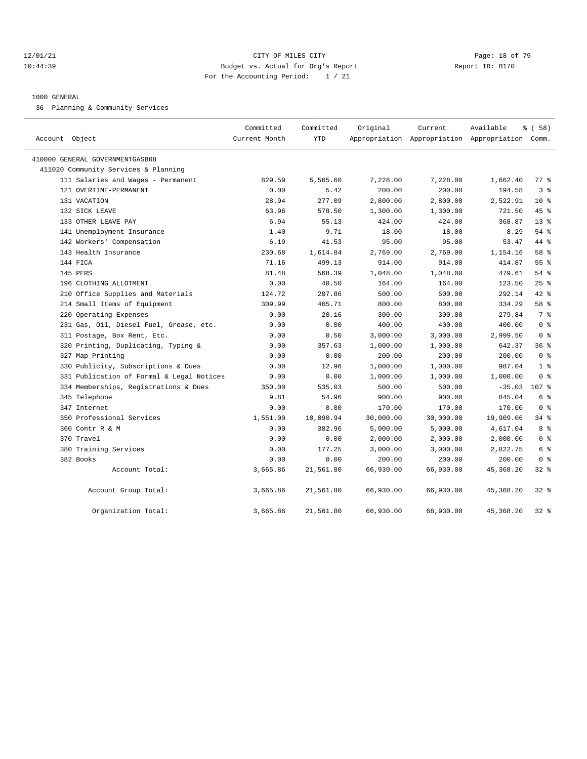#### 12/01/21 **Page: 18 of 79** CITY OF MILES CITY **CITY** Page: 18 of 79 10:44:39 Budget vs. Actual for Org's Report Report ID: B170 For the Accounting Period: 1 / 21

#### 1000 GENERAL

36 Planning & Community Services

| Account Object                            | Committed<br>Current Month | Committed<br><b>YTD</b> | Original  | Current<br>Appropriation Appropriation Appropriation Comm. | Available  | \$(58)             |
|-------------------------------------------|----------------------------|-------------------------|-----------|------------------------------------------------------------|------------|--------------------|
| 410000 GENERAL GOVERNMENTGASB68           |                            |                         |           |                                                            |            |                    |
| 411020 Community Services & Planning      |                            |                         |           |                                                            |            |                    |
| 111 Salaries and Wages - Permanent        | 829.59                     | 5,565.60                | 7,228.00  | 7,228.00                                                   | 1,662.40   | $77$ $\frac{6}{9}$ |
| 121 OVERTIME-PERMANENT                    | 0.00                       | 5.42                    | 200.00    | 200.00                                                     | 194.58     | 3 <sup>8</sup>     |
| 131 VACATION                              | 28.94                      | 277.09                  | 2,800.00  | 2,800.00                                                   | 2,522.91   | 10 <sup>8</sup>    |
| 132 SICK LEAVE                            | 63.96                      | 578.50                  | 1,300.00  | 1,300.00                                                   | 721.50     | 45%                |
| 133 OTHER LEAVE PAY                       | 6.94                       | 55.13                   | 424.00    | 424.00                                                     | 368.87     | $13*$              |
| 141 Unemployment Insurance                | 1.40                       | 9.71                    | 18.00     | 18.00                                                      | 8.29       | 54%                |
| 142 Workers' Compensation                 | 6.19                       | 41.53                   | 95.00     | 95.00                                                      | 53.47      | 44 %               |
| 143 Health Insurance                      | 230.68                     | 1,614.84                | 2,769.00  | 2,769.00                                                   | 1,154.16   | 58 %               |
| 144 FICA                                  | 71.16                      | 499.13                  | 914.00    | 914.00                                                     | 414.87     | 55 <sup>8</sup>    |
| 145 PERS                                  | 81.48                      | 568.39                  | 1,048.00  | 1,048.00                                                   | 479.61     | $54$ $%$           |
| 196 CLOTHING ALLOTMENT                    | 0.00                       | 40.50                   | 164.00    | 164.00                                                     | 123.50     | 25%                |
| 210 Office Supplies and Materials         | 124.72                     | 207.86                  | 500.00    | 500.00                                                     | 292.14     | 42 %               |
| 214 Small Items of Equipment              | 309.99                     | 465.71                  | 800.00    | 800.00                                                     | 334.29     | 58 %               |
| 220 Operating Expenses                    | 0.00                       | 20.16                   | 300.00    | 300.00                                                     | 279.84     | 7 %                |
| 231 Gas, Oil, Diesel Fuel, Grease, etc.   | 0.00                       | 0.00                    | 400.00    | 400.00                                                     | 400.00     | 0 <sup>8</sup>     |
| 311 Postage, Box Rent, Etc.               | 0.00                       | 0.50                    | 3,000.00  | 3,000.00                                                   | 2,999.50   | 0 <sup>8</sup>     |
| 320 Printing, Duplicating, Typing &       | 0.00                       | 357.63                  | 1,000.00  | 1,000.00                                                   | 642.37     | 36%                |
| 327 Map Printing                          | 0.00                       | 0.00                    | 200.00    | 200.00                                                     | 200.00     | 0 <sup>8</sup>     |
| 330 Publicity, Subscriptions & Dues       | 0.00                       | 12.96                   | 1,000.00  | 1,000.00                                                   | 987.04     | 1 <sup>8</sup>     |
| 331 Publication of Formal & Legal Notices | 0.00                       | 0.00                    | 1,000.00  | 1,000.00                                                   | 1,000.00   | 0 <sup>8</sup>     |
| 334 Memberships, Registrations & Dues     | 350.00                     | 535.03                  | 500.00    | 500.00                                                     | $-35.03$   | 107 <sub>8</sub>   |
| 345 Telephone                             | 9.81                       | 54.96                   | 900.00    | 900.00                                                     | 845.04     | 6 %                |
| 347 Internet                              | 0.00                       | 0.00                    | 170.00    | 170.00                                                     | 170.00     | 0 <sup>8</sup>     |
| 350 Professional Services                 | 1,551.00                   | 10,090.94               | 30,000.00 | 30,000.00                                                  | 19,909.06  | 34.8               |
| 360 Contr R & M                           | 0.00                       | 382.96                  | 5,000.00  | 5,000.00                                                   | 4,617.04   | 8 %                |
| 370 Travel                                | 0.00                       | 0.00                    | 2,000.00  | 2,000.00                                                   | 2,000.00   | 0 <sup>8</sup>     |
| 380 Training Services                     | 0.00                       | 177.25                  | 3,000.00  | 3,000.00                                                   | 2,822.75   | 6 %                |
| 382 Books                                 | 0.00                       | 0.00                    | 200.00    | 200.00                                                     | 200.00     | 0 <sup>8</sup>     |
| Account Total:                            | 3,665.86                   | 21,561.80               | 66,930.00 | 66,930.00                                                  | 45,368.20  | $32$ %             |
| Account Group Total:                      | 3,665.86                   | 21,561.80               | 66,930.00 | 66,930.00                                                  | 45, 368.20 | $32$ $%$           |
| Organization Total:                       | 3,665.86                   | 21,561.80               | 66,930.00 | 66,930.00                                                  | 45, 368.20 | $32$ $%$           |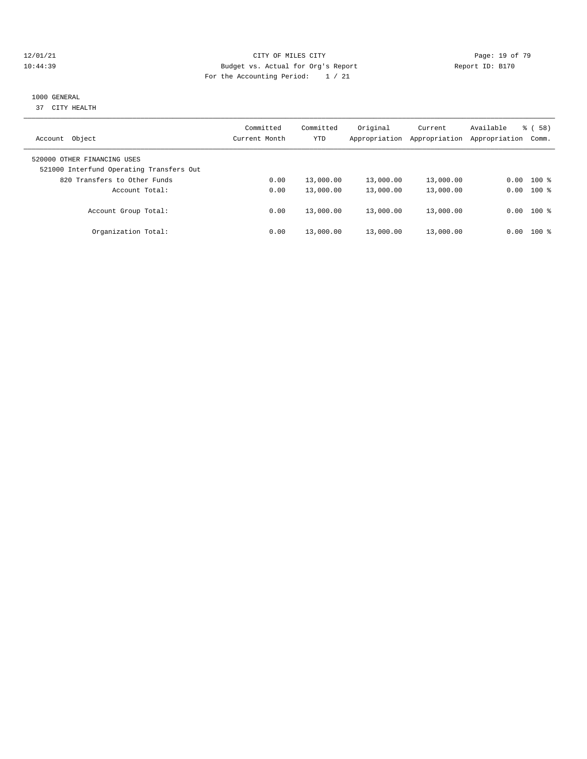#### 12/01/21 **Page: 19 of 79** CITY OF MILES CITY **CITY** CITY **Page: 19 of 79** 10:44:39 Budget vs. Actual for Org's Report Report ID: B170 For the Accounting Period: 1 / 21

# 1000 GENERAL

37 CITY HEALTH

| Object<br>Account                                                       | Committed<br>Current Month | Committed<br>YTD | Original<br>Appropriation | Current<br>Appropriation | Available<br>Appropriation | 58)<br>ී (<br>Comm. |
|-------------------------------------------------------------------------|----------------------------|------------------|---------------------------|--------------------------|----------------------------|---------------------|
| 520000 OTHER FINANCING USES<br>521000 Interfund Operating Transfers Out |                            |                  |                           |                          |                            |                     |
| 820 Transfers to Other Funds                                            | 0.00                       | 13,000.00        | 13,000.00                 | 13,000.00                | 0.00                       | $100$ %             |
| Account Total:                                                          | 0.00                       | 13,000.00        | 13,000.00                 | 13,000.00                | 0.00                       | $100$ %             |
| Account Group Total:                                                    | 0.00                       | 13,000.00        | 13,000.00                 | 13,000.00                |                            | $0.00$ 100 %        |
| Organization Total:                                                     | 0.00                       | 13,000.00        | 13,000.00                 | 13,000.00                | 0.00                       | $100$ %             |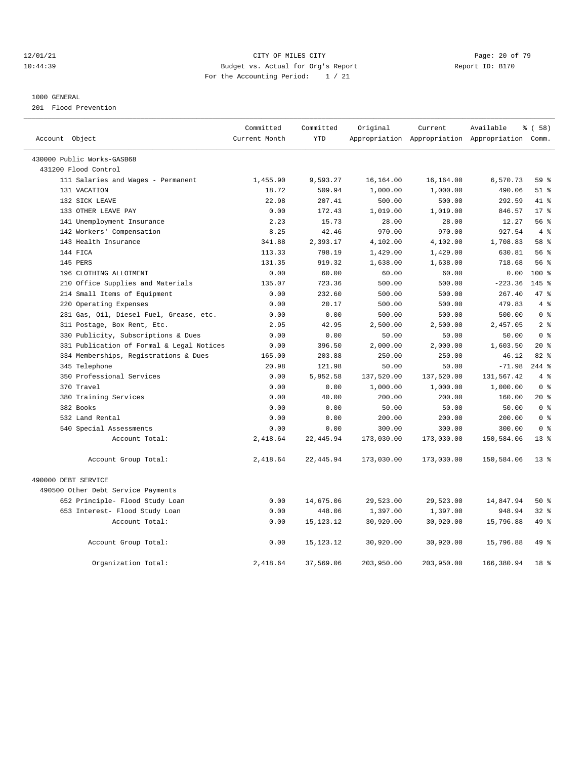#### 12/01/21 **Page: 20 of 79** CITY OF MILES CITY **CITY Page: 20 of 79** 10:44:39 Budget vs. Actual for Org's Report Report ID: B170 For the Accounting Period: 1 / 21

#### 1000 GENERAL

201 Flood Prevention

| Account Object                            | Committed<br>Current Month | Committed<br><b>YTD</b> | Original   | Current    | Available<br>Appropriation Appropriation Appropriation Comm. | 8 ( 58 )        |
|-------------------------------------------|----------------------------|-------------------------|------------|------------|--------------------------------------------------------------|-----------------|
|                                           |                            |                         |            |            |                                                              |                 |
| 430000 Public Works-GASB68                |                            |                         |            |            |                                                              |                 |
| 431200 Flood Control                      |                            |                         |            |            |                                                              |                 |
| 111 Salaries and Wages - Permanent        | 1,455.90                   | 9,593.27                | 16,164.00  | 16,164.00  | 6,570.73                                                     | 59 %            |
| 131 VACATION                              | 18.72                      | 509.94                  | 1,000.00   | 1,000.00   | 490.06                                                       | $51$ %          |
| 132 SICK LEAVE                            | 22.98                      | 207.41                  | 500.00     | 500.00     | 292.59                                                       | 41 %            |
| 133 OTHER LEAVE PAY                       | 0.00                       | 172.43                  | 1,019.00   | 1,019.00   | 846.57                                                       | $17*$           |
| 141 Unemployment Insurance                | 2.23                       | 15.73                   | 28.00      | 28.00      | 12.27                                                        | 56%             |
| 142 Workers' Compensation                 | 8.25                       | 42.46                   | 970.00     | 970.00     | 927.54                                                       | 4%              |
| 143 Health Insurance                      | 341.88                     | 2,393.17                | 4,102.00   | 4,102.00   | 1,708.83                                                     | 58 %            |
| 144 FICA                                  | 113.33                     | 798.19                  | 1,429.00   | 1,429.00   | 630.81                                                       | 56%             |
| 145 PERS                                  | 131.35                     | 919.32                  | 1,638.00   | 1,638.00   | 718.68                                                       | 56%             |
| 196 CLOTHING ALLOTMENT                    | 0.00                       | 60.00                   | 60.00      | 60.00      | 0.00                                                         | 100 %           |
| 210 Office Supplies and Materials         | 135.07                     | 723.36                  | 500.00     | 500.00     | $-223.36$                                                    | $145$ %         |
| 214 Small Items of Equipment              | 0.00                       | 232.60                  | 500.00     | 500.00     | 267.40                                                       | 47.8            |
| 220 Operating Expenses                    | 0.00                       | 20.17                   | 500.00     | 500.00     | 479.83                                                       | 4%              |
| 231 Gas, Oil, Diesel Fuel, Grease, etc.   | 0.00                       | 0.00                    | 500.00     | 500.00     | 500.00                                                       | 0 <sup>8</sup>  |
| 311 Postage, Box Rent, Etc.               | 2.95                       | 42.95                   | 2,500.00   | 2,500.00   | 2,457.05                                                     | 2 <sup>8</sup>  |
| 330 Publicity, Subscriptions & Dues       | 0.00                       | 0.00                    | 50.00      | 50.00      | 50.00                                                        | 0 <sup>8</sup>  |
| 331 Publication of Formal & Legal Notices | 0.00                       | 396.50                  | 2,000.00   | 2,000.00   | 1,603.50                                                     | $20*$           |
| 334 Memberships, Registrations & Dues     | 165.00                     | 203.88                  | 250.00     | 250.00     | 46.12                                                        | $82*$           |
| 345 Telephone                             | 20.98                      | 121.98                  | 50.00      | 50.00      | $-71.98$                                                     | $244$ %         |
| 350 Professional Services                 | 0.00                       | 5,952.58                | 137,520.00 | 137,520.00 | 131,567.42                                                   | 4%              |
| 370 Travel                                | 0.00                       | 0.00                    | 1,000.00   | 1,000.00   | 1,000.00                                                     | 0 <sup>8</sup>  |
| 380 Training Services                     | 0.00                       | 40.00                   | 200.00     | 200.00     | 160.00                                                       | $20*$           |
| 382 Books                                 | 0.00                       | 0.00                    | 50.00      | 50.00      | 50.00                                                        | 0 <sup>8</sup>  |
| 532 Land Rental                           | 0.00                       | 0.00                    | 200.00     | 200.00     | 200.00                                                       | 0 <sup>8</sup>  |
| 540 Special Assessments                   | 0.00                       | 0.00                    | 300.00     | 300.00     | 300.00                                                       | 0 <sup>8</sup>  |
| Account Total:                            | 2,418.64                   | 22, 445.94              | 173,030.00 | 173,030.00 | 150,584.06                                                   | $13*$           |
| Account Group Total:                      | 2,418.64                   | 22,445.94               | 173,030.00 | 173,030.00 | 150,584.06                                                   | $13*$           |
| 490000 DEBT SERVICE                       |                            |                         |            |            |                                                              |                 |
| 490500 Other Debt Service Payments        |                            |                         |            |            |                                                              |                 |
| 652 Principle- Flood Study Loan           | 0.00                       | 14,675.06               | 29,523.00  | 29,523.00  | 14,847.94                                                    | $50*$           |
| 653 Interest- Flood Study Loan            | 0.00                       | 448.06                  | 1,397.00   | 1,397.00   | 948.94                                                       | $32*$           |
| Account Total:                            | 0.00                       | 15, 123. 12             | 30,920.00  | 30,920.00  | 15,796.88                                                    | 49 %            |
| Account Group Total:                      | 0.00                       | 15, 123. 12             | 30,920.00  | 30,920.00  | 15,796.88                                                    | 49 %            |
| Organization Total:                       | 2,418.64                   | 37,569.06               | 203,950.00 | 203,950.00 | 166,380.94                                                   | 18 <sup>8</sup> |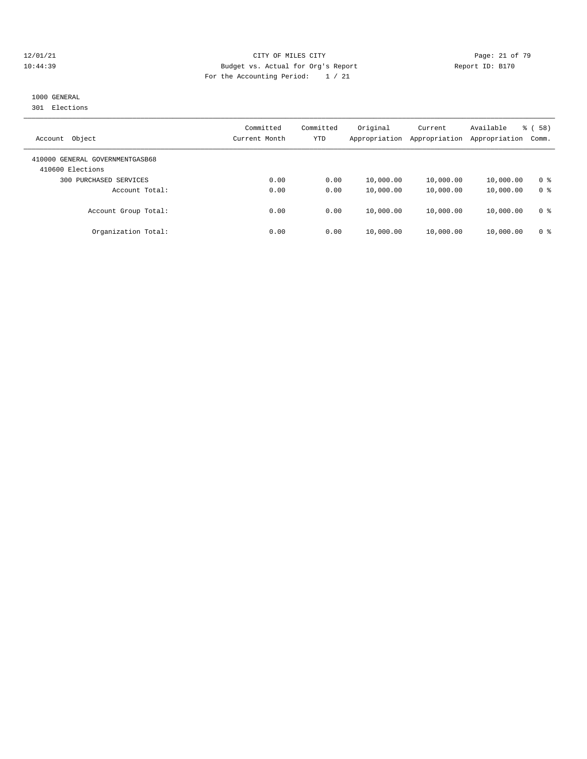#### 12/01/21 Page: 21 of 79 CITY OF MILES CITY 10:44:39 Budget vs. Actual for Org's Report Report ID: B170 For the Accounting Period: 1 / 21

# 1000 GENERAL

301 Elections

| Object<br>Account                                   | Committed<br>Current Month | Committed<br>YTD | Original<br>Appropriation | Current<br>Appropriation | Available<br>Appropriation | (58)<br>ී (<br>Comm. |
|-----------------------------------------------------|----------------------------|------------------|---------------------------|--------------------------|----------------------------|----------------------|
| 410000 GENERAL GOVERNMENTGASB68<br>410600 Elections |                            |                  |                           |                          |                            |                      |
| PURCHASED SERVICES<br>300                           | 0.00                       | 0.00             | 10,000.00                 | 10,000.00                | 10,000.00                  | 0 <sup>8</sup>       |
| Account Total:                                      | 0.00                       | 0.00             | 10,000.00                 | 10,000.00                | 10,000.00                  | 0 <sup>8</sup>       |
| Account Group Total:                                | 0.00                       | 0.00             | 10,000.00                 | 10,000.00                | 10,000.00                  | 0 <sup>8</sup>       |
| Organization Total:                                 | 0.00                       | 0.00             | 10,000.00                 | 10,000.00                | 10,000.00                  | 0 %                  |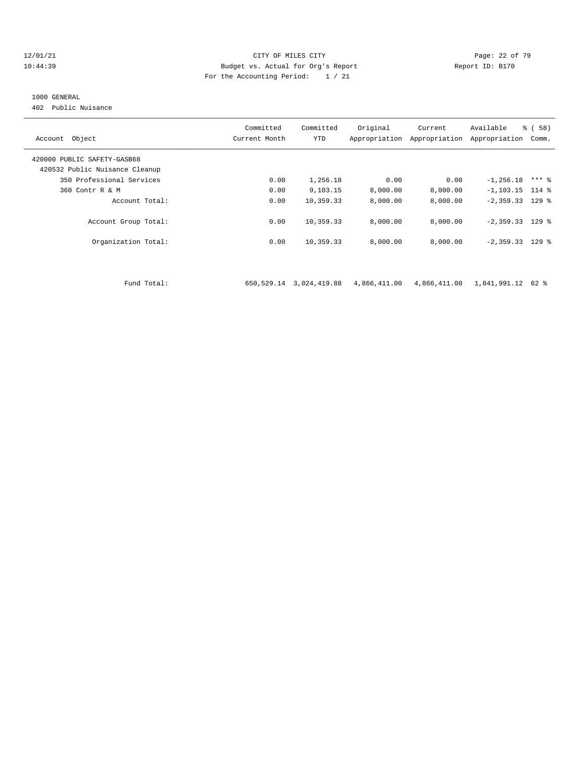#### $12/01/21$  Page: 22 of 79<br>10:44:39 Budget vs. Actual for Org's Report Physics (Page: 22 of 79<br>22 of 79<br>Report ID: B170 10:44:39 Budget vs. Actual for Org's Report Report ID: B170 For the Accounting Period: 1 / 21

#### 1000 GENERAL

402 Public Nuisance

| Account Object                 | Committed<br>Current Month | Committed<br>YTD | Original     | Current<br>Appropriation Appropriation | Available<br>Appropriation | % (58)<br>Comm. |
|--------------------------------|----------------------------|------------------|--------------|----------------------------------------|----------------------------|-----------------|
| 420000 PUBLIC SAFETY-GASB68    |                            |                  |              |                                        |                            |                 |
| 420532 Public Nuisance Cleanup |                            |                  |              |                                        |                            |                 |
| 350 Professional Services      | 0.00                       | 1,256.18         | 0.00         | 0.00                                   | $-1, 256.18$               | $***$ 8         |
| 360 Contr R & M                | 0.00                       | 9,103.15         | 8,000.00     | 8,000.00                               | $-1, 103.15$ 114 %         |                 |
| Account Total:                 | 0.00                       | 10,359.33        | 8,000.00     | 8,000.00                               | $-2,359.33$ 129 %          |                 |
| Account Group Total:           | 0.00                       | 10,359.33        | 8,000.00     | 8,000.00                               | $-2,359.33$ 129 %          |                 |
| Organization Total:            | 0.00                       | 10,359.33        | 8,000.00     | 8,000.00                               | $-2,359.33$ 129 %          |                 |
|                                |                            |                  |              |                                        |                            |                 |
| Fund Total:                    | 650,529.14                 | 3,024,419.88     | 4,866,411.00 | 4,866,411.00                           | 1,841,991.12 62 %          |                 |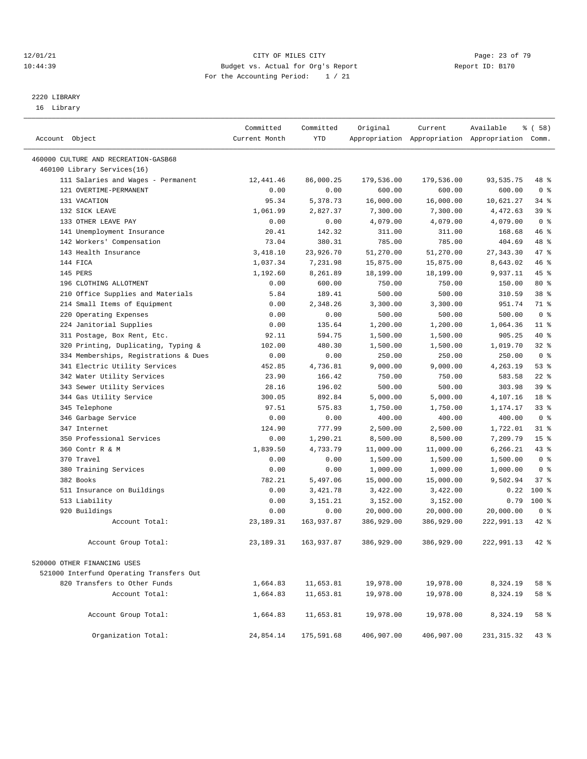#### $12/01/21$  Page: 23 of 79<br>10:44:39 Budget vs. Actual for Org's Report  $10:44:39$  Page: 23 of 79 10:44:39 Budget vs. Actual for Org's Report For the Accounting Period: 1 / 21

————————————————————————————————————————————————————————————————————————————————————————————————————————————————————————————————————

# 2220 LIBRARY

16 Library

|                                          | Committed     | Committed  | Original   | Current                                         | Available   | % ( 58 )        |
|------------------------------------------|---------------|------------|------------|-------------------------------------------------|-------------|-----------------|
| Account Object                           | Current Month | <b>YTD</b> |            | Appropriation Appropriation Appropriation Comm. |             |                 |
| 460000 CULTURE AND RECREATION-GASB68     |               |            |            |                                                 |             |                 |
| 460100 Library Services(16)              |               |            |            |                                                 |             |                 |
| 111 Salaries and Wages - Permanent       | 12,441.46     | 86,000.25  | 179,536.00 | 179,536.00                                      | 93,535.75   | 48 %            |
| 121 OVERTIME-PERMANENT                   | 0.00          | 0.00       | 600.00     | 600.00                                          | 600.00      | 0 <sup>8</sup>  |
| 131 VACATION                             | 95.34         | 5,378.73   | 16,000.00  | 16,000.00                                       | 10,621.27   | 34 %            |
| 132 SICK LEAVE                           | 1,061.99      | 2,827.37   | 7,300.00   | 7,300.00                                        | 4,472.63    | 39 %            |
| 133 OTHER LEAVE PAY                      | 0.00          | 0.00       | 4,079.00   | 4,079.00                                        | 4,079.00    | 0 <sup>8</sup>  |
| 141 Unemployment Insurance               | 20.41         | 142.32     | 311.00     | 311.00                                          | 168.68      | 46 %            |
| 142 Workers' Compensation                | 73.04         | 380.31     | 785.00     | 785.00                                          | 404.69      | 48 %            |
| 143 Health Insurance                     | 3,418.10      | 23,926.70  | 51,270.00  | 51,270.00                                       | 27, 343.30  | 47 %            |
| 144 FICA                                 | 1,037.34      | 7,231.98   | 15,875.00  | 15,875.00                                       | 8,643.02    | 46 %            |
| 145 PERS                                 | 1,192.60      | 8,261.89   | 18,199.00  | 18,199.00                                       | 9,937.11    | 45 %            |
| 196 CLOTHING ALLOTMENT                   | 0.00          | 600.00     | 750.00     | 750.00                                          | 150.00      | 80 %            |
| 210 Office Supplies and Materials        | 5.84          | 189.41     | 500.00     | 500.00                                          | 310.59      | 38 %            |
| 214 Small Items of Equipment             | 0.00          | 2,348.26   | 3,300.00   | 3,300.00                                        | 951.74      | 71 %            |
| 220 Operating Expenses                   | 0.00          | 0.00       | 500.00     | 500.00                                          | 500.00      | 0 <sup>8</sup>  |
| 224 Janitorial Supplies                  | 0.00          | 135.64     | 1,200.00   | 1,200.00                                        | 1,064.36    | $11$ %          |
| 311 Postage, Box Rent, Etc.              | 92.11         | 594.75     | 1,500.00   | 1,500.00                                        | 905.25      | 40 %            |
| 320 Printing, Duplicating, Typing &      | 102.00        | 480.30     | 1,500.00   | 1,500.00                                        | 1,019.70    | 32%             |
| 334 Memberships, Registrations & Dues    | 0.00          | 0.00       | 250.00     | 250.00                                          | 250.00      | 0 <sup>8</sup>  |
| 341 Electric Utility Services            | 452.85        | 4,736.81   | 9,000.00   | 9,000.00                                        | 4,263.19    | 53%             |
| 342 Water Utility Services               | 23.90         | 166.42     | 750.00     | 750.00                                          | 583.58      | $22$ %          |
| 343 Sewer Utility Services               | 28.16         | 196.02     | 500.00     | 500.00                                          | 303.98      | 39 %            |
| 344 Gas Utility Service                  | 300.05        | 892.84     | 5,000.00   | 5,000.00                                        | 4,107.16    | 18 %            |
| 345 Telephone                            | 97.51         | 575.83     | 1,750.00   | 1,750.00                                        | 1,174.17    | 33%             |
| 346 Garbage Service                      | 0.00          | 0.00       | 400.00     | 400.00                                          | 400.00      | 0 <sup>8</sup>  |
| 347 Internet                             | 124.90        | 777.99     | 2,500.00   | 2,500.00                                        | 1,722.01    | $31$ %          |
| 350 Professional Services                | 0.00          | 1,290.21   | 8,500.00   | 8,500.00                                        | 7,209.79    | 15 <sup>8</sup> |
| 360 Contr R & M                          | 1,839.50      | 4,733.79   | 11,000.00  | 11,000.00                                       | 6,266.21    | 43 %            |
| 370 Travel                               | 0.00          | 0.00       | 1,500.00   | 1,500.00                                        | 1,500.00    | 0 <sup>8</sup>  |
| 380 Training Services                    | 0.00          | 0.00       | 1,000.00   | 1,000.00                                        | 1,000.00    | 0 <sup>8</sup>  |
| 382 Books                                | 782.21        | 5,497.06   | 15,000.00  | 15,000.00                                       | 9,502.94    | 37%             |
| 511 Insurance on Buildings               | 0.00          | 3,421.78   | 3,422.00   | 3,422.00                                        | 0.22        | $100$ %         |
| 513 Liability                            | 0.00          | 3,151.21   | 3,152.00   | 3,152.00                                        | 0.79        | $100*$          |
| 920 Buildings                            | 0.00          | 0.00       | 20,000.00  | 20,000.00                                       | 20,000.00   | 0 <sup>8</sup>  |
| Account Total:                           | 23, 189. 31   | 163,937.87 | 386,929.00 | 386,929.00                                      | 222,991.13  | 42 %            |
| Account Group Total:                     | 23, 189. 31   | 163,937.87 | 386,929.00 | 386,929.00                                      | 222,991.13  | 42 %            |
| 520000 OTHER FINANCING USES              |               |            |            |                                                 |             |                 |
| 521000 Interfund Operating Transfers Out |               |            |            |                                                 |             |                 |
| 820 Transfers to Other Funds             | 1,664.83      | 11,653.81  | 19,978.00  | 19,978.00                                       | 8,324.19    | 58 %            |
| Account Total:                           | 1,664.83      | 11,653.81  | 19,978.00  | 19,978.00                                       | 8,324.19    | 58 %            |
|                                          |               |            |            |                                                 |             |                 |
| Account Group Total:                     | 1,664.83      | 11,653.81  | 19,978.00  | 19,978.00                                       | 8,324.19    | 58 %            |
| Organization Total:                      | 24,854.14     | 175,591.68 | 406,907.00 | 406,907.00                                      | 231, 315.32 | $43$ %          |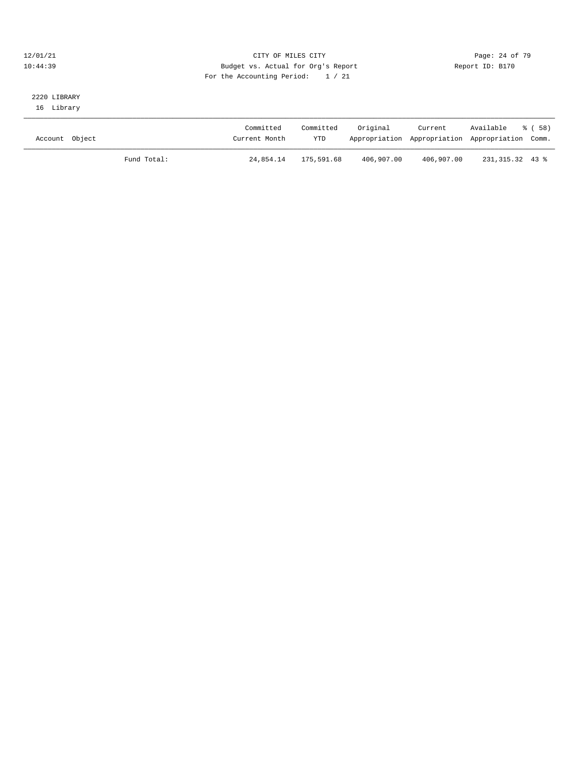#### 12/01/21 Page: 24 of 79 10:44:39 Budget vs. Actual for Org's Report Report ID: B170 For the Accounting Period: 1 / 21

### 2220 LIBRARY 16 Library

| Account Object | Committed<br>Current Month | Committed<br><b>YTD</b> | Original   | Current<br>Appropriation Appropriation Appropriation Comm. | Available         | ී ( 58 ) |
|----------------|----------------------------|-------------------------|------------|------------------------------------------------------------|-------------------|----------|
|                | Fund Total:<br>24,854.14   | 175,591.68              | 406,907.00 | 406,907.00                                                 | 231, 315, 32 43 % |          |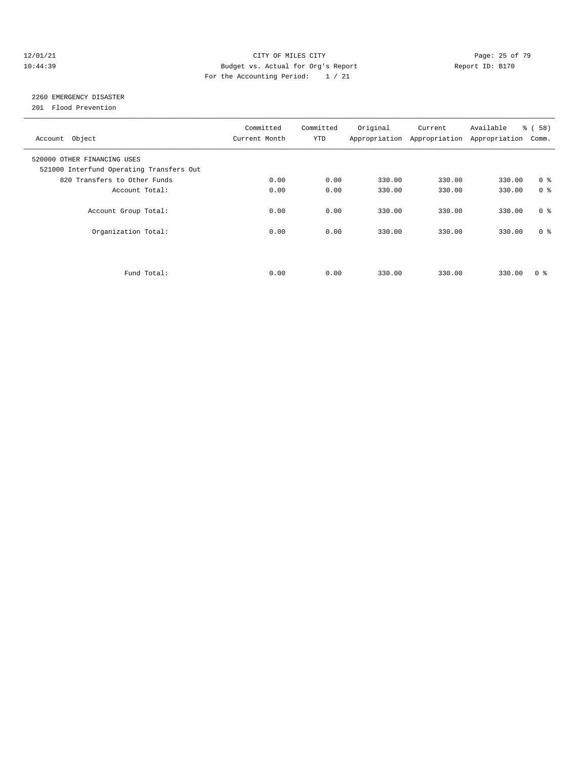#### 12/01/21 Page: 25 of 79 10:44:39 Budget vs. Actual for Org's Report Report ID: B170 For the Accounting Period: 1 / 21

# 2260 EMERGENCY DISASTER

201 Flood Prevention

| Account Object                                                          | Committed<br>Current Month | Committed<br><b>YTD</b> | Original | Current<br>Appropriation Appropriation Appropriation | Available | % (58)<br>Comm. |
|-------------------------------------------------------------------------|----------------------------|-------------------------|----------|------------------------------------------------------|-----------|-----------------|
| 520000 OTHER FINANCING USES<br>521000 Interfund Operating Transfers Out |                            |                         |          |                                                      |           |                 |
| 820 Transfers to Other Funds                                            | 0.00                       | 0.00                    | 330.00   | 330.00                                               | 330.00    | 0 <sup>8</sup>  |
| Account Total:                                                          | 0.00                       | 0.00                    | 330.00   | 330.00                                               | 330.00    | 0 <sup>8</sup>  |
| Account Group Total:                                                    | 0.00                       | 0.00                    | 330.00   | 330.00                                               | 330.00    | 0 <sup>8</sup>  |
| Organization Total:                                                     | 0.00                       | 0.00                    | 330.00   | 330.00                                               | 330.00    | 0 <sup>8</sup>  |
|                                                                         |                            |                         |          |                                                      |           |                 |
| Fund Total:                                                             | 0.00                       | 0.00                    | 330.00   | 330.00                                               | 330.00    | 0 ៖             |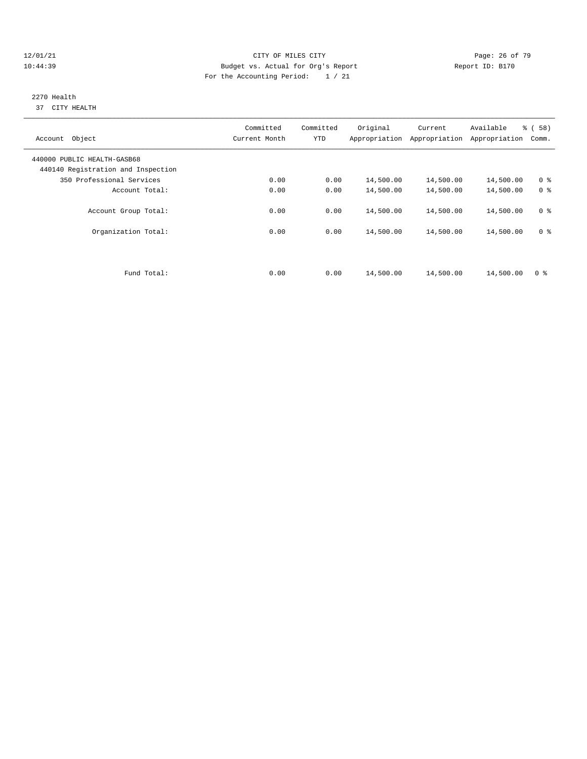#### 12/01/21 **CITY OF MILES CITY CITY CITY Page: 26 of 79** 10:44:39 Budget vs. Actual for Org's Report Report ID: B170 For the Accounting Period: 1 / 21

#### 2270 Health 37 CITY HEALTH

| Account Object                                                    | Committed<br>Current Month | Committed<br><b>YTD</b> | Original  | Current<br>Appropriation Appropriation | Available<br>Appropriation | % (58)<br>Comm. |
|-------------------------------------------------------------------|----------------------------|-------------------------|-----------|----------------------------------------|----------------------------|-----------------|
| 440000 PUBLIC HEALTH-GASB68<br>440140 Registration and Inspection |                            |                         |           |                                        |                            |                 |
| 350 Professional Services                                         | 0.00                       | 0.00                    | 14,500.00 | 14,500.00                              | 14,500.00                  | 0 <sup>8</sup>  |
| Account Total:                                                    | 0.00                       | 0.00                    | 14,500.00 | 14,500.00                              | 14,500.00                  | 0 <sup>8</sup>  |
| Account Group Total:                                              | 0.00                       | 0.00                    | 14,500.00 | 14,500.00                              | 14,500.00                  | 0 <sup>8</sup>  |
| Organization Total:                                               | 0.00                       | 0.00                    | 14,500.00 | 14,500.00                              | 14,500.00                  | 0 <sup>8</sup>  |
|                                                                   |                            |                         |           |                                        |                            |                 |
| Fund Total:                                                       | 0.00                       | 0.00                    | 14,500.00 | 14,500.00                              | 14,500.00                  | 0 <sup>8</sup>  |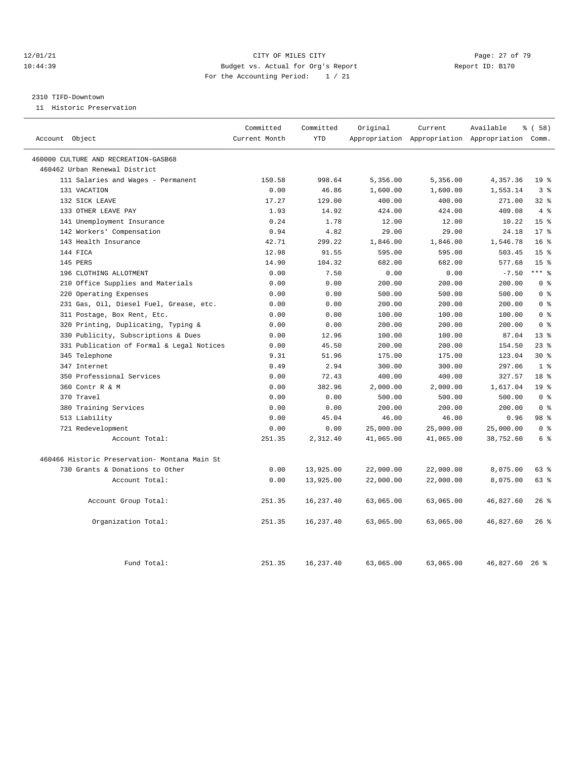#### 12/01/21 Page: 27 of 79 10:44:39 Budget vs. Actual for Org's Report Report ID: B170 For the Accounting Period: 1 / 21

#### 2310 TIFD-Downtown

11 Historic Preservation

|                                               | Committed     | Committed  | Original  | Current   | Available                                       | 8 ( 58 )        |
|-----------------------------------------------|---------------|------------|-----------|-----------|-------------------------------------------------|-----------------|
| Account Object                                | Current Month | <b>YTD</b> |           |           | Appropriation Appropriation Appropriation Comm. |                 |
| 460000 CULTURE AND RECREATION-GASB68          |               |            |           |           |                                                 |                 |
| 460462 Urban Renewal District                 |               |            |           |           |                                                 |                 |
| 111 Salaries and Wages - Permanent            | 150.58        | 998.64     | 5,356.00  | 5,356.00  | 4,357.36                                        | 19 <sup>°</sup> |
| 131 VACATION                                  | 0.00          | 46.86      | 1,600.00  | 1,600.00  | 1,553.14                                        | 3%              |
| 132 SICK LEAVE                                | 17.27         | 129.00     | 400.00    | 400.00    | 271.00                                          | $32$ $%$        |
| 133 OTHER LEAVE PAY                           | 1.93          | 14.92      | 424.00    | 424.00    | 409.08                                          | 4%              |
| 141 Unemployment Insurance                    | 0.24          | 1.78       | 12.00     | 12.00     | 10.22                                           | 15 <sup>8</sup> |
| 142 Workers' Compensation                     | 0.94          | 4.82       | 29.00     | 29.00     | 24.18                                           | $17*$           |
| 143 Health Insurance                          | 42.71         | 299.22     | 1,846.00  | 1,846.00  | 1,546.78                                        | 16 <sup>8</sup> |
| 144 FICA                                      | 12.98         | 91.55      | 595.00    | 595.00    | 503.45                                          | 15 <sup>8</sup> |
| 145 PERS                                      | 14.90         | 104.32     | 682.00    | 682.00    | 577.68                                          | 15 <sup>8</sup> |
| 196 CLOTHING ALLOTMENT                        | 0.00          | 7.50       | 0.00      | 0.00      | $-7.50$                                         | $***$ $%$       |
| Office Supplies and Materials<br>210          | 0.00          | 0.00       | 200.00    | 200.00    | 200.00                                          | 0 <sup>8</sup>  |
| Operating Expenses<br>220                     | 0.00          | 0.00       | 500.00    | 500.00    | 500.00                                          | 0 <sup>8</sup>  |
| 231 Gas, Oil, Diesel Fuel, Grease, etc.       | 0.00          | 0.00       | 200.00    | 200.00    | 200.00                                          | 0 <sup>8</sup>  |
| 311 Postage, Box Rent, Etc.                   | 0.00          | 0.00       | 100.00    | 100.00    | 100.00                                          | 0 <sup>8</sup>  |
| 320 Printing, Duplicating, Typing &           | 0.00          | 0.00       | 200.00    | 200.00    | 200.00                                          | 0 <sup>8</sup>  |
| 330 Publicity, Subscriptions & Dues           | 0.00          | 12.96      | 100.00    | 100.00    | 87.04                                           | $13*$           |
| 331 Publication of Formal & Legal Notices     | 0.00          | 45.50      | 200.00    | 200.00    | 154.50                                          | $23$ $%$        |
| 345 Telephone                                 | 9.31          | 51.96      | 175.00    | 175.00    | 123.04                                          | $30*$           |
| 347 Internet                                  | 0.49          | 2.94       | 300.00    | 300.00    | 297.06                                          | 1 <sup>8</sup>  |
| 350 Professional Services                     | 0.00          | 72.43      | 400.00    | 400.00    | 327.57                                          | 18 %            |
| 360 Contr R & M                               | 0.00          | 382.96     | 2,000.00  | 2,000.00  | 1,617.04                                        | 19 <sup>8</sup> |
| 370 Travel                                    | 0.00          | 0.00       | 500.00    | 500.00    | 500.00                                          | 0 <sup>8</sup>  |
| 380 Training Services                         | 0.00          | 0.00       | 200.00    | 200.00    | 200.00                                          | 0 <sup>8</sup>  |
| 513 Liability                                 | 0.00          | 45.04      | 46.00     | 46.00     | 0.96                                            | 98 %            |
| 721 Redevelopment                             | 0.00          | 0.00       | 25,000.00 | 25,000.00 | 25,000.00                                       | 0 <sup>8</sup>  |
| Account Total:                                | 251.35        | 2,312.40   | 41,065.00 | 41,065.00 | 38,752.60                                       | 6 %             |
| 460466 Historic Preservation- Montana Main St |               |            |           |           |                                                 |                 |
| 730 Grants & Donations to Other               | 0.00          | 13,925.00  | 22,000.00 | 22,000.00 | 8,075.00                                        | 63 %            |
| Account Total:                                | 0.00          | 13,925.00  | 22,000.00 | 22,000.00 | 8,075.00                                        | 63 %            |
| Account Group Total:                          | 251.35        | 16,237.40  | 63,065.00 | 63,065.00 | 46,827.60                                       | $26$ %          |
| Organization Total:                           | 251.35        | 16,237.40  | 63,065.00 | 63,065.00 | 46,827.60                                       | 26%             |
| Fund Total:                                   | 251.35        | 16, 237.40 | 63,065.00 | 63,065.00 | 46,827.60                                       | $26$ %          |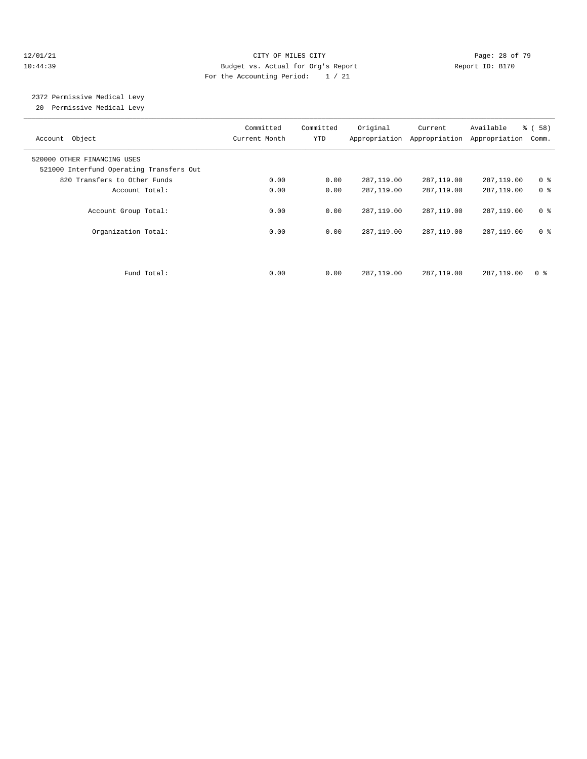#### 12/01/21 **Page: 28 of 79** CITY OF MILES CITY **CITY Page: 28 of 79** 10:44:39 Budget vs. Actual for Org's Report Report ID: B170 For the Accounting Period: 1 / 21

# 2372 Permissive Medical Levy

20 Permissive Medical Levy

| Account Object                                                          | Committed<br>Current Month | Committed<br><b>YTD</b> | Original   | Current<br>Appropriation Appropriation | Available<br>Appropriation | % (58)<br>Comm. |
|-------------------------------------------------------------------------|----------------------------|-------------------------|------------|----------------------------------------|----------------------------|-----------------|
| 520000 OTHER FINANCING USES<br>521000 Interfund Operating Transfers Out |                            |                         |            |                                        |                            |                 |
| 820 Transfers to Other Funds                                            | 0.00                       | 0.00                    | 287,119.00 | 287,119.00                             | 287,119.00                 | 0 <sup>8</sup>  |
| Account Total:                                                          | 0.00                       | 0.00                    | 287,119.00 | 287,119.00                             | 287,119.00                 | 0 <sup>8</sup>  |
| Account Group Total:                                                    | 0.00                       | 0.00                    | 287,119.00 | 287,119.00                             | 287,119.00                 | 0 <sup>8</sup>  |
| Organization Total:                                                     | 0.00                       | 0.00                    | 287,119.00 | 287,119.00                             | 287,119.00                 | 0 %             |
|                                                                         |                            |                         |            |                                        |                            |                 |
| Fund Total:                                                             | 0.00                       | 0.00                    | 287,119.00 | 287,119.00                             | 287,119.00                 | 0 <sup>8</sup>  |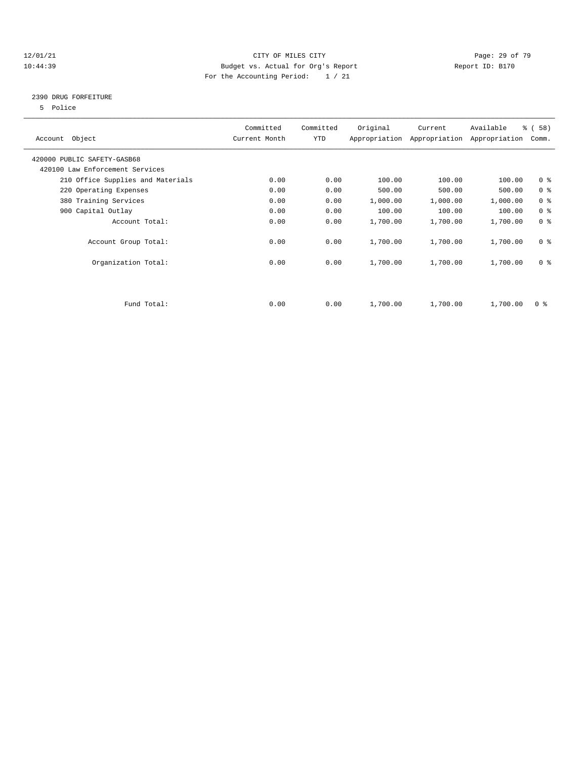#### 12/01/21 **Page: 29 of 79** CITY OF MILES CITY **CITY** Page: 29 of 79 10:44:39 Budget vs. Actual for Org's Report Report ID: B170 For the Accounting Period: 1 / 21

## 2390 DRUG FORFEITURE

5 Police

| Account Object                    | Committed<br>Current Month | Committed<br><b>YTD</b> | Original | Current<br>Appropriation Appropriation | Available<br>Appropriation | % (58)<br>Comm.         |
|-----------------------------------|----------------------------|-------------------------|----------|----------------------------------------|----------------------------|-------------------------|
| 420000 PUBLIC SAFETY-GASB68       |                            |                         |          |                                        |                            |                         |
| 420100 Law Enforcement Services   |                            |                         |          |                                        |                            |                         |
| 210 Office Supplies and Materials | 0.00                       | 0.00                    | 100.00   | 100.00                                 | 100.00                     | 0 <sup>8</sup>          |
| 220 Operating Expenses            | 0.00                       | 0.00                    | 500.00   | 500.00                                 | 500.00                     | 0 <sup>8</sup>          |
| 380 Training Services             | 0.00                       | 0.00                    | 1,000.00 | 1,000.00                               | 1,000.00                   | 0 <sup>8</sup>          |
| 900 Capital Outlay                | 0.00                       | 0.00                    | 100.00   | 100.00                                 | 100.00                     | 0 <sup>8</sup>          |
| Account Total:                    | 0.00                       | 0.00                    | 1,700.00 | 1,700.00                               | 1,700.00                   | 0 <sup>8</sup>          |
| Account Group Total:              | 0.00                       | 0.00                    | 1,700.00 | 1,700.00                               | 1,700.00                   | 0 <sup>8</sup>          |
| Organization Total:               | 0.00                       | 0.00                    | 1,700.00 | 1,700.00                               | 1,700.00                   | 0 <sup>8</sup>          |
|                                   |                            |                         |          |                                        |                            |                         |
| Fund Total:                       | 0.00                       | 0.00                    | 1,700.00 | 1,700.00                               | 1,700.00                   | $0 \text{ }$ $\text{*}$ |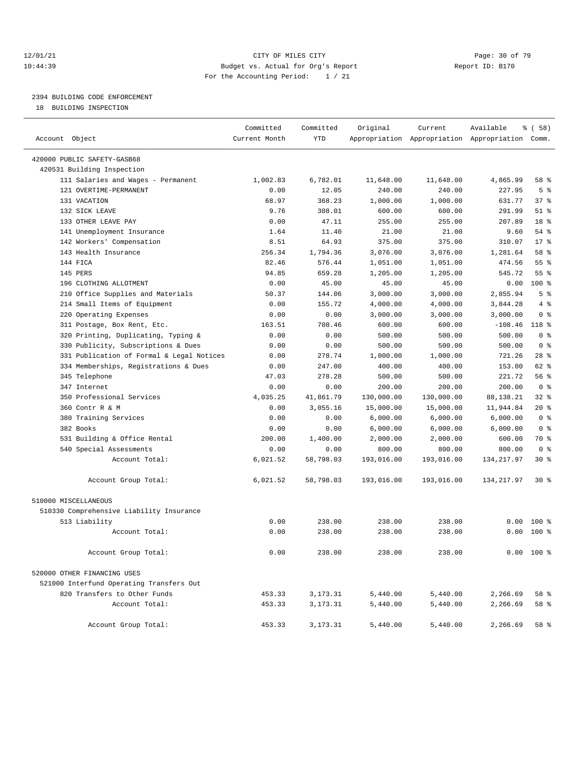#### 12/01/21 **Page: 30 of 79** CITY OF MILES CITY **CITY** Page: 30 of 79 10:44:39 Budget vs. Actual for Org's Report Report ID: B170 For the Accounting Period: 1 / 21

————————————————————————————————————————————————————————————————————————————————————————————————————————————————————————————————————

# 2394 BUILDING CODE ENFORCEMENT

18 BUILDING INSPECTION

|                                           | Committed     | Committed  | Original   | Current    | Available                                       | \$(58)          |  |
|-------------------------------------------|---------------|------------|------------|------------|-------------------------------------------------|-----------------|--|
| Account Object                            | Current Month | <b>YTD</b> |            |            | Appropriation Appropriation Appropriation Comm. |                 |  |
| 420000 PUBLIC SAFETY-GASB68               |               |            |            |            |                                                 |                 |  |
| 420531 Building Inspection                |               |            |            |            |                                                 |                 |  |
| 111 Salaries and Wages - Permanent        | 1,002.83      | 6,782.01   | 11,648.00  | 11,648.00  | 4,865.99                                        | 58 %            |  |
| 121 OVERTIME-PERMANENT                    | 0.00          | 12.05      | 240.00     | 240.00     | 227.95                                          | 5 <sup>8</sup>  |  |
| 131 VACATION                              | 68.97         | 368.23     | 1,000.00   | 1,000.00   | 631.77                                          | $37$ $%$        |  |
| 132 SICK LEAVE                            | 9.76          | 308.01     | 600.00     | 600.00     | 291.99                                          | $51$ %          |  |
| 133 OTHER LEAVE PAY                       | 0.00          | 47.11      | 255.00     | 255.00     | 207.89                                          | 18 <sup>8</sup> |  |
| 141 Unemployment Insurance                | 1.64          | 11.40      | 21.00      | 21.00      | 9.60                                            | $54$ $%$        |  |
| 142 Workers' Compensation                 | 8.51          | 64.93      | 375.00     | 375.00     | 310.07                                          | $17*$           |  |
| 143 Health Insurance                      | 256.34        | 1,794.36   | 3,076.00   | 3,076.00   | 1,281.64                                        | 58 %            |  |
| 144 FICA                                  | 82.46         | 576.44     | 1,051.00   | 1,051.00   | 474.56                                          | 55 %            |  |
| 145 PERS                                  | 94.85         | 659.28     | 1,205.00   | 1,205.00   | 545.72                                          | 55 %            |  |
| 196 CLOTHING ALLOTMENT                    | 0.00          | 45.00      | 45.00      | 45.00      | 0.00                                            | $100*$          |  |
| 210 Office Supplies and Materials         | 50.37         | 144.06     | 3,000.00   | 3,000.00   | 2,855.94                                        | 5 <sup>°</sup>  |  |
| 214 Small Items of Equipment              | 0.00          | 155.72     | 4,000.00   | 4,000.00   | 3,844.28                                        | 4%              |  |
| 220 Operating Expenses                    | 0.00          | 0.00       | 3,000.00   | 3,000.00   | 3,000.00                                        | 0 <sup>8</sup>  |  |
| 311 Postage, Box Rent, Etc.               | 163.51        | 708.46     | 600.00     | 600.00     | $-108.46$                                       | 118 %           |  |
| 320 Printing, Duplicating, Typing &       | 0.00          | 0.00       | 500.00     | 500.00     | 500.00                                          | 0 <sup>8</sup>  |  |
| 330 Publicity, Subscriptions & Dues       | 0.00          | 0.00       | 500.00     | 500.00     | 500.00                                          | 0 <sup>8</sup>  |  |
| 331 Publication of Formal & Legal Notices | 0.00          | 278.74     | 1,000.00   | 1,000.00   | 721.26                                          | $28$ %          |  |
| 334 Memberships, Registrations & Dues     | 0.00          | 247.00     | 400.00     | 400.00     | 153.00                                          | 62 %            |  |
| 345 Telephone                             | 47.03         | 278.28     | 500.00     | 500.00     | 221.72                                          | 56 %            |  |
| 347 Internet                              | 0.00          | 0.00       | 200.00     | 200.00     | 200.00                                          | 0 <sup>8</sup>  |  |
| 350 Professional Services                 | 4,035.25      | 41,861.79  | 130,000.00 | 130,000.00 | 88,138.21                                       | 32%             |  |
| 360 Contr R & M                           | 0.00          | 3,055.16   | 15,000.00  | 15,000.00  | 11,944.84                                       | $20*$           |  |
| 380 Training Services                     | 0.00          | 0.00       | 6,000.00   | 6,000.00   | 6,000.00                                        | 0 <sup>8</sup>  |  |
| 382 Books                                 | 0.00          | 0.00       | 6,000.00   | 6,000.00   | 6,000.00                                        | 0 <sup>8</sup>  |  |
| 531 Building & Office Rental              | 200.00        | 1,400.00   | 2,000.00   | 2,000.00   | 600.00                                          | 70 %            |  |
| 540 Special Assessments                   | 0.00          | 0.00       | 800.00     | 800.00     | 800.00                                          | 0 <sup>8</sup>  |  |
| Account Total:                            | 6,021.52      | 58,798.03  | 193,016.00 | 193,016.00 | 134, 217.97                                     | $30*$           |  |
| Account Group Total:                      | 6,021.52      | 58,798.03  | 193,016.00 | 193,016.00 | 134,217.97                                      | 30%             |  |
| 510000 MISCELLANEOUS                      |               |            |            |            |                                                 |                 |  |
| 510330 Comprehensive Liability Insurance  |               |            |            |            |                                                 |                 |  |
| 513 Liability                             | 0.00          | 238.00     | 238.00     | 238.00     | 0.00                                            | $100*$          |  |
| Account Total:                            | 0.00          | 238.00     | 238.00     | 238.00     | 0.00                                            | 100 %           |  |
| Account Group Total:                      | 0.00          | 238.00     | 238.00     | 238.00     |                                                 | $0.00 100$ %    |  |
| 520000 OTHER FINANCING USES               |               |            |            |            |                                                 |                 |  |
| 521000 Interfund Operating Transfers Out  |               |            |            |            |                                                 |                 |  |
| 820 Transfers to Other Funds              | 453.33        | 3,173.31   | 5,440.00   | 5,440.00   | 2,266.69                                        | 58 %            |  |
| Account Total:                            | 453.33        | 3,173.31   | 5,440.00   | 5,440.00   | 2,266.69                                        | 58 %            |  |
| Account Group Total:                      | 453.33        | 3,173.31   | 5,440.00   | 5,440.00   | 2,266.69                                        | 58 %            |  |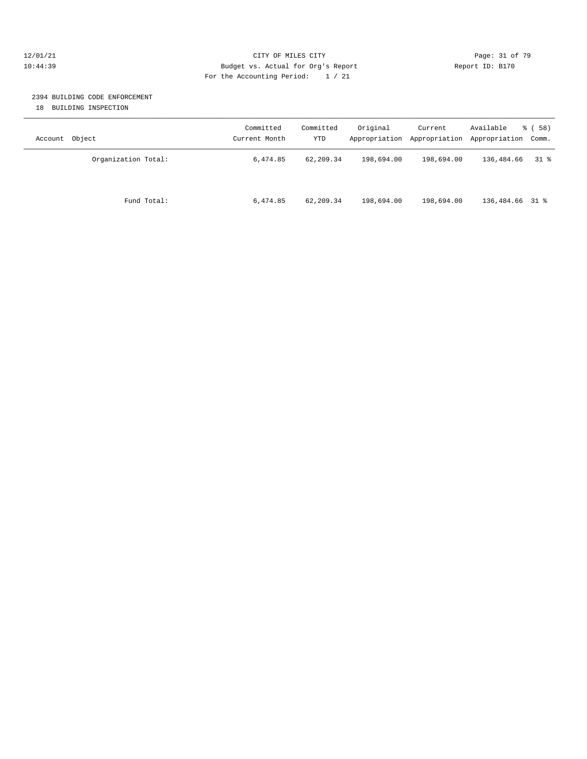#### 12/01/21 Page: 31 of 79 10:44:39 Budget vs. Actual for Org's Report Report ID: B170 For the Accounting Period: 1 / 21

## 2394 BUILDING CODE ENFORCEMENT

18 BUILDING INSPECTION

| Object<br>Account   | Committed<br>Current Month | Committed<br>YTD | Original   | Current<br>Appropriation Appropriation | Available<br>Appropriation Comm. | 8 ( 58 ) |
|---------------------|----------------------------|------------------|------------|----------------------------------------|----------------------------------|----------|
| Organization Total: | 6,474.85                   | 62,209.34        | 198,694.00 | 198,694.00                             | 136,484.66                       | 31 %     |
| Fund Total:         | 6,474.85                   | 62,209.34        | 198,694.00 | 198,694.00                             | 136,484.66 31 %                  |          |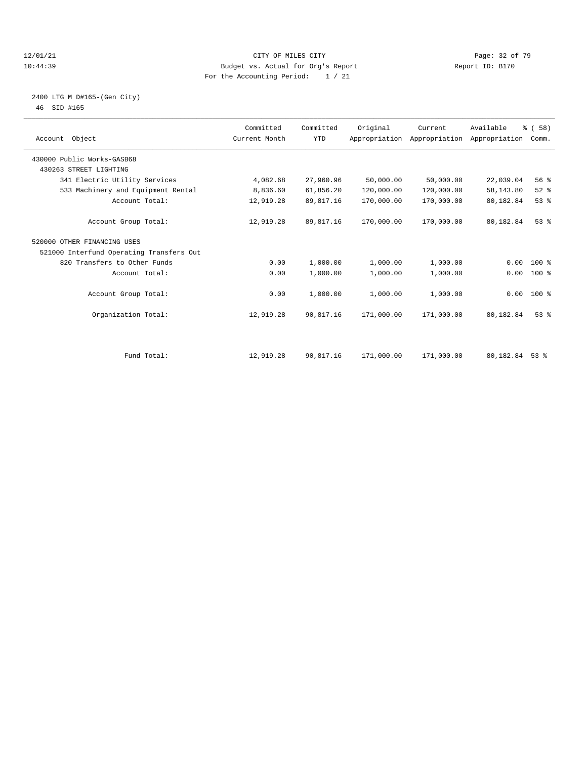#### $12/01/21$  Page: 32 of 79<br>
12/01/21 Page: 32 of 79<br>
Budget vs. Actual for Org's Report Page: 12 Of 79<br>
Page: 32 of 79 10:44:39 Budget vs. Actual for Org's Report For the Accounting Period: 1 / 21

### 2400 LTG M D#165-(Gen City) 46 SID #165

| Account Object                           | Committed<br>Current Month | Committed<br><b>YTD</b> | Original   | Current    | Available<br>Appropriation Appropriation Appropriation | % (58)<br>Comm. |  |
|------------------------------------------|----------------------------|-------------------------|------------|------------|--------------------------------------------------------|-----------------|--|
| 430000 Public Works-GASB68               |                            |                         |            |            |                                                        |                 |  |
| 430263 STREET LIGHTING                   |                            |                         |            |            |                                                        |                 |  |
| 341 Electric Utility Services            | 4,082.68                   | 27,960.96               | 50,000.00  | 50,000.00  | 22,039.04                                              | 56%             |  |
| 533 Machinery and Equipment Rental       | 8,836.60                   | 61,856.20               | 120,000.00 | 120,000.00 | 58, 143.80                                             | $52$ $%$        |  |
| Account Total:                           | 12,919.28                  | 89,817.16               | 170,000.00 | 170,000.00 | 80,182.84                                              | 53%             |  |
| Account Group Total:                     | 12,919.28                  | 89,817.16               | 170,000.00 | 170,000.00 | 80,182.84                                              | 53%             |  |
| 520000 OTHER FINANCING USES              |                            |                         |            |            |                                                        |                 |  |
| 521000 Interfund Operating Transfers Out |                            |                         |            |            |                                                        |                 |  |
| 820 Transfers to Other Funds             | 0.00                       | 1,000.00                | 1,000.00   | 1,000.00   | 0.00                                                   | $100*$          |  |
| Account Total:                           | 0.00                       | 1,000.00                | 1,000.00   | 1,000.00   | 0.00                                                   | $100*$          |  |
| Account Group Total:                     | 0.00                       | 1,000.00                | 1,000.00   | 1,000.00   |                                                        | $0.00 100$ %    |  |
| Organization Total:                      | 12,919.28                  | 90,817.16               | 171,000.00 | 171,000.00 | 80,182.84                                              | 53 <sup>8</sup> |  |
|                                          |                            |                         |            |            |                                                        |                 |  |
| Fund Total:                              | 12,919.28                  | 90,817.16               | 171,000.00 | 171,000.00 | 80,182.84                                              | $53$ $%$        |  |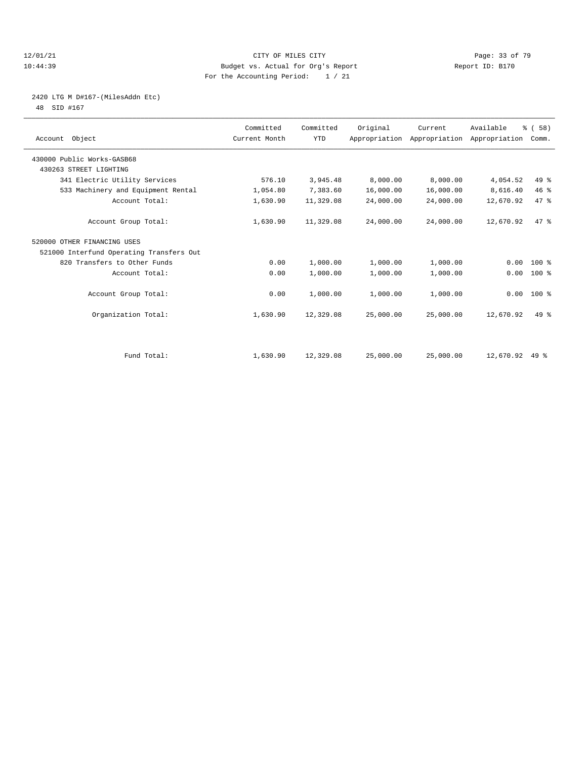#### $12/01/21$  Page: 33 of 79<br>
12/01/21 Page: 33 of 79<br>
Budget vs. Actual for Org's Report Page: 23 of 79<br>
Page: 23 of 79 10:44:39 Budget vs. Actual for Org's Report For the Accounting Period: 1 / 21

# 2420 LTG M D#167-(MilesAddn Etc)

48 SID #167

| Account Object                           | Committed<br>Current Month | Committed<br><b>YTD</b> | Original  | Current   | Available<br>Appropriation Appropriation Appropriation | % (58)<br>Comm. |  |
|------------------------------------------|----------------------------|-------------------------|-----------|-----------|--------------------------------------------------------|-----------------|--|
| 430000 Public Works-GASB68               |                            |                         |           |           |                                                        |                 |  |
| 430263 STREET LIGHTING                   |                            |                         |           |           |                                                        |                 |  |
| 341 Electric Utility Services            | 576.10                     | 3,945.48                | 8,000.00  | 8,000.00  | 4,054.52                                               | 49 %            |  |
| 533 Machinery and Equipment Rental       | 1,054.80                   | 7,383.60                | 16,000.00 | 16,000.00 | 8,616.40                                               | 46%             |  |
| Account Total:                           | 1,630.90                   | 11,329.08               | 24,000.00 | 24,000.00 | 12,670.92                                              | 47 %            |  |
| Account Group Total:                     | 1,630.90                   | 11,329.08               | 24,000.00 | 24,000.00 | 12,670.92                                              | 47.8            |  |
| 520000 OTHER FINANCING USES              |                            |                         |           |           |                                                        |                 |  |
| 521000 Interfund Operating Transfers Out |                            |                         |           |           |                                                        |                 |  |
| 820 Transfers to Other Funds             | 0.00                       | 1,000.00                | 1,000.00  | 1,000.00  | 0.00                                                   | $100*$          |  |
| Account Total:                           | 0.00                       | 1,000.00                | 1,000.00  | 1,000.00  | 0.00                                                   | $100*$          |  |
| Account Group Total:                     | 0.00                       | 1,000.00                | 1,000.00  | 1,000.00  | 0.00                                                   | 100 %           |  |
| Organization Total:                      | 1,630.90                   | 12,329.08               | 25,000.00 | 25,000.00 | 12,670.92                                              | $49*$           |  |
|                                          |                            |                         |           |           |                                                        |                 |  |
| Fund Total:                              | 1,630.90                   | 12,329.08               | 25,000.00 | 25,000.00 | 12,670.92                                              | $49*$           |  |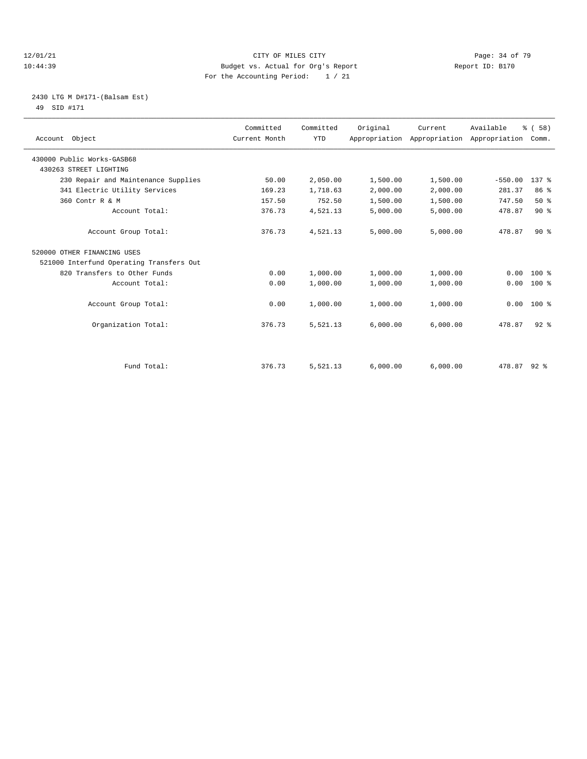#### 12/01/21 Page: 34 of 79<br>10:44:39 Budget vs. Actual for Org's Report Page: 34 of 79<br>10:44:39 Budget vs. Actual for Org's Report Page: 210 10:44:39 Budget vs. Actual for Org's Report For the Accounting Period: 1 / 21

#### 2430 LTG M D#171-(Balsam Est) 49 SID #171

| Account Object                           | Committed<br>Current Month | Committed<br><b>YTD</b> | Original | Current<br>Appropriation Appropriation Appropriation Comm. | Available | % ( 58 )         |  |
|------------------------------------------|----------------------------|-------------------------|----------|------------------------------------------------------------|-----------|------------------|--|
| 430000 Public Works-GASB68               |                            |                         |          |                                                            |           |                  |  |
| 430263 STREET LIGHTING                   |                            |                         |          |                                                            |           |                  |  |
| 230 Repair and Maintenance Supplies      | 50.00                      | 2,050.00                | 1,500.00 | 1,500.00                                                   | $-550.00$ | 137 <sub>8</sub> |  |
| 341 Electric Utility Services            | 169.23                     | 1,718.63                | 2,000.00 | 2,000.00                                                   | 281.37    | 86 %             |  |
| 360 Contr R & M                          | 157.50                     | 752.50                  | 1,500.00 | 1,500.00                                                   | 747.50    | 50%              |  |
| Account Total:                           | 376.73                     | 4,521.13                | 5,000.00 | 5,000.00                                                   | 478.87    | 90%              |  |
| Account Group Total:                     | 376.73                     | 4,521.13                | 5,000.00 | 5,000.00                                                   | 478.87    | $90*$            |  |
| 520000 OTHER FINANCING USES              |                            |                         |          |                                                            |           |                  |  |
| 521000 Interfund Operating Transfers Out |                            |                         |          |                                                            |           |                  |  |
| 820 Transfers to Other Funds             | 0.00                       | 1,000.00                | 1,000.00 | 1,000.00                                                   | 0.00      | $100*$           |  |
| Account Total:                           | 0.00                       | 1,000.00                | 1,000.00 | 1,000.00                                                   | 0.00      | $100*$           |  |
| Account Group Total:                     | 0.00                       | 1,000.00                | 1,000.00 | 1,000.00                                                   | 0.00      | $100*$           |  |
| Organization Total:                      | 376.73                     | 5,521.13                | 6,000.00 | 6,000.00                                                   | 478.87    | 92.8             |  |
|                                          |                            |                         |          |                                                            |           |                  |  |
| Fund Total:                              | 376.73                     | 5,521.13                | 6,000.00 | 6.000.00                                                   | 478.87    | $92*$            |  |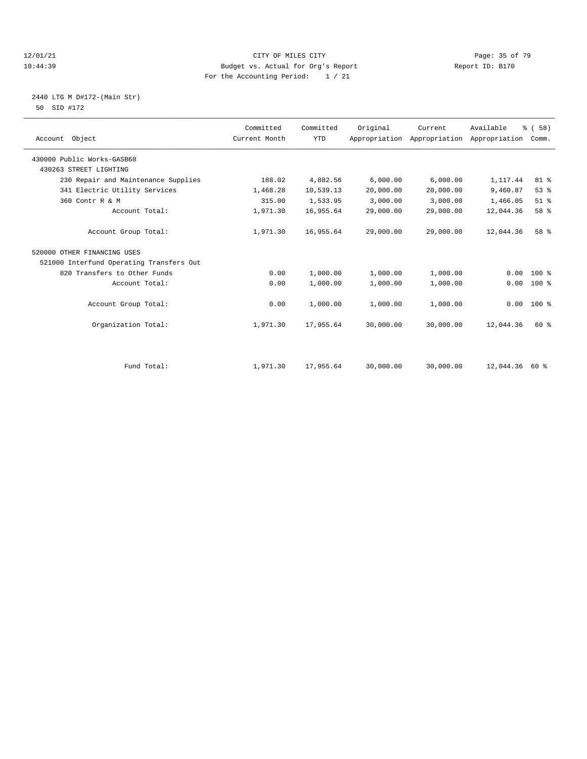#### $12/01/21$  Page: 35 of 79<br>10:44:39 Budget vs. Actual for Org's Report  $\frac{12}{10}:44:39$  Report ID: B170 10:44:39 Budget vs. Actual for Org's Report For the Accounting Period: 1 / 21

#### 2440 LTG M D#172-(Main Str) 50 SID #172

| Account Object                           | Committed<br>Current Month | Committed<br><b>YTD</b> | Original  | Current<br>Appropriation Appropriation | Available<br>Appropriation | % (58)<br>Comm. |  |
|------------------------------------------|----------------------------|-------------------------|-----------|----------------------------------------|----------------------------|-----------------|--|
| 430000 Public Works-GASB68               |                            |                         |           |                                        |                            |                 |  |
| 430263 STREET LIGHTING                   |                            |                         |           |                                        |                            |                 |  |
| 230 Repair and Maintenance Supplies      | 188.02                     | 4,882.56                | 6,000.00  | 6,000.00                               | 1,117.44                   | 81 %            |  |
| 341 Electric Utility Services            | 1,468.28                   | 10,539.13               | 20,000.00 | 20,000.00                              | 9,460.87                   | 53%             |  |
| 360 Contr R & M                          | 315.00                     | 1,533.95                | 3,000.00  | 3,000.00                               | 1,466.05                   | $51$ $%$        |  |
| Account Total:                           | 1,971.30                   | 16,955.64               | 29,000.00 | 29,000.00                              | 12,044.36                  | 58 %            |  |
| Account Group Total:                     | 1,971.30                   | 16,955.64               | 29,000.00 | 29,000.00                              | 12,044.36                  | 58 %            |  |
| 520000 OTHER FINANCING USES              |                            |                         |           |                                        |                            |                 |  |
| 521000 Interfund Operating Transfers Out |                            |                         |           |                                        |                            |                 |  |
| 820 Transfers to Other Funds             | 0.00                       | 1,000.00                | 1,000.00  | 1,000.00                               | 0.00                       | $100*$          |  |
| Account Total:                           | 0.00                       | 1,000.00                | 1,000.00  | 1,000.00                               | 0.00                       | $100*$          |  |
| Account Group Total:                     | 0.00                       | 1,000.00                | 1,000.00  | 1,000.00                               | 0.00                       | $100*$          |  |
| Organization Total:                      | 1,971.30                   | 17,955.64               | 30,000.00 | 30,000.00                              | 12,044.36                  | 60 %            |  |
|                                          |                            |                         |           |                                        |                            |                 |  |
| Fund Total:                              | 1,971.30                   | 17,955.64               | 30,000.00 | 30,000.00                              | 12,044.36                  | 60 %            |  |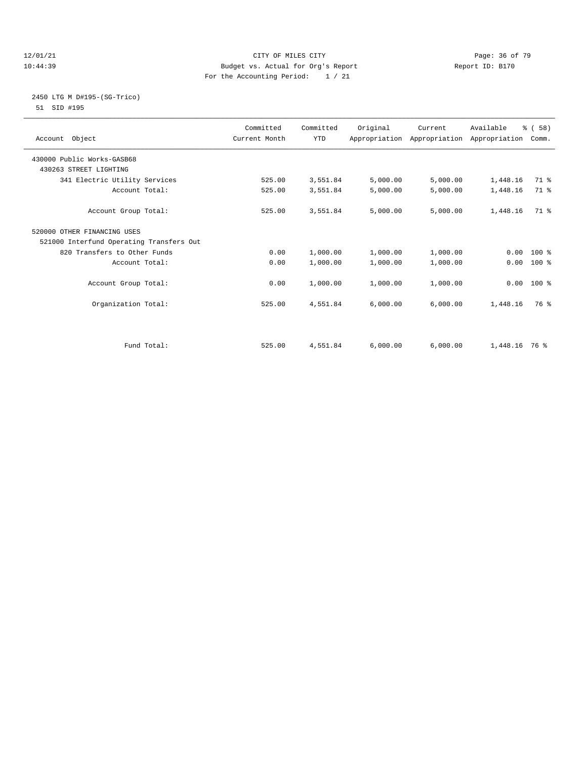#### $12/01/21$  Page: 36 of 79<br>10:44:39 Budget vs. Actual for Org's Report  $\frac{12}{10}:44:39$  Report ID: B170 10:44:39 Budget vs. Actual for Org's Report For the Accounting Period: 1 / 21

### 2450 LTG M D#195-(SG-Trico) 51 SID #195

| Account Object                           | Committed<br>Current Month | Committed<br><b>YTD</b> | Original | Current<br>Appropriation Appropriation Appropriation Comm. | Available       | % (58)       |  |
|------------------------------------------|----------------------------|-------------------------|----------|------------------------------------------------------------|-----------------|--------------|--|
| 430000 Public Works-GASB68               |                            |                         |          |                                                            |                 |              |  |
| 430263 STREET LIGHTING                   |                            |                         |          |                                                            |                 |              |  |
| 341 Electric Utility Services            | 525.00                     | 3,551.84                | 5,000.00 | 5,000.00                                                   | 1,448.16        | 71 %         |  |
| Account Total:                           | 525.00                     | 3,551.84                | 5,000.00 | 5,000.00                                                   | 1,448.16        | 71 %         |  |
| Account Group Total:                     | 525.00                     | 3,551.84                | 5,000.00 | 5,000.00                                                   | 1,448.16        | 71.8         |  |
| 520000 OTHER FINANCING USES              |                            |                         |          |                                                            |                 |              |  |
| 521000 Interfund Operating Transfers Out |                            |                         |          |                                                            |                 |              |  |
| 820 Transfers to Other Funds             | 0.00                       | 1,000.00                | 1,000.00 | 1,000.00                                                   | 0.00            | $100*$       |  |
| Account Total:                           | 0.00                       | 1,000.00                | 1,000.00 | 1,000.00                                                   | 0.00            | $100*$       |  |
|                                          |                            |                         |          |                                                            |                 |              |  |
| Account Group Total:                     | 0.00                       | 1,000.00                | 1,000.00 | 1,000.00                                                   |                 | $0.00$ 100 % |  |
|                                          |                            |                         |          |                                                            |                 |              |  |
| Organization Total:                      | 525.00                     | 4,551.84                | 6,000.00 | 6,000.00                                                   | 1,448.16        | 76 %         |  |
|                                          |                            |                         |          |                                                            |                 |              |  |
| Fund Total:                              | 525.00                     | 4,551.84                | 6,000.00 | 6,000.00                                                   | $1,448.16$ 76 % |              |  |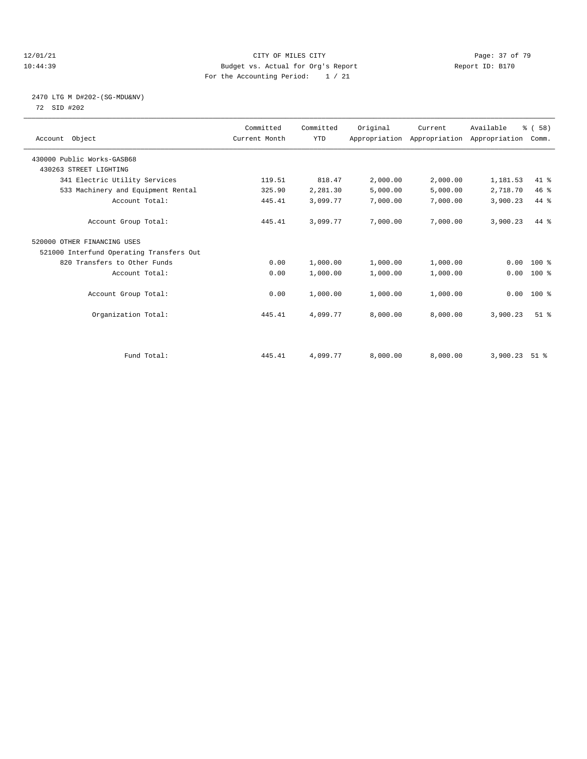#### $12/01/21$  Page: 37 of 79<br>10:44:39 Budget vs. Actual for Org's Report  $\frac{12}{10}:44:39$  Report ID: B170 10:44:39 Budget vs. Actual for Org's Report For the Accounting Period: 1 / 21

#### 2470 LTG M D#202-(SG-MDU&NV) 72 SID #202

| Account Object                           | Committed<br>Current Month | Committed<br><b>YTD</b> | Original | Current<br>Appropriation Appropriation Appropriation | Available | % (58)<br>Comm.    |  |
|------------------------------------------|----------------------------|-------------------------|----------|------------------------------------------------------|-----------|--------------------|--|
| 430000 Public Works-GASB68               |                            |                         |          |                                                      |           |                    |  |
| 430263 STREET LIGHTING                   |                            |                         |          |                                                      |           |                    |  |
| 341 Electric Utility Services            | 119.51                     | 818.47                  | 2,000.00 | 2,000.00                                             | 1,181.53  | 41.8               |  |
| 533 Machinery and Equipment Rental       | 325.90                     | 2,281.30                | 5,000.00 | 5,000.00                                             | 2,718.70  | 46%                |  |
| Account Total:                           | 445.41                     | 3,099.77                | 7,000.00 | 7,000.00                                             | 3,900.23  | 44.8               |  |
| Account Group Total:                     | 445.41                     | 3,099.77                | 7,000.00 | 7,000.00                                             | 3,900.23  | $44*$              |  |
| 520000 OTHER FINANCING USES              |                            |                         |          |                                                      |           |                    |  |
| 521000 Interfund Operating Transfers Out |                            |                         |          |                                                      |           |                    |  |
| 820 Transfers to Other Funds             | 0.00                       | 1,000.00                | 1,000.00 | 1,000.00                                             | 0.00      | $100*$             |  |
| Account Total:                           | 0.00                       | 1,000.00                | 1,000.00 | 1,000.00                                             | 0.00      | 100 %              |  |
| Account Group Total:                     | 0.00                       | 1,000.00                | 1,000.00 | 1,000.00                                             |           | $0.00 100$ %       |  |
| Organization Total:                      | 445.41                     | 4,099.77                | 8,000.00 | 8,000.00                                             | 3,900.23  | $51$ $%$           |  |
|                                          |                            |                         |          |                                                      |           |                    |  |
| Fund Total:                              | 445.41                     | 4,099.77                | 8,000.00 | 8,000.00                                             | 3,900.23  | $51$ $\frac{6}{3}$ |  |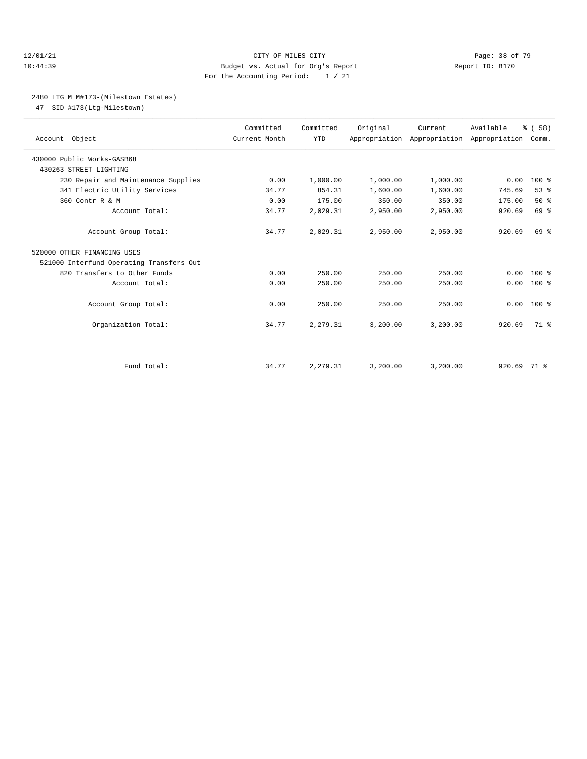#### 12/01/21 **CITY OF MILES CITY CITY CITY Page: 38 of 79** 10:44:39 Budget vs. Actual for Org's Report Report ID: B170 For the Accounting Period: 1 / 21

#### 2480 LTG M M#173-(Milestown Estates)

47 SID #173(Ltg-Milestown)

| Account Object                           | Committed<br>Current Month | Committed<br><b>YTD</b> | Original | Current  | Available<br>Appropriation Appropriation Appropriation Comm. | % (58)       |  |
|------------------------------------------|----------------------------|-------------------------|----------|----------|--------------------------------------------------------------|--------------|--|
| 430000 Public Works-GASB68               |                            |                         |          |          |                                                              |              |  |
| 430263 STREET LIGHTING                   |                            |                         |          |          |                                                              |              |  |
| 230 Repair and Maintenance Supplies      | 0.00                       | 1,000.00                | 1,000.00 | 1,000.00 | 0.00                                                         | $100*$       |  |
| 341 Electric Utility Services            | 34.77                      | 854.31                  | 1,600.00 | 1,600.00 | 745.69                                                       | 53%          |  |
| 360 Contr R & M                          | 0.00                       | 175.00                  | 350.00   | 350.00   | 175.00                                                       | 50%          |  |
| Account Total:                           | 34.77                      | 2,029.31                | 2,950.00 | 2,950.00 | 920.69                                                       | 69 %         |  |
| Account Group Total:                     | 34.77                      | 2,029.31                | 2,950.00 | 2,950.00 | 920.69                                                       | 69 %         |  |
| 520000 OTHER FINANCING USES              |                            |                         |          |          |                                                              |              |  |
| 521000 Interfund Operating Transfers Out |                            |                         |          |          |                                                              |              |  |
| 820 Transfers to Other Funds             | 0.00                       | 250.00                  | 250.00   | 250.00   | 0.00                                                         | $100*$       |  |
| Account Total:                           | 0.00                       | 250.00                  | 250.00   | 250.00   | 0.00                                                         | $100*$       |  |
| Account Group Total:                     | 0.00                       | 250.00                  | 250.00   | 250.00   |                                                              | $0.00 100$ % |  |
| Organization Total:                      | 34.77                      | 2,279.31                | 3,200.00 | 3,200.00 | 920.69                                                       | 71.8         |  |
|                                          |                            |                         |          |          |                                                              |              |  |
| Fund Total:                              | 34.77                      | 2,279.31                | 3,200.00 | 3,200.00 | 920.69                                                       | 71 %         |  |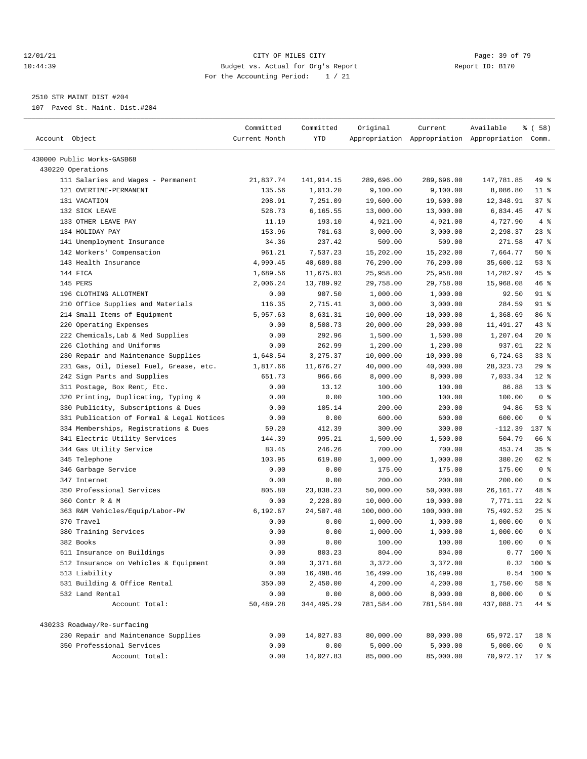#### $12/01/21$  Page: 39 of 79<br>10:44:39 Budget vs. Actual for Org's Report  $\overline{D}$  Report ID: B170 10:44:39 Budget vs. Actual for Org's Report For the Accounting Period: 1 / 21

————————————————————————————————————————————————————————————————————————————————————————————————————————————————————————————————————

2510 STR MAINT DIST #204

107 Paved St. Maint. Dist.#204

|                                                        | Committed     | Committed            | Original              | Current               | Available                                       | % ( 58 )       |
|--------------------------------------------------------|---------------|----------------------|-----------------------|-----------------------|-------------------------------------------------|----------------|
| Account Object                                         | Current Month | YTD                  |                       |                       | Appropriation Appropriation Appropriation Comm. |                |
| 430000 Public Works-GASB68                             |               |                      |                       |                       |                                                 |                |
| 430220 Operations                                      |               |                      |                       |                       |                                                 |                |
| 111 Salaries and Wages - Permanent                     | 21,837.74     | 141,914.15           | 289,696.00            | 289,696.00            | 147,781.85                                      | 49 %           |
| 121 OVERTIME-PERMANENT                                 | 135.56        | 1,013.20             | 9,100.00              | 9,100.00              | 8,086.80                                        | $11$ %         |
| 131 VACATION                                           | 208.91        | 7,251.09             | 19,600.00             | 19,600.00             | 12,348.91                                       | 37%            |
| 132 SICK LEAVE                                         | 528.73        | 6,165.55             | 13,000.00             | 13,000.00             | 6,834.45                                        | 47 %           |
| 133 OTHER LEAVE PAY                                    | 11.19         | 193.10               | 4,921.00              | 4,921.00              | 4,727.90                                        | 4%             |
| 134 HOLIDAY PAY                                        | 153.96        | 701.63               | 3,000.00              | 3,000.00              | 2,298.37                                        | $23$ $%$       |
| 141 Unemployment Insurance                             | 34.36         | 237.42               | 509.00                | 509.00                | 271.58                                          | 47 %           |
| 142 Workers' Compensation                              | 961.21        | 7,537.23             | 15,202.00             | 15,202.00             | 7,664.77                                        | 50%            |
| 143 Health Insurance                                   | 4,990.45      | 40,689.88            | 76,290.00             | 76,290.00             | 35,600.12                                       | 53%            |
| 144 FICA                                               | 1,689.56      | 11,675.03            | 25,958.00             | 25,958.00             | 14,282.97                                       | 45 %           |
| 145 PERS                                               | 2,006.24      | 13,789.92            |                       |                       | 15,968.08                                       | 46%            |
| 196 CLOTHING ALLOTMENT                                 | 0.00          | 907.50               | 29,758.00<br>1,000.00 | 29,758.00<br>1,000.00 | 92.50                                           | 91 %           |
|                                                        |               | 2,715.41             | 3,000.00              | 3,000.00              | 284.59                                          | $91$ %         |
| 210 Office Supplies and Materials                      | 116.35        |                      |                       |                       |                                                 |                |
| 214 Small Items of Equipment<br>220 Operating Expenses | 5,957.63      | 8,631.31<br>8,508.73 | 10,000.00             | 10,000.00             | 1,368.69                                        | 86 %<br>$43$ % |
|                                                        | 0.00          |                      | 20,000.00             | 20,000.00             | 11,491.27                                       |                |
| 222 Chemicals, Lab & Med Supplies                      | 0.00          | 292.96               | 1,500.00              | 1,500.00              | 1,207.04                                        | $20*$          |
| 226 Clothing and Uniforms                              | 0.00          | 262.99<br>3, 275.37  | 1,200.00              | 1,200.00              | 937.01                                          | $22$ %<br>33%  |
| 230 Repair and Maintenance Supplies                    | 1,648.54      |                      | 10,000.00             | 10,000.00             | 6,724.63                                        |                |
| 231 Gas, Oil, Diesel Fuel, Grease, etc.                | 1,817.66      | 11,676.27            | 40,000.00             | 40,000.00             | 28, 323. 73                                     | 29%<br>$12*$   |
| 242 Sign Parts and Supplies                            | 651.73        | 966.66               | 8,000.00              | 8,000.00              | 7,033.34                                        |                |
| 311 Postage, Box Rent, Etc.                            | 0.00          | 13.12                | 100.00                | 100.00                | 86.88                                           | $13*$          |
| 320 Printing, Duplicating, Typing &                    | 0.00          | 0.00                 | 100.00                | 100.00                | 100.00                                          | 0 <sup>8</sup> |
| 330 Publicity, Subscriptions & Dues                    | 0.00          | 105.14               | 200.00                | 200.00                | 94.86                                           | 53%            |
| 331 Publication of Formal & Legal Notices              | 0.00          | 0.00                 | 600.00                | 600.00                | 600.00                                          | 0 <sup>8</sup> |
| 334 Memberships, Registrations & Dues                  | 59.20         | 412.39               | 300.00                | 300.00                | $-112.39$                                       | 137 %          |
| 341 Electric Utility Services                          | 144.39        | 995.21               | 1,500.00              | 1,500.00              | 504.79                                          | 66 %           |
| 344 Gas Utility Service                                | 83.45         | 246.26               | 700.00                | 700.00                | 453.74                                          | 35%            |
| 345 Telephone                                          | 103.95        | 619.80               | 1,000.00              | 1,000.00              | 380.20                                          | 62 %           |
| 346 Garbage Service                                    | 0.00          | 0.00                 | 175.00                | 175.00                | 175.00                                          | 0 <sup>8</sup> |
| 347 Internet                                           | 0.00          | 0.00                 | 200.00                | 200.00                | 200.00                                          | 0 <sup>8</sup> |
| 350 Professional Services                              | 805.80        | 23,838.23            | 50,000.00             | 50,000.00             | 26,161.77                                       | 48 %           |
| 360 Contr R & M                                        | 0.00          | 2,228.89             | 10,000.00             | 10,000.00             | 7,771.11                                        | $22$ %         |
| 363 R&M Vehicles/Equip/Labor-PW                        | 6,192.67      | 24,507.48            | 100,000.00            | 100,000.00            | 75,492.52                                       | $25$ %         |
| 370 Travel                                             | 0.00          | 0.00                 | 1,000.00              | 1,000.00              | 1,000.00                                        | 0 <sup>8</sup> |
| 380 Training Services                                  | 0.00          | 0.00                 | 1,000.00              | 1,000.00              | 1,000.00                                        | 0 <sup>8</sup> |
| 382 Books                                              | 0.00          | 0.00                 | 100.00                | 100.00                | 100.00                                          | 0 <sup>8</sup> |
| 511 Insurance on Buildings                             | 0.00          | 803.23               | 804.00                | 804.00                |                                                 | $0.77$ 100 %   |
| 512 Insurance on Vehicles & Equipment                  | 0.00          | 3,371.68             | 3,372.00              | 3,372.00              |                                                 | $0.32$ 100 %   |
| 513 Liability                                          | 0.00          | 16,498.46            | 16,499.00             | 16,499.00             | 0.54                                            | 100 %          |
| 531 Building & Office Rental                           | 350.00        | 2,450.00             | 4,200.00              | 4,200.00              | 1,750.00                                        | 58 %           |
| 532 Land Rental                                        | 0.00          | 0.00                 | 8,000.00              | 8,000.00              | 8,000.00                                        | 0 <sup>8</sup> |
| Account Total:                                         | 50,489.28     | 344,495.29           | 781,584.00            | 781,584.00            | 437,088.71                                      | 44 %           |
| 430233 Roadway/Re-surfacing                            |               |                      |                       |                       |                                                 |                |
| 230 Repair and Maintenance Supplies                    | 0.00          | 14,027.83            | 80,000.00             | 80,000.00             | 65,972.17                                       | 18 %           |
| 350 Professional Services                              | 0.00          | 0.00                 | 5,000.00              | 5,000.00              | 5,000.00                                        | 0 <sup>8</sup> |
| Account Total:                                         | 0.00          | 14,027.83            | 85,000.00             | 85,000.00             | 70,972.17                                       | $17$ %         |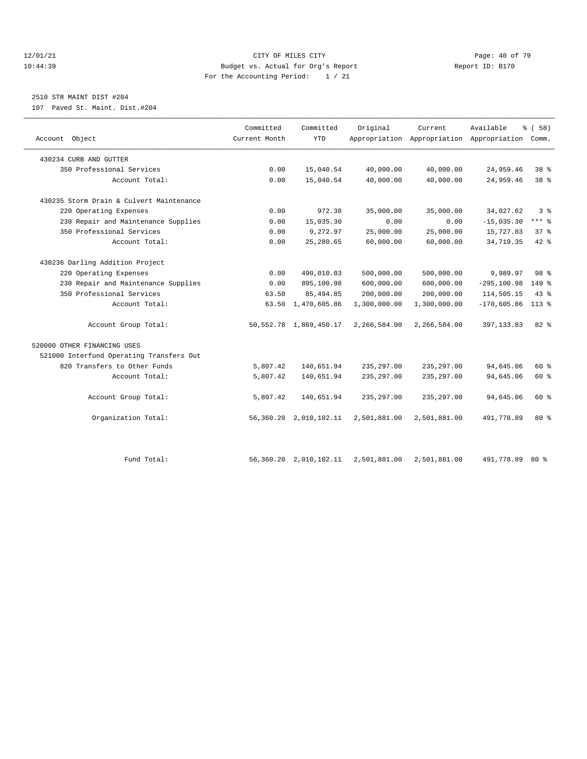#### 12/01/21 **Page: 40 of 79** CITY OF MILES CITY **CITY Page: 40 of 79** 10:44:39 Budget vs. Actual for Org's Report Report ID: B170 For the Accounting Period: 1 / 21

# 2510 STR MAINT DIST #204

107 Paved St. Maint. Dist.#204

|                                          | Committed     | Committed                   | Original     | Current      | Available                                       | 8 ( 58 )        |  |
|------------------------------------------|---------------|-----------------------------|--------------|--------------|-------------------------------------------------|-----------------|--|
| Account Object                           | Current Month | <b>YTD</b>                  |              |              | Appropriation Appropriation Appropriation Comm. |                 |  |
| 430234 CURB AND GUTTER                   |               |                             |              |              |                                                 |                 |  |
| 350 Professional Services                | 0.00          | 15,040.54                   | 40,000.00    | 40,000.00    | 24,959.46                                       | 38 <sup>8</sup> |  |
| Account Total:                           | 0.00          | 15,040.54                   | 40,000.00    | 40,000.00    | 24,959.46                                       | 38 <sup>8</sup> |  |
| 430235 Storm Drain & Culvert Maintenance |               |                             |              |              |                                                 |                 |  |
| 220 Operating Expenses                   | 0.00          | 972.38                      | 35,000.00    | 35,000.00    | 34,027.62                                       | 3%              |  |
| 230 Repair and Maintenance Supplies      | 0.00          | 15,035.30                   | 0.00         | 0.00         | $-15,035.30$                                    | *** 응           |  |
| 350 Professional Services                | 0.00          | 9,272.97                    | 25,000.00    | 25,000.00    | 15,727.03                                       | 37%             |  |
| Account Total:                           | 0.00          | 25,280.65                   | 60,000.00    | 60,000.00    | 34,719.35                                       | $42$ $%$        |  |
| 430236 Darling Addition Project          |               |                             |              |              |                                                 |                 |  |
| 220 Operating Expenses                   | 0.00          | 490,010.03                  | 500,000.00   | 500,000.00   | 9,989.97                                        | 98 <sup>8</sup> |  |
| 230 Repair and Maintenance Supplies      | 0.00          | 895,100.98                  | 600,000.00   | 600,000.00   | $-295, 100.98$                                  | 149 %           |  |
| 350 Professional Services                | 63.50         | 85, 494.85                  | 200,000.00   | 200,000.00   | 114,505.15                                      | 43%             |  |
| Account Total:                           | 63.50         | 1,470,605.86                | 1,300,000.00 | 1,300,000.00 | $-170,605.86$                                   | $113*$          |  |
| Account Group Total:                     |               | 50, 552. 78 1, 869, 450. 17 | 2,266,584.00 | 2,266,584.00 | 397, 133.83                                     | 82 %            |  |
| 520000 OTHER FINANCING USES              |               |                             |              |              |                                                 |                 |  |
| 521000 Interfund Operating Transfers Out |               |                             |              |              |                                                 |                 |  |
| 820 Transfers to Other Funds             | 5,807.42      | 140,651.94                  | 235, 297.00  | 235, 297.00  | 94,645.06                                       | 60 %            |  |
| Account Total:                           | 5,807.42      | 140,651.94                  | 235, 297.00  | 235, 297.00  | 94,645.06                                       | 60 %            |  |
| Account Group Total:                     | 5,807.42      | 140,651.94                  | 235, 297.00  | 235, 297.00  | 94,645.06                                       | 60 %            |  |
| Organization Total:                      | 56,360.20     | 2,010,102.11                | 2,501,881.00 | 2,501,881.00 | 491,778.89                                      | $80*$           |  |
|                                          |               |                             |              |              |                                                 |                 |  |
| Fund Total:                              |               | 56, 360.20 2, 010, 102.11   | 2,501,881.00 | 2,501,881.00 | 491,778.89                                      | 80%             |  |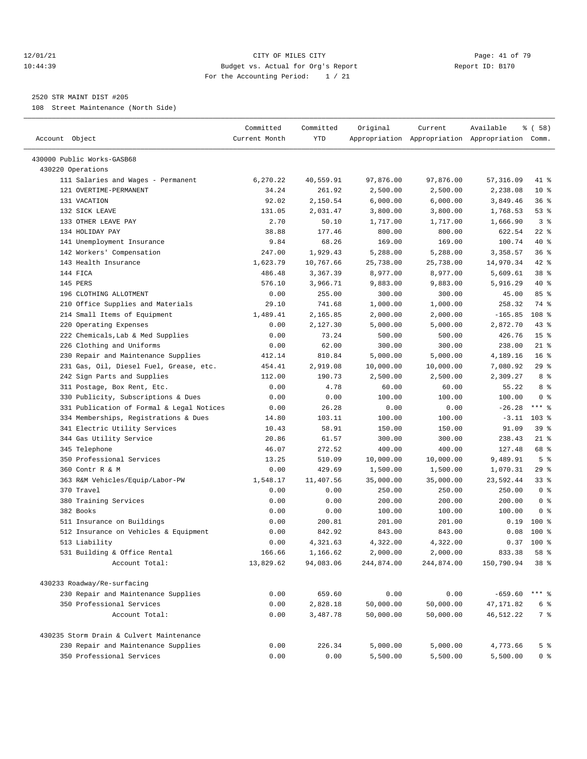#### 12/01/21 **Page: 41 of 79** CITY OF MILES CITY **CITY** Page: 41 of 79 10:44:39 Budget vs. Actual for Org's Report Report ID: B170 For the Accounting Period: 1 / 21

————————————————————————————————————————————————————————————————————————————————————————————————————————————————————————————————————

#### 2520 STR MAINT DIST #205

108 Street Maintenance (North Side)

|                                           | Committed     | Committed          | Original   | Current    | Available                                       | % ( 58 )        |
|-------------------------------------------|---------------|--------------------|------------|------------|-------------------------------------------------|-----------------|
| Account Object                            | Current Month | <b>YTD</b>         |            |            | Appropriation Appropriation Appropriation Comm. |                 |
| 430000 Public Works-GASB68                |               |                    |            |            |                                                 |                 |
| 430220 Operations                         |               |                    |            |            |                                                 |                 |
| 111 Salaries and Wages - Permanent        | 6,270.22      | 40,559.91          | 97,876.00  | 97,876.00  | 57,316.09                                       | 41 %            |
| 121 OVERTIME-PERMANENT                    | 34.24         | 261.92             | 2,500.00   | 2,500.00   | 2,238.08                                        | $10*$           |
| 131 VACATION                              | 92.02         | 2,150.54           | 6,000.00   | 6,000.00   | 3,849.46                                        | 36%             |
| 132 SICK LEAVE                            | 131.05        | 2,031.47           | 3,800.00   | 3,800.00   | 1,768.53                                        | 53%             |
| 133 OTHER LEAVE PAY                       | 2.70          | 50.10              | 1,717.00   | 1,717.00   | 1,666.90                                        | 3 <sup>8</sup>  |
| 134 HOLIDAY PAY                           | 38.88         | 177.46             | 800.00     | 800.00     | 622.54                                          | $22$ %          |
| 141 Unemployment Insurance                | 9.84          | 68.26              | 169.00     | 169.00     | 100.74                                          | 40 %            |
| 142 Workers' Compensation                 | 247.00        | 1,929.43           | 5,288.00   | 5,288.00   | 3,358.57                                        | 36%             |
| 143 Health Insurance                      | 1,623.79      | 10,767.66          | 25,738.00  | 25,738.00  | 14,970.34                                       | $42$ %          |
| 144 FICA                                  | 486.48        | 3,367.39           | 8,977.00   | 8,977.00   | 5,609.61                                        | 38 <sup>8</sup> |
| 145 PERS                                  | 576.10        | 3,966.71           | 9,883.00   | 9,883.00   | 5,916.29                                        | $40*$           |
| 196 CLOTHING ALLOTMENT                    | 0.00          | 255.00             | 300.00     | 300.00     | 45.00                                           | 85%             |
| 210 Office Supplies and Materials         | 29.10         | 741.68             | 1,000.00   | 1,000.00   | 258.32                                          | 74 %            |
| 214 Small Items of Equipment              | 1,489.41      | 2,165.85           | 2,000.00   | 2,000.00   | $-165.85$                                       | 108 %           |
| 220 Operating Expenses                    | 0.00          | 2,127.30           | 5,000.00   | 5,000.00   | 2,872.70                                        | $43$ %          |
| 222 Chemicals, Lab & Med Supplies         | 0.00          | 73.24              | 500.00     | 500.00     | 426.76                                          | 15 <sup>8</sup> |
| 226 Clothing and Uniforms                 | 0.00          | 62.00              | 300.00     | 300.00     | 238.00                                          | $21$ %          |
| 230 Repair and Maintenance Supplies       | 412.14        | 810.84             | 5,000.00   | 5,000.00   | 4,189.16                                        | 16 <sup>°</sup> |
| 231 Gas, Oil, Diesel Fuel, Grease, etc.   | 454.41        | 2,919.08           | 10,000.00  | 10,000.00  | 7,080.92                                        | 29%             |
| 242 Sign Parts and Supplies               | 112.00        | 190.73             | 2,500.00   | 2,500.00   | 2,309.27                                        | 8 %             |
| 311 Postage, Box Rent, Etc.               | 0.00          | 4.78               | 60.00      | 60.00      | 55.22                                           | 8 %             |
| 330 Publicity, Subscriptions & Dues       | 0.00          | 0.00               | 100.00     | 100.00     | 100.00                                          | 0 <sup>8</sup>  |
| 331 Publication of Formal & Legal Notices | 0.00          | 26.28              | 0.00       | 0.00       | $-26.28$                                        | $***$ $-$       |
| 334 Memberships, Registrations & Dues     | 14.80         | 103.11             | 100.00     | 100.00     | $-3.11$                                         | $103$ %         |
| 341 Electric Utility Services             | 10.43         | 58.91              | 150.00     | 150.00     | 91.09                                           | 39%             |
| 344 Gas Utility Service                   | 20.86         | 61.57              | 300.00     | 300.00     | 238.43                                          | $21$ %          |
| 345 Telephone                             | 46.07         | 272.52             | 400.00     | 400.00     | 127.48                                          | 68 %            |
| 350 Professional Services                 | 13.25         | 510.09             | 10,000.00  | 10,000.00  | 9,489.91                                        | 5 <sup>8</sup>  |
| 360 Contr R & M                           | 0.00          | 429.69             | 1,500.00   | 1,500.00   | 1,070.31                                        | 29%             |
| 363 R&M Vehicles/Equip/Labor-PW           | 1,548.17      | 11,407.56          | 35,000.00  | 35,000.00  | 23,592.44                                       | 33%             |
| 370 Travel                                |               |                    |            | 250.00     | 250.00                                          | 0 <sup>8</sup>  |
| 380 Training Services                     | 0.00          | 0.00               | 250.00     |            |                                                 | 0 <sup>8</sup>  |
| 382 Books                                 | 0.00          | 0.00               | 200.00     | 200.00     | 200.00                                          | 0 <sup>8</sup>  |
|                                           | 0.00          | 0.00               | 100.00     | 100.00     | 100.00                                          |                 |
| 511 Insurance on Buildings                | 0.00          | 200.81             | 201.00     | 201.00     | 0.19                                            | 100 %<br>100 %  |
| 512 Insurance on Vehicles & Equipment     | 0.00          | 842.92<br>4,321.63 | 843.00     | 843.00     | 0.08                                            | $0.37$ 100 %    |
| 513 Liability                             | 0.00          |                    | 4,322.00   | 4,322.00   |                                                 |                 |
| 531 Building & Office Rental              | 166.66        | 1,166.62           | 2,000.00   | 2,000.00   | 833.38                                          | 58 %            |
| Account Total:                            | 13,829.62     | 94,083.06          | 244,874.00 | 244,874.00 | 150,790.94                                      | 38 %            |
| 430233 Roadway/Re-surfacing               |               |                    |            |            |                                                 |                 |
| 230 Repair and Maintenance Supplies       | 0.00          | 659.60             | 0.00       | 0.00       | $-659.60$                                       | *** 응           |
| 350 Professional Services                 | 0.00          | 2,828.18           | 50,000.00  | 50,000.00  | 47,171.82                                       | 6 %             |
| Account Total:                            | 0.00          | 3,487.78           | 50,000.00  | 50,000.00  | 46,512.22                                       | 7 %             |
| 430235 Storm Drain & Culvert Maintenance  |               |                    |            |            |                                                 |                 |
| 230 Repair and Maintenance Supplies       | 0.00          | 226.34             | 5,000.00   | 5,000.00   | 4,773.66                                        | 5 %             |
| 350 Professional Services                 | 0.00          | 0.00               | 5,500.00   | 5,500.00   | 5,500.00                                        | 0 %             |
|                                           |               |                    |            |            |                                                 |                 |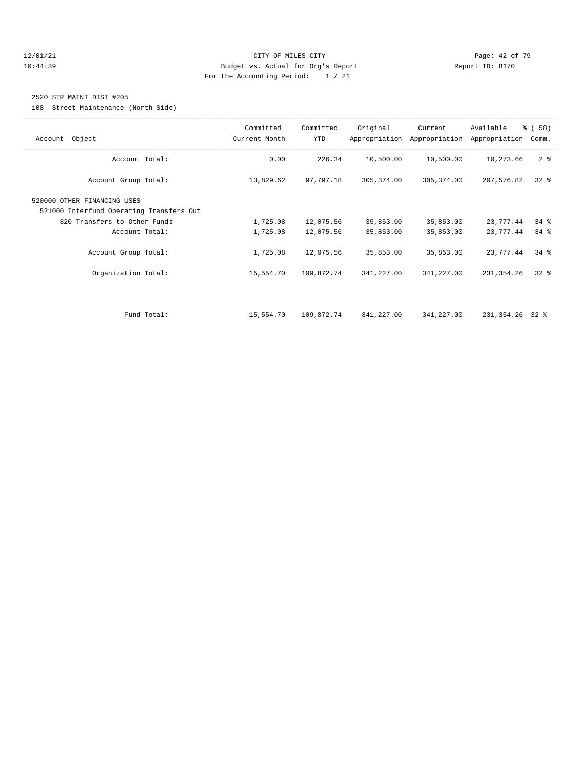#### 12/01/21 **Page: 42 of 79 CITY OF MILES CITY CITY Page: 42 of 79** 10:44:39 Budget vs. Actual for Org's Report Report ID: B170 For the Accounting Period: 1 / 21

#### 2520 STR MAINT DIST #205

108 Street Maintenance (North Side)

|                                          | Committed     | Committed  | Original    | Current                     | Available       | % (58)         |
|------------------------------------------|---------------|------------|-------------|-----------------------------|-----------------|----------------|
| Account Object                           | Current Month | <b>YTD</b> |             | Appropriation Appropriation | Appropriation   | Comm.          |
|                                          |               |            |             |                             |                 |                |
| Account Total:                           | 0.00          | 226.34     | 10,500.00   | 10,500.00                   | 10,273.66       | 2 <sub>8</sub> |
|                                          |               |            |             |                             |                 |                |
| Account Group Total:                     | 13,829.62     | 97,797.18  | 305, 374.00 | 305, 374.00                 | 207,576.82      | $32*$          |
|                                          |               |            |             |                             |                 |                |
| 520000 OTHER FINANCING USES              |               |            |             |                             |                 |                |
| 521000 Interfund Operating Transfers Out |               |            |             |                             |                 |                |
| 820 Transfers to Other Funds             | 1,725.08      | 12,075.56  | 35,853.00   | 35,853.00                   | 23,777.44       | $34$ $%$       |
| Account Total:                           | 1,725.08      | 12,075.56  | 35,853.00   | 35,853.00                   | 23,777.44       | $34$ $%$       |
|                                          |               |            |             |                             |                 |                |
| Account Group Total:                     | 1,725.08      | 12,075.56  | 35,853.00   | 35,853.00                   | 23,777.44       | $34$ $%$       |
|                                          |               |            |             |                             |                 |                |
| Organization Total:                      | 15,554.70     | 109,872.74 | 341,227.00  | 341,227.00                  | 231,354.26      | $32$ $%$       |
|                                          |               |            |             |                             |                 |                |
|                                          |               |            |             |                             |                 |                |
|                                          |               |            |             |                             |                 |                |
| Fund Total:                              | 15,554.70     | 109,872.74 | 341,227.00  | 341,227.00                  | 231,354.26 32 % |                |
|                                          |               |            |             |                             |                 |                |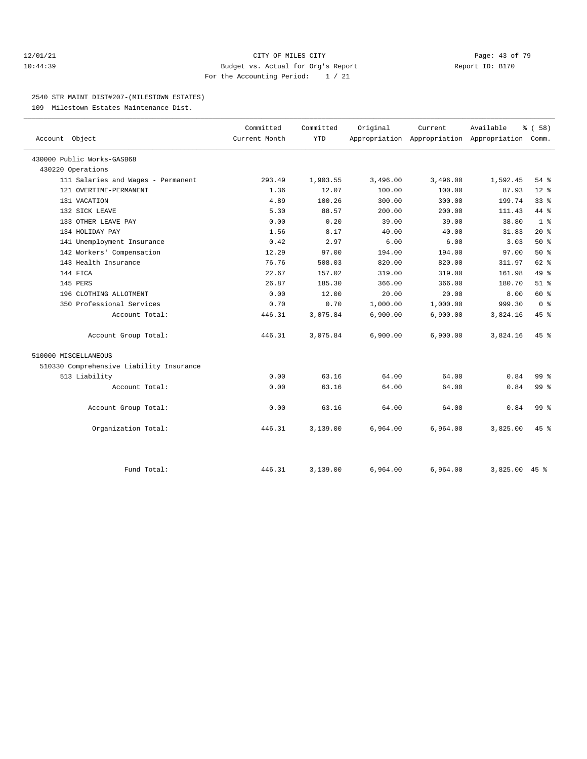#### 12/01/21 **Page: 43 of 79** CITY OF MILES CITY **CITY** CITY **Page: 43 of 79** 10:44:39 Budget vs. Actual for Org's Report Report ID: B170 For the Accounting Period: 1 / 21

#### 2540 STR MAINT DIST#207-(MILESTOWN ESTATES)

109 Milestown Estates Maintenance Dist.

| Account Object                           | Committed<br>Current Month | Committed<br><b>YTD</b> | Original | Current  | Available<br>Appropriation Appropriation Appropriation Comm. | 8 ( 58 )        |
|------------------------------------------|----------------------------|-------------------------|----------|----------|--------------------------------------------------------------|-----------------|
| 430000 Public Works-GASB68               |                            |                         |          |          |                                                              |                 |
| 430220 Operations                        |                            |                         |          |          |                                                              |                 |
| 111 Salaries and Wages - Permanent       | 293.49                     | 1,903.55                | 3,496.00 | 3,496.00 | 1,592.45                                                     | $54$ $%$        |
| 121 OVERTIME-PERMANENT                   | 1.36                       | 12.07                   | 100.00   | 100.00   | 87.93                                                        | $12*$           |
| 131 VACATION                             | 4.89                       | 100.26                  | 300.00   | 300.00   | 199.74                                                       | 338             |
| 132 SICK LEAVE                           | 5.30                       | 88.57                   | 200.00   | 200.00   | 111.43                                                       | 44 %            |
| 133 OTHER LEAVE PAY                      | 0.00                       | 0.20                    | 39.00    | 39.00    | 38.80                                                        | 1 <sup>8</sup>  |
| 134 HOLIDAY PAY                          | 1.56                       | 8.17                    | 40.00    | 40.00    | 31.83                                                        | $20*$           |
| 141 Unemployment Insurance               | 0.42                       | 2.97                    | 6.00     | 6.00     | 3.03                                                         | 50%             |
| 142 Workers' Compensation                | 12.29                      | 97.00                   | 194.00   | 194.00   | 97.00                                                        | 50%             |
| 143 Health Insurance                     | 76.76                      | 508.03                  | 820.00   | 820.00   | 311.97                                                       | $62$ $%$        |
| 144 FICA                                 | 22.67                      | 157.02                  | 319.00   | 319.00   | 161.98                                                       | 49.8            |
| 145 PERS                                 | 26.87                      | 185.30                  | 366.00   | 366.00   | 180.70                                                       | $51$ $%$        |
| 196 CLOTHING ALLOTMENT                   | 0.00                       | 12.00                   | 20.00    | 20.00    | 8.00                                                         | 60 %            |
| 350 Professional Services                | 0.70                       | 0.70                    | 1,000.00 | 1,000.00 | 999.30                                                       | 0 <sup>8</sup>  |
| Account Total:                           | 446.31                     | 3,075.84                | 6,900.00 | 6,900.00 | 3,824.16                                                     | 45 %            |
| Account Group Total:                     | 446.31                     | 3,075.84                | 6,900.00 | 6,900.00 | 3,824.16                                                     | $45*$           |
| 510000 MISCELLANEOUS                     |                            |                         |          |          |                                                              |                 |
| 510330 Comprehensive Liability Insurance |                            |                         |          |          |                                                              |                 |
| 513 Liability                            | 0.00                       | 63.16                   | 64.00    | 64.00    | 0.84                                                         | 99 <sub>8</sub> |
| Account Total:                           | 0.00                       | 63.16                   | 64.00    | 64.00    | 0.84                                                         | 99 <sub>8</sub> |
| Account Group Total:                     | 0.00                       | 63.16                   | 64.00    | 64.00    | 0.84                                                         | 99 <sub>8</sub> |
| Organization Total:                      | 446.31                     | 3,139.00                | 6,964.00 | 6,964.00 | 3,825.00                                                     | $45*$           |
| Fund Total:                              | 446.31                     | 3,139.00                | 6,964.00 | 6,964.00 | $3,825.00$ 45 %                                              |                 |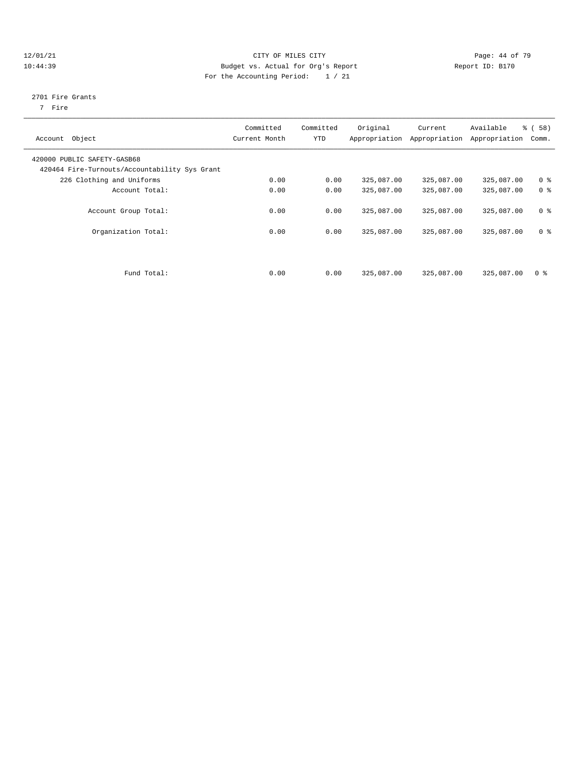#### 12/01/21 Page: 44 of 79 10:44:39 Budget vs. Actual for Org's Report Report ID: B170 For the Accounting Period: 1 / 21

#### 2701 Fire Grants

7 Fire

| Account Object                                                               | Committed<br>Current Month | Committed<br><b>YTD</b> | Original   | Current<br>Appropriation Appropriation | Available<br>Appropriation | % (58)<br>Comm. |
|------------------------------------------------------------------------------|----------------------------|-------------------------|------------|----------------------------------------|----------------------------|-----------------|
| 420000 PUBLIC SAFETY-GASB68<br>420464 Fire-Turnouts/Accountability Sys Grant |                            |                         |            |                                        |                            |                 |
| 226 Clothing and Uniforms                                                    | 0.00                       | 0.00                    | 325,087.00 | 325,087.00                             | 325,087.00                 | 0 <sup>8</sup>  |
| Account Total:                                                               | 0.00                       | 0.00                    | 325,087.00 | 325,087.00                             | 325,087.00                 | 0 <sup>8</sup>  |
| Account Group Total:                                                         | 0.00                       | 0.00                    | 325,087.00 | 325,087.00                             | 325,087.00                 | 0 <sup>8</sup>  |
| Organization Total:                                                          | 0.00                       | 0.00                    | 325,087.00 | 325,087.00                             | 325,087.00                 | 0 <sup>8</sup>  |
| Fund Total:                                                                  | 0.00                       | 0.00                    | 325,087.00 | 325,087.00                             | 325,087.00                 | 0 <sup>8</sup>  |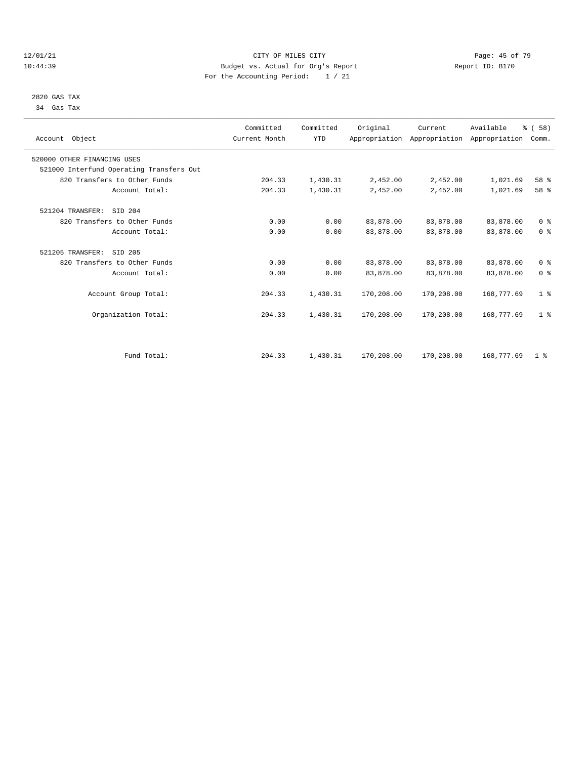#### $12/01/21$  Page: 45 of 79<br>10:44:39 Budget vs. Actual for Org's Report  $\overline{D}$  Report ID: B170 10:44:39 Budget vs. Actual for Org's Report For the Accounting Period: 1 / 21

 2820 GAS TAX 34 Gas Tax

| Account Object                           | Committed<br>Current Month | Committed<br><b>YTD</b> | Original   | Current    | Available<br>Appropriation Appropriation Appropriation | % ( 58 )<br>Comm. |  |
|------------------------------------------|----------------------------|-------------------------|------------|------------|--------------------------------------------------------|-------------------|--|
| 520000 OTHER FINANCING USES              |                            |                         |            |            |                                                        |                   |  |
| 521000 Interfund Operating Transfers Out |                            |                         |            |            |                                                        |                   |  |
| 820 Transfers to Other Funds             | 204.33                     | 1,430.31                | 2,452.00   | 2,452.00   | 1,021.69                                               | 58 %              |  |
| Account Total:                           | 204.33                     | 1,430.31                | 2,452.00   | 2,452.00   | 1,021.69                                               | 58 %              |  |
| 521204 TRANSFER:<br>SID 204              |                            |                         |            |            |                                                        |                   |  |
| 820 Transfers to Other Funds             | 0.00                       | 0.00                    | 83,878.00  | 83,878.00  | 83,878.00                                              | 0 <sup>8</sup>    |  |
| Account Total:                           | 0.00                       | 0.00                    | 83,878.00  | 83,878.00  | 83,878.00                                              | 0 <sup>8</sup>    |  |
| 521205 TRANSFER:<br>SID 205              |                            |                         |            |            |                                                        |                   |  |
| 820 Transfers to Other Funds             | 0.00                       | 0.00                    | 83,878.00  | 83,878.00  | 83,878.00                                              | 0 <sup>8</sup>    |  |
| Account Total:                           | 0.00                       | 0.00                    | 83,878.00  | 83,878.00  | 83,878.00                                              | 0 <sup>8</sup>    |  |
| Account Group Total:                     | 204.33                     | 1,430.31                | 170,208.00 | 170,208.00 | 168,777.69                                             | 1 <sup>8</sup>    |  |
| Organization Total:                      | 204.33                     | 1,430.31                | 170,208.00 | 170,208.00 | 168,777.69                                             | 1 <sup>8</sup>    |  |
|                                          |                            |                         |            |            |                                                        |                   |  |
| Fund Total:                              | 204.33                     | 1,430.31                | 170,208.00 | 170,208.00 | 168,777.69                                             | 1 <sup>8</sup>    |  |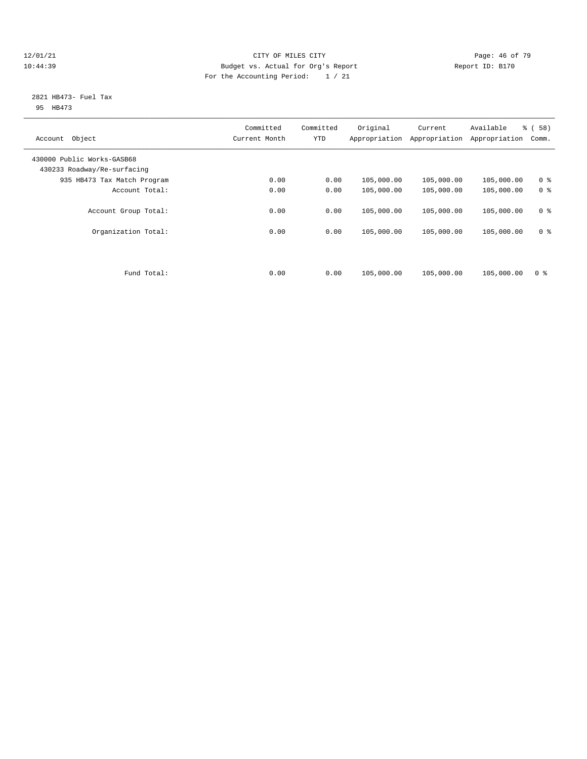#### 12/01/21 **Page: 46 of 79** CITY OF MILES CITY **CITY** CITY **Page: 46 of 79** 10:44:39 Budget vs. Actual for Org's Report Report ID: B170 For the Accounting Period: 1 / 21

#### 2821 HB473- Fuel Tax 95 HB473

| Committed<br>Current Month | Committed<br><b>YTD</b> | Original   | Current<br>Appropriation | Available<br>Appropriation | % (58)<br>Comm. |
|----------------------------|-------------------------|------------|--------------------------|----------------------------|-----------------|
|                            |                         |            |                          |                            |                 |
| 0.00                       | 0.00                    | 105,000.00 | 105,000.00               | 105,000.00                 | 0 <sup>8</sup>  |
| 0.00                       | 0.00                    | 105,000.00 | 105,000.00               | 105,000.00                 | 0 <sup>8</sup>  |
| 0.00                       | 0.00                    | 105,000.00 | 105,000.00               | 105,000.00                 | 0 <sup>8</sup>  |
| 0.00                       | 0.00                    | 105,000.00 | 105,000.00               | 105,000.00                 | 0 <sup>8</sup>  |
| 0.00                       | 0.00                    | 105,000.00 | 105,000.00               | 105,000.00                 | 0 <sup>8</sup>  |
|                            |                         |            |                          | Appropriation              |                 |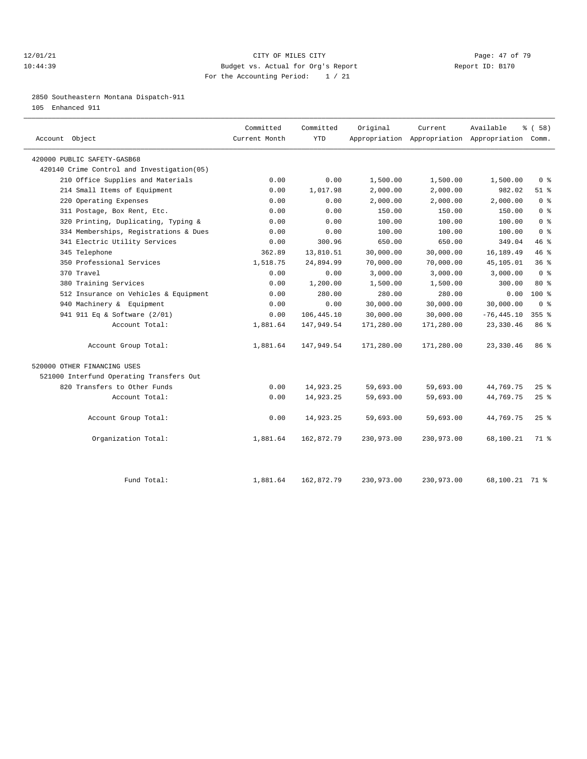#### 12/01/21 **Page: 47 of 79 CITY OF MILES CITY CITY Page: 47 of 79** 10:44:39 Budget vs. Actual for Org's Report Report ID: B170 For the Accounting Period: 1 / 21

2850 Southeastern Montana Dispatch-911

105 Enhanced 911

| Account Object                             | Committed<br>Current Month | Committed<br><b>YTD</b> | Original   | Current<br>Appropriation Appropriation Appropriation Comm. | Available      | \$(58)                             |
|--------------------------------------------|----------------------------|-------------------------|------------|------------------------------------------------------------|----------------|------------------------------------|
| 420000 PUBLIC SAFETY-GASB68                |                            |                         |            |                                                            |                |                                    |
| 420140 Crime Control and Investigation(05) |                            |                         |            |                                                            |                |                                    |
| 210 Office Supplies and Materials          | 0.00                       | 0.00                    | 1,500.00   | 1,500.00                                                   | 1,500.00       | $0 \text{ }$ $\text{ }$ $\text{ }$ |
| 214 Small Items of Equipment               | 0.00                       | 1,017.98                | 2,000.00   | 2,000.00                                                   | 982.02         | $51$ %                             |
| 220 Operating Expenses                     | 0.00                       | 0.00                    | 2,000.00   | 2,000.00                                                   | 2.000.00       | 0 <sup>8</sup>                     |
| 311 Postage, Box Rent, Etc.                | 0.00                       | 0.00                    | 150.00     | 150.00                                                     | 150.00         | 0 <sup>8</sup>                     |
| 320 Printing, Duplicating, Typing &        | 0.00                       | 0.00                    | 100.00     | 100.00                                                     | 100.00         | 0 <sup>8</sup>                     |
| 334 Memberships, Registrations & Dues      | 0.00                       | 0.00                    | 100.00     | 100.00                                                     | 100.00         | 0 <sup>8</sup>                     |
| 341 Electric Utility Services              | 0.00                       | 300.96                  | 650.00     | 650.00                                                     | 349.04         | 46%                                |
| 345 Telephone                              | 362.89                     | 13,810.51               | 30,000.00  | 30,000.00                                                  | 16,189.49      | 46%                                |
| 350 Professional Services                  | 1,518.75                   | 24,894.99               | 70,000.00  | 70,000.00                                                  | 45,105.01      | 36%                                |
| 370 Travel                                 | 0.00                       | 0.00                    | 3,000.00   | 3,000.00                                                   | 3,000.00       | 0 <sup>8</sup>                     |
| 380 Training Services                      | 0.00                       | 1,200.00                | 1,500.00   | 1,500.00                                                   | 300.00         | $80*$                              |
| 512 Insurance on Vehicles & Equipment      | 0.00                       | 280.00                  | 280.00     | 280.00                                                     | 0.00           | $100*$                             |
| 940 Machinery & Equipment                  | 0.00                       | 0.00                    | 30,000.00  | 30,000.00                                                  | 30,000.00      | $0 \text{ }$ $\text{ }$ $\text{ }$ |
| 941 911 Eq & Software (2/01)               | 0.00                       | 106,445.10              | 30,000.00  | 30,000.00                                                  | $-76, 445.10$  | $355$ $%$                          |
| Account Total:                             | 1,881.64                   | 147,949.54              | 171,280.00 | 171,280.00                                                 | 23,330.46      | 86%                                |
| Account Group Total:                       | 1,881.64                   | 147,949.54              | 171,280.00 | 171,280.00                                                 | 23, 330.46     | 86%                                |
| 520000 OTHER FINANCING USES                |                            |                         |            |                                                            |                |                                    |
| 521000 Interfund Operating Transfers Out   |                            |                         |            |                                                            |                |                                    |
| 820 Transfers to Other Funds               | 0.00                       | 14,923.25               | 59,693.00  | 59,693.00                                                  | 44,769.75      | $25$ $%$                           |
| Account Total:                             | 0.00                       | 14,923.25               | 59,693.00  | 59,693.00                                                  | 44,769.75      | 25%                                |
| Account Group Total:                       | 0.00                       | 14,923.25               | 59,693.00  | 59,693.00                                                  | 44,769.75      | $25$ $%$                           |
| Organization Total:                        | 1,881.64                   | 162,872.79              | 230,973.00 | 230,973.00                                                 | 68,100.21      | 71 %                               |
| Fund Total:                                | 1,881.64                   | 162,872.79              | 230,973.00 | 230,973.00                                                 | 68,100.21 71 % |                                    |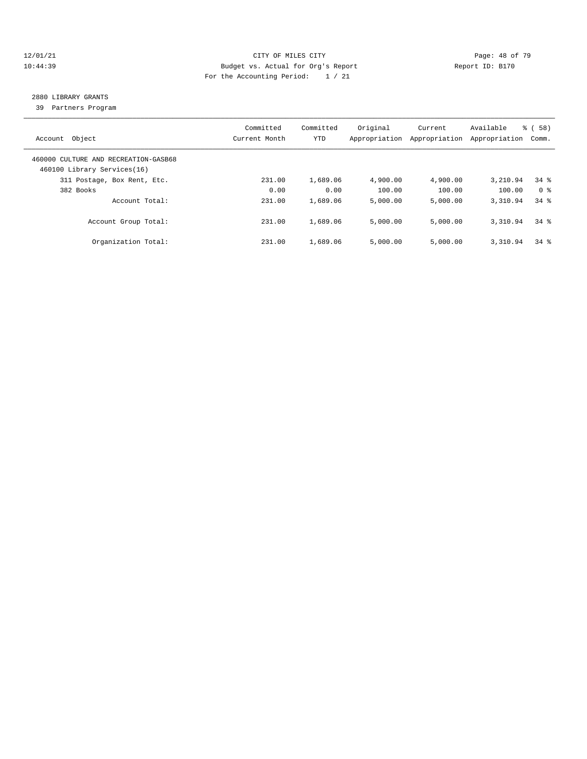#### 12/01/21 **Page: 48 of 79** CITY OF MILES CITY **CITY** CITY **Page: 48 of 79** 10:44:39 Budget vs. Actual for Org's Report Report ID: B170 For the Accounting Period: 1 / 21

# 2880 LIBRARY GRANTS

39 Partners Program

| Account Object                                                      | Committed<br>Current Month | Committed<br>YTD | Original<br>Appropriation | Current<br>Appropriation | Available<br>Appropriation | % (58)<br>Comm. |
|---------------------------------------------------------------------|----------------------------|------------------|---------------------------|--------------------------|----------------------------|-----------------|
| 460000 CULTURE AND RECREATION-GASB68<br>460100 Library Services(16) |                            |                  |                           |                          |                            |                 |
| 311 Postage, Box Rent, Etc.                                         | 231.00                     | 1,689.06         | 4,900.00                  | 4,900.00                 | 3,210.94                   | $34$ $%$        |
| 382 Books                                                           | 0.00                       | 0.00             | 100.00                    | 100.00                   | 100.00                     | 0 %             |
| Account Total:                                                      | 231.00                     | 1,689.06         | 5,000.00                  | 5.000.00                 | 3,310.94                   | $34$ $%$        |
| Account Group Total:                                                | 231.00                     | 1,689.06         | 5,000.00                  | 5,000.00                 | 3,310.94                   | $34$ $%$        |
| Organization Total:                                                 | 231.00                     | 1,689.06         | 5,000.00                  | 5.000.00                 | 3,310.94                   | $34$ $%$        |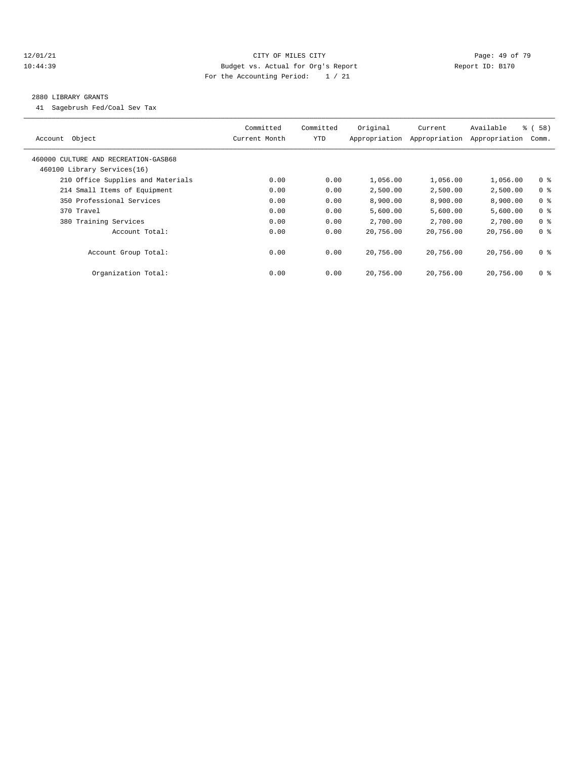#### 12/01/21 **Page: 49 of 79** CITY OF MILES CITY **CITY** Page: 49 of 79 10:44:39 Budget vs. Actual for Org's Report Report ID: B170 For the Accounting Period: 1 / 21

#### 2880 LIBRARY GRANTS

41 Sagebrush Fed/Coal Sev Tax

| Object<br>Account                                                   | Committed<br>Current Month | Committed<br>YTD | Original<br>Appropriation | Current<br>Appropriation | Available<br>Appropriation | % (58)<br>Comm. |
|---------------------------------------------------------------------|----------------------------|------------------|---------------------------|--------------------------|----------------------------|-----------------|
| 460000 CULTURE AND RECREATION-GASB68<br>460100 Library Services(16) |                            |                  |                           |                          |                            |                 |
| 210 Office Supplies and Materials                                   | 0.00                       | 0.00             | 1,056.00                  | 1,056.00                 | 1,056.00                   | 0 <sup>8</sup>  |
| 214 Small Items of Equipment                                        | 0.00                       | 0.00             | 2,500.00                  | 2,500.00                 | 2,500.00                   | 0 <sup>8</sup>  |
| 350 Professional Services                                           | 0.00                       | 0.00             | 8,900.00                  | 8,900.00                 | 8,900.00                   | 0 <sup>8</sup>  |
| 370 Travel                                                          | 0.00                       | 0.00             | 5,600.00                  | 5,600.00                 | 5,600.00                   | 0 <sup>8</sup>  |
| 380 Training Services                                               | 0.00                       | 0.00             | 2,700.00                  | 2,700.00                 | 2,700.00                   | 0 <sup>8</sup>  |
| Account Total:                                                      | 0.00                       | 0.00             | 20,756.00                 | 20,756.00                | 20,756.00                  | 0 <sup>8</sup>  |
| Account Group Total:                                                | 0.00                       | 0.00             | 20,756.00                 | 20,756.00                | 20,756.00                  | 0 <sup>8</sup>  |
| Organization Total:                                                 | 0.00                       | 0.00             | 20,756.00                 | 20,756.00                | 20,756.00                  | 0 <sup>8</sup>  |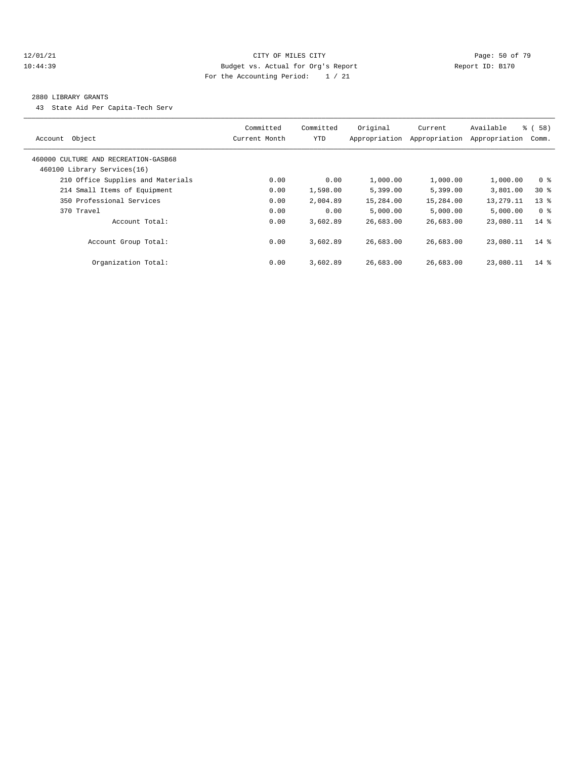#### 12/01/21 **Page: 50 of 79** CITY OF MILES CITY **CITY Page: 50 of 79** 10:44:39 Budget vs. Actual for Org's Report Report ID: B170 For the Accounting Period: 1 / 21

#### 2880 LIBRARY GRANTS

43 State Aid Per Capita-Tech Serv

| Object<br>Account                                                   | Committed<br>Current Month | Committed<br>YTD | Original<br>Appropriation | Current<br>Appropriation | Available<br>Appropriation | 8 ( 58 )<br>Comm. |
|---------------------------------------------------------------------|----------------------------|------------------|---------------------------|--------------------------|----------------------------|-------------------|
| 460000 CULTURE AND RECREATION-GASB68<br>460100 Library Services(16) |                            |                  |                           |                          |                            |                   |
| 210 Office Supplies and Materials                                   | 0.00                       | 0.00             | 1,000.00                  | 1,000.00                 | 1,000.00                   | 0 <sup>8</sup>    |
| 214 Small Items of Equipment                                        | 0.00                       | 1,598.00         | 5,399.00                  | 5,399.00                 | 3,801.00                   | $30*$             |
| 350 Professional Services                                           | 0.00                       | 2,004.89         | 15,284.00                 | 15,284.00                | 13,279.11                  | $13*$             |
| 370 Travel                                                          | 0.00                       | 0.00             | 5,000.00                  | 5,000.00                 | 5,000.00                   | 0 %               |
| Account Total:                                                      | 0.00                       | 3,602.89         | 26,683.00                 | 26,683.00                | 23,080.11                  | $14*$             |
| Account Group Total:                                                | 0.00                       | 3,602.89         | 26,683.00                 | 26,683.00                | 23,080.11                  | $14*$             |
| Organization Total:                                                 | 0.00                       | 3,602.89         | 26,683.00                 | 26,683.00                | 23,080.11                  | $14*$             |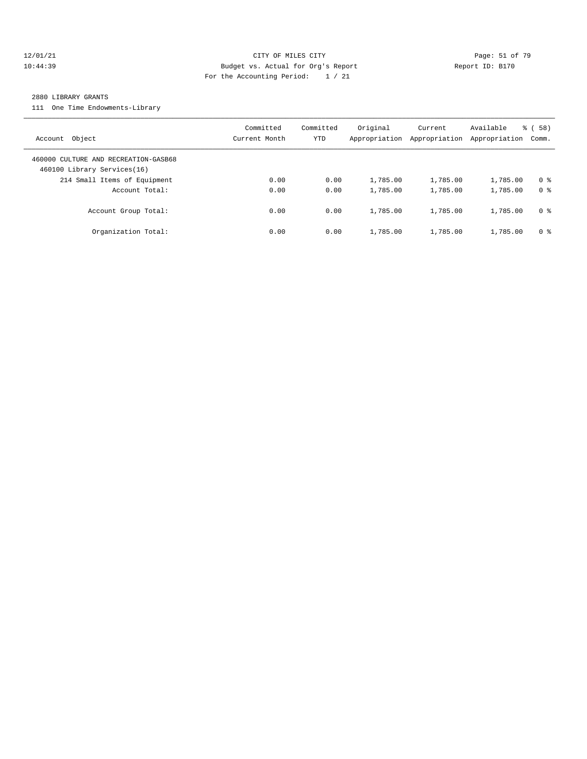#### 12/01/21 **Page: 51 of 79** CITY OF MILES CITY **CITY** CITY **Page: 51 of 79** 10:44:39 Budget vs. Actual for Org's Report Report ID: B170 For the Accounting Period: 1 / 21

#### 2880 LIBRARY GRANTS

111 One Time Endowments-Library

| Account Object                                                      | Committed<br>Current Month | Committed<br>YTD | Original<br>Appropriation | Current<br>Appropriation | Available<br>Appropriation | 58)<br>ී (<br>Comm. |
|---------------------------------------------------------------------|----------------------------|------------------|---------------------------|--------------------------|----------------------------|---------------------|
| 460000 CULTURE AND RECREATION-GASB68<br>460100 Library Services(16) |                            |                  |                           |                          |                            |                     |
| 214 Small Items of Equipment                                        | 0.00                       | 0.00             | 1,785.00                  | 1,785.00                 | 1,785.00                   | 0 <sup>8</sup>      |
| Account Total:                                                      | 0.00                       | 0.00             | 1,785.00                  | 1,785.00                 | 1,785.00                   | 0 <sup>8</sup>      |
| Account Group Total:                                                | 0.00                       | 0.00             | 1,785.00                  | 1,785.00                 | 1,785.00                   | 0 %                 |
| Organization Total:                                                 | 0.00                       | 0.00             | 1,785.00                  | 1,785.00                 | 1,785.00                   | 0 %                 |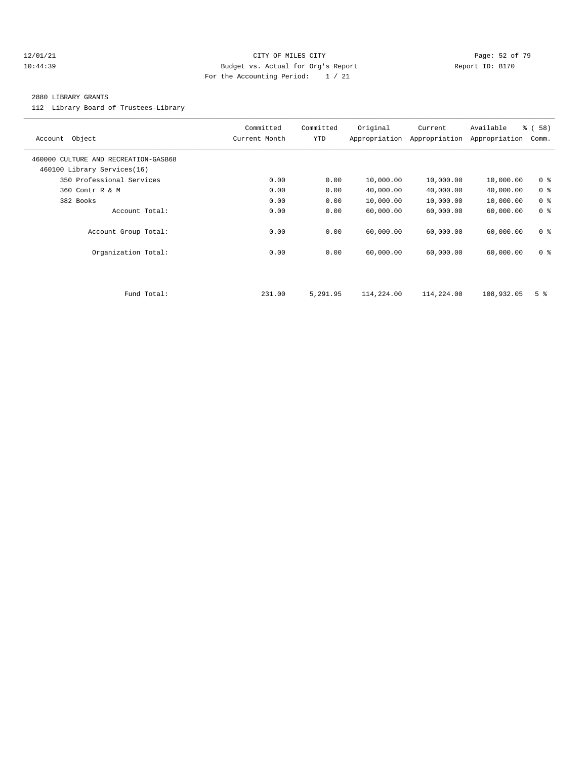#### 12/01/21 **Page: 52 of 79** CITY OF MILES CITY **CITY Page: 52 of 79** 10:44:39 Budget vs. Actual for Org's Report Report ID: B170 For the Accounting Period: 1 / 21

#### 2880 LIBRARY GRANTS

112 Library Board of Trustees-Library

| Object<br>Account                                                   | Committed<br>Current Month | Committed<br>YTD | Original<br>Appropriation | Current<br>Appropriation | Available<br>Appropriation | % ( 58 )<br>Comm. |
|---------------------------------------------------------------------|----------------------------|------------------|---------------------------|--------------------------|----------------------------|-------------------|
| 460000 CULTURE AND RECREATION-GASB68<br>460100 Library Services(16) |                            |                  |                           |                          |                            |                   |
| 350 Professional Services                                           | 0.00                       | 0.00             | 10,000.00                 | 10,000.00                | 10,000.00                  | 0 <sup>8</sup>    |
| 360 Contr R & M                                                     | 0.00                       | 0.00             | 40,000.00                 | 40,000.00                | 40,000.00                  | 0 <sup>8</sup>    |
| 382 Books                                                           | 0.00                       | 0.00             | 10,000.00                 | 10,000.00                | 10,000.00                  | 0 <sup>8</sup>    |
| Account Total:                                                      | 0.00                       | 0.00             | 60,000.00                 | 60,000.00                | 60,000.00                  | 0 <sup>8</sup>    |
| Account Group Total:                                                | 0.00                       | 0.00             | 60,000.00                 | 60,000.00                | 60,000.00                  | 0 <sup>8</sup>    |
| Organization Total:                                                 | 0.00                       | 0.00             | 60,000.00                 | 60,000.00                | 60,000.00                  | 0 <sup>8</sup>    |
|                                                                     |                            |                  |                           |                          |                            |                   |
| Fund Total:                                                         | 231.00                     | 5,291.95         | 114,224.00                | 114,224.00               | 108,932.05                 | 5 <sup>8</sup>    |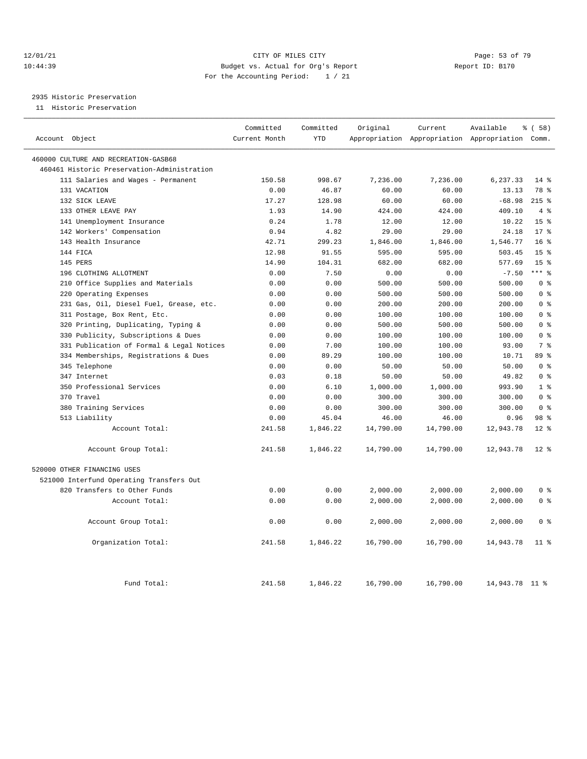#### 12/01/21 **Page: 53 of 79** CITY OF MILES CITY **CITY** Page: 53 of 79 10:44:39 Budget vs. Actual for Org's Report Report ID: B170 For the Accounting Period: 1 / 21

# 2935 Historic Preservation

11 Historic Preservation

| Account Object                              | Committed<br>Current Month | Committed<br><b>YTD</b> | Original  | Current   | Available<br>Appropriation Appropriation Appropriation Comm. | % (58)          |
|---------------------------------------------|----------------------------|-------------------------|-----------|-----------|--------------------------------------------------------------|-----------------|
|                                             |                            |                         |           |           |                                                              |                 |
| 460000 CULTURE AND RECREATION-GASB68        |                            |                         |           |           |                                                              |                 |
| 460461 Historic Preservation-Administration |                            |                         |           |           |                                                              |                 |
| 111 Salaries and Wages - Permanent          | 150.58                     | 998.67                  | 7,236.00  | 7,236.00  | 6,237.33                                                     | $14*$           |
| 131 VACATION                                | 0.00                       | 46.87                   | 60.00     | 60.00     | 13.13                                                        | 78 %            |
| 132 SICK LEAVE                              | 17.27                      | 128.98                  | 60.00     | 60.00     | $-68.98$                                                     | $215$ %         |
| 133 OTHER LEAVE PAY                         | 1.93                       | 14.90                   | 424.00    | 424.00    | 409.10                                                       | 4%              |
| 141 Unemployment Insurance                  | 0.24                       | 1.78                    | 12.00     | 12.00     | 10.22                                                        | 15 <sup>8</sup> |
| 142 Workers' Compensation                   | 0.94                       | 4.82                    | 29.00     | 29.00     | 24.18                                                        | $17*$           |
| 143 Health Insurance                        | 42.71                      | 299.23                  | 1,846.00  | 1,846.00  | 1,546.77                                                     | 16 <sup>8</sup> |
| 144 FICA                                    | 12.98                      | 91.55                   | 595.00    | 595.00    | 503.45                                                       | 15 <sup>8</sup> |
| 145 PERS                                    | 14.90                      | 104.31                  | 682.00    | 682.00    | 577.69                                                       | 15 <sup>8</sup> |
| 196 CLOTHING ALLOTMENT                      | 0.00                       | 7.50                    | 0.00      | 0.00      | $-7.50$                                                      | $***$ $%$       |
| 210 Office Supplies and Materials           | 0.00                       | 0.00                    | 500.00    | 500.00    | 500.00                                                       | 0 <sup>8</sup>  |
| 220 Operating Expenses                      | 0.00                       | 0.00                    | 500.00    | 500.00    | 500.00                                                       | 0 <sup>8</sup>  |
| 231 Gas, Oil, Diesel Fuel, Grease, etc.     | 0.00                       | 0.00                    | 200.00    | 200.00    | 200.00                                                       | 0 <sup>8</sup>  |
| 311 Postage, Box Rent, Etc.                 | 0.00                       | 0.00                    | 100.00    | 100.00    | 100.00                                                       | 0 <sup>8</sup>  |
| 320 Printing, Duplicating, Typing &         | 0.00                       | 0.00                    | 500.00    | 500.00    | 500.00                                                       | 0 <sup>8</sup>  |
| 330 Publicity, Subscriptions & Dues         | 0.00                       | 0.00                    | 100.00    | 100.00    | 100.00                                                       | 0 <sup>8</sup>  |
| 331 Publication of Formal & Legal Notices   | 0.00                       | 7.00                    | 100.00    | 100.00    | 93.00                                                        | 7 <sup>8</sup>  |
| 334 Memberships, Registrations & Dues       | 0.00                       | 89.29                   | 100.00    | 100.00    | 10.71                                                        | 89 %            |
| 345 Telephone                               | 0.00                       | 0.00                    | 50.00     | 50.00     | 50.00                                                        | 0 <sup>8</sup>  |
| 347 Internet                                | 0.03                       | 0.18                    | 50.00     | 50.00     | 49.82                                                        | 0 <sup>8</sup>  |
| 350 Professional Services                   | 0.00                       | 6.10                    | 1,000.00  | 1,000.00  | 993.90                                                       | 1 <sup>8</sup>  |
| 370 Travel                                  | 0.00                       | 0.00                    | 300.00    | 300.00    | 300.00                                                       | 0 <sup>8</sup>  |
| 380 Training Services                       | 0.00                       | 0.00                    | 300.00    | 300.00    | 300.00                                                       | 0 <sup>8</sup>  |
| 513 Liability                               | 0.00                       | 45.04                   | 46.00     | 46.00     | 0.96                                                         | 98 <sup>8</sup> |
| Account Total:                              | 241.58                     | 1,846.22                | 14,790.00 | 14,790.00 | 12,943.78                                                    | $12*$           |
| Account Group Total:                        | 241.58                     | 1,846.22                | 14,790.00 | 14,790.00 | 12,943.78                                                    | $12*$           |
| 520000 OTHER FINANCING USES                 |                            |                         |           |           |                                                              |                 |
| 521000 Interfund Operating Transfers Out    |                            |                         |           |           |                                                              |                 |
| 820 Transfers to Other Funds                | 0.00                       | 0.00                    | 2,000.00  | 2,000.00  | 2,000.00                                                     | 0 <sup>8</sup>  |
| Account Total:                              | 0.00                       | 0.00                    | 2,000.00  | 2,000.00  | 2,000.00                                                     | 0 <sup>8</sup>  |
| Account Group Total:                        | 0.00                       | 0.00                    | 2,000.00  | 2,000.00  | 2,000.00                                                     | 0 <sup>8</sup>  |
| Organization Total:                         | 241.58                     | 1,846.22                | 16,790.00 | 16,790.00 | 14,943.78                                                    | 11 <sup>8</sup> |
| Fund Total:                                 | 241.58                     | 1,846.22                | 16,790.00 | 16,790.00 | 14,943.78 11 %                                               |                 |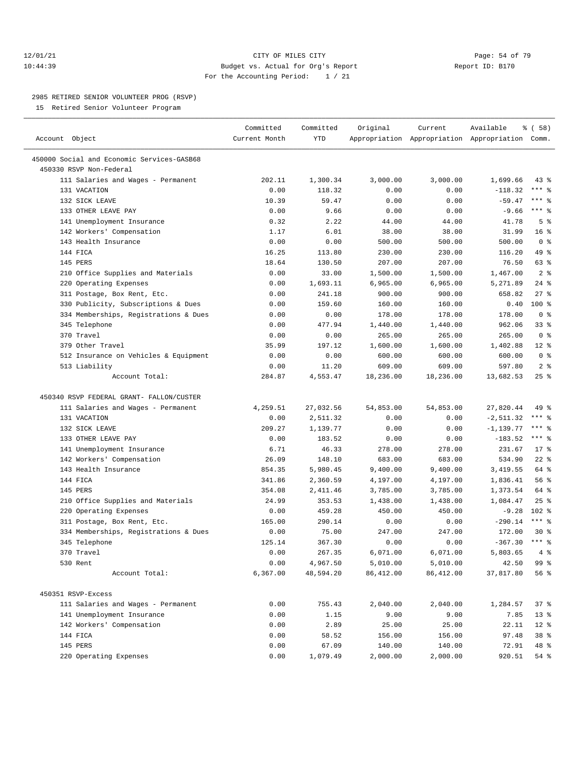#### 12/01/21 **Page: 54 of 79** CITY OF MILES CITY **CITY** CITY **Page: 54 of 79** 10:44:39 Budget vs. Actual for Org's Report Report ID: B170 For the Accounting Period: 1 / 21

————————————————————————————————————————————————————————————————————————————————————————————————————————————————————————————————————

#### 2985 RETIRED SENIOR VOLUNTEER PROG (RSVP)

15 Retired Senior Volunteer Program

|                                            | Committed     | Committed  | Original   | Current    | Available                                       | \$(58)          |  |
|--------------------------------------------|---------------|------------|------------|------------|-------------------------------------------------|-----------------|--|
| Account Object                             | Current Month | <b>YTD</b> |            |            | Appropriation Appropriation Appropriation Comm. |                 |  |
| 450000 Social and Economic Services-GASB68 |               |            |            |            |                                                 |                 |  |
| 450330 RSVP Non-Federal                    |               |            |            |            |                                                 |                 |  |
| 111 Salaries and Wages - Permanent         | 202.11        | 1,300.34   | 3,000.00   | 3,000.00   | 1,699.66                                        | $43$ %          |  |
| 131 VACATION                               | 0.00          | 118.32     | 0.00       | 0.00       | $-118.32$                                       | *** 응           |  |
| 132 SICK LEAVE                             | 10.39         | 59.47      | 0.00       | 0.00       | $-59.47$                                        | $***$ $%$       |  |
| 133 OTHER LEAVE PAY                        | 0.00          | 9.66       | 0.00       | 0.00       | $-9.66$                                         | $***$ $-$       |  |
| 141 Unemployment Insurance                 | 0.32          | 2.22       | 44.00      | 44.00      | 41.78                                           | 5 <sup>8</sup>  |  |
| 142 Workers' Compensation                  | 1.17          | 6.01       | 38.00      | 38.00      | 31.99                                           | 16 <sup>8</sup> |  |
| 143 Health Insurance                       | 0.00          | 0.00       | 500.00     | 500.00     | 500.00                                          | 0 <sup>8</sup>  |  |
| 144 FICA                                   | 16.25         | 113.80     | 230.00     | 230.00     | 116.20                                          | 49 %            |  |
| 145 PERS                                   | 18.64         | 130.50     | 207.00     | 207.00     | 76.50                                           | 63%             |  |
| 210 Office Supplies and Materials          | 0.00          | 33.00      | 1,500.00   | 1,500.00   | 1,467.00                                        | 2 <sup>8</sup>  |  |
| 220 Operating Expenses                     | 0.00          | 1,693.11   | 6,965.00   | 6,965.00   | 5,271.89                                        | $24$ %          |  |
| 311 Postage, Box Rent, Etc.                | 0.00          | 241.18     | 900.00     | 900.00     | 658.82                                          | $27$ %          |  |
| 330 Publicity, Subscriptions & Dues        | 0.00          | 159.60     | 160.00     | 160.00     | 0.40                                            | $100$ %         |  |
| 334 Memberships, Registrations & Dues      | 0.00          | 0.00       | 178.00     | 178.00     | 178.00                                          | 0 <sup>8</sup>  |  |
| 345 Telephone                              | 0.00          | 477.94     | 1,440.00   | 1,440.00   | 962.06                                          | 33%             |  |
| 370 Travel                                 | 0.00          | 0.00       | 265.00     | 265.00     | 265.00                                          | 0 <sup>8</sup>  |  |
| 379 Other Travel                           | 35.99         | 197.12     | 1,600.00   | 1,600.00   | 1,402.88                                        | $12*$           |  |
| 512 Insurance on Vehicles & Equipment      | 0.00          | 0.00       | 600.00     | 600.00     | 600.00                                          | 0 <sup>8</sup>  |  |
| 513 Liability                              | 0.00          | 11.20      | 609.00     | 609.00     | 597.80                                          | 2 <sup>8</sup>  |  |
| Account Total:                             | 284.87        | 4,553.47   | 18,236.00  | 18,236.00  | 13,682.53                                       | 25%             |  |
| 450340 RSVP FEDERAL GRANT- FALLON/CUSTER   |               |            |            |            |                                                 |                 |  |
| 111 Salaries and Wages - Permanent         | 4,259.51      | 27,032.56  | 54,853.00  | 54,853.00  | 27,820.44                                       | 49 %            |  |
| 131 VACATION                               | 0.00          | 2,511.32   | 0.00       | 0.00       | $-2, 511.32$                                    | $***$ $%$       |  |
| 132 SICK LEAVE                             | 209.27        | 1,139.77   | 0.00       | 0.00       | $-1, 139.77$                                    | *** 응           |  |
| 133 OTHER LEAVE PAY                        | 0.00          | 183.52     | 0.00       | 0.00       | $-183.52$                                       | $***$ $%$       |  |
| 141 Unemployment Insurance                 | 6.71          | 46.33      | 278.00     | 278.00     | 231.67                                          | $17*$           |  |
| 142 Workers' Compensation                  | 26.09         | 148.10     | 683.00     | 683.00     | 534.90                                          | $22$ %          |  |
| 143 Health Insurance                       | 854.35        | 5,980.45   | 9,400.00   | 9,400.00   | 3,419.55                                        | 64 %            |  |
| 144 FICA                                   | 341.86        | 2,360.59   | 4,197.00   | 4,197.00   | 1,836.41                                        | 56 %            |  |
| 145 PERS                                   | 354.08        | 2,411.46   | 3,785.00   | 3,785.00   | 1,373.54                                        | 64 %            |  |
| 210 Office Supplies and Materials          | 24.99         | 353.53     | 1,438.00   | 1,438.00   | 1,084.47                                        | 25%             |  |
| 220 Operating Expenses                     | 0.00          | 459.28     | 450.00     | 450.00     | $-9.28$                                         | $102$ %         |  |
| 311 Postage, Box Rent, Etc.                | 165.00        | 290.14     | 0.00       | 0.00       | $-290.14$                                       | $***$ $%$       |  |
| 334 Memberships, Registrations & Dues      | 0.00          | 75.00      | 247.00     | 247.00     | 172.00                                          | $30*$           |  |
| 345 Telephone                              | 125.14        | 367.30     | 0.00       | 0.00       | $-367.30$ *** \$                                |                 |  |
| 370 Travel                                 | 0.00          | 267.35     | 6,071.00   | 6,071.00   | $5,803.65$ 4 %                                  |                 |  |
| 530 Rent                                   | 0.00          | 4,967.50   | 5,010.00   | 5,010.00   | 42.50                                           | 99 %            |  |
| Account Total:                             | 6,367.00      | 48,594.20  | 86, 412.00 | 86, 412.00 | 37,817.80                                       | 56%             |  |
|                                            |               |            |            |            |                                                 |                 |  |
| 450351 RSVP-Excess                         |               |            |            |            |                                                 |                 |  |
| 111 Salaries and Wages - Permanent         | 0.00          | 755.43     | 2,040.00   | 2,040.00   | 1,284.57                                        | 37 %            |  |
| 141 Unemployment Insurance                 | 0.00          | 1.15       | 9.00       | 9.00       | 7.85                                            | 13 <sup>°</sup> |  |
| 142 Workers' Compensation                  | 0.00          | 2.89       | 25.00      | 25.00      | 22.11                                           | $12*$           |  |
| 144 FICA                                   | 0.00          | 58.52      | 156.00     | 156.00     | 97.48                                           | 38 %            |  |
| 145 PERS                                   | 0.00          | 67.09      | 140.00     | 140.00     | 72.91                                           | 48 %            |  |
| 220 Operating Expenses                     | 0.00          | 1,079.49   | 2,000.00   | 2,000.00   | 920.51                                          | 54 %            |  |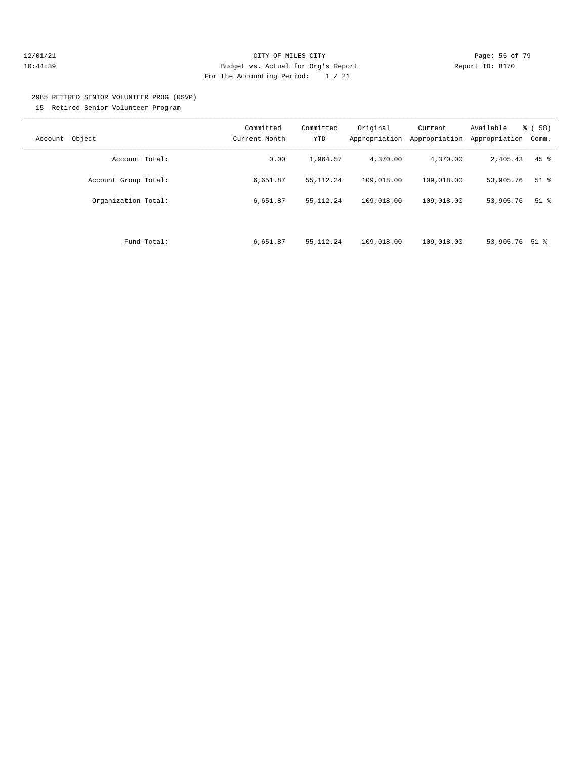#### 12/01/21 **Page: 55 of 79** CITY OF MILES CITY **CITY** Page: 55 of 79 10:44:39 Budget vs. Actual for Org's Report Report ID: B170 For the Accounting Period: 1 / 21

#### 2985 RETIRED SENIOR VOLUNTEER PROG (RSVP) 15 Retired Senior Volunteer Program

| Object<br>Account    | Committed<br>Current Month | Committed<br><b>YTD</b> | Original<br>Appropriation | Current<br>Appropriation | Available<br>Appropriation | $\frac{6}{6}$ (58)<br>Comm. |
|----------------------|----------------------------|-------------------------|---------------------------|--------------------------|----------------------------|-----------------------------|
| Account Total:       | 0.00                       | 1,964.57                | 4,370.00                  | 4,370.00                 | 2,405.43                   | $45$ %                      |
| Account Group Total: | 6,651.87                   | 55, 112.24              | 109,018.00                | 109,018.00               | 53,905.76                  | $51$ %                      |
| Organization Total:  | 6,651.87                   | 55, 112.24              | 109,018.00                | 109,018.00               | 53,905.76                  | $51$ $%$                    |
|                      |                            |                         |                           |                          |                            |                             |
| Fund Total:          | 6,651.87                   | 55, 112.24              | 109,018.00                | 109,018.00               | 53,905.76 51 %             |                             |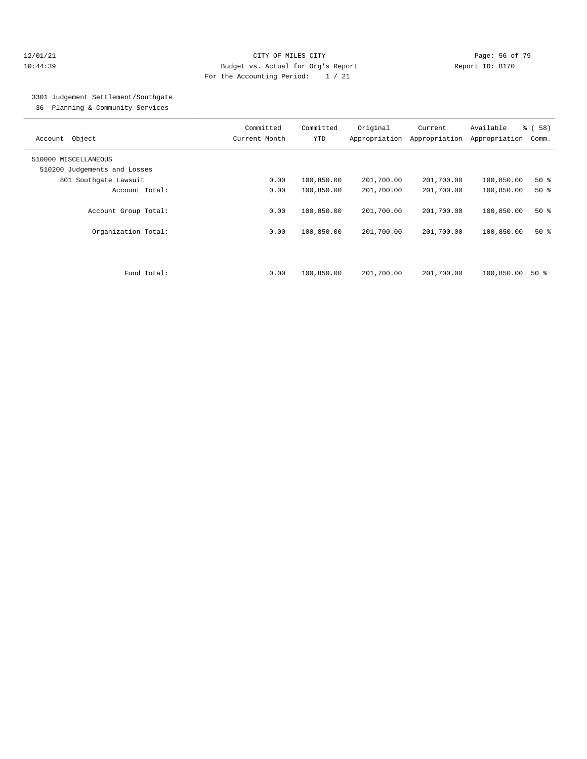#### 12/01/21 **CITY OF MILES CITY CITY CITY Page: 56 of 79** 10:44:39 Budget vs. Actual for Org's Report Report ID: B170 For the Accounting Period: 1 / 21

## 3301 Judgement Settlement/Southgate

36 Planning & Community Services

| Object<br>Account            | Committed<br>Current Month | Committed<br><b>YTD</b> | Original<br>Appropriation | Current<br>Appropriation | Available<br>Appropriation | % (58)<br>Comm. |
|------------------------------|----------------------------|-------------------------|---------------------------|--------------------------|----------------------------|-----------------|
| 510000 MISCELLANEOUS         |                            |                         |                           |                          |                            |                 |
| 510200 Judgements and Losses |                            |                         |                           |                          |                            |                 |
| 801 Southqate Lawsuit        | 0.00                       | 100,850.00              | 201,700.00                | 201,700.00               | 100,850.00                 | $50*$           |
| Account Total:               | 0.00                       | 100,850.00              | 201,700.00                | 201,700.00               | 100,850.00                 | $50*$           |
| Account Group Total:         | 0.00                       | 100,850.00              | 201,700.00                | 201,700.00               | 100,850.00                 | $50*$           |
| Organization Total:          | 0.00                       | 100,850.00              | 201,700.00                | 201,700.00               | 100,850.00                 | $50*$           |
| Fund Total:                  | 0.00                       | 100,850.00              | 201,700.00                | 201,700.00               | 100,850.00                 | 50 %            |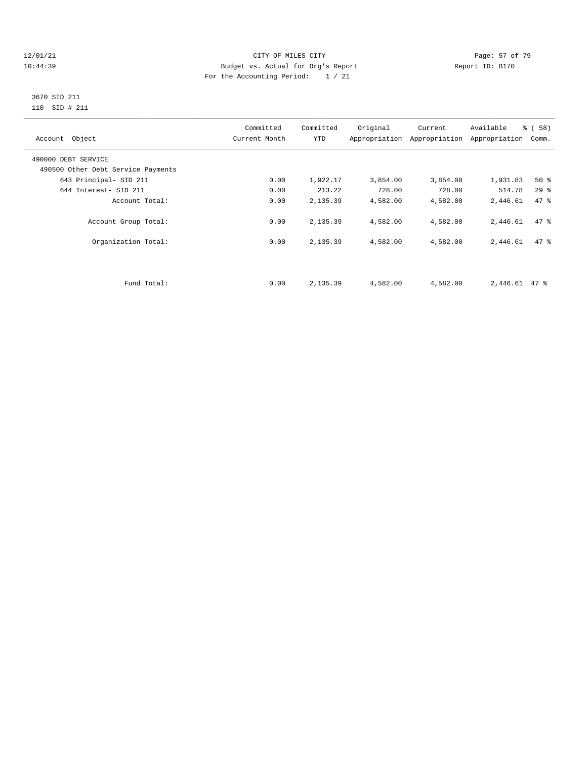#### $12/01/21$  Page: 57 of 79<br>10:44:39 Budget vs. Actual for Org's Report  $\overline{D}$  Report ID: B170 10:44:39 Budget vs. Actual for Org's Report For the Accounting Period: 1 / 21

#### 3670 SID 211 110 SID # 211

| Account Object                     | Committed<br>Current Month | Committed<br>YTD | Original | Current<br>Appropriation Appropriation | Available<br>Appropriation | % ( 58 )<br>Comm. |
|------------------------------------|----------------------------|------------------|----------|----------------------------------------|----------------------------|-------------------|
| 490000 DEBT SERVICE                |                            |                  |          |                                        |                            |                   |
| 490500 Other Debt Service Payments |                            |                  |          |                                        |                            |                   |
| 643 Principal- SID 211             | 0.00                       | 1,922.17         | 3,854.00 | 3,854.00                               | 1,931.83                   | 50%               |
| 644 Interest- SID 211              | 0.00                       | 213.22           | 728.00   | 728.00                                 | 514.78                     | 29%               |
| Account Total:                     | 0.00                       | 2,135.39         | 4,582.00 | 4,582.00                               | 2,446.61                   | 47 %              |
| Account Group Total:               | 0.00                       | 2,135.39         | 4,582.00 | 4,582.00                               | 2,446.61                   | 47 %              |
| Organization Total:                | 0.00                       | 2,135.39         | 4,582.00 | 4,582.00                               | 2,446.61                   | 47.8              |
|                                    |                            |                  |          |                                        |                            |                   |
| Fund Total:                        | 0.00                       | 2,135.39         | 4,582.00 | 4,582.00                               | 2,446.61                   | 47 %              |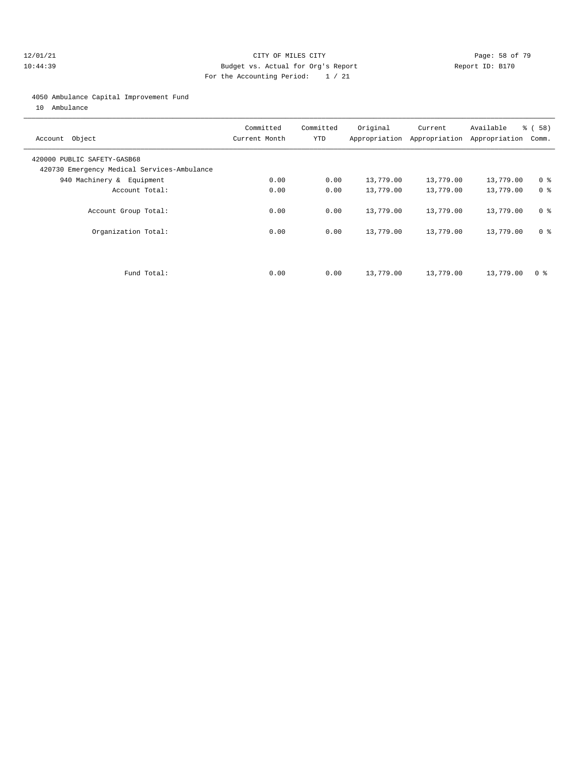#### 12/01/21 **Page: 58 of 79** CITY OF MILES CITY **CITY** Page: 58 of 79 10:44:39 Budget vs. Actual for Org's Report Report ID: B170 For the Accounting Period: 1 / 21

#### 4050 Ambulance Capital Improvement Fund

10 Ambulance

| Account Object                                                             | Committed<br>Current Month | Committed<br><b>YTD</b> | Original  | Current<br>Appropriation Appropriation | Available<br>Appropriation | 8 ( 58 )<br>Comm. |
|----------------------------------------------------------------------------|----------------------------|-------------------------|-----------|----------------------------------------|----------------------------|-------------------|
| 420000 PUBLIC SAFETY-GASB68<br>420730 Emergency Medical Services-Ambulance |                            |                         |           |                                        |                            |                   |
| 940 Machinery & Equipment                                                  | 0.00                       | 0.00                    | 13,779.00 | 13,779.00                              | 13,779.00                  | 0 <sup>8</sup>    |
| Account Total:                                                             | 0.00                       | 0.00                    | 13,779.00 | 13,779.00                              | 13,779.00                  | 0 <sup>8</sup>    |
| Account Group Total:                                                       | 0.00                       | 0.00                    | 13,779.00 | 13,779.00                              | 13,779.00                  | 0 <sup>8</sup>    |
| Organization Total:                                                        | 0.00                       | 0.00                    | 13,779.00 | 13,779.00                              | 13,779.00                  | 0 <sup>8</sup>    |
| Fund Total:                                                                | 0.00                       | 0.00                    | 13,779.00 | 13,779.00                              | 13,779.00                  | 0 ક               |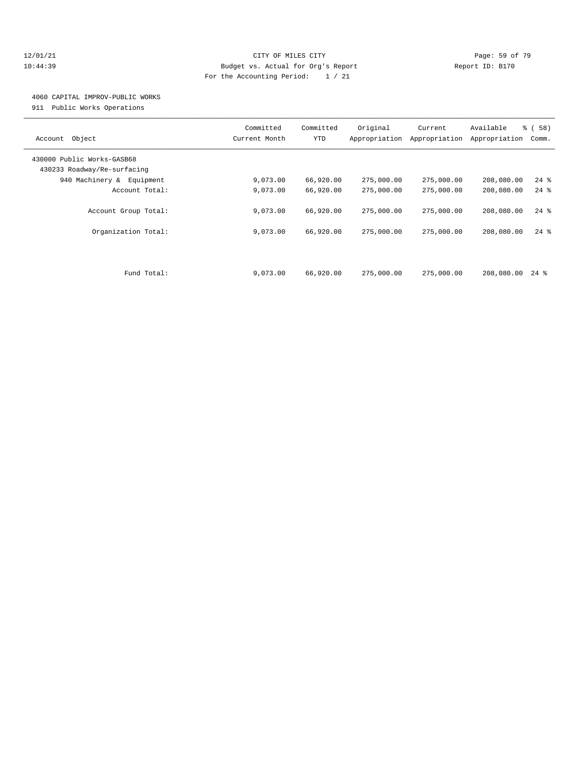#### 12/01/21 **Page: 59 of 79** CITY OF MILES CITY **CITY** CITY **Page: 59 of 79** 10:44:39 Budget vs. Actual for Org's Report Report ID: B170 For the Accounting Period: 1 / 21

## 4060 CAPITAL IMPROV-PUBLIC WORKS

911 Public Works Operations

| Object<br>Account                                         | Committed<br>Current Month | Committed<br>YTD | Original<br>Appropriation | Current<br>Appropriation | Available<br>Appropriation | % (58)<br>Comm. |
|-----------------------------------------------------------|----------------------------|------------------|---------------------------|--------------------------|----------------------------|-----------------|
| 430000 Public Works-GASB68<br>430233 Roadway/Re-surfacing |                            |                  |                           |                          |                            |                 |
| 940 Machinery &<br>Equipment                              | 9,073.00                   | 66,920.00        | 275,000.00                | 275,000.00               | 208,080.00                 | $24$ %          |
| Account Total:                                            | 9,073.00                   | 66,920.00        | 275,000.00                | 275,000.00               | 208,080.00                 | $24$ %          |
| Account Group Total:                                      | 9,073.00                   | 66,920.00        | 275,000.00                | 275,000.00               | 208,080.00                 | $24$ %          |
| Organization Total:                                       | 9,073.00                   | 66,920.00        | 275,000.00                | 275,000.00               | 208,080.00                 | $24$ $%$        |
| Fund Total:                                               | 9,073.00                   | 66,920.00        | 275,000.00                | 275,000.00               | 208,080.00                 | $24$ %          |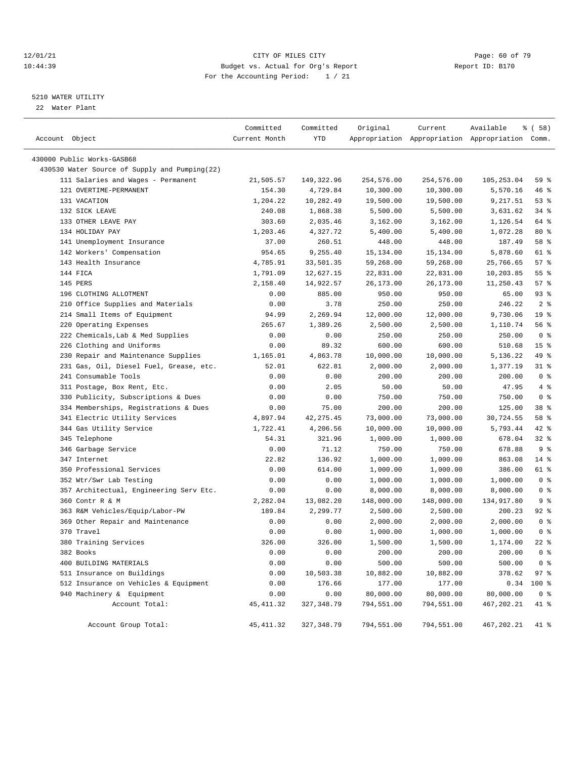#### $12/01/21$  Page: 60 of 79<br>10:44:39 Budget vs. Actual for Org's Report  $\overline{D}$  Report ID: B170 10:44:39 Budget vs. Actual for Org's Report For the Accounting Period: 1 / 21

#### 5210 WATER UTILITY

22 Water Plant

| Account Object                                                      | Committed<br>Current Month | Committed<br>YTD    | Original            | Current             | Available<br>Appropriation Appropriation Appropriation Comm. | <sub>है</sub> ( 58 ) |
|---------------------------------------------------------------------|----------------------------|---------------------|---------------------|---------------------|--------------------------------------------------------------|----------------------|
|                                                                     |                            |                     |                     |                     |                                                              |                      |
| 430000 Public Works-GASB68                                          |                            |                     |                     |                     |                                                              |                      |
| 430530 Water Source of Supply and Pumping(22)                       |                            |                     |                     |                     |                                                              |                      |
| 111 Salaries and Wages - Permanent                                  | 21,505.57                  | 149,322.96          | 254,576.00          | 254,576.00          | 105,253.04                                                   | 59 %                 |
| 121 OVERTIME-PERMANENT                                              | 154.30                     | 4,729.84            | 10,300.00           | 10,300.00           | 5,570.16                                                     | 46%                  |
| 131 VACATION                                                        | 1,204.22                   | 10,282.49           | 19,500.00           | 19,500.00           | 9,217.51                                                     | 53%                  |
| 132 SICK LEAVE                                                      | 240.08                     | 1,868.38            | 5,500.00            | 5,500.00            | 3,631.62                                                     | $34$ $%$             |
| 133 OTHER LEAVE PAY                                                 | 303.60                     | 2,035.46            | 3,162.00            | 3,162.00            | 1,126.54                                                     | 64 %                 |
| 134 HOLIDAY PAY                                                     | 1,203.46                   | 4,327.72            | 5,400.00            | 5,400.00            | 1,072.28                                                     | $80*$                |
| 141 Unemployment Insurance                                          | 37.00                      | 260.51              | 448.00              | 448.00              | 187.49                                                       | 58 %                 |
| 142 Workers' Compensation                                           | 954.65                     | 9,255.40            | 15, 134.00          | 15,134.00           | 5,878.60                                                     | 61 %                 |
| 143 Health Insurance                                                | 4,785.91                   | 33,501.35           | 59,268.00           | 59,268.00           | 25,766.65                                                    | 57%                  |
| 144 FICA                                                            | 1,791.09                   | 12,627.15           | 22,831.00           | 22,831.00           | 10,203.85                                                    | 55 %                 |
| 145 PERS                                                            | 2,158.40                   | 14,922.57           | 26,173.00           | 26,173.00           | 11,250.43                                                    | $57$ $%$             |
| 196 CLOTHING ALLOTMENT                                              | 0.00                       | 885.00              | 950.00              | 950.00              | 65.00                                                        | $93$ $%$             |
| 210 Office Supplies and Materials                                   | 0.00                       | 3.78                | 250.00              | 250.00              | 246.22                                                       | 2 <sup>8</sup>       |
| 214 Small Items of Equipment                                        | 94.99                      | 2,269.94            | 12,000.00           | 12,000.00           | 9,730.06                                                     | 19 <sup>°</sup>      |
| 220 Operating Expenses                                              | 265.67                     | 1,389.26            | 2,500.00            | 2,500.00            | 1,110.74                                                     | 56 %                 |
| 222 Chemicals, Lab & Med Supplies                                   | 0.00                       | 0.00                | 250.00              | 250.00              | 250.00                                                       | 0 <sup>8</sup>       |
| 226 Clothing and Uniforms                                           | 0.00                       | 89.32               | 600.00              | 600.00              | 510.68                                                       | 15 <sup>8</sup>      |
| 230 Repair and Maintenance Supplies                                 | 1,165.01                   | 4,863.78            | 10,000.00           | 10,000.00           | 5,136.22                                                     | 49 %                 |
| 231 Gas, Oil, Diesel Fuel, Grease, etc.                             | 52.01                      | 622.81              | 2,000.00            | 2,000.00            | 1,377.19                                                     | $31$ %               |
| 241 Consumable Tools                                                | 0.00                       | 0.00                | 200.00              | 200.00              | 200.00                                                       | 0 <sup>8</sup>       |
| 311 Postage, Box Rent, Etc.                                         | 0.00                       | 2.05                | 50.00               | 50.00               | 47.95                                                        | 4%                   |
| 330 Publicity, Subscriptions & Dues                                 | 0.00                       | 0.00                | 750.00              | 750.00              | 750.00                                                       | 0 <sup>8</sup>       |
| 334 Memberships, Registrations & Dues                               | 0.00                       | 75.00               | 200.00              | 200.00              | 125.00                                                       | 38 %                 |
| 341 Electric Utility Services                                       | 4,897.94                   | 42, 275.45          | 73,000.00           | 73,000.00           | 30,724.55                                                    | 58 %                 |
| 344 Gas Utility Service                                             | 1,722.41                   | 4,206.56            | 10,000.00           | 10,000.00           | 5,793.44                                                     | $42$ %               |
| 345 Telephone                                                       | 54.31                      | 321.96              | 1,000.00            | 1,000.00            | 678.04                                                       | $32$ $%$             |
| 346 Garbage Service                                                 | 0.00                       | 71.12               | 750.00              | 750.00              | 678.88                                                       | 9 <sup>8</sup>       |
| 347 Internet                                                        | 22.82                      | 136.92              | 1,000.00            | 1,000.00            | 863.08                                                       | $14$ %               |
| 350 Professional Services                                           | 0.00                       | 614.00              | 1,000.00            | 1,000.00            | 386.00                                                       | 61 %                 |
| 352 Wtr/Swr Lab Testing                                             | 0.00                       | 0.00                | 1,000.00            | 1,000.00            | 1,000.00                                                     | 0 <sup>8</sup>       |
| 357 Architectual, Engineering Serv Etc.                             | 0.00                       | 0.00                | 8,000.00            | 8,000.00            | 8,000.00                                                     | 0 <sup>8</sup>       |
| 360 Contr R & M                                                     | 2,282.04                   | 13,082.20           | 148,000.00          | 148,000.00          | 134,917.80                                                   | 9 <sup>8</sup>       |
| 363 R&M Vehicles/Equip/Labor-PW                                     | 189.84                     | 2,299.77            | 2,500.00            | 2,500.00            | 200.23                                                       | $92$ $%$             |
| 369 Other Repair and Maintenance                                    | 0.00                       | 0.00                | 2,000.00            | 2,000.00            | 2,000.00                                                     | 0 <sup>8</sup>       |
| 370 Travel                                                          | 0.00                       | 0.00                | 1,000.00            | 1,000.00            | 1,000.00                                                     | 0 <sup>8</sup>       |
| 380 Training Services                                               | 326.00                     | 326.00              | 1,500.00            | 1,500.00            | 1,174.00                                                     | $22$ %               |
| 382 Books                                                           | 0.00                       | 0.00                | 200.00              | 200.00              | 200.00                                                       | 0 <sup>8</sup>       |
| 400 BUILDING MATERIALS                                              | 0.00                       | 0.00                | 500.00              | 500.00              | 500.00                                                       | 0 <sup>8</sup>       |
|                                                                     |                            |                     |                     |                     |                                                              |                      |
| 511 Insurance on Buildings<br>512 Insurance on Vehicles & Equipment | 0.00<br>0.00               | 10,503.38<br>176.66 | 10,882.00<br>177.00 | 10,882.00<br>177.00 | 378.62<br>0.34                                               | 97%<br>100 %         |
|                                                                     |                            |                     |                     |                     |                                                              |                      |
| 940 Machinery & Equipment                                           | 0.00                       | 0.00                | 80,000.00           | 80,000.00           | 80,000.00                                                    | 0 <sup>8</sup>       |
| Account Total:                                                      | 45, 411.32                 | 327, 348.79         | 794,551.00          | 794,551.00          | 467,202.21                                                   | 41 %                 |
| Account Group Total:                                                | 45, 411.32                 | 327,348.79          | 794,551.00          | 794,551.00          | 467,202.21                                                   | 41 %                 |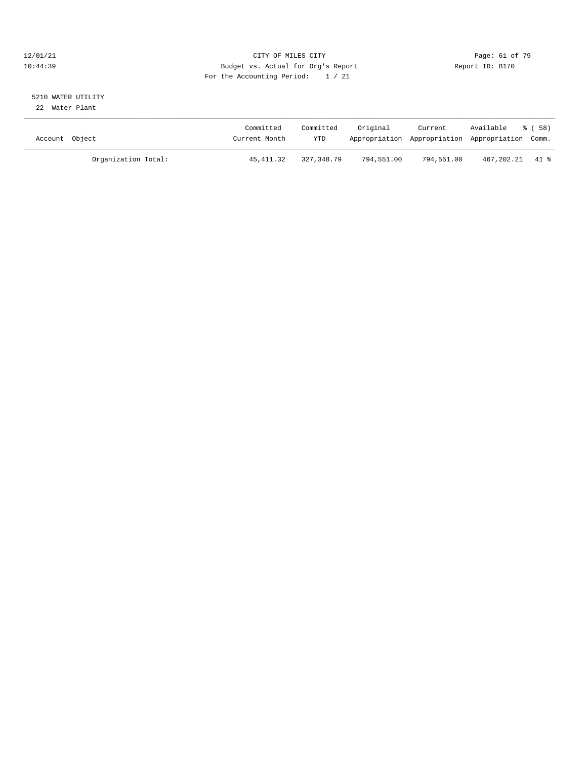#### $12/01/21$  Page: 61 of 79<br>10:44:39 Budget vs. Actual for Org's Report  $\overline{D}$  Report ID: B170 10:44:39 Budget vs. Actual for Org's Report For the Accounting Period: 1 / 21

# 5210 WATER UTILITY

22 Water Plant

| Account Object |                     | Committed<br>Current Month | Committed<br>YTD | Original   | Current<br>Appropriation Appropriation Appropriation Comm. | Available       | ී ( 58 ) |
|----------------|---------------------|----------------------------|------------------|------------|------------------------------------------------------------|-----------------|----------|
|                | Organization Total: | 45,411.32                  | 327,348.79       | 794,551.00 | 794,551.00                                                 | 467,202.21 41 % |          |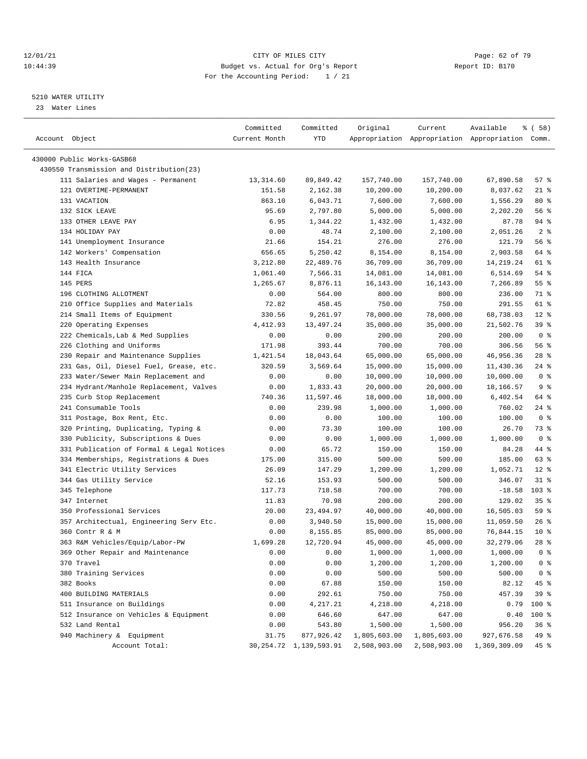#### 12/01/21 **CITY OF MILES CITY CITY CITY Page: 62 of 79** 10:44:39 Budget vs. Actual for Org's Report Report ID: B170 For the Accounting Period: 1 / 21

————————————————————————————————————————————————————————————————————————————————————————————————————————————————————————————————————

#### 5210 WATER UTILITY

23 Water Lines

|                |                                           | Committed     | Committed                   | Original     | Current      | Available                                       | % ( 58 )       |
|----------------|-------------------------------------------|---------------|-----------------------------|--------------|--------------|-------------------------------------------------|----------------|
| Account Object |                                           | Current Month | <b>YTD</b>                  |              |              | Appropriation Appropriation Appropriation Comm. |                |
|                | 430000 Public Works-GASB68                |               |                             |              |              |                                                 |                |
|                | 430550 Transmission and Distribution(23)  |               |                             |              |              |                                                 |                |
|                | 111 Salaries and Wages - Permanent        | 13,314.60     | 89,849.42                   | 157,740.00   | 157,740.00   | 67,890.58                                       | 57%            |
|                | 121 OVERTIME-PERMANENT                    | 151.58        | 2,162.38                    | 10,200.00    | 10,200.00    | 8,037.62                                        | $21$ %         |
|                | 131 VACATION                              | 863.10        | 6,043.71                    | 7,600.00     | 7,600.00     | 1,556.29                                        | $80*$          |
|                | 132 SICK LEAVE                            | 95.69         | 2,797.80                    | 5,000.00     | 5,000.00     | 2,202.20                                        | 56%            |
|                | 133 OTHER LEAVE PAY                       | 6.95          | 1,344.22                    | 1,432.00     | 1,432.00     | 87.78                                           | $94$ %         |
|                | 134 HOLIDAY PAY                           | 0.00          | 48.74                       | 2,100.00     | 2,100.00     | 2,051.26                                        | 2 <sup>°</sup> |
|                | 141 Unemployment Insurance                | 21.66         | 154.21                      | 276.00       | 276.00       | 121.79                                          | 56 %           |
|                | 142 Workers' Compensation                 | 656.65        | 5,250.42                    | 8,154.00     | 8,154.00     | 2,903.58                                        | 64 %           |
|                | 143 Health Insurance                      | 3,212.80      | 22,489.76                   | 36,709.00    | 36,709.00    | 14, 219. 24                                     | 61 %           |
|                | 144 FICA                                  | 1,061.40      | 7,566.31                    | 14,081.00    | 14,081.00    | 6,514.69                                        | $54$ %         |
|                | 145 PERS                                  | 1,265.67      | 8,876.11                    | 16,143.00    | 16,143.00    | 7,266.89                                        | 55%            |
|                | 196 CLOTHING ALLOTMENT                    | 0.00          | 564.00                      | 800.00       | 800.00       | 236.00                                          | 71 %           |
|                | 210 Office Supplies and Materials         | 72.82         | 458.45                      | 750.00       | 750.00       | 291.55                                          | 61 %           |
|                | 214 Small Items of Equipment              | 330.56        | 9,261.97                    | 78,000.00    | 78,000.00    | 68,738.03                                       | $12*$          |
|                | 220 Operating Expenses                    | 4,412.93      | 13,497.24                   | 35,000.00    | 35,000.00    | 21,502.76                                       | 39%            |
|                | 222 Chemicals, Lab & Med Supplies         | 0.00          | 0.00                        | 200.00       | 200.00       | 200.00                                          | 0 <sup>8</sup> |
|                | 226 Clothing and Uniforms                 | 171.98        | 393.44                      | 700.00       | 700.00       | 306.56                                          | 56 %           |
|                | 230 Repair and Maintenance Supplies       | 1,421.54      | 18,043.64                   | 65,000.00    | 65,000.00    | 46,956.36                                       | $28$ %         |
|                | 231 Gas, Oil, Diesel Fuel, Grease, etc.   | 320.59        | 3,569.64                    | 15,000.00    | 15,000.00    | 11,430.36                                       | $24$ %         |
|                | 233 Water/Sewer Main Replacement and      | 0.00          | 0.00                        | 10,000.00    | 10,000.00    | 10,000.00                                       | 0 <sup>8</sup> |
|                | 234 Hydrant/Manhole Replacement, Valves   | 0.00          | 1,833.43                    | 20,000.00    | 20,000.00    | 18,166.57                                       | 9%             |
|                | 235 Curb Stop Replacement                 | 740.36        | 11,597.46                   | 18,000.00    | 18,000.00    | 6,402.54                                        | 64 %           |
|                | 241 Consumable Tools                      | 0.00          | 239.98                      | 1,000.00     | 1,000.00     | 760.02                                          | $24$ %         |
|                | 311 Postage, Box Rent, Etc.               | 0.00          | 0.00                        | 100.00       | 100.00       | 100.00                                          | 0 <sup>8</sup> |
|                | 320 Printing, Duplicating, Typing &       | 0.00          | 73.30                       | 100.00       | 100.00       | 26.70                                           | 73 %           |
|                | 330 Publicity, Subscriptions & Dues       | 0.00          | 0.00                        | 1,000.00     | 1,000.00     | 1,000.00                                        | 0 <sup>8</sup> |
|                | 331 Publication of Formal & Legal Notices | 0.00          | 65.72                       | 150.00       | 150.00       | 84.28                                           | 44 %           |
|                | 334 Memberships, Registrations & Dues     | 175.00        | 315.00                      | 500.00       | 500.00       | 185.00                                          | 63%            |
|                | 341 Electric Utility Services             | 26.09         | 147.29                      | 1,200.00     | 1,200.00     | 1,052.71                                        | $12*$          |
|                | 344 Gas Utility Service                   | 52.16         | 153.93                      | 500.00       | 500.00       | 346.07                                          | $31$ %         |
|                | 345 Telephone                             | 117.73        | 718.58                      | 700.00       | 700.00       | $-18.58$                                        | $103$ %        |
|                | 347 Internet                              | 11.83         | 70.98                       | 200.00       | 200.00       | 129.02                                          | 35%            |
|                | 350 Professional Services                 | 20.00         | 23, 494.97                  | 40,000.00    | 40,000.00    | 16,505.03                                       | 59 %           |
|                | 357 Architectual, Engineering Serv Etc.   | 0.00          | 3,940.50                    | 15,000.00    | 15,000.00    | 11,059.50                                       | 26%            |
|                | 360 Contr R & M                           | 0.00          | 8,155.85                    | 85,000.00    | 85,000.00    | 76,844.15                                       | $10*$          |
|                | 363 R&M Vehicles/Equip/Labor-PW           | 1,699.28      | 12,720.94                   | 45,000.00    | 45,000.00    | 32,279.06                                       | $28$ %         |
|                | 369 Other Repair and Maintenance          | 0.00          | 0.00                        | 1,000.00     | 1,000.00     | 1,000.00                                        | 0 <sup>8</sup> |
|                | 370 Travel                                | 0.00          | 0.00                        | 1,200.00     | 1,200.00     | 1,200.00                                        | 0 <sup>8</sup> |
|                | 380 Training Services                     | 0.00          | 0.00                        | 500.00       | 500.00       | 500.00                                          | 0 <sup>8</sup> |
|                | 382 Books                                 | 0.00          | 67.88                       | 150.00       | 150.00       | 82.12                                           | 45 %           |
|                | 400 BUILDING MATERIALS                    | 0.00          | 292.61                      | 750.00       | 750.00       | 457.39                                          | 39 %           |
|                | 511 Insurance on Buildings                | 0.00          | 4,217.21                    | 4,218.00     | 4,218.00     | 0.79                                            | 100 %          |
|                | 512 Insurance on Vehicles & Equipment     | 0.00          | 646.60                      | 647.00       | 647.00       | 0.40                                            | 100 %          |
|                | 532 Land Rental                           | 0.00          | 543.80                      | 1,500.00     | 1,500.00     | 956.20                                          | 36%            |
|                | 940 Machinery & Equipment                 | 31.75         | 877,926.42                  | 1,805,603.00 | 1,805,603.00 | 927,676.58                                      | 49 %           |
|                | Account Total:                            |               | 30, 254. 72 1, 139, 593. 91 | 2,508,903.00 | 2,508,903.00 | 1,369,309.09                                    | 45 %           |
|                |                                           |               |                             |              |              |                                                 |                |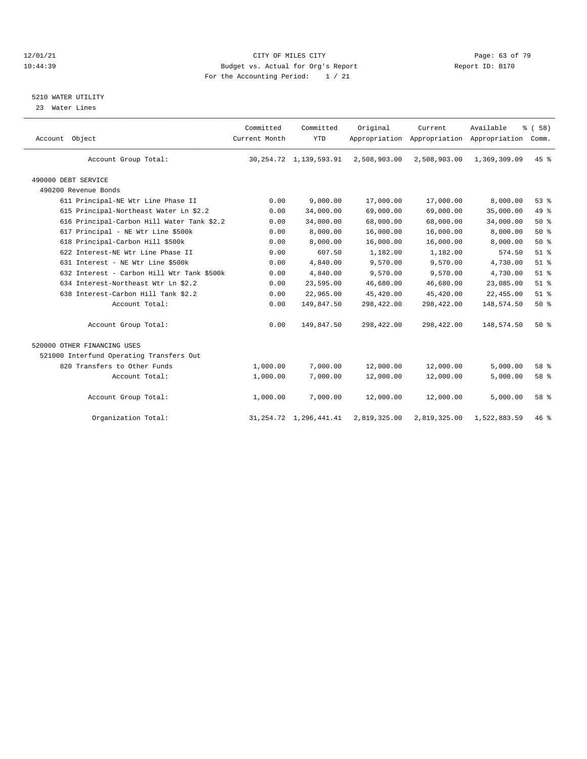#### 12/01/21 Page: 63 of 79 10:44:39 Budget vs. Actual for Org's Report Report ID: B170 For the Accounting Period: 1 / 21

### 5210 WATER UTILITY

23 Water Lines

| Account Object                           |                                            | Committed<br>Current Month | Committed<br><b>YTD</b>     | Original     | Current<br>Appropriation Appropriation Appropriation | Available    | % (58)<br>Comm. |  |
|------------------------------------------|--------------------------------------------|----------------------------|-----------------------------|--------------|------------------------------------------------------|--------------|-----------------|--|
| Account Group Total:                     |                                            |                            | 30, 254. 72 1, 139, 593. 91 | 2,508,903.00 | 2,508,903.00                                         | 1,369,309.09 | 45%             |  |
| 490000 DEBT SERVICE                      |                                            |                            |                             |              |                                                      |              |                 |  |
| 490200 Revenue Bonds                     |                                            |                            |                             |              |                                                      |              |                 |  |
| 611 Principal-NE Wtr Line Phase II       |                                            | 0.00                       | 9,000.00                    | 17,000.00    | 17,000.00                                            | 8,000.00     | 53%             |  |
|                                          | 615 Principal-Northeast Water Ln \$2.2     | 0.00                       | 34,000.00                   | 69,000.00    | 69,000.00                                            | 35,000.00    | 49.8            |  |
|                                          | 616 Principal-Carbon Hill Water Tank \$2.2 | 0.00                       | 34,000.00                   | 68,000.00    | 68,000.00                                            | 34,000.00    | 50%             |  |
| 617 Principal - NE Wtr Line \$500k       |                                            | 0.00                       | 8,000.00                    | 16,000.00    | 16,000.00                                            | 8,000.00     | 50%             |  |
| 618 Principal-Carbon Hill \$500k         |                                            | 0.00                       | 8,000.00                    | 16,000.00    | 16,000.00                                            | 8,000.00     | 50%             |  |
| 622 Interest-NE Wtr Line Phase II        |                                            | 0.00                       | 607.50                      | 1,182.00     | 1,182.00                                             | 574.50       | $51$ $%$        |  |
| 631 Interest - NE Wtr Line \$500k        |                                            | 0.00                       | 4,840.00                    | 9,570.00     | 9,570.00                                             | 4,730.00     | $51$ $%$        |  |
|                                          | 632 Interest - Carbon Hill Wtr Tank \$500k | 0.00                       | 4,840.00                    | 9,570.00     | 9,570.00                                             | 4,730.00     | $51$ %          |  |
| 634 Interest-Northeast Wtr Ln \$2.2      |                                            | 0.00                       | 23,595.00                   | 46,680.00    | 46,680.00                                            | 23,085.00    | $51$ %          |  |
| 638 Interest-Carbon Hill Tank \$2.2      |                                            | 0.00                       | 22,965.00                   | 45,420.00    | 45,420.00                                            | 22,455.00    | $51$ $%$        |  |
|                                          | Account Total:                             | 0.00                       | 149,847.50                  | 298,422.00   | 298,422.00                                           | 148,574.50   | 50%             |  |
| Account Group Total:                     |                                            | 0.00                       | 149,847.50                  | 298,422.00   | 298,422.00                                           | 148,574.50   | 50%             |  |
| 520000 OTHER FINANCING USES              |                                            |                            |                             |              |                                                      |              |                 |  |
| 521000 Interfund Operating Transfers Out |                                            |                            |                             |              |                                                      |              |                 |  |
| 820 Transfers to Other Funds             |                                            | 1,000.00                   | 7,000.00                    | 12,000.00    | 12,000.00                                            | 5,000.00     | 58 %            |  |
|                                          | Account Total:                             | 1,000.00                   | 7,000.00                    | 12,000.00    | 12,000.00                                            | 5,000.00     | 58 %            |  |
| Account Group Total:                     |                                            | 1,000.00                   | 7,000.00                    | 12,000.00    | 12,000.00                                            | 5,000.00     | 58 %            |  |
| Organization Total:                      |                                            |                            | 31, 254. 72 1, 296, 441. 41 | 2,819,325.00 | 2,819,325.00                                         | 1,522,883.59 | 46%             |  |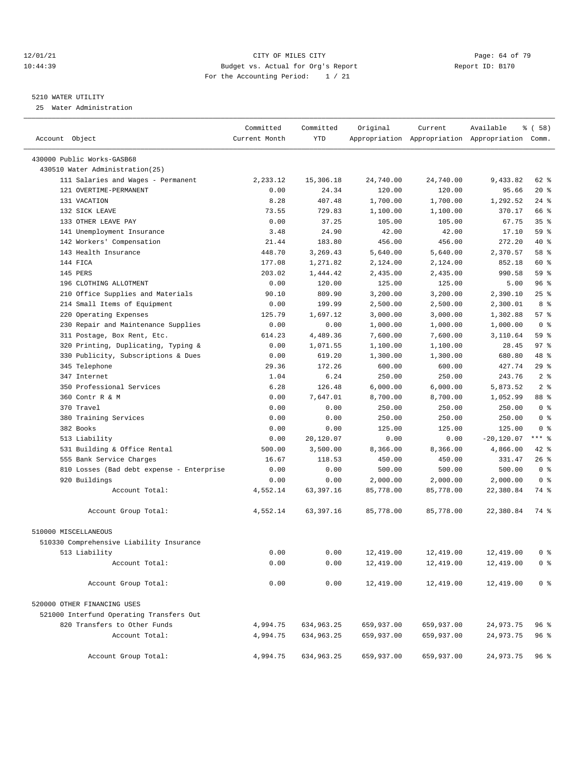#### $12/01/21$  Page: 64 of 79<br>10:44:39 Budget vs. Actual for Org's Report  $10:44:39$  Page: 64 of 79 10:44:39 Budget vs. Actual for Org's Report For the Accounting Period: 1 / 21

#### 5210 WATER UTILITY

25 Water Administration

|                                           | Committed     | Committed  | Original   | Current    | Available                                       | <sub>ර</sub> ි (58) |
|-------------------------------------------|---------------|------------|------------|------------|-------------------------------------------------|---------------------|
| Account Object                            | Current Month | <b>YTD</b> |            |            | Appropriation Appropriation Appropriation Comm. |                     |
|                                           |               |            |            |            |                                                 |                     |
| 430000 Public Works-GASB68                |               |            |            |            |                                                 |                     |
| 430510 Water Administration(25)           |               |            |            |            |                                                 |                     |
| 111 Salaries and Wages - Permanent        | 2,233.12      | 15,306.18  | 24,740.00  | 24,740.00  | 9,433.82                                        | 62 %                |
| 121 OVERTIME-PERMANENT                    | 0.00          | 24.34      | 120.00     | 120.00     | 95.66                                           | $20*$               |
| 131 VACATION                              | 8.28          | 407.48     | 1,700.00   | 1,700.00   | 1,292.52                                        | 24%                 |
| 132 SICK LEAVE                            | 73.55         | 729.83     | 1,100.00   | 1,100.00   | 370.17                                          | 66 %                |
| 133 OTHER LEAVE PAY                       | 0.00          | 37.25      | 105.00     | 105.00     | 67.75                                           | 35%                 |
| 141 Unemployment Insurance                | 3.48          | 24.90      | 42.00      | 42.00      | 17.10                                           | 59%                 |
| 142 Workers' Compensation                 | 21.44         | 183.80     | 456.00     | 456.00     | 272.20                                          | 40 %                |
| 143 Health Insurance                      | 448.70        | 3,269.43   | 5,640.00   | 5,640.00   | 2,370.57                                        | 58 %                |
| 144 FICA                                  | 177.08        | 1,271.82   | 2,124.00   | 2,124.00   | 852.18                                          | 60 %                |
| 145 PERS                                  | 203.02        | 1,444.42   | 2,435.00   | 2,435.00   | 990.58                                          | 59 %                |
| 196 CLOTHING ALLOTMENT                    | 0.00          | 120.00     | 125.00     | 125.00     | 5.00                                            | 96%                 |
| 210 Office Supplies and Materials         | 90.10         | 809.90     | 3,200.00   | 3,200.00   | 2,390.10                                        | 25%                 |
| 214 Small Items of Equipment              | 0.00          | 199.99     | 2,500.00   | 2,500.00   | 2,300.01                                        | 8 %                 |
| 220 Operating Expenses                    | 125.79        | 1,697.12   | 3,000.00   | 3,000.00   | 1,302.88                                        | 57%                 |
| 230 Repair and Maintenance Supplies       | 0.00          | 0.00       | 1,000.00   | 1,000.00   | 1,000.00                                        | 0 <sup>8</sup>      |
| 311 Postage, Box Rent, Etc.               | 614.23        | 4,489.36   | 7,600.00   | 7,600.00   | 3,110.64                                        | 59 %                |
| 320 Printing, Duplicating, Typing &       | 0.00          | 1,071.55   | 1,100.00   | 1,100.00   | 28.45                                           | 97%                 |
| 330 Publicity, Subscriptions & Dues       | 0.00          | 619.20     | 1,300.00   | 1,300.00   | 680.80                                          | 48 %                |
| 345 Telephone                             | 29.36         | 172.26     | 600.00     | 600.00     | 427.74                                          | 29%                 |
| 347 Internet                              | 1.04          | 6.24       | 250.00     | 250.00     | 243.76                                          | 2 <sup>8</sup>      |
| 350 Professional Services                 | 6.28          | 126.48     | 6,000.00   | 6,000.00   | 5,873.52                                        | 2 <sup>8</sup>      |
| 360 Contr R & M                           | 0.00          | 7,647.01   | 8,700.00   | 8,700.00   | 1,052.99                                        | 88 %                |
| 370 Travel                                | 0.00          | 0.00       | 250.00     | 250.00     | 250.00                                          | 0 <sup>8</sup>      |
| 380 Training Services                     | 0.00          | 0.00       | 250.00     | 250.00     | 250.00                                          | 0 <sup>8</sup>      |
| 382 Books                                 | 0.00          | 0.00       | 125.00     | 125.00     | 125.00                                          | 0 <sup>8</sup>      |
| 513 Liability                             | 0.00          | 20,120.07  | 0.00       | 0.00       | $-20,120.07$                                    | *** *               |
| 531 Building & Office Rental              | 500.00        | 3,500.00   | 8,366.00   | 8,366.00   | 4,866.00                                        | 42 %                |
| 555 Bank Service Charges                  | 16.67         | 118.53     | 450.00     | 450.00     | 331.47                                          | $26$ %              |
| 810 Losses (Bad debt expense - Enterprise | 0.00          | 0.00       | 500.00     | 500.00     | 500.00                                          | 0 <sup>8</sup>      |
| 920 Buildings                             | 0.00          | 0.00       | 2,000.00   | 2,000.00   | 2,000.00                                        | 0 <sup>8</sup>      |
| Account Total:                            | 4,552.14      | 63,397.16  | 85,778.00  | 85,778.00  | 22,380.84                                       | 74 %                |
| Account Group Total:                      | 4,552.14      | 63,397.16  | 85,778.00  | 85,778.00  | 22,380.84                                       | 74 %                |
| 510000 MISCELLANEOUS                      |               |            |            |            |                                                 |                     |
| 510330 Comprehensive Liability Insurance  |               |            |            |            |                                                 |                     |
| 513 Liability                             | 0.00          | 0.00       | 12,419.00  | 12,419.00  | 12,419.00                                       | 0 <sup>8</sup>      |
| Account Total:                            | 0.00          | 0.00       | 12,419.00  | 12,419.00  | 12,419.00                                       | 0 <sup>8</sup>      |
|                                           |               |            |            |            |                                                 |                     |
| Account Group Total:                      | 0.00          | 0.00       | 12,419.00  | 12,419.00  | 12,419.00                                       | 0 <sup>8</sup>      |
| 520000 OTHER FINANCING USES               |               |            |            |            |                                                 |                     |
| 521000 Interfund Operating Transfers Out  |               |            |            |            |                                                 |                     |
| 820 Transfers to Other Funds              | 4,994.75      | 634,963.25 | 659,937.00 | 659,937.00 | 24,973.75                                       | 96 %                |
| Account Total:                            | 4,994.75      | 634,963.25 | 659,937.00 | 659,937.00 | 24,973.75                                       | 96%                 |
| Account Group Total:                      | 4,994.75      | 634,963.25 | 659,937.00 | 659,937.00 | 24,973.75                                       | 96%                 |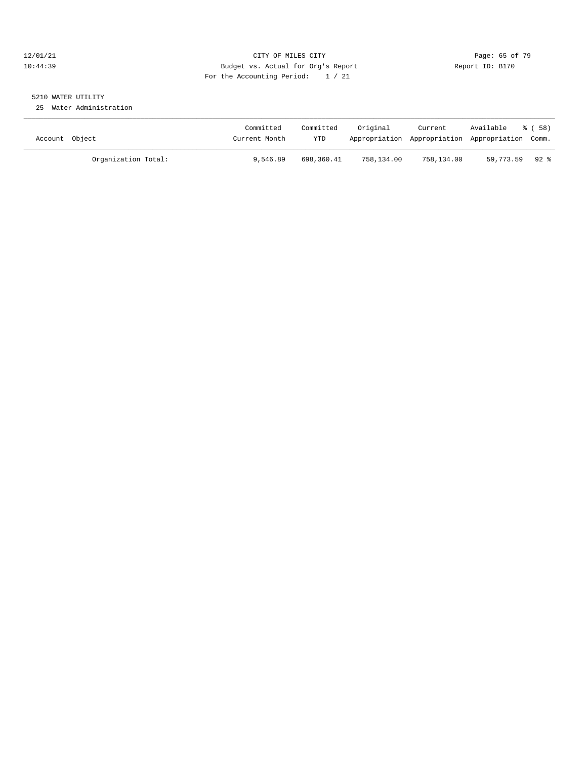#### 12/01/21 Page: 65 of 79 10:44:39 Budget vs. Actual for Org's Report Report ID: B170 For the Accounting Period: 1 / 21

## 5210 WATER UTILITY

25 Water Administration

| Account Object |                     | Committed<br>Current Month | Committed<br>YTD | Original   | Current<br>Appropriation Appropriation Appropriation Comm. | Available      | ී ( 58 ) |
|----------------|---------------------|----------------------------|------------------|------------|------------------------------------------------------------|----------------|----------|
|                | Organization Total: | 9,546.89                   | 698,360.41       | 758,134.00 | 758,134.00                                                 | 59,773.59 92 % |          |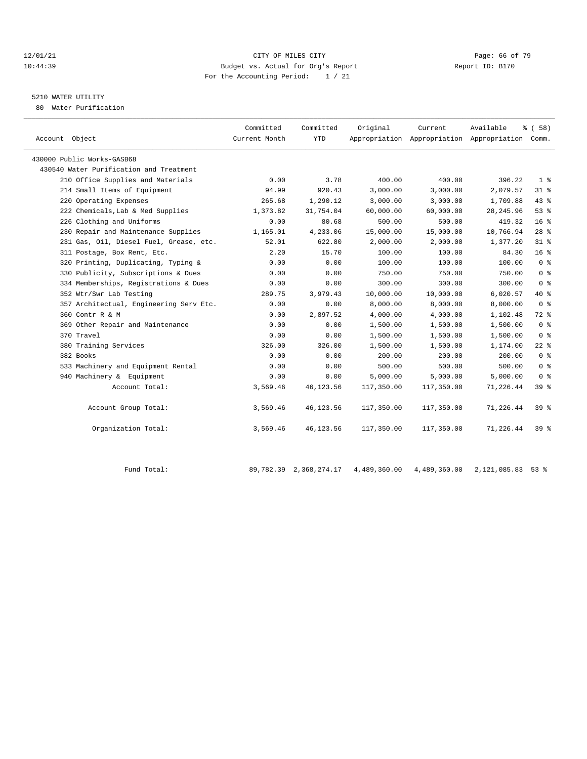#### 12/01/21 **Page: 66 of 79** CITY OF MILES CITY **CITY Page: 66 of 79** 10:44:39 Budget vs. Actual for Org's Report Report ID: B170 For the Accounting Period: 1 / 21

# 5210 WATER UTILITY

80 Water Purification

| Account Object                          | Committed<br>Current Month | Committed<br><b>YTD</b> | Original   | Current    | Available<br>Appropriation Appropriation Appropriation Comm. | % (58)          |  |
|-----------------------------------------|----------------------------|-------------------------|------------|------------|--------------------------------------------------------------|-----------------|--|
| 430000 Public Works-GASB68              |                            |                         |            |            |                                                              |                 |  |
| 430540 Water Purification and Treatment |                            |                         |            |            |                                                              |                 |  |
| 210 Office Supplies and Materials       | 0.00                       | 3.78                    | 400.00     | 400.00     | 396.22                                                       | 1 <sup>8</sup>  |  |
| 214 Small Items of Equipment            | 94.99                      | 920.43                  | 3,000.00   | 3,000.00   | 2,079.57                                                     | 31.8            |  |
| 220 Operating Expenses                  | 265.68                     | 1,290.12                | 3,000.00   | 3,000.00   | 1,709.88                                                     | 43 %            |  |
| 222 Chemicals, Lab & Med Supplies       | 1,373.82                   | 31,754.04               | 60,000.00  | 60,000.00  | 28, 245.96                                                   | 53%             |  |
| 226 Clothing and Uniforms               | 0.00                       | 80.68                   | 500.00     | 500.00     | 419.32                                                       | 16 <sup>°</sup> |  |
| 230 Repair and Maintenance Supplies     | 1,165.01                   | 4,233.06                | 15,000.00  | 15,000.00  | 10,766.94                                                    | 28 <sup>8</sup> |  |
| 231 Gas, Oil, Diesel Fuel, Grease, etc. | 52.01                      | 622.80                  | 2,000.00   | 2,000.00   | 1,377.20                                                     | $31$ %          |  |
| 311 Postage, Box Rent, Etc.             | 2.20                       | 15.70                   | 100.00     | 100.00     | 84.30                                                        | 16 <sup>8</sup> |  |
| 320 Printing, Duplicating, Typing &     | 0.00                       | 0.00                    | 100.00     | 100.00     | 100.00                                                       | 0 <sup>8</sup>  |  |
| 330 Publicity, Subscriptions & Dues     | 0.00                       | 0.00                    | 750.00     | 750.00     | 750.00                                                       | 0 <sup>8</sup>  |  |
| 334 Memberships, Registrations & Dues   | 0.00                       | 0.00                    | 300.00     | 300.00     | 300.00                                                       | 0 <sup>8</sup>  |  |
| 352 Wtr/Swr Lab Testing                 | 289.75                     | 3,979.43                | 10,000.00  | 10,000.00  | 6,020.57                                                     | $40*$           |  |
| 357 Architectual, Engineering Serv Etc. | 0.00                       | 0.00                    | 8,000.00   | 8,000.00   | 8,000.00                                                     | 0 <sup>8</sup>  |  |
| 360 Contr R & M                         | 0.00                       | 2,897.52                | 4,000.00   | 4,000.00   | 1,102.48                                                     | $72$ $%$        |  |
| 369 Other Repair and Maintenance        | 0.00                       | 0.00                    | 1,500.00   | 1,500.00   | 1,500.00                                                     | 0 <sup>8</sup>  |  |
| 370 Travel                              | 0.00                       | 0.00                    | 1,500.00   | 1,500.00   | 1,500.00                                                     | 0 <sup>8</sup>  |  |
| 380 Training Services                   | 326.00                     | 326.00                  | 1,500.00   | 1,500.00   | 1,174.00                                                     | $22$ $%$        |  |
| 382 Books                               | 0.00                       | 0.00                    | 200.00     | 200.00     | 200.00                                                       | 0 <sup>8</sup>  |  |
| 533 Machinery and Equipment Rental      | 0.00                       | 0.00                    | 500.00     | 500.00     | 500.00                                                       | 0 <sup>8</sup>  |  |
| 940 Machinery & Equipment               | 0.00                       | 0.00                    | 5,000.00   | 5,000.00   | 5,000.00                                                     | 0 <sup>8</sup>  |  |
| Account Total:                          | 3,569.46                   | 46,123.56               | 117,350.00 | 117,350.00 | 71,226.44                                                    | 398             |  |
| Account Group Total:                    | 3,569.46                   | 46, 123.56              | 117,350.00 | 117,350.00 | 71,226.44                                                    | 39 <sup>8</sup> |  |
| Organization Total:                     | 3,569.46                   | 46, 123.56              | 117,350.00 | 117,350.00 | 71,226.44                                                    | 398             |  |

Fund Total: 89,782.39 2,368,274.17 4,489,360.00 4,489,360.00 2,121,085.83 53 %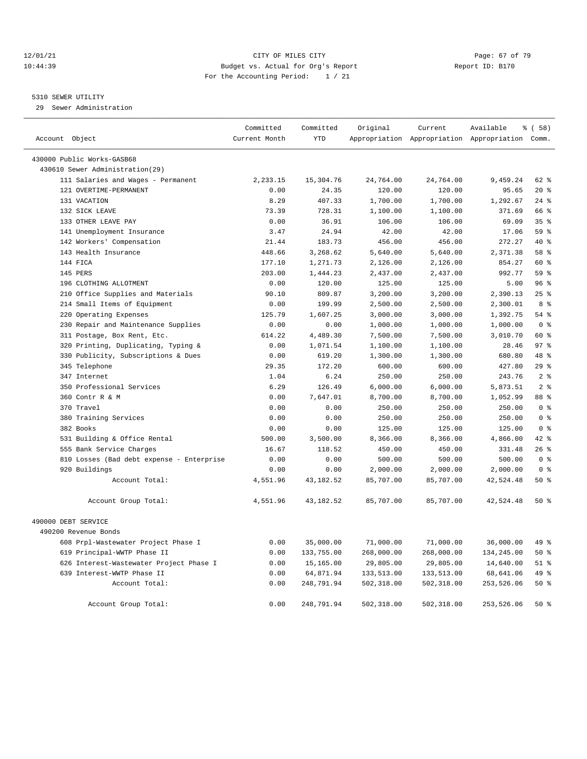#### 12/01/21 **Page: 67 of 79** CITY OF MILES CITY **CITY Page: 67 of 79** 10:44:39 Budget vs. Actual for Org's Report Report ID: B170 For the Accounting Period: 1 / 21

#### 5310 SEWER UTILITY

29 Sewer Administration

| Account Object |                                                               | Committed<br>Current Month | Committed<br><b>YTD</b> | Original         | Current          | Available<br>Appropriation Appropriation Appropriation Comm. | % (58)                           |
|----------------|---------------------------------------------------------------|----------------------------|-------------------------|------------------|------------------|--------------------------------------------------------------|----------------------------------|
|                |                                                               |                            |                         |                  |                  |                                                              |                                  |
|                | 430000 Public Works-GASB68<br>430610 Sewer Administration(29) |                            |                         |                  |                  |                                                              |                                  |
|                | 111 Salaries and Wages - Permanent                            | 2,233.15                   | 15,304.76               | 24,764.00        | 24,764.00        | 9,459.24                                                     | 62 %                             |
|                | 121 OVERTIME-PERMANENT                                        | 0.00                       | 24.35                   | 120.00           | 120.00           | 95.65                                                        | $20*$                            |
|                | 131 VACATION                                                  | 8.29                       | 407.33                  | 1,700.00         | 1,700.00         | 1,292.67                                                     | $24$ %                           |
|                | 132 SICK LEAVE                                                | 73.39                      | 728.31                  | 1,100.00         | 1,100.00         | 371.69                                                       | 66 %                             |
|                | 133 OTHER LEAVE PAY                                           | 0.00                       | 36.91                   | 106.00           | 106.00           | 69.09                                                        | 35%                              |
|                | 141 Unemployment Insurance                                    | 3.47                       | 24.94                   | 42.00            | 42.00            | 17.06                                                        | 59 %                             |
|                | 142 Workers' Compensation                                     | 21.44                      | 183.73                  | 456.00           | 456.00           | 272.27                                                       | 40 %                             |
|                | 143 Health Insurance                                          | 448.66                     | 3,268.62                | 5,640.00         | 5,640.00         | 2,371.38                                                     | 58 %                             |
|                | 144 FICA                                                      | 177.10                     | 1,271.73                | 2,126.00         | 2,126.00         | 854.27                                                       | 60 %                             |
|                | 145 PERS                                                      | 203.00                     | 1,444.23                | 2,437.00         | 2,437.00         | 992.77                                                       | 59 %                             |
|                | 196 CLOTHING ALLOTMENT                                        | 0.00                       | 120.00                  | 125.00           | 125.00           | 5.00                                                         | 96%                              |
|                | 210 Office Supplies and Materials                             | 90.10                      | 809.87                  | 3,200.00         | 3,200.00         | 2,390.13                                                     | 25%                              |
|                | 214 Small Items of Equipment                                  | 0.00                       | 199.99                  | 2,500.00         | 2,500.00         | 2,300.01                                                     | 8 %                              |
|                | 220 Operating Expenses                                        | 125.79                     | 1,607.25                | 3,000.00         | 3,000.00         | 1,392.75                                                     | 54 %                             |
|                | 230 Repair and Maintenance Supplies                           | 0.00                       | 0.00                    | 1,000.00         | 1,000.00         | 1,000.00                                                     | 0 <sup>8</sup>                   |
|                | 311 Postage, Box Rent, Etc.                                   | 614.22                     | 4,489.30                | 7,500.00         | 7,500.00         | 3,010.70                                                     | 60 %                             |
|                | 320 Printing, Duplicating, Typing &                           | 0.00                       | 1,071.54                | 1,100.00         | 1,100.00         | 28.46                                                        | 97%                              |
|                | 330 Publicity, Subscriptions & Dues                           | 0.00                       | 619.20                  | 1,300.00         | 1,300.00         | 680.80                                                       | 48 %                             |
|                | 345 Telephone                                                 | 29.35                      | 172.20                  | 600.00           | 600.00           | 427.80                                                       | 29%                              |
|                | 347 Internet                                                  | 1.04                       | 6.24                    | 250.00           | 250.00           | 243.76                                                       | 2 <sup>8</sup>                   |
|                | 350 Professional Services                                     | 6.29                       | 126.49                  | 6,000.00         | 6,000.00         | 5,873.51                                                     | 2 <sub>8</sub>                   |
|                | 360 Contr R & M                                               | 0.00                       | 7,647.01                | 8,700.00         | 8,700.00         | 1,052.99                                                     | 88 %                             |
|                | 370 Travel                                                    | 0.00                       | 0.00                    | 250.00           | 250.00           | 250.00                                                       | 0 <sup>8</sup>                   |
|                | 380 Training Services<br>382 Books                            | 0.00<br>0.00               | 0.00<br>0.00            | 250.00<br>125.00 | 250.00<br>125.00 | 250.00<br>125.00                                             | 0 <sup>8</sup><br>0 <sup>8</sup> |
|                | 531 Building & Office Rental                                  | 500.00                     | 3,500.00                | 8,366.00         | 8,366.00         | 4,866.00                                                     | $42$ $%$                         |
|                | 555 Bank Service Charges                                      | 16.67                      | 118.52                  | 450.00           | 450.00           | 331.48                                                       | 26%                              |
|                | 810 Losses (Bad debt expense - Enterprise                     | 0.00                       | 0.00                    | 500.00           | 500.00           | 500.00                                                       | 0 <sup>8</sup>                   |
|                | 920 Buildings                                                 | 0.00                       | 0.00                    | 2,000.00         | 2,000.00         | 2,000.00                                                     | 0 <sup>8</sup>                   |
|                | Account Total:                                                | 4,551.96                   | 43, 182.52              | 85,707.00        | 85,707.00        | 42,524.48                                                    | 50%                              |
|                |                                                               |                            |                         |                  |                  |                                                              |                                  |
|                | Account Group Total:                                          | 4,551.96                   | 43,182.52               | 85,707.00        | 85,707.00        | 42,524.48                                                    | $50*$                            |
|                | 490000 DEBT SERVICE                                           |                            |                         |                  |                  |                                                              |                                  |
|                | 490200 Revenue Bonds                                          |                            |                         |                  |                  |                                                              |                                  |
|                | 608 Prpl-Wastewater Project Phase I                           | 0.00                       | 35,000.00               | 71,000.00        | 71,000.00        | 36,000.00                                                    | 49 %                             |
|                | 619 Principal-WWTP Phase II                                   | 0.00                       | 133,755.00              | 268,000.00       | 268,000.00       | 134,245.00                                                   | 50%                              |
|                | 626 Interest-Wastewater Project Phase I                       | 0.00                       | 15,165.00               | 29,805.00        | 29,805.00        | 14,640.00                                                    | $51$ %                           |
|                | 639 Interest-WWTP Phase II                                    | 0.00                       | 64,871.94               | 133,513.00       | 133,513.00       | 68,641.06                                                    | 49 %                             |
|                | Account Total:                                                | 0.00                       | 248,791.94              | 502,318.00       | 502,318.00       | 253,526.06                                                   | 50%                              |
|                | Account Group Total:                                          | 0.00                       | 248,791.94              | 502,318.00       | 502,318.00       | 253,526.06                                                   | 50%                              |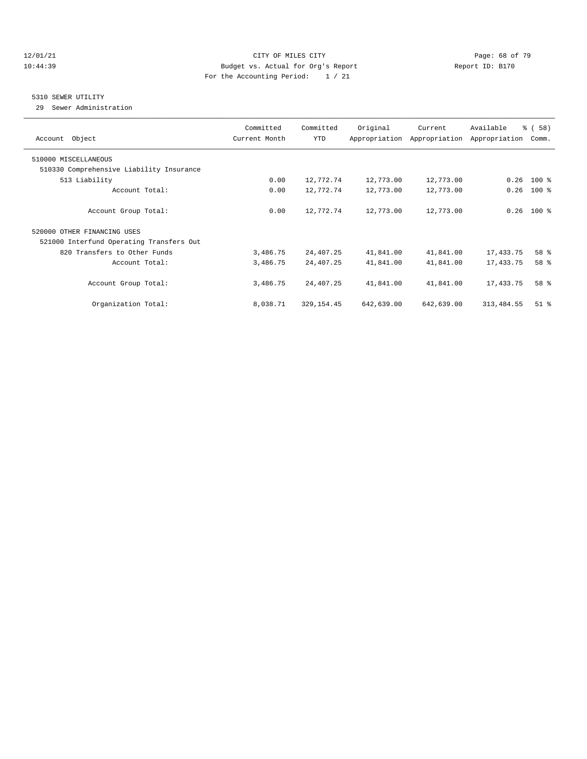#### 12/01/21 **CITY OF MILES CITY CITY CITY Page: 68 of 79** 10:44:39 Budget vs. Actual for Org's Report Report ID: B170 For the Accounting Period: 1 / 21

#### 5310 SEWER UTILITY

29 Sewer Administration

| Account Object                           | Committed<br>Current Month | Committed<br>YTD | Original   | Current<br>Appropriation Appropriation | Available<br>Appropriation | % (58)<br>Comm. |
|------------------------------------------|----------------------------|------------------|------------|----------------------------------------|----------------------------|-----------------|
| 510000 MISCELLANEOUS                     |                            |                  |            |                                        |                            |                 |
| 510330 Comprehensive Liability Insurance |                            |                  |            |                                        |                            |                 |
| 513 Liability                            | 0.00                       | 12,772.74        | 12,773.00  | 12,773.00                              | 0.26                       | $100$ %         |
| Account Total:                           | 0.00                       | 12,772.74        | 12,773.00  | 12,773.00                              | 0.26                       | $100*$          |
| Account Group Total:                     | 0.00                       | 12,772.74        | 12,773.00  | 12,773.00                              |                            | $0.26$ 100 %    |
| 520000 OTHER FINANCING USES              |                            |                  |            |                                        |                            |                 |
| 521000 Interfund Operating Transfers Out |                            |                  |            |                                        |                            |                 |
| 820 Transfers to Other Funds             | 3,486.75                   | 24,407.25        | 41,841.00  | 41,841.00                              | 17,433.75                  | 58 %            |
| Account Total:                           | 3,486.75                   | 24,407.25        | 41,841.00  | 41,841.00                              | 17,433.75                  | 58 %            |
| Account Group Total:                     | 3,486.75                   | 24, 407. 25      | 41,841.00  | 41,841.00                              | 17,433.75                  | 58 %            |
| Organization Total:                      | 8,038.71                   | 329, 154.45      | 642,639.00 | 642,639.00                             | 313, 484.55                | $51$ $%$        |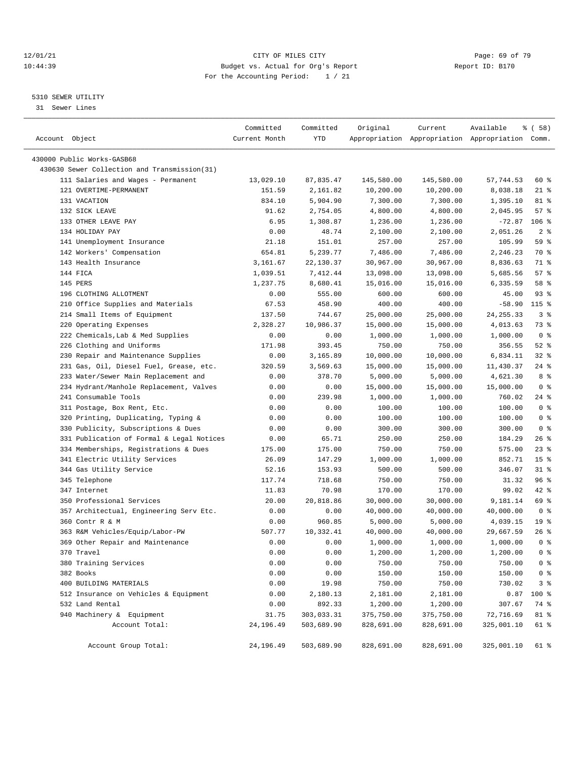#### $12/01/21$  Page: 69 of 79<br>10:44:39 Budget vs. Actual for Org's Report  $\overline{D}$  Report ID: B170 10:44:39 Budget vs. Actual for Org's Report For the Accounting Period: 1 / 21

————————————————————————————————————————————————————————————————————————————————————————————————————————————————————————————————————

## 5310 SEWER UTILITY

31 Sewer Lines

|                                              | Committed     | Committed  | Original   | Current    | Available                                       | % ( 58 )        |
|----------------------------------------------|---------------|------------|------------|------------|-------------------------------------------------|-----------------|
| Account Object                               | Current Month | YTD        |            |            | Appropriation Appropriation Appropriation Comm. |                 |
| 430000 Public Works-GASB68                   |               |            |            |            |                                                 |                 |
| 430630 Sewer Collection and Transmission(31) |               |            |            |            |                                                 |                 |
| 111 Salaries and Wages - Permanent           | 13,029.10     | 87,835.47  | 145,580.00 | 145,580.00 | 57,744.53                                       | 60 %            |
| 121 OVERTIME-PERMANENT                       | 151.59        | 2,161.82   | 10,200.00  | 10,200.00  | 8,038.18                                        | $21$ %          |
| 131 VACATION                                 | 834.10        | 5,904.90   | 7,300.00   | 7,300.00   | 1,395.10                                        | 81 %            |
| 132 SICK LEAVE                               | 91.62         | 2,754.05   | 4,800.00   | 4,800.00   | 2,045.95                                        | 57%             |
| 133 OTHER LEAVE PAY                          | 6.95          | 1,308.87   | 1,236.00   | 1,236.00   | $-72.87$                                        | $106$ %         |
| 134 HOLIDAY PAY                              | 0.00          | 48.74      | 2,100.00   | 2,100.00   | 2,051.26                                        | 2 <sup>8</sup>  |
| 141 Unemployment Insurance                   | 21.18         | 151.01     | 257.00     | 257.00     | 105.99                                          | 59 %            |
| 142 Workers' Compensation                    | 654.81        | 5,239.77   | 7,486.00   | 7,486.00   | 2,246.23                                        | 70 %            |
| 143 Health Insurance                         | 3,161.67      | 22,130.37  | 30,967.00  | 30,967.00  | 8,836.63                                        | 71 %            |
| 144 FICA                                     | 1,039.51      | 7,412.44   | 13,098.00  | 13,098.00  | 5,685.56                                        | 57%             |
| 145 PERS                                     | 1,237.75      | 8,680.41   | 15,016.00  | 15,016.00  | 6,335.59                                        | 58 %            |
| 196 CLOTHING ALLOTMENT                       | 0.00          | 555.00     | 600.00     | 600.00     | 45.00                                           | 93%             |
| 210 Office Supplies and Materials            | 67.53         | 458.90     | 400.00     | 400.00     | $-58.90$                                        | $115$ %         |
| 214 Small Items of Equipment                 | 137.50        | 744.67     | 25,000.00  | 25,000.00  | 24, 255. 33                                     | 3%              |
| 220 Operating Expenses                       | 2,328.27      | 10,986.37  | 15,000.00  | 15,000.00  | 4,013.63                                        | 73 %            |
| 222 Chemicals, Lab & Med Supplies            | 0.00          | 0.00       | 1,000.00   | 1,000.00   | 1,000.00                                        | 0 <sup>8</sup>  |
| 226 Clothing and Uniforms                    | 171.98        | 393.45     | 750.00     | 750.00     | 356.55                                          | $52$ $%$        |
| 230 Repair and Maintenance Supplies          | 0.00          | 3,165.89   | 10,000.00  | 10,000.00  | 6,834.11                                        | $32$ $%$        |
| 231 Gas, Oil, Diesel Fuel, Grease, etc.      | 320.59        | 3,569.63   | 15,000.00  | 15,000.00  | 11,430.37                                       | $24$ %          |
| 233 Water/Sewer Main Replacement and         | 0.00          | 378.70     | 5,000.00   | 5,000.00   | 4,621.30                                        | 8 %             |
| 234 Hydrant/Manhole Replacement, Valves      | 0.00          | 0.00       | 15,000.00  | 15,000.00  | 15,000.00                                       | 0 <sup>8</sup>  |
| 241 Consumable Tools                         | 0.00          | 239.98     | 1,000.00   | 1,000.00   | 760.02                                          | $24$ %          |
| 311 Postage, Box Rent, Etc.                  | 0.00          | 0.00       | 100.00     | 100.00     | 100.00                                          | 0 <sup>8</sup>  |
| 320 Printing, Duplicating, Typing &          | 0.00          | 0.00       | 100.00     | 100.00     | 100.00                                          | 0 <sup>8</sup>  |
| 330 Publicity, Subscriptions & Dues          | 0.00          | 0.00       | 300.00     | 300.00     | 300.00                                          | 0 <sup>8</sup>  |
| 331 Publication of Formal & Legal Notices    | 0.00          | 65.71      | 250.00     | 250.00     | 184.29                                          | $26$ %          |
| 334 Memberships, Registrations & Dues        | 175.00        | 175.00     | 750.00     | 750.00     | 575.00                                          | $23$ $%$        |
| 341 Electric Utility Services                | 26.09         | 147.29     | 1,000.00   | 1,000.00   | 852.71                                          | 15 <sup>°</sup> |
| 344 Gas Utility Service                      | 52.16         | 153.93     | 500.00     | 500.00     | 346.07                                          | $31$ %          |
| 345 Telephone                                | 117.74        | 718.68     | 750.00     | 750.00     | 31.32                                           | 96%             |
| 347 Internet                                 | 11.83         | 70.98      | 170.00     | 170.00     | 99.02                                           | $42$ %          |
| 350 Professional Services                    | 20.00         | 20,818.86  | 30,000.00  | 30,000.00  | 9,181.14                                        | 69 %            |
| 357 Architectual, Engineering Serv Etc.      | 0.00          | 0.00       | 40,000.00  | 40,000.00  | 40,000.00                                       | 0 <sup>8</sup>  |
| 360 Contr R & M                              | 0.00          | 960.85     | 5,000.00   | 5,000.00   | 4,039.15                                        | 19 <sup>°</sup> |
| 363 R&M Vehicles/Equip/Labor-PW              | 507.77        | 10,332.41  | 40,000.00  | 40,000.00  | 29,667.59                                       | 26 %            |
| 369 Other Repair and Maintenance             | 0.00          | 0.00       | 1,000.00   | 1,000.00   | 1,000.00                                        | 0 <sup>8</sup>  |
| 370 Travel                                   | 0.00          | 0.00       | 1,200.00   | 1,200.00   | 1,200.00                                        | 0 <sup>8</sup>  |
| 380 Training Services                        | 0.00          | 0.00       | 750.00     | 750.00     | 750.00                                          | 0 <sup>8</sup>  |
| 382 Books                                    | 0.00          | 0.00       | 150.00     | 150.00     | 150.00                                          | 0 <sup>8</sup>  |
| 400 BUILDING MATERIALS                       | 0.00          | 19.98      | 750.00     | 750.00     | 730.02                                          | 3 <sup>8</sup>  |
| 512 Insurance on Vehicles & Equipment        | 0.00          | 2,180.13   | 2,181.00   | 2,181.00   | 0.87                                            | 100 %           |
| 532 Land Rental                              | 0.00          | 892.33     | 1,200.00   | 1,200.00   | 307.67                                          | 74 %            |
| 940 Machinery & Equipment                    | 31.75         | 303,033.31 | 375,750.00 | 375,750.00 | 72,716.69                                       | 81 %            |
| Account Total:                               | 24, 196.49    | 503,689.90 | 828,691.00 | 828,691.00 | 325,001.10                                      | 61 %            |
|                                              |               |            |            |            |                                                 |                 |
| Account Group Total:                         | 24,196.49     | 503,689.90 | 828,691.00 | 828,691.00 | 325,001.10                                      | 61 %            |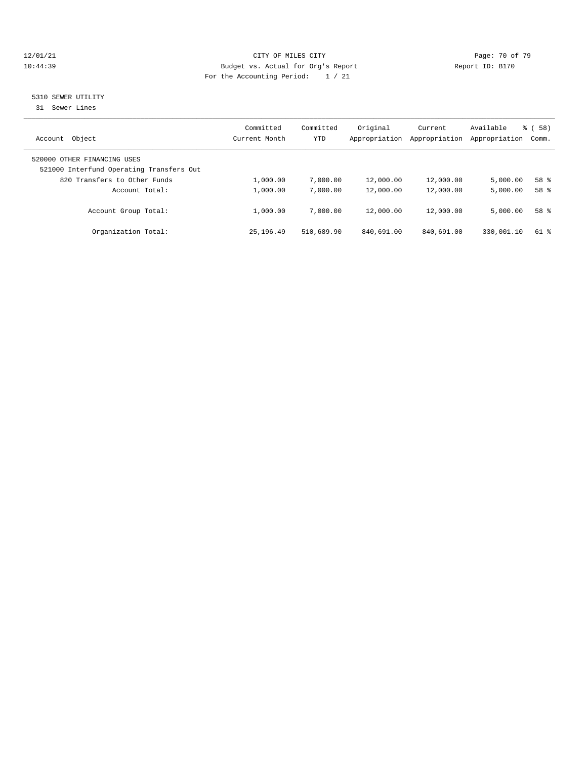#### 12/01/21 **Page: 70 of 79** CITY OF MILES CITY **CITY** CITY **Page: 70 of 79** 10:44:39 Budget vs. Actual for Org's Report Report ID: B170 For the Accounting Period: 1 / 21

# 5310 SEWER UTILITY

31 Sewer Lines

| Object<br>Account                                                       | Committed<br>Current Month | Committed<br>YTD | Original<br>Appropriation | Current<br>Appropriation | Available<br>Appropriation | 58)<br>ී (<br>Comm. |  |
|-------------------------------------------------------------------------|----------------------------|------------------|---------------------------|--------------------------|----------------------------|---------------------|--|
| 520000 OTHER FINANCING USES<br>521000 Interfund Operating Transfers Out |                            |                  |                           |                          |                            |                     |  |
| 820 Transfers to Other Funds                                            | 1,000.00                   | 7,000.00         | 12,000.00                 | 12,000.00                | 5,000.00                   | 58 %                |  |
| Account Total:                                                          | 1,000.00                   | 7,000.00         | 12,000.00                 | 12,000.00                | 5,000.00                   | $58*$               |  |
| Account Group Total:                                                    | 1,000.00                   | 7,000.00         | 12,000.00                 | 12,000.00                | 5,000.00                   | 58 %                |  |
| Organization Total:                                                     | 25, 196, 49                | 510,689.90       | 840,691.00                | 840,691.00               | 330,001.10                 | $61$ %              |  |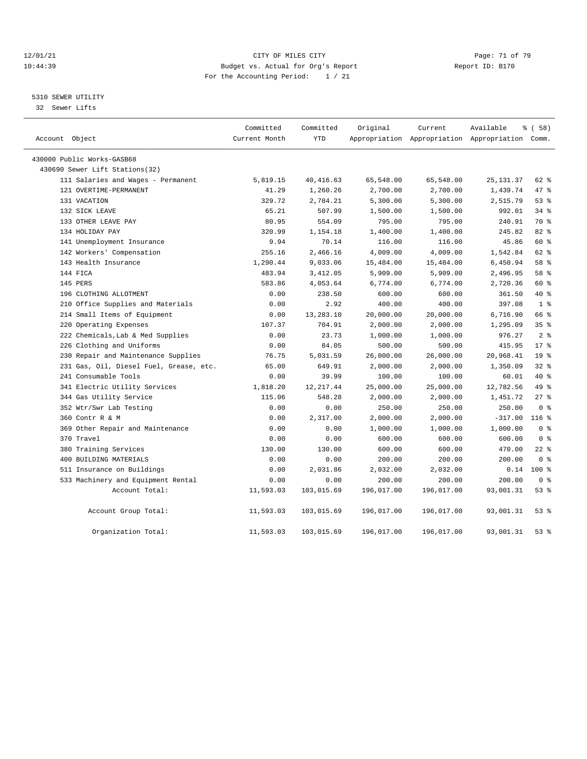#### $12/01/21$  Page: 71 of 79<br>
12/01/21 Page: 71 of 79<br>
Budget vs. Actual for Org's Report Page: 71 of 79<br>
Page: 71 of 79 10:44:39 Budget vs. Actual for Org's Report For the Accounting Period: 1 / 21

## 5310 SEWER UTILITY

32 Sewer Lifts

| Account Object                          | Committed<br>Current Month | Committed<br><b>YTD</b> | Original   | Current    | Available<br>Appropriation Appropriation Appropriation Comm. | % ( 58 )        |
|-----------------------------------------|----------------------------|-------------------------|------------|------------|--------------------------------------------------------------|-----------------|
| 430000 Public Works-GASB68              |                            |                         |            |            |                                                              |                 |
| 430690 Sewer Lift Stations(32)          |                            |                         |            |            |                                                              |                 |
| 111 Salaries and Wages - Permanent      | 5,819.15                   | 40, 416.63              | 65,548.00  | 65,548.00  | 25, 131.37                                                   | 62 %            |
| 121 OVERTIME-PERMANENT                  | 41.29                      | 1,260.26                | 2,700.00   | 2,700.00   | 1,439.74                                                     | 47 %            |
| 131 VACATION                            | 329.72                     | 2,784.21                | 5,300.00   | 5,300.00   | 2,515.79                                                     | 53%             |
| 132 SICK LEAVE                          | 65.21                      | 507.99                  | 1,500.00   | 1,500.00   | 992.01                                                       | 34%             |
| 133 OTHER LEAVE PAY                     | 80.95                      | 554.09                  | 795.00     | 795.00     | 240.91                                                       | 70 %            |
| 134 HOLIDAY PAY                         | 320.99                     | 1,154.18                | 1,400.00   | 1,400.00   | 245.82                                                       | 82 %            |
| 141 Unemployment Insurance              | 9.94                       | 70.14                   | 116.00     | 116.00     | 45.86                                                        | 60 %            |
| 142 Workers' Compensation               | 255.16                     | 2,466.16                | 4,009.00   | 4,009.00   | 1,542.84                                                     | 62 %            |
| 143 Health Insurance                    | 1,290.44                   | 9,033.06                | 15,484.00  | 15,484.00  | 6,450.94                                                     | 58 %            |
| 144 FICA                                | 483.94                     | 3,412.05                | 5,909.00   | 5,909.00   | 2,496.95                                                     | 58 %            |
| 145 PERS                                | 583.86                     | 4,053.64                | 6,774.00   | 6,774.00   | 2,720.36                                                     | 60 %            |
| 196 CLOTHING ALLOTMENT                  | 0.00                       | 238.50                  | 600.00     | 600.00     | 361.50                                                       | $40*$           |
| 210 Office Supplies and Materials       | 0.00                       | 2.92                    | 400.00     | 400.00     | 397.08                                                       | 1 <sup>8</sup>  |
| 214 Small Items of Equipment            | 0.00                       | 13,283.10               | 20,000.00  | 20,000.00  | 6,716.90                                                     | 66 %            |
| 220 Operating Expenses                  | 107.37                     | 704.91                  | 2,000.00   | 2,000.00   | 1,295.09                                                     | 35 <sup>8</sup> |
| 222 Chemicals, Lab & Med Supplies       | 0.00                       | 23.73                   | 1,000.00   | 1,000.00   | 976.27                                                       | 2 <sup>8</sup>  |
| 226 Clothing and Uniforms               | 0.00                       | 84.05                   | 500.00     | 500.00     | 415.95                                                       | $17*$           |
| 230 Repair and Maintenance Supplies     | 76.75                      | 5,031.59                | 26,000.00  | 26,000.00  | 20,968.41                                                    | 19 <sup>°</sup> |
| 231 Gas, Oil, Diesel Fuel, Grease, etc. | 65.00                      | 649.91                  | 2,000.00   | 2,000.00   | 1,350.09                                                     | $32$ %          |
| 241 Consumable Tools                    | 0.00                       | 39.99                   | 100.00     | 100.00     | 60.01                                                        | 40 %            |
| 341 Electric Utility Services           | 1,818.20                   | 12, 217.44              | 25,000.00  | 25,000.00  | 12,782.56                                                    | 49 %            |
| 344 Gas Utility Service                 | 115.06                     | 548.28                  | 2,000.00   | 2,000.00   | 1,451.72                                                     | $27$ %          |
| 352 Wtr/Swr Lab Testing                 | 0.00                       | 0.00                    | 250.00     | 250.00     | 250.00                                                       | 0 <sup>8</sup>  |
| 360 Contr R & M                         | 0.00                       | 2,317.00                | 2,000.00   | 2,000.00   | $-317.00$                                                    | $116$ %         |
| 369 Other Repair and Maintenance        | 0.00                       | 0.00                    | 1,000.00   | 1,000.00   | 1,000.00                                                     | 0 <sup>8</sup>  |
| 370 Travel                              | 0.00                       | 0.00                    | 600.00     | 600.00     | 600.00                                                       | 0 <sup>8</sup>  |
| 380 Training Services                   | 130.00                     | 130.00                  | 600.00     | 600.00     | 470.00                                                       | $22$ %          |
| 400 BUILDING MATERIALS                  | 0.00                       | 0.00                    | 200.00     | 200.00     | 200.00                                                       | 0 <sup>8</sup>  |
| 511 Insurance on Buildings              | 0.00                       | 2,031.86                | 2,032.00   | 2,032.00   | 0.14                                                         | $100*$          |
| 533 Machinery and Equipment Rental      | 0.00                       | 0.00                    | 200.00     | 200.00     | 200.00                                                       | 0 <sup>8</sup>  |
| Account Total:                          | 11,593.03                  | 103,015.69              | 196,017.00 | 196,017.00 | 93,001.31                                                    | 53%             |
| Account Group Total:                    | 11,593.03                  | 103,015.69              | 196,017.00 | 196,017.00 | 93,001.31                                                    | 53%             |
| Organization Total:                     | 11,593.03                  | 103,015.69              | 196,017.00 | 196,017.00 | 93,001.31                                                    | 53%             |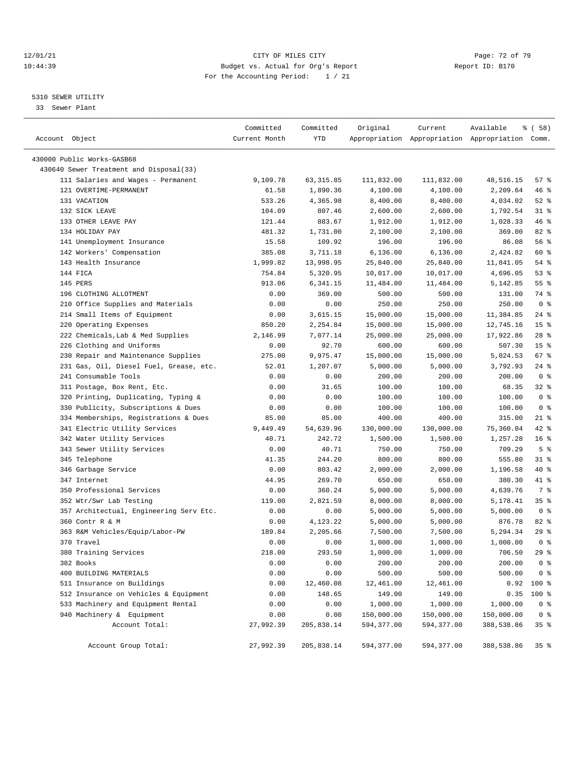#### $12/01/21$  Page: 72 of 79<br>
10:44:39 Budget vs. Actual for Org's Report Page: 72 of 79<br>
Report ID: B170 10:44:39 Budget vs. Actual for Org's Report For the Accounting Period: 1 / 21

————————————————————————————————————————————————————————————————————————————————————————————————————————————————————————————————————

## 5310 SEWER UTILITY

33 Sewer Plant

|                                                                 | Committed        | Committed            | Original             | Current              | Available                                       | <sub>है</sub> ( 58 ) |
|-----------------------------------------------------------------|------------------|----------------------|----------------------|----------------------|-------------------------------------------------|----------------------|
| Account Object                                                  | Current Month    | YTD                  |                      |                      | Appropriation Appropriation Appropriation Comm. |                      |
| 430000 Public Works-GASB68                                      |                  |                      |                      |                      |                                                 |                      |
| 430640 Sewer Treatment and Disposal(33)                         |                  |                      |                      |                      |                                                 |                      |
| 111 Salaries and Wages - Permanent                              | 9,109.78         | 63, 315.85           | 111,832.00           | 111,832.00           | 48,516.15                                       | 57%                  |
| 121 OVERTIME-PERMANENT                                          | 61.58            | 1,890.36             |                      |                      | 2,209.64                                        | 46 %                 |
| 131 VACATION                                                    | 533.26           | 4,365.98             | 4,100.00<br>8,400.00 | 4,100.00             | 4,034.02                                        | $52$ $%$             |
|                                                                 |                  |                      |                      | 8,400.00             |                                                 |                      |
| 132 SICK LEAVE<br>133 OTHER LEAVE PAY                           | 104.09<br>121.44 | 807.46<br>883.67     | 2,600.00             | 2,600.00             | 1,792.54<br>1,028.33                            | $31$ %<br>46%        |
| 134 HOLIDAY PAY                                                 | 481.32           |                      | 1,912.00             | 1,912.00             | 369.00                                          | 82%                  |
| 141 Unemployment Insurance                                      | 15.58            | 1,731.00<br>109.92   | 2,100.00<br>196.00   | 2,100.00<br>196.00   | 86.08                                           | 56%                  |
| 142 Workers' Compensation                                       | 385.08           | 3,711.18             | 6,136.00             | 6, 136.00            | 2,424.82                                        | 60 %                 |
| 143 Health Insurance                                            | 1,999.82         | 13,998.95            | 25,840.00            | 25,840.00            | 11,841.05                                       | 54 %                 |
| 144 FICA                                                        | 754.84           | 5,320.95             | 10,017.00            | 10,017.00            | 4,696.05                                        | 53%                  |
| 145 PERS                                                        | 913.06           | 6,341.15             |                      |                      | 5,142.85                                        | 55%                  |
|                                                                 |                  |                      | 11,484.00            | 11,484.00            |                                                 | 74 %                 |
| 196 CLOTHING ALLOTMENT                                          | 0.00             | 369.00               | 500.00               | 500.00               | 131.00                                          |                      |
| 210 Office Supplies and Materials                               | 0.00             | 0.00                 | 250.00               | 250.00               | 250.00                                          | 0 <sup>8</sup>       |
| 214 Small Items of Equipment                                    | 0.00             | 3,615.15             | 15,000.00            | 15,000.00            | 11,384.85                                       | $24$ %               |
| 220 Operating Expenses                                          | 850.20           | 2,254.84             | 15,000.00            | 15,000.00            | 12,745.16                                       | 15 <sup>°</sup>      |
| 222 Chemicals, Lab & Med Supplies                               | 2,146.99         | 7,077.14             | 25,000.00            | 25,000.00            | 17,922.86                                       | $28$ %               |
| 226 Clothing and Uniforms                                       | 0.00             | 92.70                | 600.00               | 600.00               | 507.30                                          | 15 <sup>8</sup>      |
| 230 Repair and Maintenance Supplies                             | 275.00           | 9,975.47             | 15,000.00            | 15,000.00            | 5,024.53                                        | 67%                  |
| 231 Gas, Oil, Diesel Fuel, Grease, etc.<br>241 Consumable Tools | 52.01            | 1,207.07             | 5,000.00             | 5,000.00             | 3,792.93                                        | $24$ %               |
|                                                                 | 0.00             | 0.00                 | 200.00               | 200.00               | 200.00                                          | 0 <sup>8</sup>       |
| 311 Postage, Box Rent, Etc.                                     | 0.00             | 31.65                | 100.00               | 100.00               | 68.35                                           | $32$ $%$             |
| 320 Printing, Duplicating, Typing &                             | 0.00             | 0.00                 | 100.00               | 100.00               | 100.00                                          | 0 <sup>8</sup>       |
| 330 Publicity, Subscriptions & Dues                             | 0.00             | 0.00                 | 100.00               | 100.00               | 100.00                                          | 0 <sup>8</sup>       |
| 334 Memberships, Registrations & Dues                           | 85.00            | 85.00                | 400.00               | 400.00               | 315.00                                          | $21$ %               |
| 341 Electric Utility Services                                   | 9,449.49         | 54,639.96            | 130,000.00           | 130,000.00           | 75,360.04                                       | $42$ %               |
| 342 Water Utility Services                                      | 40.71            | 242.72               | 1,500.00             | 1,500.00             | 1,257.28                                        | 16 <sup>8</sup>      |
| 343 Sewer Utility Services                                      | 0.00             | 40.71                | 750.00               | 750.00               | 709.29                                          | 5 <sup>8</sup>       |
| 345 Telephone                                                   | 41.35            | 244.20               | 800.00               | 800.00               | 555.80                                          | $31$ %               |
| 346 Garbage Service                                             | 0.00             | 803.42               | 2,000.00             | 2,000.00             | 1,196.58                                        | 40 %                 |
| 347 Internet                                                    | 44.95            | 269.70               | 650.00               | 650.00               | 380.30                                          | 41 %                 |
| 350 Professional Services                                       | 0.00             | 360.24               | 5,000.00             | 5,000.00             | 4,639.76                                        | 7 %                  |
| 352 Wtr/Swr Lab Testing                                         | 119.00           | 2,821.59             | 8,000.00             | 8,000.00             | 5,178.41                                        | 35 %                 |
| 357 Architectual, Engineering Serv Etc.                         | 0.00             | 0.00                 | 5,000.00             | 5,000.00             | 5,000.00                                        | 0 <sup>8</sup>       |
| 360 Contr R & M<br>363 R&M Vehicles/Equip/Labor-PW              | 0.00<br>189.84   | 4,123.22<br>2,205.66 | 5,000.00             | 5,000.00             | 876.78                                          | 82%<br>29%           |
| 370 Travel                                                      |                  |                      | 7,500.00             | 7,500.00<br>1,000.00 | 5,294.34                                        | 0 <sup>8</sup>       |
|                                                                 | 0.00             | 0.00                 | 1,000.00             |                      | 1,000.00                                        |                      |
| 380 Training Services                                           | 218.00           | 293.50               | 1,000.00             | 1,000.00             | 706.50                                          | 29%                  |
| 382 Books<br>400 BUILDING MATERIALS                             | 0.00             | 0.00                 | 200.00               | 200.00               | 200.00                                          | 0 <sup>8</sup>       |
|                                                                 | 0.00             | 0.00                 | 500.00               | 500.00               | 500.00                                          | 0 <sup>8</sup>       |
| 511 Insurance on Buildings                                      | 0.00             | 12,460.08<br>148.65  | 12,461.00            | 12,461.00            | 0.92                                            | 100 %                |
| 512 Insurance on Vehicles & Equipment                           | 0.00             |                      | 149.00               | 149.00               | 0.35                                            | 100 %                |
| 533 Machinery and Equipment Rental                              | 0.00             | 0.00                 | 1,000.00             | 1,000.00             | 1,000.00                                        | 0 <sup>8</sup>       |
| 940 Machinery & Equipment                                       | 0.00             | 0.00                 | 150,000.00           | 150,000.00           | 150,000.00                                      | 0 <sup>8</sup>       |
| Account Total:                                                  | 27,992.39        | 205,838.14           | 594,377.00           | 594,377.00           | 388,538.86                                      | 35 %                 |
| Account Group Total:                                            | 27,992.39        | 205,838.14           | 594,377.00           | 594,377.00           | 388,538.86                                      | 35%                  |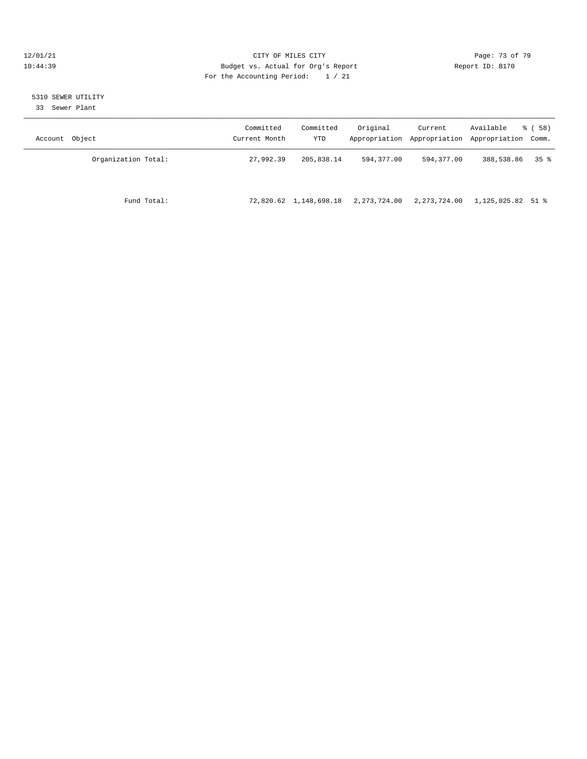### $12/01/21$  Page: 73 of 79<br>
12/01/21 Page: 73 of 79<br>
Budget vs. Actual for Org's Report Page: 73 of 79<br>
Page: 73 of 79 10:44:39 Budget vs. Actual for Org's Report For the Accounting Period: 1 / 21

#### 5310 SEWER UTILITY

33 Sewer Plant

| Account Object      | Committed<br>Current Month | Committed<br>YTD | Original     | Current      | Available<br>Appropriation Appropriation Appropriation Comm. | 8 ( 58 ) |
|---------------------|----------------------------|------------------|--------------|--------------|--------------------------------------------------------------|----------|
| Organization Total: | 27,992.39                  | 205,838.14       | 594,377.00   | 594,377.00   | 388,538.86                                                   | 35 %     |
| Fund Total:         | 72,820.62                  | 1,148,698.18     | 2,273,724.00 | 2,273,724.00 | 1,125,025.82 51 %                                            |          |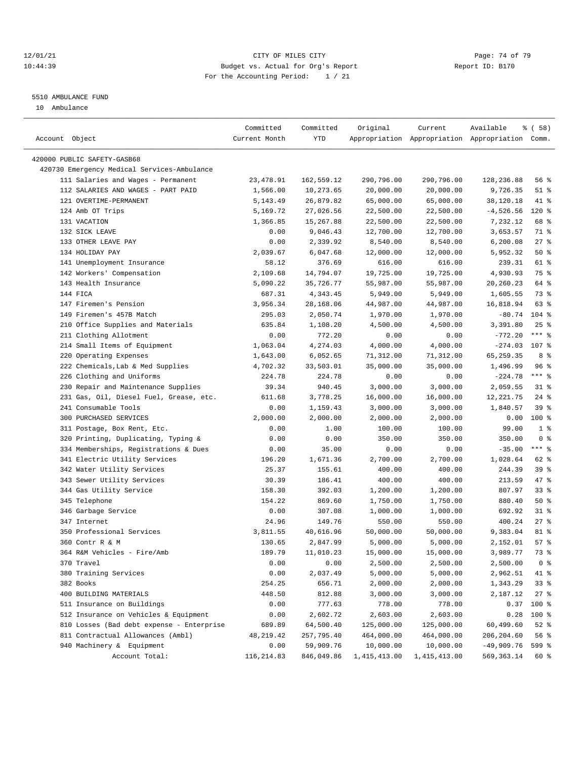### 12/01/21 **Page: 74 of 79 CITY OF MILES CITY CITY Page: 74 of 79** 10:44:39 Budget vs. Actual for Org's Report Report ID: B170 For the Accounting Period: 1 / 21

————————————————————————————————————————————————————————————————————————————————————————————————————————————————————————————————————

#### 5510 AMBULANCE FUND

10 Ambulance

| YTD<br>Account Object<br>Current Month<br>Appropriation Appropriation Appropriation Comm.<br>420000 PUBLIC SAFETY-GASB68<br>420730 Emergency Medical Services-Ambulance<br>111 Salaries and Wages - Permanent<br>23, 478.91<br>290,796.00<br>290,796.00<br>128,236.88<br>56%<br>162,559.12<br>112 SALARIES AND WAGES - PART PAID<br>20,000.00<br>9,726.35<br>$51$ %<br>1,566.00<br>10,273.65<br>20,000.00<br>121 OVERTIME-PERMANENT<br>26,879.82<br>65,000.00<br>65,000.00<br>38,120.18<br>41 %<br>5, 143. 49<br>124 Amb OT Trips<br>22,500.00<br>$120*$<br>5,169.72<br>27,026.56<br>22,500.00<br>$-4,526.56$<br>68 %<br>131 VACATION<br>1,366.85<br>15,267.88<br>22,500.00<br>22,500.00<br>7,232.12<br>71 %<br>132 SICK LEAVE<br>0.00<br>9,046.43<br>12,700.00<br>12,700.00<br>3,653.57<br>133 OTHER LEAVE PAY<br>0.00<br>2,339.92<br>8,540.00<br>6,200.08<br>$27$ %<br>8,540.00<br>134 HOLIDAY PAY<br>2,039.67<br>6,047.68<br>12,000.00<br>12,000.00<br>5,952.32<br>50%<br>141 Unemployment Insurance<br>58.12<br>376.69<br>239.31<br>61 %<br>616.00<br>616.00<br>4,930.93<br>75 %<br>142 Workers' Compensation<br>2,109.68<br>14,794.07<br>19,725.00<br>19,725.00<br>64 %<br>143 Health Insurance<br>5,090.22<br>35,726.77<br>55,987.00<br>55,987.00<br>20,260.23<br>144 FICA<br>1,605.55<br>73 %<br>687.31<br>4,343.45<br>5,949.00<br>5,949.00<br>147 Firemen's Pension<br>3,956.34<br>44,987.00<br>16,818.94<br>63 %<br>28,168.06<br>44,987.00<br>149 Firemen's 457B Match<br>$104$ %<br>295.03<br>2,050.74<br>1,970.00<br>1,970.00<br>$-80.74$<br>210 Office Supplies and Materials<br>$25$ %<br>635.84<br>1,108.20<br>4,500.00<br>4,500.00<br>3,391.80<br>$***$ $-$<br>211 Clothing Allotment<br>0.00<br>0.00<br>$-772.20$<br>772.20<br>0.00<br>214 Small Items of Equipment<br>1,063.04<br>4,274.03<br>4,000.00<br>4,000.00<br>$-274.03$<br>107 %<br>8 %<br>220 Operating Expenses<br>6,052.65<br>71,312.00<br>65, 259.35<br>1,643.00<br>71,312.00<br>96%<br>222 Chemicals, Lab & Med Supplies<br>35,000.00<br>1,496.99<br>4,702.32<br>33,503.01<br>35,000.00<br>$***$ $8$<br>226 Clothing and Uniforms<br>224.78<br>224.78<br>0.00<br>0.00<br>$-224.78$<br>230 Repair and Maintenance Supplies<br>3,000.00<br>2,059.55<br>$31$ %<br>39.34<br>940.45<br>3,000.00<br>231 Gas, Oil, Diesel Fuel, Grease, etc.<br>3,778.25<br>16,000.00<br>12,221.75<br>$24$ %<br>611.68<br>16,000.00<br>241 Consumable Tools<br>3,000.00<br>1,840.57<br>39%<br>0.00<br>1,159.43<br>3,000.00<br>300 PURCHASED SERVICES<br>2,000.00<br>100 %<br>2,000.00<br>2,000.00<br>2,000.00<br>0.00<br>1 <sup>8</sup><br>311 Postage, Box Rent, Etc.<br>0.00<br>1.00<br>100.00<br>100.00<br>99.00<br>0 <sup>8</sup><br>320 Printing, Duplicating, Typing &<br>0.00<br>0.00<br>350.00<br>350.00<br>350.00<br>$***$ $_{8}$<br>334 Memberships, Registrations & Dues<br>0.00<br>0.00<br>0.00<br>$-35.00$<br>35.00<br>62 %<br>341 Electric Utility Services<br>196.20<br>1,671.36<br>2,700.00<br>2,700.00<br>1,028.64<br>342 Water Utility Services<br>25.37<br>155.61<br>400.00<br>400.00<br>244.39<br>39%<br>343 Sewer Utility Services<br>47 %<br>30.39<br>186.41<br>400.00<br>400.00<br>213.59<br>33%<br>344 Gas Utility Service<br>392.03<br>1,200.00<br>807.97<br>158.30<br>1,200.00<br>345 Telephone<br>154.22<br>869.60<br>1,750.00<br>880.40<br>50%<br>1,750.00<br>346 Garbage Service<br>0.00<br>307.08<br>1,000.00<br>1,000.00<br>692.92<br>$31$ %<br>347 Internet<br>24.96<br>$27$ %<br>149.76<br>550.00<br>550.00<br>400.24<br>350 Professional Services<br>81 %<br>3,811.55<br>40,616.96<br>50,000.00<br>50,000.00<br>9,383.04<br>360 Contr R & M<br>2,847.99<br>57%<br>130.65<br>5,000.00<br>5,000.00<br>2,152.01<br>189.79<br>3,989.77<br>73 %<br>364 R&M Vehicles - Fire/Amb<br>11,010.23<br>15,000.00<br>15,000.00<br>2,500.00<br>2,500.00<br>2,500.00<br>0 <sup>8</sup><br>370 Travel<br>0.00<br>0.00 |  | Committed | Committed | Original | Current | Available | <sub>ර</sub> ි (58) |
|-----------------------------------------------------------------------------------------------------------------------------------------------------------------------------------------------------------------------------------------------------------------------------------------------------------------------------------------------------------------------------------------------------------------------------------------------------------------------------------------------------------------------------------------------------------------------------------------------------------------------------------------------------------------------------------------------------------------------------------------------------------------------------------------------------------------------------------------------------------------------------------------------------------------------------------------------------------------------------------------------------------------------------------------------------------------------------------------------------------------------------------------------------------------------------------------------------------------------------------------------------------------------------------------------------------------------------------------------------------------------------------------------------------------------------------------------------------------------------------------------------------------------------------------------------------------------------------------------------------------------------------------------------------------------------------------------------------------------------------------------------------------------------------------------------------------------------------------------------------------------------------------------------------------------------------------------------------------------------------------------------------------------------------------------------------------------------------------------------------------------------------------------------------------------------------------------------------------------------------------------------------------------------------------------------------------------------------------------------------------------------------------------------------------------------------------------------------------------------------------------------------------------------------------------------------------------------------------------------------------------------------------------------------------------------------------------------------------------------------------------------------------------------------------------------------------------------------------------------------------------------------------------------------------------------------------------------------------------------------------------------------------------------------------------------------------------------------------------------------------------------------------------------------------------------------------------------------------------------------------------------------------------------------------------------------------------------------------------------------------------------------------------------------------------------------------------------------------------------------------------------------------------------------------------------------------------------------------------------------------------------------------------------------------------------------------------------------------------------------------------------------------------------------------------------------------------------------------------------------------------------------------------|--|-----------|-----------|----------|---------|-----------|---------------------|
|                                                                                                                                                                                                                                                                                                                                                                                                                                                                                                                                                                                                                                                                                                                                                                                                                                                                                                                                                                                                                                                                                                                                                                                                                                                                                                                                                                                                                                                                                                                                                                                                                                                                                                                                                                                                                                                                                                                                                                                                                                                                                                                                                                                                                                                                                                                                                                                                                                                                                                                                                                                                                                                                                                                                                                                                                                                                                                                                                                                                                                                                                                                                                                                                                                                                                                                                                                                                                                                                                                                                                                                                                                                                                                                                                                                                                                                                                               |  |           |           |          |         |           |                     |
|                                                                                                                                                                                                                                                                                                                                                                                                                                                                                                                                                                                                                                                                                                                                                                                                                                                                                                                                                                                                                                                                                                                                                                                                                                                                                                                                                                                                                                                                                                                                                                                                                                                                                                                                                                                                                                                                                                                                                                                                                                                                                                                                                                                                                                                                                                                                                                                                                                                                                                                                                                                                                                                                                                                                                                                                                                                                                                                                                                                                                                                                                                                                                                                                                                                                                                                                                                                                                                                                                                                                                                                                                                                                                                                                                                                                                                                                                               |  |           |           |          |         |           |                     |
|                                                                                                                                                                                                                                                                                                                                                                                                                                                                                                                                                                                                                                                                                                                                                                                                                                                                                                                                                                                                                                                                                                                                                                                                                                                                                                                                                                                                                                                                                                                                                                                                                                                                                                                                                                                                                                                                                                                                                                                                                                                                                                                                                                                                                                                                                                                                                                                                                                                                                                                                                                                                                                                                                                                                                                                                                                                                                                                                                                                                                                                                                                                                                                                                                                                                                                                                                                                                                                                                                                                                                                                                                                                                                                                                                                                                                                                                                               |  |           |           |          |         |           |                     |
|                                                                                                                                                                                                                                                                                                                                                                                                                                                                                                                                                                                                                                                                                                                                                                                                                                                                                                                                                                                                                                                                                                                                                                                                                                                                                                                                                                                                                                                                                                                                                                                                                                                                                                                                                                                                                                                                                                                                                                                                                                                                                                                                                                                                                                                                                                                                                                                                                                                                                                                                                                                                                                                                                                                                                                                                                                                                                                                                                                                                                                                                                                                                                                                                                                                                                                                                                                                                                                                                                                                                                                                                                                                                                                                                                                                                                                                                                               |  |           |           |          |         |           |                     |
|                                                                                                                                                                                                                                                                                                                                                                                                                                                                                                                                                                                                                                                                                                                                                                                                                                                                                                                                                                                                                                                                                                                                                                                                                                                                                                                                                                                                                                                                                                                                                                                                                                                                                                                                                                                                                                                                                                                                                                                                                                                                                                                                                                                                                                                                                                                                                                                                                                                                                                                                                                                                                                                                                                                                                                                                                                                                                                                                                                                                                                                                                                                                                                                                                                                                                                                                                                                                                                                                                                                                                                                                                                                                                                                                                                                                                                                                                               |  |           |           |          |         |           |                     |
|                                                                                                                                                                                                                                                                                                                                                                                                                                                                                                                                                                                                                                                                                                                                                                                                                                                                                                                                                                                                                                                                                                                                                                                                                                                                                                                                                                                                                                                                                                                                                                                                                                                                                                                                                                                                                                                                                                                                                                                                                                                                                                                                                                                                                                                                                                                                                                                                                                                                                                                                                                                                                                                                                                                                                                                                                                                                                                                                                                                                                                                                                                                                                                                                                                                                                                                                                                                                                                                                                                                                                                                                                                                                                                                                                                                                                                                                                               |  |           |           |          |         |           |                     |
|                                                                                                                                                                                                                                                                                                                                                                                                                                                                                                                                                                                                                                                                                                                                                                                                                                                                                                                                                                                                                                                                                                                                                                                                                                                                                                                                                                                                                                                                                                                                                                                                                                                                                                                                                                                                                                                                                                                                                                                                                                                                                                                                                                                                                                                                                                                                                                                                                                                                                                                                                                                                                                                                                                                                                                                                                                                                                                                                                                                                                                                                                                                                                                                                                                                                                                                                                                                                                                                                                                                                                                                                                                                                                                                                                                                                                                                                                               |  |           |           |          |         |           |                     |
|                                                                                                                                                                                                                                                                                                                                                                                                                                                                                                                                                                                                                                                                                                                                                                                                                                                                                                                                                                                                                                                                                                                                                                                                                                                                                                                                                                                                                                                                                                                                                                                                                                                                                                                                                                                                                                                                                                                                                                                                                                                                                                                                                                                                                                                                                                                                                                                                                                                                                                                                                                                                                                                                                                                                                                                                                                                                                                                                                                                                                                                                                                                                                                                                                                                                                                                                                                                                                                                                                                                                                                                                                                                                                                                                                                                                                                                                                               |  |           |           |          |         |           |                     |
|                                                                                                                                                                                                                                                                                                                                                                                                                                                                                                                                                                                                                                                                                                                                                                                                                                                                                                                                                                                                                                                                                                                                                                                                                                                                                                                                                                                                                                                                                                                                                                                                                                                                                                                                                                                                                                                                                                                                                                                                                                                                                                                                                                                                                                                                                                                                                                                                                                                                                                                                                                                                                                                                                                                                                                                                                                                                                                                                                                                                                                                                                                                                                                                                                                                                                                                                                                                                                                                                                                                                                                                                                                                                                                                                                                                                                                                                                               |  |           |           |          |         |           |                     |
|                                                                                                                                                                                                                                                                                                                                                                                                                                                                                                                                                                                                                                                                                                                                                                                                                                                                                                                                                                                                                                                                                                                                                                                                                                                                                                                                                                                                                                                                                                                                                                                                                                                                                                                                                                                                                                                                                                                                                                                                                                                                                                                                                                                                                                                                                                                                                                                                                                                                                                                                                                                                                                                                                                                                                                                                                                                                                                                                                                                                                                                                                                                                                                                                                                                                                                                                                                                                                                                                                                                                                                                                                                                                                                                                                                                                                                                                                               |  |           |           |          |         |           |                     |
|                                                                                                                                                                                                                                                                                                                                                                                                                                                                                                                                                                                                                                                                                                                                                                                                                                                                                                                                                                                                                                                                                                                                                                                                                                                                                                                                                                                                                                                                                                                                                                                                                                                                                                                                                                                                                                                                                                                                                                                                                                                                                                                                                                                                                                                                                                                                                                                                                                                                                                                                                                                                                                                                                                                                                                                                                                                                                                                                                                                                                                                                                                                                                                                                                                                                                                                                                                                                                                                                                                                                                                                                                                                                                                                                                                                                                                                                                               |  |           |           |          |         |           |                     |
|                                                                                                                                                                                                                                                                                                                                                                                                                                                                                                                                                                                                                                                                                                                                                                                                                                                                                                                                                                                                                                                                                                                                                                                                                                                                                                                                                                                                                                                                                                                                                                                                                                                                                                                                                                                                                                                                                                                                                                                                                                                                                                                                                                                                                                                                                                                                                                                                                                                                                                                                                                                                                                                                                                                                                                                                                                                                                                                                                                                                                                                                                                                                                                                                                                                                                                                                                                                                                                                                                                                                                                                                                                                                                                                                                                                                                                                                                               |  |           |           |          |         |           |                     |
|                                                                                                                                                                                                                                                                                                                                                                                                                                                                                                                                                                                                                                                                                                                                                                                                                                                                                                                                                                                                                                                                                                                                                                                                                                                                                                                                                                                                                                                                                                                                                                                                                                                                                                                                                                                                                                                                                                                                                                                                                                                                                                                                                                                                                                                                                                                                                                                                                                                                                                                                                                                                                                                                                                                                                                                                                                                                                                                                                                                                                                                                                                                                                                                                                                                                                                                                                                                                                                                                                                                                                                                                                                                                                                                                                                                                                                                                                               |  |           |           |          |         |           |                     |
|                                                                                                                                                                                                                                                                                                                                                                                                                                                                                                                                                                                                                                                                                                                                                                                                                                                                                                                                                                                                                                                                                                                                                                                                                                                                                                                                                                                                                                                                                                                                                                                                                                                                                                                                                                                                                                                                                                                                                                                                                                                                                                                                                                                                                                                                                                                                                                                                                                                                                                                                                                                                                                                                                                                                                                                                                                                                                                                                                                                                                                                                                                                                                                                                                                                                                                                                                                                                                                                                                                                                                                                                                                                                                                                                                                                                                                                                                               |  |           |           |          |         |           |                     |
|                                                                                                                                                                                                                                                                                                                                                                                                                                                                                                                                                                                                                                                                                                                                                                                                                                                                                                                                                                                                                                                                                                                                                                                                                                                                                                                                                                                                                                                                                                                                                                                                                                                                                                                                                                                                                                                                                                                                                                                                                                                                                                                                                                                                                                                                                                                                                                                                                                                                                                                                                                                                                                                                                                                                                                                                                                                                                                                                                                                                                                                                                                                                                                                                                                                                                                                                                                                                                                                                                                                                                                                                                                                                                                                                                                                                                                                                                               |  |           |           |          |         |           |                     |
|                                                                                                                                                                                                                                                                                                                                                                                                                                                                                                                                                                                                                                                                                                                                                                                                                                                                                                                                                                                                                                                                                                                                                                                                                                                                                                                                                                                                                                                                                                                                                                                                                                                                                                                                                                                                                                                                                                                                                                                                                                                                                                                                                                                                                                                                                                                                                                                                                                                                                                                                                                                                                                                                                                                                                                                                                                                                                                                                                                                                                                                                                                                                                                                                                                                                                                                                                                                                                                                                                                                                                                                                                                                                                                                                                                                                                                                                                               |  |           |           |          |         |           |                     |
|                                                                                                                                                                                                                                                                                                                                                                                                                                                                                                                                                                                                                                                                                                                                                                                                                                                                                                                                                                                                                                                                                                                                                                                                                                                                                                                                                                                                                                                                                                                                                                                                                                                                                                                                                                                                                                                                                                                                                                                                                                                                                                                                                                                                                                                                                                                                                                                                                                                                                                                                                                                                                                                                                                                                                                                                                                                                                                                                                                                                                                                                                                                                                                                                                                                                                                                                                                                                                                                                                                                                                                                                                                                                                                                                                                                                                                                                                               |  |           |           |          |         |           |                     |
|                                                                                                                                                                                                                                                                                                                                                                                                                                                                                                                                                                                                                                                                                                                                                                                                                                                                                                                                                                                                                                                                                                                                                                                                                                                                                                                                                                                                                                                                                                                                                                                                                                                                                                                                                                                                                                                                                                                                                                                                                                                                                                                                                                                                                                                                                                                                                                                                                                                                                                                                                                                                                                                                                                                                                                                                                                                                                                                                                                                                                                                                                                                                                                                                                                                                                                                                                                                                                                                                                                                                                                                                                                                                                                                                                                                                                                                                                               |  |           |           |          |         |           |                     |
|                                                                                                                                                                                                                                                                                                                                                                                                                                                                                                                                                                                                                                                                                                                                                                                                                                                                                                                                                                                                                                                                                                                                                                                                                                                                                                                                                                                                                                                                                                                                                                                                                                                                                                                                                                                                                                                                                                                                                                                                                                                                                                                                                                                                                                                                                                                                                                                                                                                                                                                                                                                                                                                                                                                                                                                                                                                                                                                                                                                                                                                                                                                                                                                                                                                                                                                                                                                                                                                                                                                                                                                                                                                                                                                                                                                                                                                                                               |  |           |           |          |         |           |                     |
|                                                                                                                                                                                                                                                                                                                                                                                                                                                                                                                                                                                                                                                                                                                                                                                                                                                                                                                                                                                                                                                                                                                                                                                                                                                                                                                                                                                                                                                                                                                                                                                                                                                                                                                                                                                                                                                                                                                                                                                                                                                                                                                                                                                                                                                                                                                                                                                                                                                                                                                                                                                                                                                                                                                                                                                                                                                                                                                                                                                                                                                                                                                                                                                                                                                                                                                                                                                                                                                                                                                                                                                                                                                                                                                                                                                                                                                                                               |  |           |           |          |         |           |                     |
|                                                                                                                                                                                                                                                                                                                                                                                                                                                                                                                                                                                                                                                                                                                                                                                                                                                                                                                                                                                                                                                                                                                                                                                                                                                                                                                                                                                                                                                                                                                                                                                                                                                                                                                                                                                                                                                                                                                                                                                                                                                                                                                                                                                                                                                                                                                                                                                                                                                                                                                                                                                                                                                                                                                                                                                                                                                                                                                                                                                                                                                                                                                                                                                                                                                                                                                                                                                                                                                                                                                                                                                                                                                                                                                                                                                                                                                                                               |  |           |           |          |         |           |                     |
|                                                                                                                                                                                                                                                                                                                                                                                                                                                                                                                                                                                                                                                                                                                                                                                                                                                                                                                                                                                                                                                                                                                                                                                                                                                                                                                                                                                                                                                                                                                                                                                                                                                                                                                                                                                                                                                                                                                                                                                                                                                                                                                                                                                                                                                                                                                                                                                                                                                                                                                                                                                                                                                                                                                                                                                                                                                                                                                                                                                                                                                                                                                                                                                                                                                                                                                                                                                                                                                                                                                                                                                                                                                                                                                                                                                                                                                                                               |  |           |           |          |         |           |                     |
|                                                                                                                                                                                                                                                                                                                                                                                                                                                                                                                                                                                                                                                                                                                                                                                                                                                                                                                                                                                                                                                                                                                                                                                                                                                                                                                                                                                                                                                                                                                                                                                                                                                                                                                                                                                                                                                                                                                                                                                                                                                                                                                                                                                                                                                                                                                                                                                                                                                                                                                                                                                                                                                                                                                                                                                                                                                                                                                                                                                                                                                                                                                                                                                                                                                                                                                                                                                                                                                                                                                                                                                                                                                                                                                                                                                                                                                                                               |  |           |           |          |         |           |                     |
|                                                                                                                                                                                                                                                                                                                                                                                                                                                                                                                                                                                                                                                                                                                                                                                                                                                                                                                                                                                                                                                                                                                                                                                                                                                                                                                                                                                                                                                                                                                                                                                                                                                                                                                                                                                                                                                                                                                                                                                                                                                                                                                                                                                                                                                                                                                                                                                                                                                                                                                                                                                                                                                                                                                                                                                                                                                                                                                                                                                                                                                                                                                                                                                                                                                                                                                                                                                                                                                                                                                                                                                                                                                                                                                                                                                                                                                                                               |  |           |           |          |         |           |                     |
|                                                                                                                                                                                                                                                                                                                                                                                                                                                                                                                                                                                                                                                                                                                                                                                                                                                                                                                                                                                                                                                                                                                                                                                                                                                                                                                                                                                                                                                                                                                                                                                                                                                                                                                                                                                                                                                                                                                                                                                                                                                                                                                                                                                                                                                                                                                                                                                                                                                                                                                                                                                                                                                                                                                                                                                                                                                                                                                                                                                                                                                                                                                                                                                                                                                                                                                                                                                                                                                                                                                                                                                                                                                                                                                                                                                                                                                                                               |  |           |           |          |         |           |                     |
|                                                                                                                                                                                                                                                                                                                                                                                                                                                                                                                                                                                                                                                                                                                                                                                                                                                                                                                                                                                                                                                                                                                                                                                                                                                                                                                                                                                                                                                                                                                                                                                                                                                                                                                                                                                                                                                                                                                                                                                                                                                                                                                                                                                                                                                                                                                                                                                                                                                                                                                                                                                                                                                                                                                                                                                                                                                                                                                                                                                                                                                                                                                                                                                                                                                                                                                                                                                                                                                                                                                                                                                                                                                                                                                                                                                                                                                                                               |  |           |           |          |         |           |                     |
|                                                                                                                                                                                                                                                                                                                                                                                                                                                                                                                                                                                                                                                                                                                                                                                                                                                                                                                                                                                                                                                                                                                                                                                                                                                                                                                                                                                                                                                                                                                                                                                                                                                                                                                                                                                                                                                                                                                                                                                                                                                                                                                                                                                                                                                                                                                                                                                                                                                                                                                                                                                                                                                                                                                                                                                                                                                                                                                                                                                                                                                                                                                                                                                                                                                                                                                                                                                                                                                                                                                                                                                                                                                                                                                                                                                                                                                                                               |  |           |           |          |         |           |                     |
|                                                                                                                                                                                                                                                                                                                                                                                                                                                                                                                                                                                                                                                                                                                                                                                                                                                                                                                                                                                                                                                                                                                                                                                                                                                                                                                                                                                                                                                                                                                                                                                                                                                                                                                                                                                                                                                                                                                                                                                                                                                                                                                                                                                                                                                                                                                                                                                                                                                                                                                                                                                                                                                                                                                                                                                                                                                                                                                                                                                                                                                                                                                                                                                                                                                                                                                                                                                                                                                                                                                                                                                                                                                                                                                                                                                                                                                                                               |  |           |           |          |         |           |                     |
|                                                                                                                                                                                                                                                                                                                                                                                                                                                                                                                                                                                                                                                                                                                                                                                                                                                                                                                                                                                                                                                                                                                                                                                                                                                                                                                                                                                                                                                                                                                                                                                                                                                                                                                                                                                                                                                                                                                                                                                                                                                                                                                                                                                                                                                                                                                                                                                                                                                                                                                                                                                                                                                                                                                                                                                                                                                                                                                                                                                                                                                                                                                                                                                                                                                                                                                                                                                                                                                                                                                                                                                                                                                                                                                                                                                                                                                                                               |  |           |           |          |         |           |                     |
|                                                                                                                                                                                                                                                                                                                                                                                                                                                                                                                                                                                                                                                                                                                                                                                                                                                                                                                                                                                                                                                                                                                                                                                                                                                                                                                                                                                                                                                                                                                                                                                                                                                                                                                                                                                                                                                                                                                                                                                                                                                                                                                                                                                                                                                                                                                                                                                                                                                                                                                                                                                                                                                                                                                                                                                                                                                                                                                                                                                                                                                                                                                                                                                                                                                                                                                                                                                                                                                                                                                                                                                                                                                                                                                                                                                                                                                                                               |  |           |           |          |         |           |                     |
|                                                                                                                                                                                                                                                                                                                                                                                                                                                                                                                                                                                                                                                                                                                                                                                                                                                                                                                                                                                                                                                                                                                                                                                                                                                                                                                                                                                                                                                                                                                                                                                                                                                                                                                                                                                                                                                                                                                                                                                                                                                                                                                                                                                                                                                                                                                                                                                                                                                                                                                                                                                                                                                                                                                                                                                                                                                                                                                                                                                                                                                                                                                                                                                                                                                                                                                                                                                                                                                                                                                                                                                                                                                                                                                                                                                                                                                                                               |  |           |           |          |         |           |                     |
|                                                                                                                                                                                                                                                                                                                                                                                                                                                                                                                                                                                                                                                                                                                                                                                                                                                                                                                                                                                                                                                                                                                                                                                                                                                                                                                                                                                                                                                                                                                                                                                                                                                                                                                                                                                                                                                                                                                                                                                                                                                                                                                                                                                                                                                                                                                                                                                                                                                                                                                                                                                                                                                                                                                                                                                                                                                                                                                                                                                                                                                                                                                                                                                                                                                                                                                                                                                                                                                                                                                                                                                                                                                                                                                                                                                                                                                                                               |  |           |           |          |         |           |                     |
|                                                                                                                                                                                                                                                                                                                                                                                                                                                                                                                                                                                                                                                                                                                                                                                                                                                                                                                                                                                                                                                                                                                                                                                                                                                                                                                                                                                                                                                                                                                                                                                                                                                                                                                                                                                                                                                                                                                                                                                                                                                                                                                                                                                                                                                                                                                                                                                                                                                                                                                                                                                                                                                                                                                                                                                                                                                                                                                                                                                                                                                                                                                                                                                                                                                                                                                                                                                                                                                                                                                                                                                                                                                                                                                                                                                                                                                                                               |  |           |           |          |         |           |                     |
|                                                                                                                                                                                                                                                                                                                                                                                                                                                                                                                                                                                                                                                                                                                                                                                                                                                                                                                                                                                                                                                                                                                                                                                                                                                                                                                                                                                                                                                                                                                                                                                                                                                                                                                                                                                                                                                                                                                                                                                                                                                                                                                                                                                                                                                                                                                                                                                                                                                                                                                                                                                                                                                                                                                                                                                                                                                                                                                                                                                                                                                                                                                                                                                                                                                                                                                                                                                                                                                                                                                                                                                                                                                                                                                                                                                                                                                                                               |  |           |           |          |         |           |                     |
|                                                                                                                                                                                                                                                                                                                                                                                                                                                                                                                                                                                                                                                                                                                                                                                                                                                                                                                                                                                                                                                                                                                                                                                                                                                                                                                                                                                                                                                                                                                                                                                                                                                                                                                                                                                                                                                                                                                                                                                                                                                                                                                                                                                                                                                                                                                                                                                                                                                                                                                                                                                                                                                                                                                                                                                                                                                                                                                                                                                                                                                                                                                                                                                                                                                                                                                                                                                                                                                                                                                                                                                                                                                                                                                                                                                                                                                                                               |  |           |           |          |         |           |                     |
|                                                                                                                                                                                                                                                                                                                                                                                                                                                                                                                                                                                                                                                                                                                                                                                                                                                                                                                                                                                                                                                                                                                                                                                                                                                                                                                                                                                                                                                                                                                                                                                                                                                                                                                                                                                                                                                                                                                                                                                                                                                                                                                                                                                                                                                                                                                                                                                                                                                                                                                                                                                                                                                                                                                                                                                                                                                                                                                                                                                                                                                                                                                                                                                                                                                                                                                                                                                                                                                                                                                                                                                                                                                                                                                                                                                                                                                                                               |  |           |           |          |         |           |                     |
|                                                                                                                                                                                                                                                                                                                                                                                                                                                                                                                                                                                                                                                                                                                                                                                                                                                                                                                                                                                                                                                                                                                                                                                                                                                                                                                                                                                                                                                                                                                                                                                                                                                                                                                                                                                                                                                                                                                                                                                                                                                                                                                                                                                                                                                                                                                                                                                                                                                                                                                                                                                                                                                                                                                                                                                                                                                                                                                                                                                                                                                                                                                                                                                                                                                                                                                                                                                                                                                                                                                                                                                                                                                                                                                                                                                                                                                                                               |  |           |           |          |         |           |                     |
|                                                                                                                                                                                                                                                                                                                                                                                                                                                                                                                                                                                                                                                                                                                                                                                                                                                                                                                                                                                                                                                                                                                                                                                                                                                                                                                                                                                                                                                                                                                                                                                                                                                                                                                                                                                                                                                                                                                                                                                                                                                                                                                                                                                                                                                                                                                                                                                                                                                                                                                                                                                                                                                                                                                                                                                                                                                                                                                                                                                                                                                                                                                                                                                                                                                                                                                                                                                                                                                                                                                                                                                                                                                                                                                                                                                                                                                                                               |  |           |           |          |         |           |                     |
|                                                                                                                                                                                                                                                                                                                                                                                                                                                                                                                                                                                                                                                                                                                                                                                                                                                                                                                                                                                                                                                                                                                                                                                                                                                                                                                                                                                                                                                                                                                                                                                                                                                                                                                                                                                                                                                                                                                                                                                                                                                                                                                                                                                                                                                                                                                                                                                                                                                                                                                                                                                                                                                                                                                                                                                                                                                                                                                                                                                                                                                                                                                                                                                                                                                                                                                                                                                                                                                                                                                                                                                                                                                                                                                                                                                                                                                                                               |  |           |           |          |         |           |                     |
|                                                                                                                                                                                                                                                                                                                                                                                                                                                                                                                                                                                                                                                                                                                                                                                                                                                                                                                                                                                                                                                                                                                                                                                                                                                                                                                                                                                                                                                                                                                                                                                                                                                                                                                                                                                                                                                                                                                                                                                                                                                                                                                                                                                                                                                                                                                                                                                                                                                                                                                                                                                                                                                                                                                                                                                                                                                                                                                                                                                                                                                                                                                                                                                                                                                                                                                                                                                                                                                                                                                                                                                                                                                                                                                                                                                                                                                                                               |  |           |           |          |         |           |                     |
|                                                                                                                                                                                                                                                                                                                                                                                                                                                                                                                                                                                                                                                                                                                                                                                                                                                                                                                                                                                                                                                                                                                                                                                                                                                                                                                                                                                                                                                                                                                                                                                                                                                                                                                                                                                                                                                                                                                                                                                                                                                                                                                                                                                                                                                                                                                                                                                                                                                                                                                                                                                                                                                                                                                                                                                                                                                                                                                                                                                                                                                                                                                                                                                                                                                                                                                                                                                                                                                                                                                                                                                                                                                                                                                                                                                                                                                                                               |  |           |           |          |         |           |                     |
| 0.00<br>380 Training Services<br>2,037.49<br>5,000.00<br>5,000.00<br>2,962.51<br>41 %                                                                                                                                                                                                                                                                                                                                                                                                                                                                                                                                                                                                                                                                                                                                                                                                                                                                                                                                                                                                                                                                                                                                                                                                                                                                                                                                                                                                                                                                                                                                                                                                                                                                                                                                                                                                                                                                                                                                                                                                                                                                                                                                                                                                                                                                                                                                                                                                                                                                                                                                                                                                                                                                                                                                                                                                                                                                                                                                                                                                                                                                                                                                                                                                                                                                                                                                                                                                                                                                                                                                                                                                                                                                                                                                                                                                         |  |           |           |          |         |           |                     |
| 382 Books<br>254.25<br>656.71<br>33%<br>2,000.00<br>2,000.00<br>1,343.29                                                                                                                                                                                                                                                                                                                                                                                                                                                                                                                                                                                                                                                                                                                                                                                                                                                                                                                                                                                                                                                                                                                                                                                                                                                                                                                                                                                                                                                                                                                                                                                                                                                                                                                                                                                                                                                                                                                                                                                                                                                                                                                                                                                                                                                                                                                                                                                                                                                                                                                                                                                                                                                                                                                                                                                                                                                                                                                                                                                                                                                                                                                                                                                                                                                                                                                                                                                                                                                                                                                                                                                                                                                                                                                                                                                                                      |  |           |           |          |         |           |                     |
| 400 BUILDING MATERIALS<br>448.50<br>812.88<br>3,000.00<br>2,187.12<br>27%<br>3,000.00                                                                                                                                                                                                                                                                                                                                                                                                                                                                                                                                                                                                                                                                                                                                                                                                                                                                                                                                                                                                                                                                                                                                                                                                                                                                                                                                                                                                                                                                                                                                                                                                                                                                                                                                                                                                                                                                                                                                                                                                                                                                                                                                                                                                                                                                                                                                                                                                                                                                                                                                                                                                                                                                                                                                                                                                                                                                                                                                                                                                                                                                                                                                                                                                                                                                                                                                                                                                                                                                                                                                                                                                                                                                                                                                                                                                         |  |           |           |          |         |           |                     |
| 511 Insurance on Buildings<br>0.00<br>777.63<br>778.00<br>778.00<br>0.37<br>100 %                                                                                                                                                                                                                                                                                                                                                                                                                                                                                                                                                                                                                                                                                                                                                                                                                                                                                                                                                                                                                                                                                                                                                                                                                                                                                                                                                                                                                                                                                                                                                                                                                                                                                                                                                                                                                                                                                                                                                                                                                                                                                                                                                                                                                                                                                                                                                                                                                                                                                                                                                                                                                                                                                                                                                                                                                                                                                                                                                                                                                                                                                                                                                                                                                                                                                                                                                                                                                                                                                                                                                                                                                                                                                                                                                                                                             |  |           |           |          |         |           |                     |
| 512 Insurance on Vehicles & Equipment<br>0.00<br>2,602.72<br>2,603.00<br>2,603.00<br>0.28<br>100 %                                                                                                                                                                                                                                                                                                                                                                                                                                                                                                                                                                                                                                                                                                                                                                                                                                                                                                                                                                                                                                                                                                                                                                                                                                                                                                                                                                                                                                                                                                                                                                                                                                                                                                                                                                                                                                                                                                                                                                                                                                                                                                                                                                                                                                                                                                                                                                                                                                                                                                                                                                                                                                                                                                                                                                                                                                                                                                                                                                                                                                                                                                                                                                                                                                                                                                                                                                                                                                                                                                                                                                                                                                                                                                                                                                                            |  |           |           |          |         |           |                     |
| 810 Losses (Bad debt expense - Enterprise<br>689.89<br>64,500.40<br>125,000.00<br>125,000.00<br>60,499.60<br>$52$ $%$                                                                                                                                                                                                                                                                                                                                                                                                                                                                                                                                                                                                                                                                                                                                                                                                                                                                                                                                                                                                                                                                                                                                                                                                                                                                                                                                                                                                                                                                                                                                                                                                                                                                                                                                                                                                                                                                                                                                                                                                                                                                                                                                                                                                                                                                                                                                                                                                                                                                                                                                                                                                                                                                                                                                                                                                                                                                                                                                                                                                                                                                                                                                                                                                                                                                                                                                                                                                                                                                                                                                                                                                                                                                                                                                                                         |  |           |           |          |         |           |                     |
| 811 Contractual Allowances (Ambl)<br>48, 219. 42<br>257,795.40<br>56 %<br>464,000.00<br>464,000.00<br>206,204.60                                                                                                                                                                                                                                                                                                                                                                                                                                                                                                                                                                                                                                                                                                                                                                                                                                                                                                                                                                                                                                                                                                                                                                                                                                                                                                                                                                                                                                                                                                                                                                                                                                                                                                                                                                                                                                                                                                                                                                                                                                                                                                                                                                                                                                                                                                                                                                                                                                                                                                                                                                                                                                                                                                                                                                                                                                                                                                                                                                                                                                                                                                                                                                                                                                                                                                                                                                                                                                                                                                                                                                                                                                                                                                                                                                              |  |           |           |          |         |           |                     |
| 940 Machinery & Equipment<br>0.00<br>59,909.76<br>10,000.00<br>$-49,909.76$<br>599 %<br>10,000.00                                                                                                                                                                                                                                                                                                                                                                                                                                                                                                                                                                                                                                                                                                                                                                                                                                                                                                                                                                                                                                                                                                                                                                                                                                                                                                                                                                                                                                                                                                                                                                                                                                                                                                                                                                                                                                                                                                                                                                                                                                                                                                                                                                                                                                                                                                                                                                                                                                                                                                                                                                                                                                                                                                                                                                                                                                                                                                                                                                                                                                                                                                                                                                                                                                                                                                                                                                                                                                                                                                                                                                                                                                                                                                                                                                                             |  |           |           |          |         |           |                     |
| Account Total:<br>116, 214.83<br>846,049.86<br>1,415,413.00<br>1,415,413.00<br>569, 363.14<br>60 %                                                                                                                                                                                                                                                                                                                                                                                                                                                                                                                                                                                                                                                                                                                                                                                                                                                                                                                                                                                                                                                                                                                                                                                                                                                                                                                                                                                                                                                                                                                                                                                                                                                                                                                                                                                                                                                                                                                                                                                                                                                                                                                                                                                                                                                                                                                                                                                                                                                                                                                                                                                                                                                                                                                                                                                                                                                                                                                                                                                                                                                                                                                                                                                                                                                                                                                                                                                                                                                                                                                                                                                                                                                                                                                                                                                            |  |           |           |          |         |           |                     |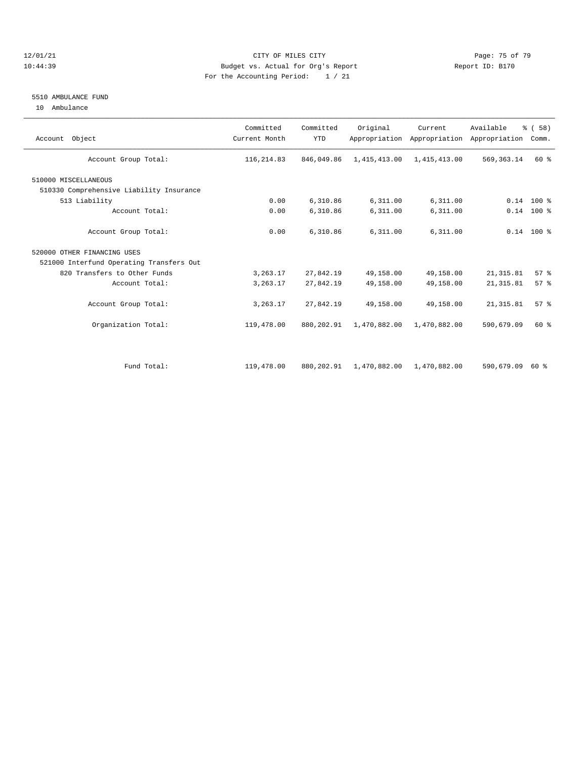### 12/01/21 Page: 75 of 79 10:44:39 Budget vs. Actual for Org's Report Report ID: B170 For the Accounting Period: 1 / 21

#### 5510 AMBULANCE FUND

10 Ambulance

| Account Object                           | Committed<br>Current Month | Committed<br><b>YTD</b> | Original     | Current<br>Appropriation Appropriation | Available<br>Appropriation | % ( 58 )<br>Comm. |
|------------------------------------------|----------------------------|-------------------------|--------------|----------------------------------------|----------------------------|-------------------|
| Account Group Total:                     | 116, 214.83                | 846,049.86              | 1,415,413.00 | 1,415,413.00                           | 569, 363. 14               | 60 %              |
| 510000 MISCELLANEOUS                     |                            |                         |              |                                        |                            |                   |
| 510330 Comprehensive Liability Insurance |                            |                         |              |                                        |                            |                   |
| 513 Liability                            | 0.00                       | 6,310.86                | 6,311.00     | 6,311.00                               |                            | $0.14$ 100 %      |
| Account Total:                           | 0.00                       | 6,310.86                | 6,311.00     | 6,311.00                               |                            | $0.14$ 100 %      |
| Account Group Total:                     | 0.00                       | 6,310.86                | 6,311.00     | 6,311.00                               |                            | $0.14$ 100 %      |
| 520000 OTHER FINANCING USES              |                            |                         |              |                                        |                            |                   |
| 521000 Interfund Operating Transfers Out |                            |                         |              |                                        |                            |                   |
| 820 Transfers to Other Funds             | 3, 263.17                  | 27,842.19               | 49,158.00    | 49,158.00                              | 21, 315.81                 | 57%               |
| Account Total:                           | 3,263.17                   | 27,842.19               | 49,158.00    | 49,158.00                              | 21, 315.81                 | 57%               |
| Account Group Total:                     | 3, 263.17                  | 27,842.19               | 49,158.00    | 49,158.00                              | 21, 315.81                 | 57 <sup>8</sup>   |
| Organization Total:                      | 119,478.00                 | 880, 202.91             | 1,470,882.00 | 1,470,882.00                           | 590,679.09                 | 60 %              |
|                                          |                            |                         |              |                                        |                            |                   |
| Fund Total:                              | 119,478.00                 | 880, 202.91             | 1,470,882.00 | 1,470,882.00                           | 590,679.09                 | 60 %              |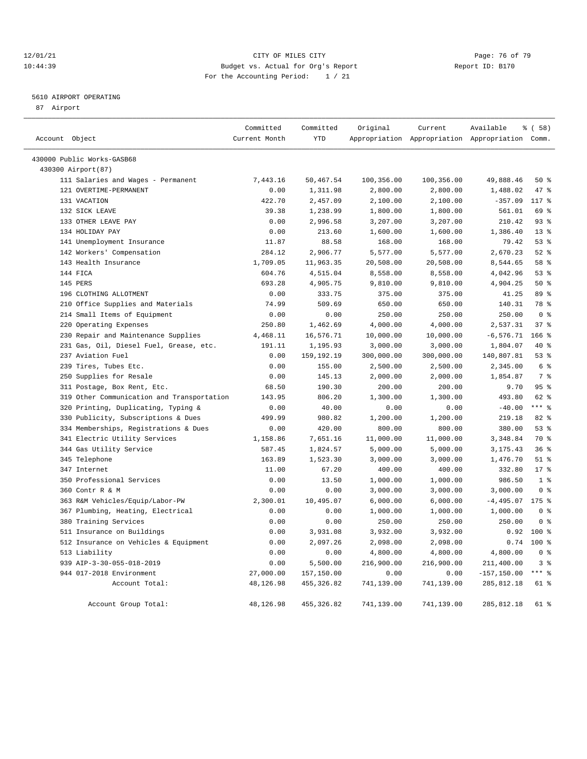### 12/01/21 **Page: 76 of 79** CITY OF MILES CITY **CITY** Page: 76 of 79 10:44:39 Budget vs. Actual for Org's Report Report ID: B170 For the Accounting Period: 1 / 21

# 5610 AIRPORT OPERATING

87 Airport

| Account Object |                                         | Committed<br>Current Month | Committed<br><b>YTD</b> | Original   | Current    | Available<br>Appropriation Appropriation Appropriation Comm. | % (58)          |
|----------------|-----------------------------------------|----------------------------|-------------------------|------------|------------|--------------------------------------------------------------|-----------------|
|                |                                         |                            |                         |            |            |                                                              |                 |
|                | 430000 Public Works-GASB68              |                            |                         |            |            |                                                              |                 |
|                | 430300 Airport (87)                     |                            |                         |            |            |                                                              |                 |
|                | 111 Salaries and Wages - Permanent      | 7,443.16                   | 50,467.54               | 100,356.00 | 100,356.00 | 49,888.46                                                    | 50%             |
|                | 121 OVERTIME-PERMANENT                  | 0.00                       | 1,311.98                | 2,800.00   | 2,800.00   | 1,488.02                                                     | 47 %            |
|                | 131 VACATION                            | 422.70                     | 2,457.09                | 2,100.00   | 2,100.00   | $-357.09$                                                    | $117*$          |
|                | 132 SICK LEAVE                          | 39.38                      | 1,238.99                | 1,800.00   | 1,800.00   | 561.01                                                       | 69 %            |
|                | 133 OTHER LEAVE PAY                     | 0.00                       | 2,996.58                | 3,207.00   | 3,207.00   | 210.42                                                       | 93%             |
|                | 134 HOLIDAY PAY                         | 0.00                       | 213.60                  | 1,600.00   | 1,600.00   | 1,386.40                                                     | $13*$           |
|                | 141 Unemployment Insurance              | 11.87                      | 88.58                   | 168.00     | 168.00     | 79.42                                                        | 53%             |
|                | 142 Workers' Compensation               | 284.12                     | 2,906.77                | 5,577.00   | 5,577.00   | 2,670.23                                                     | 52%             |
|                | 143 Health Insurance                    | 1,709.05                   | 11,963.35               | 20,508.00  | 20,508.00  | 8,544.65                                                     | 58 %            |
|                | 144 FICA                                | 604.76                     | 4,515.04                | 8,558.00   | 8,558.00   | 4,042.96                                                     | 53%             |
|                | 145 PERS                                | 693.28                     | 4,905.75                | 9,810.00   | 9,810.00   | 4,904.25                                                     | 50%             |
|                | 196 CLOTHING ALLOTMENT                  | 0.00                       | 333.75                  | 375.00     | 375.00     | 41.25                                                        | 89 %            |
|                | 210 Office Supplies and Materials       | 74.99                      | 509.69                  | 650.00     | 650.00     | 140.31                                                       | 78 %            |
|                | 214 Small Items of Equipment            | 0.00                       | 0.00                    | 250.00     | 250.00     | 250.00                                                       | 0 <sup>8</sup>  |
|                | 220 Operating Expenses                  | 250.80                     | 1,462.69                | 4,000.00   | 4,000.00   | 2,537.31                                                     | 37 <sup>8</sup> |
|                | 230 Repair and Maintenance Supplies     | 4,468.11                   | 16,576.71               | 10,000.00  | 10,000.00  | $-6, 576.71$                                                 | $166$ %         |
|                | 231 Gas, Oil, Diesel Fuel, Grease, etc. | 191.11                     | 1,195.93                | 3,000.00   | 3,000.00   | 1,804.07                                                     | 40 %            |
|                | 237 Aviation Fuel                       | 0.00                       | 159, 192. 19            | 300,000.00 | 300,000.00 | 140,807.81                                                   | 53%             |
|                | 239 Tires, Tubes Etc.                   | 0.00                       | 155.00                  | 2,500.00   | 2,500.00   | 2,345.00                                                     | 6 <sup>8</sup>  |
|                | 250 Supplies for Resale                 | 0.00                       | 145.13                  | 2,000.00   | 2,000.00   | 1,854.87                                                     | 7 %             |
|                | 311 Postage, Box Rent, Etc.             | 68.50                      | 190.30                  | 200.00     | 200.00     | 9.70                                                         | 95%             |
| 319            | Other Communication and Transportation  | 143.95                     | 806.20                  | 1,300.00   | 1,300.00   | 493.80                                                       | 62 %            |
|                | 320 Printing, Duplicating, Typing &     | 0.00                       | 40.00                   | 0.00       | 0.00       | $-40.00$                                                     | $***$ 8         |
| 330            | Publicity, Subscriptions & Dues         | 499.99                     | 980.82                  | 1,200.00   | 1,200.00   | 219.18                                                       | 82%             |
|                | 334 Memberships, Registrations & Dues   | 0.00                       | 420.00                  | 800.00     | 800.00     | 380.00                                                       | 53%             |
|                | 341 Electric Utility Services           | 1,158.86                   | 7,651.16                | 11,000.00  | 11,000.00  | 3,348.84                                                     | 70 %            |
|                | 344 Gas Utility Service                 | 587.45                     | 1,824.57                | 5,000.00   | 5,000.00   | 3, 175. 43                                                   | 36%             |
|                | 345 Telephone                           | 163.89                     | 1,523.30                | 3,000.00   | 3,000.00   | 1,476.70                                                     | $51$ %          |
|                | 347 Internet                            | 11.00                      | 67.20                   | 400.00     | 400.00     | 332.80                                                       | $17*$           |
|                | 350 Professional Services               | 0.00                       | 13.50                   | 1,000.00   | 1,000.00   | 986.50                                                       | 1 <sup>8</sup>  |
|                | 360 Contr R & M                         | 0.00                       | 0.00                    | 3,000.00   | 3,000.00   | 3,000.00                                                     | 0 <sup>8</sup>  |
|                | 363 R&M Vehicles/Equip/Labor-PW         | 2,300.01                   | 10,495.07               | 6,000.00   | 6,000.00   | $-4, 495.07$                                                 | 175 %           |
|                | 367 Plumbing, Heating, Electrical       | 0.00                       | 0.00                    | 1,000.00   | 1,000.00   | 1,000.00                                                     | 0 <sup>8</sup>  |
|                | 380 Training Services                   | 0.00                       | 0.00                    | 250.00     | 250.00     | 250.00                                                       | 0 <sup>8</sup>  |
|                | 511 Insurance on Buildings              | 0.00                       | 3,931.08                | 3,932.00   | 3,932.00   | 0.92                                                         | $100$ %         |
|                | 512 Insurance on Vehicles & Equipment   | 0.00                       | 2,097.26                | 2,098.00   | 2,098.00   | 0.74                                                         | $100*$          |
|                | 513 Liability                           | 0.00                       | 0.00                    | 4,800.00   | 4,800.00   | 4,800.00                                                     | 0 <sup>8</sup>  |
|                | 939 AIP-3-30-055-018-2019               | 0.00                       | 5,500.00                | 216,900.00 | 216,900.00 | 211,400.00                                                   | 3%              |
|                | 944 017-2018 Environment                | 27,000.00                  | 157,150.00              | 0.00       | 0.00       | $-157, 150.00$                                               | $***$ $-$       |
|                | Account Total:                          | 48,126.98                  | 455, 326.82             | 741,139.00 | 741,139.00 | 285, 812.18                                                  | 61 %            |
|                |                                         |                            |                         |            |            |                                                              |                 |
|                | Account Group Total:                    | 48,126.98                  | 455, 326.82             | 741,139.00 | 741,139.00 | 285, 812.18                                                  | 61 %            |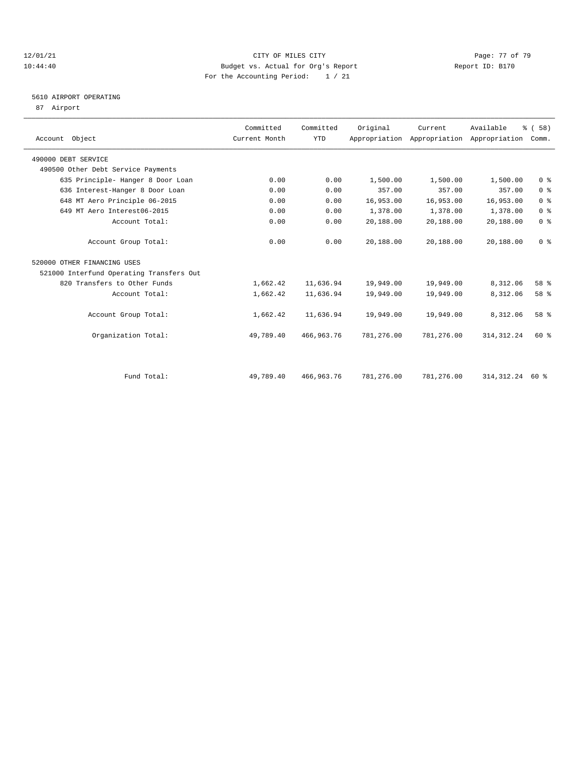### $12/01/21$  Page: 77 of 79<br>10:44:40 Page: 77 of 79 Budget vs. Actual for Org's Report Page: 77 of 79 Page: 77 of 79 10:44:40 Budget vs. Actual for Org's Report For the Accounting Period: 1 / 21

# 5610 AIRPORT OPERATING

87 Airport

| Account Object                           | Committed<br>Current Month | Committed<br><b>YTD</b> | Original   | Current    | Available<br>Appropriation Appropriation Appropriation Comm. | % (58)         |  |
|------------------------------------------|----------------------------|-------------------------|------------|------------|--------------------------------------------------------------|----------------|--|
| 490000 DEBT SERVICE                      |                            |                         |            |            |                                                              |                |  |
| 490500 Other Debt Service Payments       |                            |                         |            |            |                                                              |                |  |
| 635 Principle- Hanger 8 Door Loan        | 0.00                       | 0.00                    | 1,500.00   | 1,500.00   | 1,500.00                                                     | 0 <sup>8</sup> |  |
| 636 Interest-Hanger 8 Door Loan          | 0.00                       | 0.00                    | 357.00     | 357.00     | 357.00                                                       | 0 <sup>8</sup> |  |
| 648 MT Aero Principle 06-2015            | 0.00                       | 0.00                    | 16,953.00  | 16,953.00  | 16,953.00                                                    | 0 <sup>8</sup> |  |
| 649 MT Aero Interest06-2015              | 0.00                       | 0.00                    | 1,378.00   | 1,378.00   | 1,378.00                                                     | 0 <sup>8</sup> |  |
| Account Total:                           | 0.00                       | 0.00                    | 20,188.00  | 20,188.00  | 20,188.00                                                    | 0 <sup>8</sup> |  |
| Account Group Total:                     | 0.00                       | 0.00                    | 20,188.00  | 20,188.00  | 20,188.00                                                    | 0 <sup>8</sup> |  |
| 520000 OTHER FINANCING USES              |                            |                         |            |            |                                                              |                |  |
| 521000 Interfund Operating Transfers Out |                            |                         |            |            |                                                              |                |  |
| 820 Transfers to Other Funds             | 1,662.42                   | 11,636.94               | 19,949.00  | 19,949.00  | 8,312.06                                                     | 58 %           |  |
| Account Total:                           | 1,662.42                   | 11,636.94               | 19,949.00  | 19,949.00  | 8,312.06                                                     | 58 %           |  |
| Account Group Total:                     | 1,662.42                   | 11,636.94               | 19,949.00  | 19,949.00  | 8,312.06                                                     | 58 %           |  |
| Organization Total:                      | 49,789.40                  | 466, 963, 76            | 781,276.00 | 781,276.00 | 314, 312.24                                                  | 60 %           |  |
|                                          |                            |                         |            |            |                                                              |                |  |
| Fund Total:                              | 49,789.40                  | 466, 963. 76            | 781,276.00 | 781,276.00 | 314, 312.24                                                  | 60 %           |  |